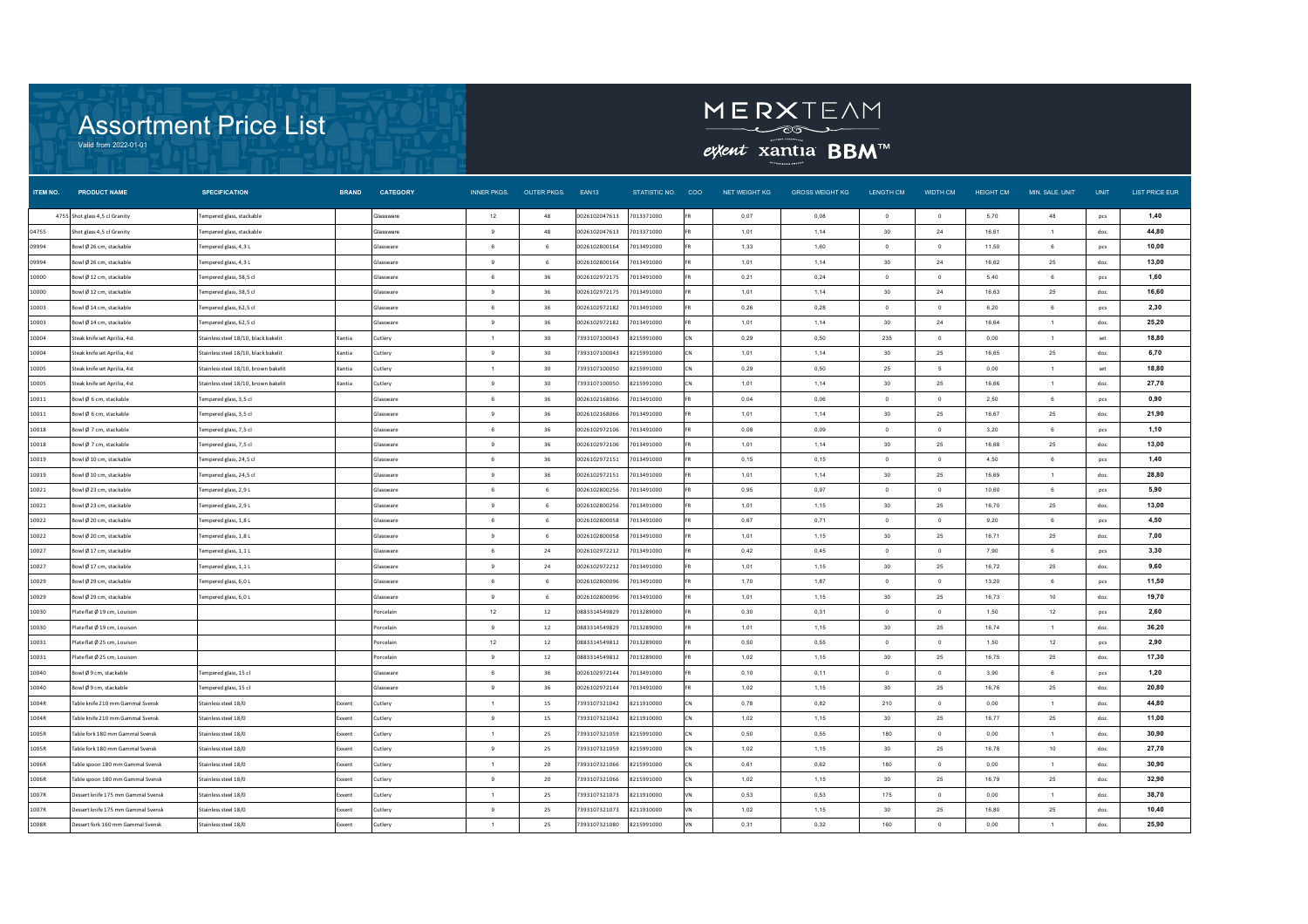



extent xantia **BBM**™

| ITEM NO. | <b>PRODUCT NAME</b>                | <b>SPECIFICATION</b>                 | <b>BRAND</b>  | <b>CATEGORY</b>  | <b>INNER PKGS.</b> | OUTER PKGS. EAN13 |               | STATISTIC NO. COO |           | NET WEIGHT KG | <b>GROSS WEIGHT KG</b> | LENGTH CM       | WIDTH CM       | <b>HEIGHT CM</b> | MIN. SALE. UNIT | <b>UNIT</b> | <b>LIST PRICE EUR</b> |
|----------|------------------------------------|--------------------------------------|---------------|------------------|--------------------|-------------------|---------------|-------------------|-----------|---------------|------------------------|-----------------|----------------|------------------|-----------------|-------------|-----------------------|
|          | 4755 Shot glass 4,5 cl Granity     | Fempered glass, stackable            |               | <b>Glassware</b> | 12                 | 48                | 0026102047613 | 7013371000        |           | 0,07          | 0,08                   | $\overline{0}$  | $\overline{0}$ | 5,70             | 48              | pcs         | 1,40                  |
| 04755    | Shot glass 4,5 cl Granity          | Fempered glass, stackable            |               | Glassware        | 9                  | 48                | 0026102047613 | 7013371000        |           | 1,01          | 1,14                   | 30              | 24             | 16,61            | $\mathbf{1}$    | doz.        | 44,80                 |
| 09994    | Bowl Ø 26 cm, stackable            | Tempered glass, 4,3 L                |               | Glassware        | $6 \overline{6}$   | 6                 | 0026102800164 | 7013491000        |           | 1.33          | 1,60                   | $\Omega$        | $\Omega$       | 11,50            | 6               | pcs         | 10,00                 |
| 09994    | Bowl Ø 26 cm, stackable            | Fempered glass, 4,3L                 |               | Glassware        | $\mathbf{Q}$       | -6                | 0026102800164 | 7013491000        |           | 1.01          | 1 1 4                  | 30 <sup>°</sup> | 24             | 16.62            | 25              | doz.        | 13,00                 |
| 10000    | Bowl Ø12 cm, stackable             | Fempered glass, 38,5 cl              |               | Glassware        | 6                  | 36                | 0026102972175 | 7013491000        |           | 0,21          | 0,24                   | $^{\circ}$      | $\overline{0}$ | 5,40             | 6               | pcs         | 1,60                  |
| 10000    | Bowl Ø12 cm, stackable             | Tempered glass, 38,5 cl              |               | Glassware        | 9                  | 36                | 0026102972175 | 7013491000        |           | 1,01          | 1,14                   | 30              | 24             | 16,63            | 25              | doz.        | 16,60                 |
| 10003    | Bowl Ø14 cm, stackable             | Tempered glass, 62,5 cl              |               | Glassware        | $6\phantom{a}$     | 36                | 0026102972182 | 7013491000        |           | 0,26          | 0,28                   | $\overline{0}$  | $\mathbf{0}$   | 6,20             | 6               | pcs         | 2,30                  |
| 10003    | Bowl Ø14 cm, stackable             | empered glass, 62,5 cl               |               | Glassware        | $\overline{9}$     | 36                | 0026102972182 | 7013491000        |           | 1,01          | 1,14                   | 30              | 24             | 16,64            | $\mathbf{1}$    | doz.        | 25,20                 |
| 10004    | Steak knife set Aprilia, 4st       | Stainless steel 18/10, black bakelit | Xantia        | Cutlery          | $\overline{1}$     | 30                | 7393107100043 | 8215991000        | CN        | 0,29          | 0,50                   | 235             | $\overline{0}$ | 0,00             | $\overline{1}$  | set         | 18,80                 |
| 10004    | Steak knife set Aprilia, 4st       | Stainless steel 18/10, black bakelit | Xantia        | Cutlery          | 9                  | 30                | 7393107100043 | 8215991000        | CΝ        | 1,01          | 1.14                   | 30              | 25             | 16,65            | 25              | doz.        | 6,70                  |
| 10005    | Steak knife set Aprilia, 4st       | Stainless steel 18/10, brown bakelit | Xantia        | Cutlery          | $\overline{1}$     | 30                | 7393107100050 | 8215991000        | <b>CN</b> | 0.29          | 0,50                   | 25              | - 5            | 0,00             | $\mathbf{1}$    | set         | 18,80                 |
| 10005    | Steak knife set Aprilia, 4st       | Stainless steel 18/10, brown bakelit | Xantia        | Cutlery          | $\mathbf{Q}$       | 30                | 7393107100050 | 8215991000        |           | 1,01          | 1,14                   | 30 <sup>°</sup> | 25             | 16.66            | $\mathbf{1}$    | doz.        | 27,70                 |
| 10011    | Bowl Ø 6 cm, stackable             | Tempered glass, 3,5 cl               |               | Glassware        | $6 -$              | 36                | 0026102168066 | 7013491000        |           | 0,04          | 0,06                   | $\Omega$        | $\Omega$       | 2.50             | $6^{\circ}$     | pcs         | 0,90                  |
| 10011    | Bowl Ø 6 cm, stackable             | Tempered glass, 3,5 cl               |               | Glassware        | 9                  | 36                | 0026102168066 | 7013491000        |           | 1,01          | 1,14                   | 30              | 25             | 16.67            | 25              | doz.        | 21,90                 |
| 10018    | Bowl Ø 7 cm, stackable             | Tempered glass, 7,5 cl               |               | Glassware        | $6\phantom{a}$     | 36                | 0026102972106 | 7013491000        |           | 0,08          | 0,09                   | $^{\circ}$      | $\circ$        | 3,20             | 6               | pcs         | 1,10                  |
| 10018    | Bowl Ø 7 cm, stackable             | fempered glass, 7,5 cl               |               | Glassware        | $\overline{9}$     | 36                | 0026102972106 | 7013491000        |           | 1,01          | 1.14                   | 30              | 25             | 16,68            | 25              | doz.        | 13,00                 |
| 10019    | Bowl Ø10 cm, stackable             | lempered glass, 24,5 cl              |               | Glassware        | 6                  | 36                | 0026102972151 | 7013491000        |           | 0,15          | 0,15                   | $\overline{0}$  | $\overline{0}$ | 4,50             | 6               | pcs         | 1,40                  |
| 10019    | Bowl Ø 10 cm, stackable            | Tempered glass, 24,5 cl              |               | Glassware        | 9                  | 36                | 0026102972151 | 7013491000        |           | 1,01          | 1,14                   | 30              | 25             | 16,69            | 1               | doz.        | 28,80                 |
| 10021    | Bowl Ø 23 cm, stackable            | Tempered glass, 2,9 L                |               | Glassware        | 6                  | 6                 | 0026102800256 | 7013491000        |           | 0.95          | 0,97                   | $^{\circ}$      | $\overline{0}$ | 10,60            | 6               | pcs         | 5,90                  |
| 10021    | owl Ø23 cm. stackable              | lempered glass, 2,9 L                |               | Glassware        | $\mathbf{Q}$       | -6                | 0026102800256 | 7013491000        |           | 1,01          | 1,15                   | 30              | 25             | 16,70            | 25              | doz.        | 13,00                 |
| 10022    | owl Ø 20 cm. stackable             | lempered glass, 1,8 L                |               | Glassware        | $6 -$              | -6                | 0026102800058 | 7013491000        |           | 0,67          | 0,71                   | $\Omega$        | $\Omega$       | 9,20             | $6^{\circ}$     | pcs         | 4,50                  |
| 10022    | Bowl Ø 20 cm, stackable            | Tempered glass, 1.8 L                |               | Glassware        | $\mathbf{Q}$       | 6                 | 0026102800058 | 7013491000        |           | 1,01          | 1,15                   | 30              | 25             | 16,71            | 25              | doz.        | 7,00                  |
| 10027    | Bowl Ø17 cm, stackable             | Tempered glass, 1,1L                 |               | Glassware        | $6\phantom{a}$     | 24                | 0026102972212 | 7013491000        |           | 0,42          | 0,45                   | $^{\circ}$      | $\circ$        | 7,90             | 6               | pcs         | 3,30                  |
| 10027    | Bowl Ø17 cm, stackable             | empered glass, 1,1L                  |               | Glassware        | $_{9}$             | 24                | 0026102972212 | 7013491000        |           | 1,01          | 1,15                   | 30              | 25             | 16,72            | 25              | doz.        | 9,60                  |
| 10029    | sowl Ø 29 cm, stackable            | empered glass, 6,0 L                 |               | Glassware        | 6                  | -6                | 0026102800096 | 7013491000        |           | 1,70          | 1,87                   | $^{\circ}$      | $\overline{0}$ | 13,20            | 6               | pcs         | 11,50                 |
| 10029    | Bowl Ø 29 cm, stackable            | Fempered glass, 6,0 L                |               | Glassware        | 9                  | 6                 | 0026102800096 | 7013491000        |           | 1,01          | 1,15                   | 30              | 25             | 16,73            | 10              | doz.        | 19,70                 |
| 10030    | Plateflat Ø 19 cm, Louison         |                                      |               | Porcelain        | 12                 | 12                | 0883314549829 | 7013289000        |           | 0,30          | 0,31                   | $\Omega$        | $\overline{0}$ | 1,50             | 12              | pcs         | 2,60                  |
| 10030    | Plate flat Ø 19 cm, Louison        |                                      |               | Porcelain        | $\mathbf{Q}$       | 12                | 0883314549829 | 7013289000        |           | 1,01          | 1,15                   | 30              | 25             | 16,74            | $\mathbf{1}$    | doz.        | 36,20                 |
| 10031    | Plate flat Ø 25 cm. Louison        |                                      |               | Porcelain        | 12                 | 12                | 0883314549812 | 7013289000        |           | 0,50          | 0,55                   | $\Omega$        | $\Omega$       | 1,50             | 12              | pcs         | 2,90                  |
| 10031    | Plate flat Ø 25 cm. Louison        |                                      |               | Porcelain        | 9                  | 12                | 0883314549812 | 7013289000        |           | 1,02          | 1,15                   | 30              | 25             | 16,75            | 25              | doz.        | 17,30                 |
| 10040    | Bowl Ø9 cm. stackable              | fempered glass, 15 cl                |               | Glassware        | $6 \overline{6}$   | 36                | 0026102972144 | 7013491000        |           | 0,10          | 0,11                   | $\Omega$        | $\Omega$       | 3,90             | 6               | pcs         | 1,20                  |
| 10040    | Bowl Ø9 cm, stackable              | lempered glass, 15 cl                |               | Glassware        | $\mathbf{Q}$       | 36                | 0026102972144 | 7013491000        |           | 1,02          | 1,15                   | 30              | 25             | 16,76            | 25              | doz.        | 20,80                 |
| 1004R    | able knife 210 mm Gammal Svensk    | Stainless steel 18/0                 | Exxent        | Cutlery          | $\overline{1}$     | 15                | 7393107321042 | 8211910000        |           | 0,78          | 0,82                   | 210             | $\overline{0}$ | 0,00             | $\mathbf{1}$    | doz.        | 44,80                 |
| 1004R    | Table knife 210 mm Gammal Svensk   | Stainless steel 18/0                 | Exxent        | Cutlery          | 9                  | 15                | 7393107321042 | 8211910000        |           | 1,02          | 1,15                   | 30              | 25             | 16,77            | 25              | doz.        | 11,00                 |
| 1005R    | Table fork 180 mm Gammal Svensk    | Stainless steel 18/0                 | Exxent        | Cutlery          | $\overline{1}$     | 25                | /393107321059 | 8215991000        | ΓN.       | 0,50          | 0,55                   | 180             | $\overline{0}$ | 0,00             | $\overline{1}$  | doz.        | 30,90                 |
| 1005R    | Table fork 180 mm Gammal Svensk    | Stainless steel 18/0                 | Exxent        | Cutlery          | 9                  | 25                | 7393107321059 | 8215991000        |           | 1,02          | 1,15                   | 30              | 25             | 16.78            | 10              | doz.        | 27,70                 |
| 1006R    | Table spoon 180 mm Gammal Svensk   | Stainless steel 18/0                 | Exxent        | Cutlery          | $\overline{1}$     | 20                | 7393107321066 | 8215991000        |           | 0,61          | 0,62                   | 180             | $\overline{0}$ | 0,00             | $\mathbf{1}$    | doz.        | 30,90                 |
| 10068    | Table spoon 180 mm Gammal Svensk   | Stainless steel 18/0                 | <b>Exxent</b> | Cutlery          | 9                  | 20                | 7393107321066 | 8215991000        | CΝ        | 1,02          | 1,15                   | $30^{\circ}$    | 25             | 16,79            | 25              | doz.        | 32,90                 |
| 1007R    | Dessert knife 175 mm Gammal Svensk | Stainless steel 18/0                 | Exxent        | Cutlery          | $\overline{1}$     | 25                | 7393107321073 | 8211910000        |           | 0,53          | 0,53                   | 175             | $\circ$        | 0,00             | $\mathbf{1}$    | doz.        | 38,70                 |
| 1007R    | Dessert knife 175 mm Gammal Svensk | Stainless steel 18/0                 | Exxent        | Cutlery          | 9                  | 25                | 7393107321073 | 8211910000        |           | 1,02          | 1,15                   | 30              | 25             | 16,80            | 25              | doz.        | 10,40                 |
| 1008R    | Dessert fork 160 mm Gammal Svensk  | Stainless steel 18/0                 | Exxent        | Cutlery          | $\overline{1}$     | 25                | 7393107321080 | 8215991000        |           | 0,31          | 0,32                   | 160             | $\circ$        | 0,00             | $\overline{1}$  | doz.        | 25,90                 |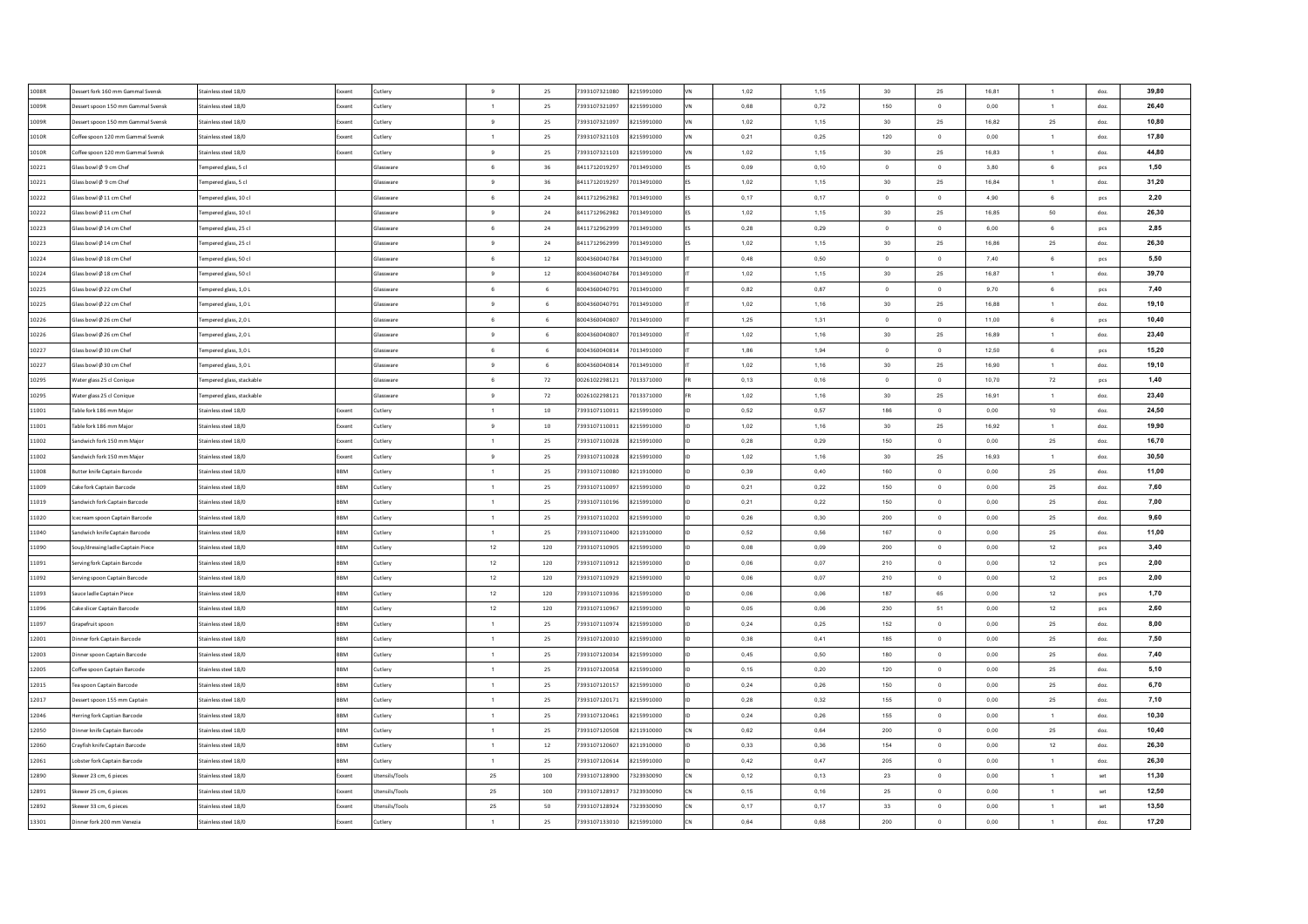| 1008R | essert fork 160 mm Gammal Svensk                          | Stainless steel 18/0      | Exxent     | Cutlery          | 9               | 25     | 7393107321080 | 8215991000 | 1,02 | 1,15  | 30             | 25             | 16,81 | $\mathbf{1}$     | doz.         | 39,80 |
|-------|-----------------------------------------------------------|---------------------------|------------|------------------|-----------------|--------|---------------|------------|------|-------|----------------|----------------|-------|------------------|--------------|-------|
| 1009R | essert spoon 150 mm Gammal Svensk                         | stainless steel 18/0      | Exxent     | Cutlery          | $\mathbf{1}$    | 25     | 7393107321097 | 8215991000 | 0,68 | 0,72  | 150            | $\circ$        | 0,00  | $\mathbf{1}$     | doz.         | 26,40 |
| 1009R | essert spoon 150 mm Gammal Svensk                         | Stainless steel 18/0      | Exxent     | Cutlery          | 9               | 25     | 7393107321097 | 8215991000 | 1,02 | 1,15  | 30             | 25             | 16,82 | 25               | doz          | 10,80 |
| 1010R | Offee spoon 120 mm Gammal Svensk                          | stainless steel 18/0      | :xxen      | Cutlery          | 1               | 25     | 7393107321103 | 8215991000 | 0,21 | 0,25  | 120            | $\,$ 0         | 0,00  | $\overline{1}$   | doz.         | 17,80 |
| 1010R | Offee spoon 120 mm Gammal Svensk                          | Stainless steel 18/0      | Exxent     | Cutlery          | 9               | 25     | 7393107321103 | 8215991000 | 1,02 | 1,15  | 30             | 25             | 16,83 | $\mathbf{1}$     | doz.         | 44,80 |
| 10221 | Slass bowl Ø 9 cm Chef                                    | Fempered glass, 5 cl      |            | Glassware        | 6               | 36     | 8411712019297 | 7013491000 | 0,09 | 0, 10 | $\circ$        | $\overline{0}$ | 3,80  | 6                | pcs          | 1,50  |
| 10221 | Blass bowl Ø 9 cm Chef                                    | fempered glass, 5 cl      |            | Glassware        | 9               | 36     | 8411712019297 | 7013491000 | 1,02 | 1,15  | 30             | 25             | 16,84 | $\mathbf{1}$     | doz.         | 31,20 |
| 10222 | Glass bowl Ø 11 cm Chef                                   | lempered glass, 10 cl     |            | Glassware        | 6               | 24     | 8411712962982 | 7013491000 | 0,17 | 0,17  | $\overline{0}$ | $\circ$        | 4.90  | $6\overline{6}$  | pcs          | 2,20  |
| 10222 | Glass bowl Ø 11 cm Chef                                   | lempered glass, 10 cl     |            | Glassware        | 9               | 24     | 8411712962982 | 7013491000 | 1.02 | 1.15  | 30             | 25             | 16.85 | 50               | doz.         | 26,30 |
| 10223 | Slass bowl Ø 14 cm Chef                                   | lempered glass, 25 cl     |            | Glassware        | 6               | $24\,$ | 8411712962999 | 7013491000 | 0,28 | 0,29  | $\overline{0}$ | $\overline{0}$ | 6,00  | 6                | pcs          | 2,85  |
| 10223 | Glass bowl Ø 14 cm Che                                    | lempered glass, 25 cl     |            | Glassware        | 9               | 24     | 8411712962999 | 7013491000 | 1.02 | 1.15  | 30             | 25             | 16.86 | 25               | doz.         | 26,30 |
| 10224 | Slass bowl Ø 18 cm Che                                    | lempered glass, 50 cl     |            | Glassware        | $6^{\circ}$     | 12     | 8004360040784 | 7013491000 | 0.48 | 0.50  | $\Omega$       | $\overline{0}$ | 7,40  | 6                | pcs          | 5,50  |
| 10224 | Glass bowl Ø 18 cm Che                                    | Fempered glass, 50 cl     |            | Glassware        | $\mathbf{Q}$    | 12     | 8004360040784 | 7013491000 | 1.02 | 1,15  | 30             | 25             | 16,87 | $\mathbf{1}$     | doz.         | 39,70 |
| 10225 | lass bowl Ø 22 cm Che                                     | Fempered glass, 1,0 L     |            | Glassware        | $6\overline{6}$ | 6      | 8004360040791 | 7013491000 | 0,82 | 0,87  | $\overline{0}$ | $\,$ 0         | 9,70  | $\mathbf 6$      | pcs          | 7,40  |
| 10225 | Slass bowl Ø 22 cm Chef                                   | Fempered glass, 1,0 L     |            | <b>Slassware</b> | $\,9$           | 6      | 8004360040791 | 7013491000 | 1,02 | 1,16  | 30             | 25             | 16,88 | $\mathbf{1}$     | doz.         | 19,10 |
| 10226 | lass bowl Ø 26 cm Che                                     | Fempered glass, 2,0 L     |            | <b>Slassware</b> | 6               | 6      | 8004360040807 | 7013491000 | 1,25 | 1,31  | $\mathbf 0$    | $\mathbf 0$    | 11,00 | 6                | pcs          | 10,40 |
| 10226 | Slass bowl Ø 26 cm Chef                                   | Fempered glass, 2,0 L     |            | Glassware        | 9               | 6      | 8004360040807 | 7013491000 | 1,02 | 1,16  | 30             | 25             | 16,89 | $\mathbf{1}$     | doz.         | 23,40 |
| 10227 | lass bowl Ø 30 cm Chef                                    | Fempered glass, 3,0 L     |            | <b>Glassware</b> | 6               | 6      | 8004360040814 | 7013491000 | 1,86 | 1,94  | $\circ$        | $\mathbf{0}$   | 12,50 | 6                | pcs          | 15,20 |
| 10227 | Glass bowl Ø 30 cm Chef                                   | empered glass, 3,0 L      |            | Glassware        | 9               | 6      | 8004360040814 | 7013491000 | 1,02 | 1,16  | 30             | 25             | 16,90 | $\mathbf{1}$     | doz.         | 19.10 |
| 10295 | Vater glass 25 cl Conique                                 | lempered glass, stackable |            | Glassware        | 6               | 72     | 0026102298121 | 7013371000 | 0,13 | 0,16  | $\overline{0}$ | $\circ$        | 10,70 | 72               | pcs          | 1,40  |
| 10295 | Water glass 25 cl Conique                                 | lempered glass, stackable |            | Glassware        | 9               | 72     | 0026102298121 | 7013371000 | 1,02 | 1,16  | 30             | 25             | 16,91 | $\mathbf{1}$     | doz.         | 23,40 |
| 11001 | able fork 186 mm Maior                                    | Stainless steel 18/0      | Exxent     | Cutlerv          | $\overline{1}$  | $10\,$ | 7393107110011 | 8215991000 | 0,52 | 0,57  | 186            | $\overline{0}$ | 0,00  | 10               | doz.         | 24,50 |
| 11001 | Table fork 186 mm Maior                                   | Stainless steel 18/0      | Exxent     | Cutlery          | 9               | 10     | 7393107110011 | 8215991000 | 1.02 | 1,16  | 30             | 25             | 16.92 | $\overline{1}$   | doz.         | 19,90 |
| 11002 | Sandwich fork 150 mm Maior                                | Stainless steel 18/0      | Exxent     | Cutlery          | $\overline{1}$  | 25     | 7393107110028 | 8215991000 | 0.28 | 0.29  | 150            | $\overline{0}$ | 0.00  | 25               | doz.         | 16,70 |
| 11002 | Sandwich fork 150 mm Major                                | Stainless steel 18/0      | Exxent     | Cutlery          | 9               | 25     | 7393107110028 | 8215991000 | 1,02 | 1,16  | 30             | $\bf 25$       | 16,93 | 1                | doz.         | 30,50 |
| 11008 | Butter knife Captain Barcode                              | Stainless steel 18/0      | <b>RRM</b> | Cutlery          | $\overline{1}$  | 25     | 7393107110080 | 8211910000 | 0,39 | 0,40  | 160            | $\circ$        | 0.00  | 25               | doz.         | 11,00 |
| 11009 | Cake fork Captain Barcode                                 | Stainless steel 18/0      | <b>BBM</b> | Cutlery          | $\overline{1}$  | 25     | 7393107110097 | 8215991000 | 0,21 | 0,22  | 150            | $\circ$        | 0,00  | 25               | doz.         | 7,60  |
| 11019 | andwich fork Captain Barcode                              | Stainless steel 18/0      | <b>RRM</b> | Cutlery          | $\overline{1}$  | 25     | 7393107110196 | 8215991000 | 0,21 | 0,22  | 150            | $\,$ 0         | 0.00  | 25               | doz.         | 7,00  |
| 11020 | ecream spoon Captain Barcode                              | Stainless steel 18/0      | <b>BBM</b> | Cutlery          | $\overline{1}$  | 25     | 7393107110202 | 8215991000 | 0,26 | 0,30  | 200            | $\mathbf 0$    | 0,00  | 25               | doz.         | 9,60  |
| 11040 | iandwich knife Captain Barcode                            | Stainless steel 18/0      | BBM        | Cutlery          | $\overline{1}$  | 25     | 7393107110400 | 8211910000 | 0,52 | 0,56  | 167            | $\overline{0}$ | 0,00  | 25               | doz.         | 11,00 |
| 11090 | oup/dressing ladle Captain Piece                          | Stainless steel 18/0      | BBM        | Cutlery          | 12              | 120    | 7393107110905 | 8215991000 | 0,08 | 0,09  | 200            | $\circ$        | 0,00  | 12               | pcs          | 3,40  |
| 11091 | erving fork Captain Barcode                               | Stainless steel 18/0      | <b>BBM</b> | Cutlery          | 12              | 120    | 7393107110912 | 8215991000 | 0,06 | 0,07  | 210            | $\,$ 0         | 0,00  | 12               | pcs          | 2,00  |
| 11092 | ierving spoon Captain Barcode                             | Stainless steel 18/0      | BBM        | Cutlery          | 12              | 120    | 7393107110929 | 8215991000 | 0,06 | 0,07  | 210            | $\circ$        | 0,00  | 12               | pcs          | 2,00  |
| 11093 | iauce ladle Captain Piece                                 | Stainless steel 18/0      | <b>BBM</b> | Cutlerv          | 12              | 120    | 7393107110936 | 8215991000 | 0,06 | 0.06  | 187            | 65             | 0,00  | 12               | pcs          | 1,70  |
| 11096 | Cake slicer Captain Barcode                               | Stainless steel 18/0      | <b>BBM</b> | Cutlerv          | 12              | 120    | 7393107110967 | 8215991000 | 0,05 | 0.06  | 230            | 51             | 0,00  | 12               | pcs          | 2,60  |
| 11097 | Grapefruit spoon                                          | Stainless steel 18/0      | <b>BBM</b> | Cutlery          | $\overline{1}$  | 25     | 7393107110974 | 8215991000 | 0.24 | 0.25  | 152            | $\mathbf{0}$   | 0.00  | 25               | doz.         | 8,00  |
| 12001 | inner fork Captain Barcode                                | Stainless steel 18/0      | <b>RRM</b> | Cutlery          | $\overline{1}$  | 25     | 7393107120010 | 8215991000 | 0,38 | 0,41  | 185            | $\,$ 0         | 0,00  | 25               | doz.         | 7,50  |
| 12003 | <b>Dinner spoon Captain Barcode</b>                       | Stainless steel 18/0      | <b>BBM</b> | <b>Lutlery</b>   | $\overline{1}$  | 25     | 7393107120034 | 8215991000 | 0,45 | 0,50  | 180            | $\overline{0}$ | 0,00  | 25               | doz.         | 7,40  |
| 12005 | Coffee spoon Captain Barcode                              | Stainless steel 18/0      | <b>RRM</b> | Cutlery          | $\overline{1}$  | 25     | 7393107120058 | 8215991000 | 0,15 | 0,20  | 120            | $\overline{0}$ | 0,00  | $25\phantom{.0}$ | doz.         | 5,10  |
| 12015 | Tea spoon Captain Barcode                                 | Stainless steel 18/0      | <b>BBM</b> | <b>Lutlery</b>   | $\overline{1}$  | 25     | 7393107120157 | 8215991000 | 0,24 | 0,26  | 150            | $\overline{0}$ | 0,00  | 25               | doz.         | 6,70  |
| 12017 |                                                           | stainless steel 18/0      | RRM        |                  | $\overline{1}$  | 25     | 7393107120171 | 8215991000 | 0,28 | 0,32  | 155            | $\,$ 0         | 0,00  | 25               |              | 7,10  |
| 12046 | ssert spoon 155 mm Captair<br>erring fork Captian Barcode | stainless steel 18/0      | <b>BBM</b> | <b>Lutlery</b>   | $\overline{1}$  | 25     | 7393107120461 | 8215991000 | 0,24 | 0,26  | 155            | $\,$ 0         | 0,00  | $\mathbf{1}$     | doz.<br>doz. | 10,30 |
| 12050 | nner knife Captain Barcode                                | stainless steel 18/0      | BBM        | utlery           | $\overline{1}$  | 25     | 7393107120508 | 8211910000 | 0,62 | 0,64  | 200            | $\bf{0}$       | 0,00  | 25               |              | 10,40 |
|       |                                                           |                           |            | utlery           |                 |        |               |            |      |       |                |                |       |                  | doz.         |       |
| 12060 | Crayfish knife Captain Barcode                            | Stainless steel 18/0      | <b>BBM</b> | Cutlery          | $\overline{1}$  | $12\,$ | 7393107120607 | 8211910000 | 0,33 | 0,36  | 154            | $\circ$        | 0,00  | 12               | doz.         | 26,30 |
| 12061 | obster fork Captain Barcode                               | Stainless steel 18/0      | BBM        | Cutlerv          | $\overline{1}$  | 25     | 7393107120614 | 8215991000 | 0,42 | 0,47  | 205            | $\overline{0}$ | 0,00  | $\mathbf{1}$     | doz.         | 26,30 |
| 12890 | kewer 23 cm, 6 pieces                                     | Stainless steel 18/0      | Exxent     | Utensils/Tools   | 25              | 100    | 7393107128900 | 7323930090 | 0,12 | 0,13  | 23             | $\circ$        | 0,00  | $\mathbf{1}$     | set          | 11,30 |
| 12891 | kewer 25 cm, 6 pieces                                     | Stainless steel 18/0      | Exxent     | Utensils/Tools   | 25              | 100    | 7393107128917 | 7323930090 | 0,15 | 0.16  | 25             | $\overline{0}$ | 0,00  | $\mathbf{1}$     | set          | 12,50 |
| 12892 | kewer 33 cm, 6 pieces                                     | Stainless steel 18/0      | Exxent     | Utensils/Tools   | 25              | 50     | 7393107128924 | 7323930090 | 0,17 | 0,17  | 33             | $\circ$        | 0,00  | $\mathbf{1}$     | set          | 13,50 |
| 13301 | Dinner fork 200 mm Venezia                                | Stainless steel 18/0      | Exxent     | Cutlery          | $\overline{1}$  | 25     | 7393107133010 | 8215991000 | 0,64 | 0.68  | 200            | $\circ$        | 0.00  | $\mathbf{1}$     | doz.         | 17,20 |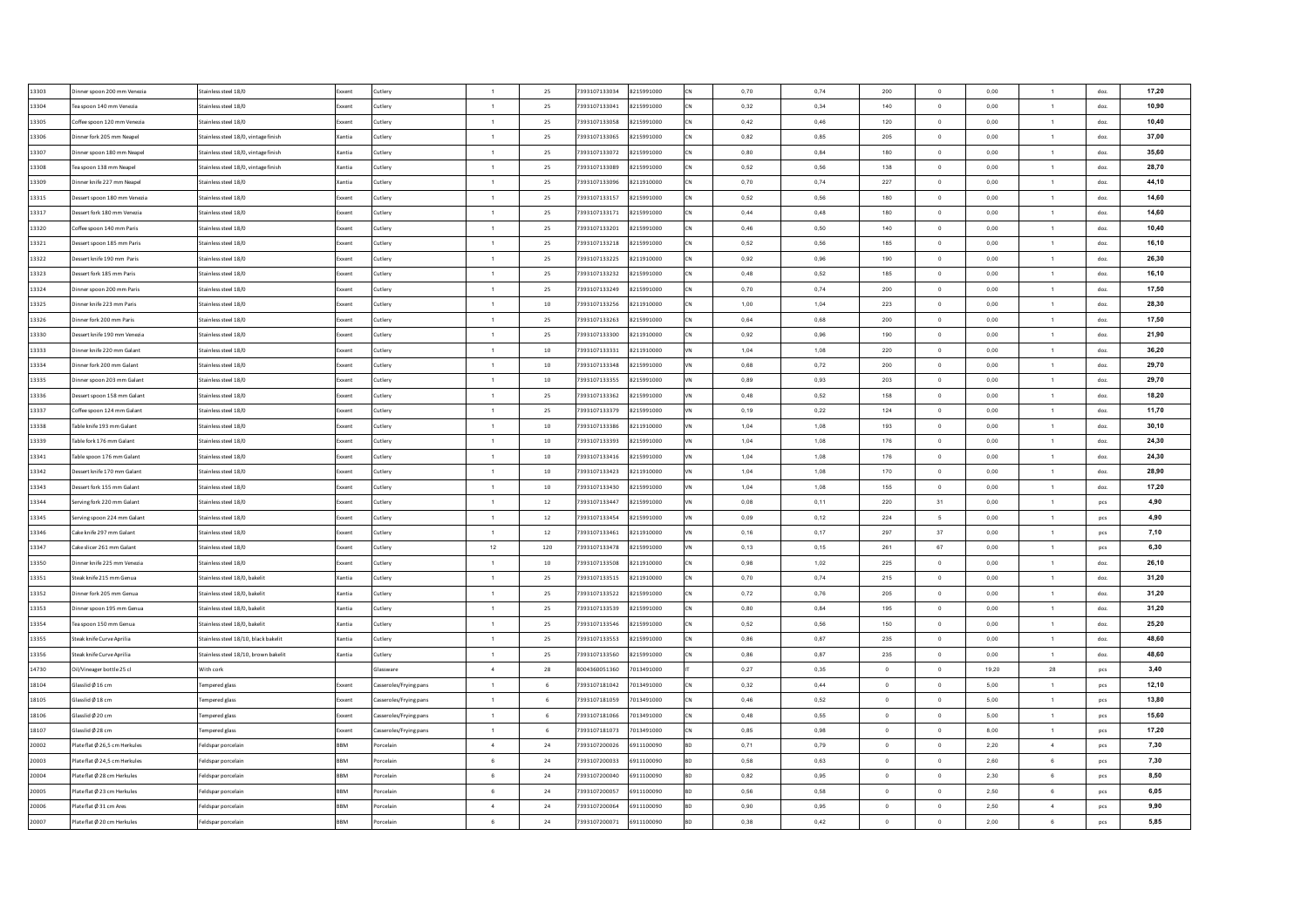| 13303 | inner spoon 200 mm Venezia   | Stainless steel 18/0                 | Exxent       | Cutlery               | $\overline{1}$ | 25     | 7393107133034 | 8215991000 | 0,70 | 0,74 | 200            | $\overline{0}$           | 0,00      | $\mathbf{1}$   | doz. | 17,20 |
|-------|------------------------------|--------------------------------------|--------------|-----------------------|----------------|--------|---------------|------------|------|------|----------------|--------------------------|-----------|----------------|------|-------|
| 13304 | Tea spoon 140 mm Venezia     | Stainless steel 18/0                 | Exxent       | Cutlery               | $\blacksquare$ | 25     | 7393107133041 | 8215991000 | 0,32 | 0,34 | 140            | $\circ$                  | 0,00      | $\mathbf{1}$   | doz  | 10,90 |
| 13305 | offee spoon 120 mm Venezia   | Stainless steel 18/0                 | Exxent       | Cutlery               | $\overline{1}$ | 25     | 7393107133058 | 8215991000 | 0,42 | 0,46 | 120            | $\mathbf 0$              | 0,00      | $\mathbf{1}$   | doz  | 10,40 |
| 13306 | inner fork 205 mm Neapel     | Stainless steel 18/0, vintage finish | Xantia       | Cutlery               | 1              | 25     | 7393107133065 | 8215991000 | 0,82 | 0,85 | 205            | $\,$ 0                   | 0,00      | $\overline{1}$ | doz. | 37,00 |
| 13307 | inner spoon 180 mm Neapel    | Stainless steel 18/0, vintage finish | Xantia       | Cutlery               | $\overline{1}$ | 25     | 7393107133072 | 8215991000 | 0,80 | 0,84 | 180            | $\bf{0}$                 | 0,00      | $\mathbf{1}$   | doz. | 35,60 |
| 13308 | ea spoon 138 mm Neape        | stainless steel 18/0, vintage finish | Xantia       | Cutlery               | $\overline{1}$ | 25     | 7393107133089 | 8215991000 | 0,52 | 0.56 | 138            | $\overline{0}$           | 0,00      | $\mathbf{1}$   | doz  | 28.70 |
| 13309 | inner knife 227 mm Neapel    | Stainless steel 18/0                 | Xantia       | Cutlery               | $\overline{1}$ | 25     | 7393107133096 | 8211910000 | 0,70 | 0,74 | 227            | $\,$ 0                   | 0,00      | $\mathbf{1}$   | doz. | 44,10 |
| 13315 | essert spoon 180 mm Venezia  | Stainless steel 18/0                 | Exxent       | Cutlery               | $\overline{1}$ | 25     | 7393107133157 | 8215991000 | 0.52 | 0.56 | 180            | $\circ$                  | 0.00      | $\mathbf{1}$   | doz. | 14.60 |
| 13317 | Jessert fork 180 mm Venezia  | Stainless steel 18/0                 | Exxent       | Cutlery               | $\overline{1}$ | 25     | 7393107133171 | 8215991000 | 0.44 | 0.48 | 180            | $\overline{0}$           | 0.00      | $\overline{1}$ | doz. | 14.60 |
| 13320 | offee spoon 140 mm Paris     | Stainless steel 18/0                 | Exxent       | Cutlery               | $\overline{1}$ | 25     | 7393107133201 | 8215991000 | 0,46 | 0,50 | 140            | $\circ$                  | 0,00      | $\overline{1}$ | doz. | 10,40 |
| 13321 | Jessert spoon 185 mm Paris   | Stainless steel 18/0                 | Exxent       | Cutlery               | $\overline{1}$ | 25     | 7393107133218 | 8215991000 | 0.52 | 0.56 | 185            | $\Omega$                 | 0.00      | $\overline{1}$ | doz. | 16,10 |
| 13322 | essert knife 190 mm Paris    | Stainless steel 18/0                 | Exxent       | Cutlery               | $\overline{1}$ | 25     | 7393107133225 | 8211910000 | 0,92 | 0.96 | 190            | $\overline{0}$           | 0,00      | $\overline{1}$ | doz  | 26.30 |
| 13323 | essert fork 185 mm Paris     | Stainless steel 18/0                 | Exxent       | Cutlery               | $\overline{1}$ | 25     | 7393107133232 | 8215991000 | 0.48 | 0,52 | 185            | $\overline{0}$           | 0,00      | $\overline{1}$ | doz. | 16.10 |
| 13324 | inner spoon 200 mm Paris     | Stainless steel 18/0                 | Exxent       | Cutlery               | $\overline{1}$ | 25     | 7393107133249 | 8215991000 | 0,70 | 0,74 | 200            | $\,$ 0                   | 0,00      | $\mathbf{1}$   | doz. | 17,50 |
| 13325 | inner knife 223 mm Paris     | Stainless steel 18/0                 | Exxent       | Cutlery               | $\overline{1}$ | $10$   | 7393107133256 | 8211910000 | 1,00 | 1,04 | 223            | $\mathbf 0$              | 0,00      | $\mathbf{1}$   | doz. | 28,30 |
| 13326 | nner fork 200 mm Paris       | Stainless steel 18/0                 | xxent        | Cutlery               | $\overline{1}$ | 25     | 7393107133263 | 8215991000 | 0,64 | 0,68 | 200            | $\,$ 0                   | $_{0,00}$ | $\mathbf{1}$   | doz. | 17,50 |
| 13330 | essert knife 190 mm Venezia  | Stainless steel 18/0                 | Exxent       | Cutlery               | $\overline{1}$ | 25     | 7393107133300 | 8211910000 | 0,92 | 0,96 | 190            | $\circ$                  | $_{0,00}$ | $\mathbf{1}$   | doz. | 21,90 |
| 13333 | inner knife 220 mm Galant    | Stainless steel 18/0                 | <b>xxent</b> | Cutlery               | $\overline{1}$ | $10$   | 393107133331  | 8211910000 | 1,04 | 1,08 | 220            | $\overline{0}$           | 0,00      | $\mathbf{1}$   | doz. | 36,20 |
| 13334 | inner fork 200 mm Galant     | Stainless steel 18/0                 | Exxent       | Cutlery               | $\overline{1}$ | $10\,$ | 7393107133348 | 8215991000 | 0,68 | 0,72 | 200            | $\,$ 0                   | 0,00      | $\mathbf{1}$   | doz. | 29,70 |
| 13335 | inner spoon 203 mm Galant    | Stainless steel 18/0                 | ixxent       | Cutlery               | $\overline{1}$ | 10     | 7393107133355 | 8215991000 | 0,89 | 0,93 | 203            | $\circ$                  | 0,00      | $\mathbf{1}$   | doz. | 29,70 |
| 13336 | essert spoon 158 mm Galant   | Stainless steel 18/0                 | Exxent       | Cutlery               | $\blacksquare$ | 25     | 7393107133362 | 8215991000 | 0,48 | 0,52 | 158            | $\overline{0}$           | 0,00      | 1              | doz. | 18,20 |
| 13337 | Coffee spoon 124 mm Galant   | Stainless steel 18/0                 | Exxent       | Cutlerv               | $\overline{1}$ | 25     | 7393107133379 | 8215991000 | 0,19 | 0,22 | 124            | $\circ$                  | 0,00      | $\mathbf{1}$   | doz. | 11,70 |
| 13338 | Table knife 193 mm Galant    | Stainless steel 18/0                 | Exxent       | Cutlery               | $\overline{1}$ | 10     | 7393107133386 | 8211910000 | 1.04 | 1,08 | 193            | $\overline{0}$           | 0.00      | $\overline{1}$ | doz. | 30.10 |
| 13339 | Table fork 176 mm Galant     | Stainless steel 18/0                 | Exxent       | Cutlery               | $\overline{1}$ | 10     | 7393107133393 | 8215991000 | 1.04 | 1.08 | 176            | $\overline{0}$           | 0.00      | $\overline{1}$ | doz. | 24,30 |
| 13341 | able spoon 176 mm Galant     | Stainless steel 18/0                 | Exxent       | Cutlery               | $\overline{1}$ | 10     | 7393107133416 | 8215991000 | 1,04 | 1,08 | 176            | $\overline{0}$           | 0,00      | 1              | doz. | 24.30 |
| 13342 | essert knife 170 mm Galant   | Stainless steel 18/0                 | Exxent       | Cutlery               | $\overline{1}$ | 10     | 7393107133423 | 8211910000 | 1,04 | 1,08 | 170            | $\circ$                  | 0.00      | $\mathbf{1}$   | doz. | 28.90 |
| 13343 | essert fork 155 mm Galant    | Stainless steel 18/0                 | Exxent       | Cutlery               | $\overline{1}$ | $10\,$ | 7393107133430 | 8215991000 | 1,04 | 1,08 | 155            | $\overline{0}$           | 0,00      | 1              | doz. | 17,20 |
| 13344 | erving fork 220 mm Galant    | Stainless steel 18/0                 | Exxent       | Cutlery               | $\overline{1}$ | $12\,$ | 7393107133447 | 8215991000 | 0,08 | 0,11 | 220            | 31                       | 0.00      | $\mathbf{1}$   | pcs  | 4,90  |
| 13345 | erving spoon 224 mm Galant   | Stainless steel 18/0                 | Exxent       | Cutlery               | 1              | 12     | 7393107133454 | 8215991000 | 0,09 | 0,12 | 224            | $5\phantom{.0}$          | 0,00      | $\mathbf{1}$   | pcs  | 4,90  |
| 13346 | ake knife 297 mm Galant      | Stainless steel 18/0                 | Exxent       | Cutlery               | $\overline{1}$ | 12     | 7393107133461 | 8211910000 | 0,16 | 0,17 | 297            | 37                       | 0,00      | $\mathbf{1}$   | pcs  | 7,10  |
| 13347 | Cake slicer 261 mm Galant    | Stainless steel 18/0                 | Exxent       | Cutlery               | 12             | 120    | 7393107133478 | 8215991000 | 0,13 | 0,15 | 261            | 67                       | 0,00      | $\mathbf{1}$   | pcs  | 6,30  |
| 13350 | inner knife 225 mm Venezia   | Stainless steel 18/0                 | Exxent       | Cutlery               | $\overline{1}$ | 10     | 7393107133508 | 8211910000 | 0,98 | 1,02 | 225            | $\,$ 0                   | 0,00      | $\mathbf{1}$   | doz. | 26,10 |
| 13351 | iteak knife 215 mm Genua     | Stainless steel 18/0, bakelit        | Xantia       | Cutlery               | $\overline{1}$ | 25     | 7393107133515 | 8211910000 | 0,70 | 0,74 | 215            | $\circ$                  | 0,00      | $\mathbf{1}$   | doz. | 31,20 |
| 13352 | Dinner fork 205 mm Genua     | Stainless steel 18/0, bakelit        | Xantia       | Cutlerv               | $\overline{1}$ | 25     | 7393107133522 | 8215991000 | 0,72 | 0,76 | 205            | $\overline{\phantom{a}}$ | 0,00      | $\overline{1}$ | doz. | 31,20 |
| 13353 | inner spoon 195 mm Genua     | Stainless steel 18/0, bakelit        | Xantia       | Cutlerv               | $\overline{1}$ | 25     | 7393107133539 | 8215991000 | 0.80 | 0.84 | 195            | $\circ$                  | 0,00      | $\overline{1}$ | doz. | 31,20 |
| 13354 | Tea spoon 150 mm Genua       | Stainless steel 18/0, bakelit        | Xantia       | Cutlery               | $\overline{1}$ | 25     | 7393107133546 | 8215991000 | 0.52 | 0.56 | 150            | $\mathbf{0}$             | 0.00      | $\overline{1}$ | doz. | 25,20 |
| 13355 | Iteak knife Curve Aprilia    | Stainless steel 18/10, black bakelit | Xantia       |                       | $\overline{1}$ | 25     | 7393107133553 | 8215991000 | 0,86 | 0,87 | 235            | $\circ$                  | 0,00      | $\overline{1}$ | doz. | 48.60 |
|       | Steak knife Curve Aprilia    |                                      | Xantia       | Cutlery               | $\overline{1}$ | 25     | 7393107133560 | 8215991000 | 0,86 | 0,87 | 235            | $\overline{0}$           |           | $\overline{1}$ |      | 48,60 |
| 13356 |                              | Stainless steel 18/10, brown bakelit |              | utlery<br>ilassware   | $\overline{a}$ |        | 8004360051360 | 7013491000 |      |      | $\Omega$       | $\overline{0}$           | 0,00      |                | doz. | 3,40  |
| 14730 | Dil/Vineager bottle 25 cl    | With cork                            |              |                       |                | 28     |               |            | 0,27 | 0,35 | $\overline{0}$ |                          | 19,20     | 28             | pcs  |       |
| 18104 | Slasslid Ø 16 cm             | <b>Tempered glass</b>                | ixxent       | asseroles/Frying pans | $\overline{1}$ | 6      | 7393107181042 | 7013491000 | 0,32 | 0,44 |                | $\overline{0}$           | 5,00      | $\mathbf{1}$   | pcs  | 12,10 |
| 18105 | lasslid Ø 18 cm              | empered glass                        | xxent        | asseroles/Frying pans | $\overline{1}$ | 6      | 7393107181059 | 7013491000 | 0,46 | 0,52 | $\circ$        | $\,$ 0                   | 5,00      | $\mathbf{1}$   | pcs  | 13,80 |
| 18106 | Slasslid Ø 20 cm             | empered glass                        | ixxent       | asseroles/Frying pans | $\overline{1}$ | 6      | 7393107181066 | 7013491000 | 0,48 | 0,55 | $\,$ 0 $\,$    | $\,$ 0                   | 5,00      | $\mathbf{1}$   | pcs  | 15,60 |
| 18107 | lasslid Ø 28 cm              | empered glass                        | ixxent       | asseroles/Frying pans | $\overline{1}$ | 6      | 7393107181073 | 7013491000 | 0,85 | 0,98 | $\mathbf 0$    | $\mathbf 0$              | 8,00      | $\mathbf{1}$   | pcs  | 17,20 |
| 20002 | late flat Ø 26,5 cm Herkules | Feldspar porcelair                   | BBM          | orcelain              | $\overline{4}$ | $24\,$ | 7393107200026 | 6911100090 | 0,71 | 0,79 | $\circ$        | $\circ$                  | 2,20      | $\sqrt{4}$     | pcs  | 7,30  |
| 20003 | late flat Ø 24.5 cm Herkules | Feldspar porcelain                   | <b>BBM</b>   | orcelain              | 6              | 24     | 7393107200033 | 6911100090 | 0,58 | 0,63 | $\overline{0}$ | $\circ$                  | 2,60      | 6              | pcs  | 7,30  |
| 20004 | late flat Ø 28 cm Herkules   | Feldspar porcelair                   | BBM          | orcelain              | 6              | 24     | 7393107200040 | 6911100090 | 0,82 | 0,95 | $\circ$        | $\overline{0}$           | 2,30      | 6              | pcs  | 8,50  |
| 20005 | late flat Ø 23 cm Herkules   | Feldspar porcelain                   | BBM          | orcelain              | 6              | 24     | 7393107200057 | 6911100090 | 0.56 | 0.58 | $\overline{0}$ | $\circ$                  | 2,50      | 6              | pcs  | 6,05  |
| 20006 | late flat Ø 31 cm Ares       | Feldspar porcelain                   | <b>BBM</b>   | orcelain              | $\overline{4}$ | 24     | 7393107200064 | 6911100090 | 0,90 | 0.95 | $\overline{0}$ | $\circ$                  | 2,50      | $\overline{4}$ | pcs  | 9,90  |
| 20007 | late flat Ø 20 cm Herkules   | Feldspar porcelain                   | <b>BBM</b>   | orcelain              | 6              | 24     | 7393107200071 | 6911100090 | 0,38 | 0.42 | $\circ$        | $\circ$                  | 2,00      | 6              | pcs  | 5,85  |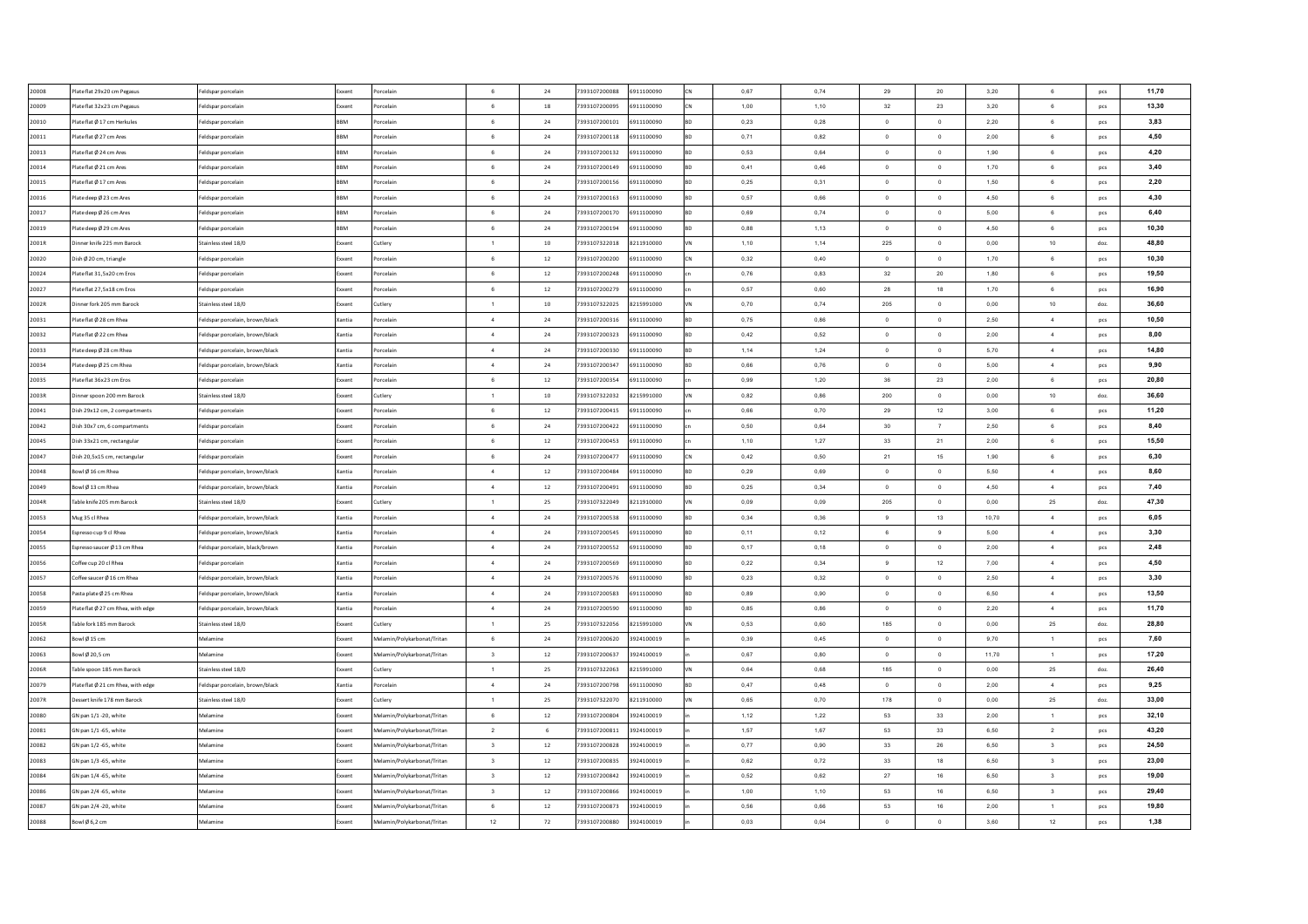| 20008 | Plate flat 29x20 cm Pegasus        | Feldspar porcelair              | Exxent     | orcelain                    | 6                       | 24     | 7393107200088 | 6911100090 | 0.67 | 0.74      | 29             | 20                       | 3,20      | 6                       | pcs  | 11.70 |
|-------|------------------------------------|---------------------------------|------------|-----------------------------|-------------------------|--------|---------------|------------|------|-----------|----------------|--------------------------|-----------|-------------------------|------|-------|
| 20009 | late flat 32x23 cm Pegasus         | eldspar porcelain               | Exxent     | orcelain                    | $6\overline{6}$         | 18     | 7393107200095 | 6911100090 | 1,00 | 1,10      | 32             | 23                       | 3,20      | 6                       | pcs  | 13.30 |
| 20010 | Plate flat Ø 17 cm Herkules        | Feldspar porcelair              | BBM        | orcelain                    | $6\overline{6}$         | 24     | 7393107200101 | 6911100090 | 0,23 | 0,28      | $\circ$        | $\overline{0}$           | 2,20      | 6                       | pcs  | 3,83  |
| 20011 | late flat Ø 27 cm Ares             | Feldspar porcelair              | BBM        | orcelain                    | 6                       | 24     | 7393107200118 | 6911100090 | 0,71 | 0,82      | $\overline{0}$ | $\circ$                  | 2,00      | 6                       | pcs  | 4,50  |
| 20013 | Plate flat Ø 24 cm Ares            | Feldspar porcelair              | <b>BBM</b> | orcelain                    | $6\overline{6}$         | 24     | 7393107200132 | 6911100090 | 0,53 | 0,64      | $\circ$        | $\,$ 0                   | 1,90      | 6                       | pcs  | 4,20  |
| 20014 | late flat Ø 21 cm Ares             | Feldspar porcelair              | <b>BBM</b> | orcelain                    | 6                       | 24     | 7393107200149 | 6911100090 | 0,41 | 0,46      | $\overline{0}$ | $\circ$                  | 1,70      | 6                       | pcs  | 3,40  |
| 20015 | Plate flat Ø 17 cm Ares            | Feldspar porcelain              | <b>BBM</b> | orcelain                    | 6                       | 24     | 7393107200156 | 6911100090 | 0,25 | 0,31      | $\overline{0}$ | $\circ$                  | 1,50      | 6                       | pcs  | 2,20  |
| 20016 | Plate deep Ø 23 cm Ares            | Feldspar porcelair              | <b>RRM</b> | orcelain                    | $6^{\circ}$             | 24     | 7393107200163 | 6911100090 | 0.57 | 0.66      | $\Omega$       | $\overline{0}$           | 4.50      | 6                       | pcs  | 4,30  |
| 20017 | Plate deep Ø 26 cm Ares            | Feldspar porcelair              | <b>RRM</b> | orcelain                    | $6^{\circ}$             | 24     | 7393107200170 | 6911100090 | 0.69 | 0.74      | $\Omega$       | $\circ$                  | 5,00      | 6                       | pcs  | 6.40  |
| 20019 | late deep Ø 29 cm Ares             | Feldspar porcelain              | <b>RRM</b> | orcelain                    | 6                       | 24     | 7393107200194 | 6911100090 | 0,88 | 1,13      | $\Omega$       | $\circ$                  | 4,50      | 6                       | pcs  | 10,30 |
| 2001R | Dinner knife 225 mm Barock         | Stainless steel 18/0            | Exxent     | Cutlery                     | $\overline{1}$          | 10     | 7393107322018 | 8211910000 | 1,10 | 1,14      | 225            | $\mathbf 0$              | 0,00      | 10                      | doz. | 48,80 |
| 20020 | Dish Ø 20 cm, triangle             | Feldspar porcelain              | Exxent     | orcelair                    | 6                       | 12     | 7393107200200 | 6911100090 | 0,32 | 0,40      | $\overline{0}$ | $\overline{\phantom{0}}$ | 1,70      | 6                       | pcs  | 10,30 |
| 20024 | lateflat 31,5x20 cm Eros           | Feldspar porcelain              | Exxent     | orcelain                    | 6                       | $12\,$ | 7393107200248 | 6911100090 | 0,76 | 0,83      | 32             | $20\,$                   | 1,80      | $\,6\,$                 | pcs  | 19,50 |
| 20027 | late flat 27,5x18 cm Eros          | eldspar porcelain               | xxent      | orcelain                    | 6                       | $12\,$ | 7393107200279 | 6911100090 | 0,57 | 0,60      | 28             | 18                       | 1,70      | $\,6\,$                 | pcs  | 16,90 |
| 2002R | inner fork 205 mm Barock           | Stainless steel 18/0            | Exxent     | Cutlery                     | $\overline{1}$          | 10     | 7393107322025 | 8215991000 | 0,70 | 0,74      | 205            | $\mathbf{0}$             | $_{0,00}$ | $10$                    | doz. | 36,60 |
| 20031 | late flat Ø 28 cm Rhea             | eldspar porcelain, brown/black  | Xantia     | orcelain                    | $\overline{4}$          | 24     | 7393107200316 | 6911100090 | 0,75 | 0,86      | $\circ$        | $\circ$                  | 2,50      | $\overline{4}$          | pcs  | 10.50 |
| 20032 | late flat Ø 22 cm Rhea             | Feldspar porcelain, brown/black | Xantia     | orcelain                    | $\overline{4}$          | $24\,$ | 7393107200323 | 6911100090 | 0,42 | 0,52      | $\circ$        | $\,$ 0                   | 2,00      | $\overline{4}$          | pcs  | 8,00  |
| 20033 | late deep Ø 28 cm Rhea             | Feldspar porcelain, brown/black | Xantia     | orcelain                    | $\overline{4}$          | $24\,$ | 7393107200330 | 6911100090 | 1,14 | 1,24      | $\circ$        | $\mathbf{0}$             | 5,70      | $\overline{4}$          | pcs  | 14,80 |
| 20034 | late deep Ø 25 cm Rhea             | Feldspar porcelain, brown/black | Xantia     | orcelain                    | $\sim$                  | $24\,$ | 7393107200347 | 6911100090 | 0,66 | 0,76      | $^{\circ}$     | $\circ$                  | 5,00      | $\overline{4}$          | pcs  | 9,90  |
| 20035 | late flat 36x23 cm Eros            | Feldspar porcelain              | ixxent     | orcelain                    | 6                       | $12\,$ | 7393107200354 | 6911100090 | 0,99 | 1,20      | $36\,$         | 23                       | 2,00      | 6                       | pcs  | 20,80 |
| 2003R | Jinner spoon 200 mm Barock         | Stainless steel 18/0            | Exxent     | Cutlery                     | $\overline{1}$          | $10\,$ | 7393107322032 | 8215991000 | 0,82 | 0,86      | 200            | $\overline{0}$           | 0,00      | 10                      | doz. | 36,60 |
| 20041 | Oish 29x12 cm. 2 compartments      | Feldspar porcelain              | Exxent     | orcelain                    | $6\overline{6}$         | 12     | 7393107200415 | 6911100090 | 0,66 | 0,70      | 29             | 12                       | 3,00      | 6                       | pcs  | 11,20 |
| 20042 | Dish 30x7 cm. 6 compartments       | Feldspar porcelair              | Exxent     | Porcelain                   | 6                       | 24     | 7393107200422 | 6911100090 | 0.50 | 0.64      | 30             | 7                        | 2.50      | 6                       | pcs  | 8,40  |
| 20045 | Dish 33x21 cm, rectangular         | Feldspar porcelair              | Exxent     | Porcelain                   | 6                       | 12     | 7393107200453 | 6911100090 | 1,10 | 1,27      | 33             | 21                       | 2.00      | 6                       | pcs  | 15,50 |
| 20047 | Dish 20,5x15 cm, rectangular       | Feldspar porcelair              | Exxent     | Porcelain                   | 6                       | 24     | 7393107200477 | 6911100090 | 0,42 | 0,50      | 21             | 15                       | 1,90      | 6                       | pcs  | 6.30  |
| 20048 | owl Ø 16 cm Rhea                   | Feldspar porcelain, brown/black | Xantia     | orcelain                    | 4                       | $12\,$ | 7393107200484 | 6911100090 | 0,29 | 0,69      | $^{\circ}$     | $\mathbf 0$              | 5,50      | 4                       | pcs  | 8,60  |
| 20049 | Bowl Ø13 cm Rhea                   | Feldspar porcelain, brown/black | Xantia     | Porcelain                   | 4                       | $12\,$ | 7393107200491 | 6911100090 | 0,25 | 0,34      | $^{\circ}$     | $\circ$                  | 4,50      | $\overline{4}$          | pcs  | 7,40  |
| 2004R | Table knife 205 mm Barock          | Stainless steel 18/0            | Exxent     | Cutlery                     | $\overline{1}$          | 25     | 7393107322049 | 8211910000 | 0,09 | 0,09      | 205            | $\circ$                  | 0,00      | 25                      | doz. | 47,30 |
| 20053 | Mug 35 cl Rhea                     | eldspar porcelain, brown/black  | Xantia     | orcelain                    | $\sim$                  | 24     | 7393107200538 | 6911100090 | 0,34 | 0,36      | 9              | 13                       | 10,70     | 4                       | pcs  | 6,05  |
| 20054 | spresso cup 9 cl Rhea              | eldspar porcelain, brown/black  | Xantia     | orcelain                    | $\overline{4}$          | 24     | 7393107200545 | 6911100090 | 0,11 | 0,12      | 6              | 9                        | 5,00      | $\overline{4}$          | pcs  | 3,30  |
| 20055 | Espresso saucer Ø 13 cm Rhea       | Feldspar porcelain, black/brown | Xantia     | orcelain                    | $\sim$                  | 24     | 7393107200552 | 6911100090 | 0,17 | 0,18      | $\overline{0}$ | $\circ$                  | 2,00      | $\overline{4}$          | pcs  | 2,48  |
| 20056 | Coffee cup 20 cl Rhea              | Feldspar porcelair              | Xantia     | orcelain                    | $\overline{4}$          | 24     | 7393107200569 | 6911100090 | 0,22 | 0,34      | 9              | 12                       | 7,00      | $\overline{4}$          | pcs  | 4,50  |
| 20057 | Coffee saucer Ø 16 cm Rhea         | Feldspar porcelain, brown/black | Xantia     | orcelain                    | $\sim$                  | 24     | 7393107200576 | 6911100090 | 0,23 | 0,32      | $\overline{0}$ | $\circ$                  | 2,50      | $\sim$                  | pcs  | 3,30  |
| 20058 | Pasta plate Ø 25 cm Rhea           | Feldspar porcelain, brown/black | Xantia     | orcelain                    | $\overline{4}$          | 24     | 7393107200583 | 6911100090 | 0,89 | 0,90      | $\circ$        | $\,$ 0                   | 6,50      | $\overline{4}$          | pcs  | 13,50 |
| 20059 | Plate flat Ø 27 cm Rhea, with edge | Feldspar porcelain, brown/black | Xantia     | orcelain                    | $\sim$                  | 24     | 7393107200590 | 6911100090 | 0,85 | 0,86      | $\overline{0}$ | $\circ$                  | 2,20      | $\sim$                  | pcs  | 11,70 |
| 2005R | Table fork 185 mm Barock           | Stainless steel 18/0            | Exxent     | Cutlerv                     | $\overline{1}$          | 25     | 7393107322056 | 8215991000 | 0,53 | 0.60      | 185            | $\mathbf{0}$             | 0,00      | 25                      | doz. | 28,80 |
|       |                                    | Melamine                        | Exxent     |                             | $6^{\circ}$             |        | 7393107200620 | 3924100019 | 0.39 |           | $\Omega$       | $\overline{0}$           | 9.70      | $\overline{1}$          |      | 7,60  |
| 20062 | owl Ø15 cm                         |                                 |            | Melamin/Polykarbonat/Tritan | $\overline{\mathbf{3}}$ | 24     |               |            |      | 0.45      |                | $\overline{0}$           |           |                         | pcs  | 17,20 |
| 20063 | Bowl Ø 20.5 cm                     | Melamine                        | Exxent     | Melamin/Polykarbonat/Tritan | $\overline{1}$          | 12     | 7393107200637 | 3924100019 | 0.67 | 0.80      | $\Omega$       |                          | 11.70     | $\overline{1}$          | pcs  | 26,40 |
| 2006R | able spoon 185 mm Barock           | Stainless steel 18/0            | Exxent     | Cutlery                     |                         | 25     | 7393107322063 | 8215991000 | 0,64 | 0,68      | 185            | $\,$ 0                   | 0,00      | $25\,$                  | doz. |       |
| 20079 | Plate flat Ø 21 cm Rhea, with edge | Feldspar porcelain, brown/black | Xantia     | orcelair                    | $\overline{4}$          | 24     | 7393107200798 | 6911100090 | 0,47 | 0,48      | $\overline{0}$ | $\,$ 0                   | 2,00      | $\overline{4}$          | pcs  | 9,25  |
| 2007R | essert knife 178 mm Barock         | Stainless steel 18/0            | ixxent     | <b>Lutlery</b>              | $\overline{1}$          | 25     | 7393107322070 | 8211910000 | 0,65 | 0,70      | 178            | $\overline{0}$           | 0,00      | 25                      | doz. | 33,00 |
| 20080 | GN pan 1/1 -20, white              | Melamine                        | Exxent     | Melamin/Polykarbonat/Tritan | 6                       | $12\,$ | 7393107200804 | 3924100019 | 1,12 | 1,22      | 53             | 33                       | 2,00      | $\mathbf{1}$            | pcs  | 32,10 |
| 20081 | GN pan 1/1-65, white               | Melamine                        | xxent      | Melamin/Polykarbonat/Tritan | $\overline{2}$          | 6      | 7393107200811 | 3924100019 | 1,57 | 1,67      | 53             | 33                       | 6,50      | $\sqrt{2}$              | pcs  | 43,20 |
| 20082 | GN pan 1/2 -65, white              | Melamine                        | Exxent     | Melamin/Polykarbonat/Tritan | $\overline{\mathbf{3}}$ | 12     | 7393107200828 | 3924100019 | 0,77 | $_{0,90}$ | 33             | 26                       | 6,50      | $\overline{\mathbf{3}}$ | pcs  | 24,50 |
| 20083 | SN pan 1/3 -65, white              | Aelamine                        | ixxent     | Aelamin/Polykarbonat/Tritan | $\overline{\mathbf{3}}$ | 12     | 7393107200835 | 3924100019 | 0,62 | 0,72      | 33             | 18                       | 6,50      | $\overline{\mathbf{3}}$ | pcs  | 23.00 |
| 20084 | GN pan 1/4 -65, white              | Melamine                        | Exxent     | Melamin/Polykarbonat/Tritan | $\overline{\mathbf{3}}$ | $12\,$ | 7393107200842 | 3924100019 | 0,52 | 0,62      | 27             | 16                       | 6,50      | $\mathsf 3$             | pcs  | 19,00 |
| 20086 | SN pan 2/4 -65, white              | Melamine                        | Exxent     | Melamin/Polykarbonat/Tritan | $\overline{\mathbf{3}}$ | $12\,$ | 7393107200866 | 3924100019 | 1,00 | 1,10      | 53             | 16                       | 6,50      | $\mathsf 3$             | pcs  | 29,40 |
| 20087 | GN pan 2/4 -20, white              | Melamine                        | Exxent     | Melamin/Polykarbonat/Tritan | 6                       | $12\,$ | 7393107200873 | 3924100019 | 0,56 | 0,66      | 53             | 16                       | 2,00      | $\mathbf{1}$            | pcs  | 19,80 |
| 20088 | Bowl Ø6,2 cm                       | Melamine                        | Exxent     | Melamin/Polykarbonat/Tritan | 12                      | 72     | 7393107200880 | 3924100019 | 0,03 | 0,04      | $\circ$        | $\overline{0}$           | 3,60      | 12                      | pcs  | 1,38  |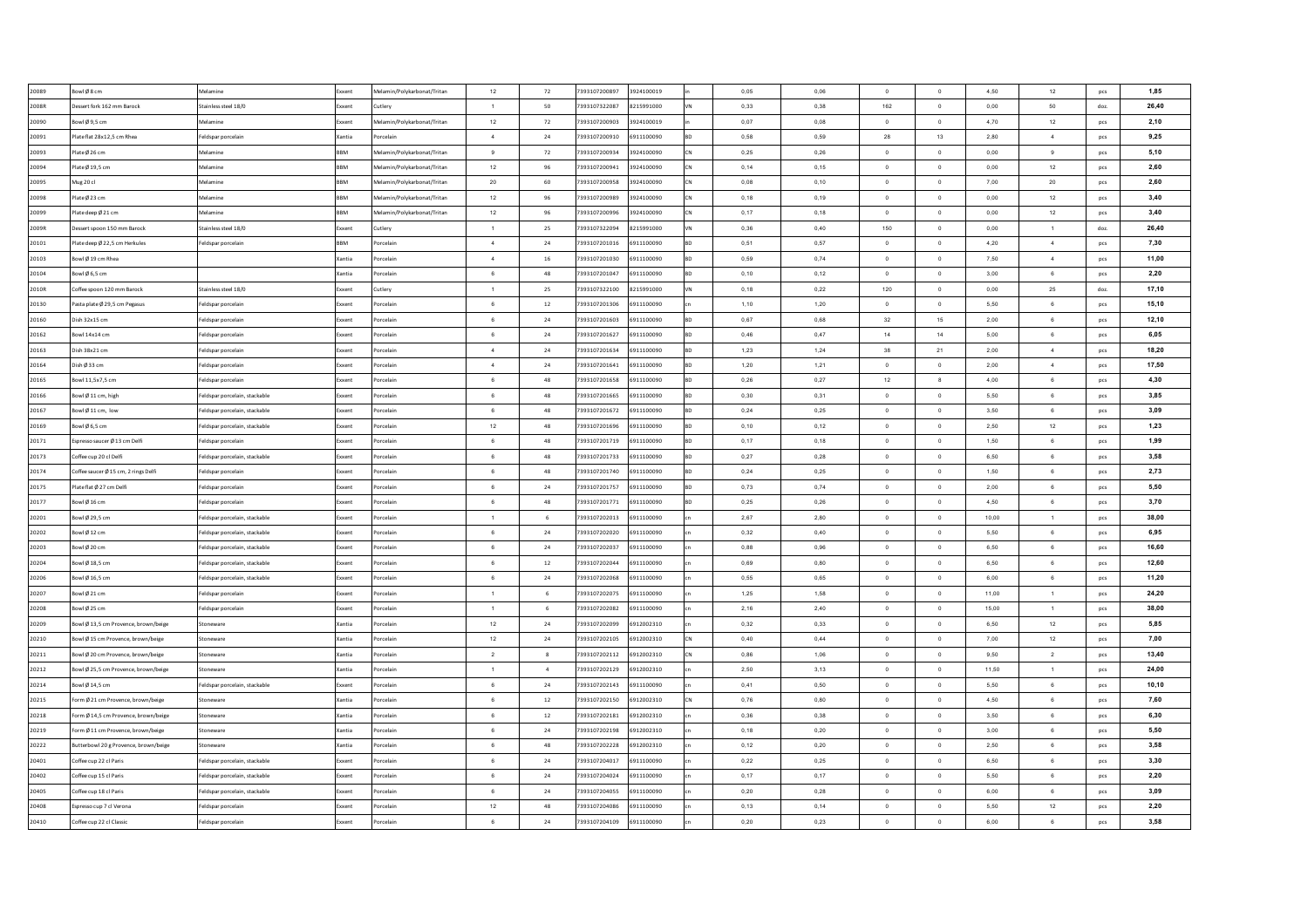| 20089          | Bowl Ø8 cm                            | Melamine                                   | Exxent        | Melamin/Polykarbonat/Tritan | 12              | 72             | 7393107200897 | 3924100019 | 0,05         | 0,06 | $\Omega$                         | $\overline{0}$   | 4,50         | 12              | pcs        | 1,85         |
|----------------|---------------------------------------|--------------------------------------------|---------------|-----------------------------|-----------------|----------------|---------------|------------|--------------|------|----------------------------------|------------------|--------------|-----------------|------------|--------------|
| 2008R          | Dessert fork 162 mm Barock            | Stainless steel 18/0                       | xxent         | Cutlery                     | $\mathbf{1}$    | 50             | 7393107322087 | 8215991000 | 0,33         | 0,38 | 162                              | $\,$ 0 $\,$      | 0,00         | 50              | doz.       | 26.40        |
| 20090          | Bowl Ø9,5 cm                          | Melamine                                   | ixxent        | Melamin/Polykarbonat/Tritan | 12              | 72             | 7393107200903 | 3924100019 | 0,07         | 0,08 | $\mathbf 0$                      | $\,$ 0           | 4,70         | 12              | pcs        | 2,10         |
| 20091          | Plate flat 28x12,5 cm Rhea            | Feldspar porcelain                         | Cantia        | Porcelair                   | $\sim$          | 24             | 7393107200910 | 6911100090 | 0,58         | 0,59 | 28                               | 13               | 2,80         | $\sqrt{4}$      | pcs        | 9,25         |
| 20093          | Plate Ø 26 cm                         | Melamine                                   | BBM           | Melamin/Polykarbonat/Tritan | 9               | 72             | 7393107200934 | 3924100090 | 0,25         | 0,26 | $\mathbf 0$                      | $\mathbf 0$      | 0,00         | $\mathsf g$     | pcs        | 5,10         |
| 20094          | Plate Ø 19,5 cm                       | Aelamine                                   | BBM           | Melamin/Polykarbonat/Tritan | 12              | 96             | 7393107200941 | 3924100090 | 0,14         | 0,15 | $\overline{0}$                   | $\overline{0}$   | 0,00         | 12              | pcs        | 2,60         |
| 20095          | Mug 20 cl                             | Melamine                                   | BBM           | Melamin/Polykarbonat/Tritan | $20\,$          | 60             | 7393107200958 | 3924100090 | 0,08         | 0,10 | $\overline{0}$                   | $\,$ 0           | 7,00         | $20\degree$     | pcs        | 2,60         |
| 20098          | Plate Ø 23 cm                         | Melamine                                   | BBM           | Melamin/Polykarbonat/Tritan | 12              | 96             | 7393107200989 | 3924100090 | 0.18         | 0.19 | $\overline{0}$                   | $\,$ 0 $\,$      | 0.00         | 12              | pcs        | 3,40         |
| 20099          | Plate deep Ø 21 cm                    | Melamine                                   | BBM           | Melamin/Polykarbonat/Tritan | $12\,$          | 96             | 7393107200996 | 3924100090 | 0.17         | 0.18 | $\overline{0}$                   | $\mathbf{0}$     | 0.00         | 12              | pcs        | 3,40         |
| 2009R          | Dessert spoon 150 mm Barock           | Stainless steel 18/0                       | xxent         | Cutlerv                     | $\overline{1}$  | 25             | 7393107322094 | 8215991000 | 0.36         | 0,40 | 150                              | $\overline{0}$   | 0,00         | $\overline{1}$  | doz.       | 26,40        |
| 20101          | Plate deep Ø 22.5 cm Herkules         | Feldspar porcelain                         | <b>RRM</b>    | Porcelair                   | $\sim$          | 24             | 7393107201016 | 6911100090 | 0.51         | 0,57 | $\Omega$                         | $\Omega$         | 4,20         | $\sim$          | pcs        | 7,30         |
| 20103          | Bowl Ø19 cm Rhea                      |                                            | <b>Cantia</b> | Porcelair                   | $\sim$          | 16             | 7393107201030 | 6911100090 | 0.59         | 0.74 | $\Omega$                         | $\overline{0}$   | 7.50         | $\sim$          | pcs        | 11.00        |
| 20104          | Bowl Ø6,5 cm                          |                                            | Kantia        | Porcelair                   | 6               | 48             | 7393107201047 | 6911100090 | 0,10         | 0,12 | $\Omega$                         | $\mathbf{0}$     | 3,00         | 6               | pcs        | 2,20         |
| 2010R          | Coffee spoon 120 mm Barock            | Stainless steel 18/0                       | xxent         | Cutlery                     | $\overline{1}$  | 25             | 7393107322100 | 8215991000 | 0,18         | 0,22 | 120                              | $\,$ 0 $\,$      | 0,00         | 25              | doz.       | 17,10        |
| 20130          | Pasta plate Ø 29,5 cm Pegasus         | Feldspar porcelain                         | xxent         | Porcelain                   | 6               | $12\,$         | 7393107201306 | 6911100090 | 1,10         | 1,20 | $\,$ 0 $\,$                      | $\,0\,$          | 5,50         | 6               | pcs        | 15,10        |
| 20160          | Dish 32x15 cm                         | Feldspar porcelain                         | oxent         | Porcelain                   | 6               | $\bf{24}$      | 7393107201603 | 6911100090 | 0,67         | 0,68 | 32                               | 15               | 2,00         | 6               | pcs        | 12,10        |
| 20162          | Bowl 14x14 cm                         | Feldspar porcelain                         | xxent         | Porcelain                   | $6\overline{6}$ | 24             | 7393107201627 | 6911100090 | 0,46         | 0,47 | 14                               | 14               | 5,00         | 6               | pcs        | 6,05         |
| 20163          | Dish 38x21 cm                         | Feldspar porcelain                         | xxent         | Porcelain                   | $\overline{4}$  | 24             | 7393107201634 | 6911100090 | 1,23         | 1,24 | 38                               | 21               | 2,00         | $\overline{4}$  | pcs        | 18,20        |
| 20164          | Dish Ø 33 cm                          | Feldspar porcelain                         | xxent         | Porcelain                   | $\sim$          | 24             | 7393107201641 | 6911100090 | 1,20         | 1,21 | $\overline{0}$                   | $\,$ 0           | 2,00         | $\overline{4}$  | pcs        | 17,50        |
| 20165          | Bowl 11,5x7,5 cm                      | Feldspar porcelain                         | xxent         | Porcelain                   | $_{\rm 6}$      | 48             | 7393107201658 | 6911100090 | 0,26         | 0,27 | 12                               | $\boldsymbol{8}$ | 4,00         | $\mathbf 6$     | pcs        | 4,30         |
| 20166          | Bowl Ø11 cm, high                     | Feldspar porcelain, stackable              | ixxent        | Porcelain                   | 6               | 48             | 7393107201665 | 6911100090 | 0,30         | 0,31 | $\circ$                          | $\overline{0}$   | 5,50         | $\,6\,$         | pcs        | 3,85         |
| 20167          | Bowl Ø11 cm. low                      | Feldspar porcelain, stackable              | xxent         | Porcelain                   | $_{\rm 6}$      | 48             | 7393107201672 | 6911100090 | 0,24         | 0,25 | $\overline{0}$                   | $\,$ 0 $\,$      | 3,50         | $6\overline{6}$ | pcs        | 3,09         |
| 20169          | Bowl Ø6.5 cm                          | Feldspar porcelain, stackable              | Exxent        | Porcelain                   | 12              | 48             | 7393107201696 | 6911100090 | 0.10         | 0.12 | $^{\circ}$                       | $\overline{0}$   | 2.50         | 12              | pcs        | 1,23         |
| 20171          | Espresso saucer Ø 13 cm Delfi         | Feldspar porcelain                         | xxent         | Porcelain                   | 6               | 48             | 7393107201719 | 6911100090 | 0.17         | 0.18 | $^{\circ}$                       | $\overline{0}$   | 1.50         | 6               | pcs        | 1,99         |
| 20173          | Coffee cup 20 cl Delfi                | Feldspar porcelain, stackable              | Exxent        | Porcelair                   | 6               | 48             | 7393107201733 | 6911100090 | 0,27         | 0,28 | $\overline{0}$                   | $\overline{0}$   | 6,50         | 6               | pcs        | 3.58         |
| 20174          | Coffee saucer Ø 15 cm, 2 rings Delfi  | Feldspar porcelain                         | xxent         | Porcelair                   | 6               | 48             | 7393107201740 | 6911100090 | 0,24         | 0,25 | $\overline{0}$                   | $\mathbf 0$      | 1,50         | 6               | pcs        | 2,73         |
| 20175          | Plate flat Ø 27 cm Delfi              | Feldspar porcelain                         | Exxent        | Porcelair                   | 6               | 24             | 7393107201757 | 6911100090 | 0,73         | 0,74 | $\overline{0}$                   | $\,$ 0 $\,$      | 2,00         | 6               | pcs        | 5,50         |
| 20177          | Bowl Ø16 cm                           | Feldspar porcelain                         | ixxent        | Porcelain                   | $6\overline{6}$ | $\bf 48$       | 7393107201771 | 6911100090 | 0,25         | 0,26 | $\Omega$                         | $\,$ 0           | 4,50         | 6               | pcs        | 3,70         |
| 20201          | Bowl Ø 29,5 cm                        | eldspar porcelain, stackable               | xxent         | Porcelair                   | $\overline{1}$  | 6              | 7393107202013 | 6911100090 | 2,67         | 2,80 | $\overline{0}$                   | $\overline{0}$   | 10,00        | $\overline{1}$  | pcs        | 38,00        |
| 20202          | Bowl Ø12 cm                           | Feldspar porcelain, stackable              | xxent         | Porcelair                   | $_{\rm 6}$      | 24             | 7393107202020 | 6911100090 | 0,32         | 0,40 | $\circ$                          | $\overline{0}$   | 5,50         | 6               | pcs        | 6,95         |
| 20203          | Bowl Ø 20 cm                          | Feldspar porcelain, stackable              | xxent         | Porcelair                   | $_{\rm 6}$      | 24             | 7393107202037 | 6911100090 | 0,88         | 0,96 | $\overline{0}$                   | $\,$ 0           | 6,50         | $6\phantom{a}$  | pcs        | 16,60        |
| 20204          | Bowl Ø 18,5 cm                        | Feldspar porcelain, stackable              | xxent         | Porcelain                   | 6               | $12\,$         | 7393107202044 | 6911100090 | 0,69         | 0,80 | $\overline{0}$                   | $\,$ 0           | 6,50         | $\,6\,$         | pcs        | 12,60        |
| 20206          | Bowl Ø 16,5 cm                        | Feldspar porcelain, stackable              | xxent         | Porcelain                   | $_{\rm 6}$      | 24             | 7393107202068 | 6911100090 | 0,55         | 0,65 | $\overline{0}$                   | $\,$ 0 $\,$      | 6,00         | $\,6\,$         | pcs        | 11,20        |
| 20207          | Bowl Ø21 cm                           | Feldspar porcelain                         | xxent         | Porcelain                   | $\overline{1}$  | 6              | 7393107202075 | 6911100090 | 1,25         | 1,58 | $^{\circ}$                       | $\overline{0}$   | 11,00        | $\mathbf{1}$    | <b>DCS</b> | 24,20        |
| 20208          | Bowl Ø25 cm                           | Feldspar porcelain                         | xxent         | Porcelain                   | $\mathbf{1}$    | 6              | 7393107202082 | 6911100090 | 2,16         | 2,40 | $\overline{0}$                   | $\,$ 0 $\,$      | 15,00        | $\overline{1}$  | pcs        | 38,00        |
| 20209          | Bowl Ø 13,5 cm Provence, brown/beige  | Stoneware                                  | Xantia        | Porcelair                   | 12              | 24             | 7393107202099 | 6912002310 | 0.32         | 0.33 | $\overline{0}$                   | $\mathbf{0}$     | 6,50         | 12              | pcs        | 5,85         |
| 20210          | Bowl Ø 15 cm Provence, brown/beige    | Stoneware                                  | (antia        | Porcelair                   | 12              | 24             | 7393107202105 | 6912002310 | 0,40         | 0,44 | $\overline{0}$                   | $\mathbf 0$      | 7,00         | 12              | pcs        | 7,00         |
| 20211          | Bowl Ø 20 cm Provence, brown/beige    | Stoneware                                  | Kantia        | Porcelair                   | $\overline{a}$  | $\mathbf{8}$   | 7393107202112 | 6912002310 | 0,86         | 1,06 | $\overline{0}$                   | $\,$ 0           | 9,50         | $\overline{2}$  | pcs        | 13,40        |
| 20212          | owl Ø 25,5 cm Provence, brown/beige   | toneware                                   | antia         | orcelain                    | $\overline{1}$  | $\overline{a}$ | 7393107202129 | 6912002310 | 2,50         | 3,13 | $\Omega$                         | $\,$ 0           | 11,50        | $\mathbf{1}$    | pcs        | 24,00        |
| 20214          | Bowl Ø 14,5 cm                        | Feldspar porcelain, stackable              | xxent         | Porcelain                   | 6               | 24             | 7393107202143 | 6911100090 | 0,41         | 0,50 | $\overline{0}$                   | $\mathbf 0$      | 5,50         | 6               | pcs        | 10,10        |
| 20215          | orm Ø 21 cm Provence, brown/beige     | toneware                                   | antia         | orcelain                    | $\,6\,$         | $12\,$         | 7393107202150 | 6912002310 | 0,76         | 0,80 | $\circ$                          | $\,$ 0           | 4,50         | $\mathbf 6$     | pcs        | 7,60         |
| 20218          | orm Ø 14,5 cm Provence, brown/beige   | itoneware                                  | lantia        | orcelain                    | $\,6\,$         | $12\,$         | 7393107202181 | 6912002310 | 0,36         | 0,38 | $\circ$                          | $\,0\,$          | 3,50         | $\mathbf 6$     | pcs        | 6,30         |
| 20219          | orm Ø 11 cm Provence, brown/beige     | toneware                                   | antia         | orcelain                    | 6               | $\bf{24}$      | 7393107202198 | 6912002310 | 0,18         | 0,20 | $\mathbf 0$                      | $\,0\,$          | 3,00         | 6               | pcs        | 5,50         |
| 20222          | Butterbowl 20 g Provence, brown/beige |                                            | Kantia        | Porcelain                   | $_{\rm 6}$      | 48             | 7393107202228 | 6912002310 | 0,12         | 0,20 | $\circ$                          | $\,$ 0           | 2,50         | $\mathbf 6$     |            | 3,58         |
|                | Coffee cup 22 cl Paris                | Stoneware<br>Feldspar porcelain, stackable |               |                             | 6               | 24             | 7393107204017 | 6911100090 |              | 0.25 |                                  | $\circ$          |              | 6               | pcs        |              |
| 20401<br>20402 | Coffee cup 15 cl Paris                |                                            | xxent         | Porcelain<br>Porcelain      | 6               | 24             | 7393107204024 | 6911100090 | 0,22<br>0,17 | 0,17 | $\overline{0}$<br>$\overline{0}$ | $\circ$          | 6,50<br>5,50 | 6               | pcs        | 3,30<br>2,20 |
| 20405          | Coffee cup 18 cl Paris                | Feldspar porcelain, stackable              | xxent         | Porcelain                   | 6               | 24             | 7393107204055 | 6911100090 | 0.20         | 0.28 | $\overline{0}$                   | $\overline{0}$   | 6.00         | $6\overline{6}$ | pcs        | 3,09         |
| 20408          |                                       | Feldspar porcelain, stackable              | xxent         |                             | 12              | 48             | 7393107204086 | 6911100090 | 0,13         | 0,14 | $\overline{0}$                   | $\circ$          | 5,50         |                 | pcs        | 2,20         |
|                | Espresso cup 7 cl Verona              | Feldspar porcelain                         | xxent         | Porcelain                   |                 |                |               |            |              |      |                                  |                  |              | 12              | pcs        |              |
| 20410          | Coffee cup 22 cl Classic              | Feldspar porcelain                         | Exxent        | Porcelain                   | 6               | 24             | 7393107204109 | 6911100090 | 0,20         | 0.23 | $\circ$                          | $\circ$          | 6.00         | 6               | pcs        | 3,58         |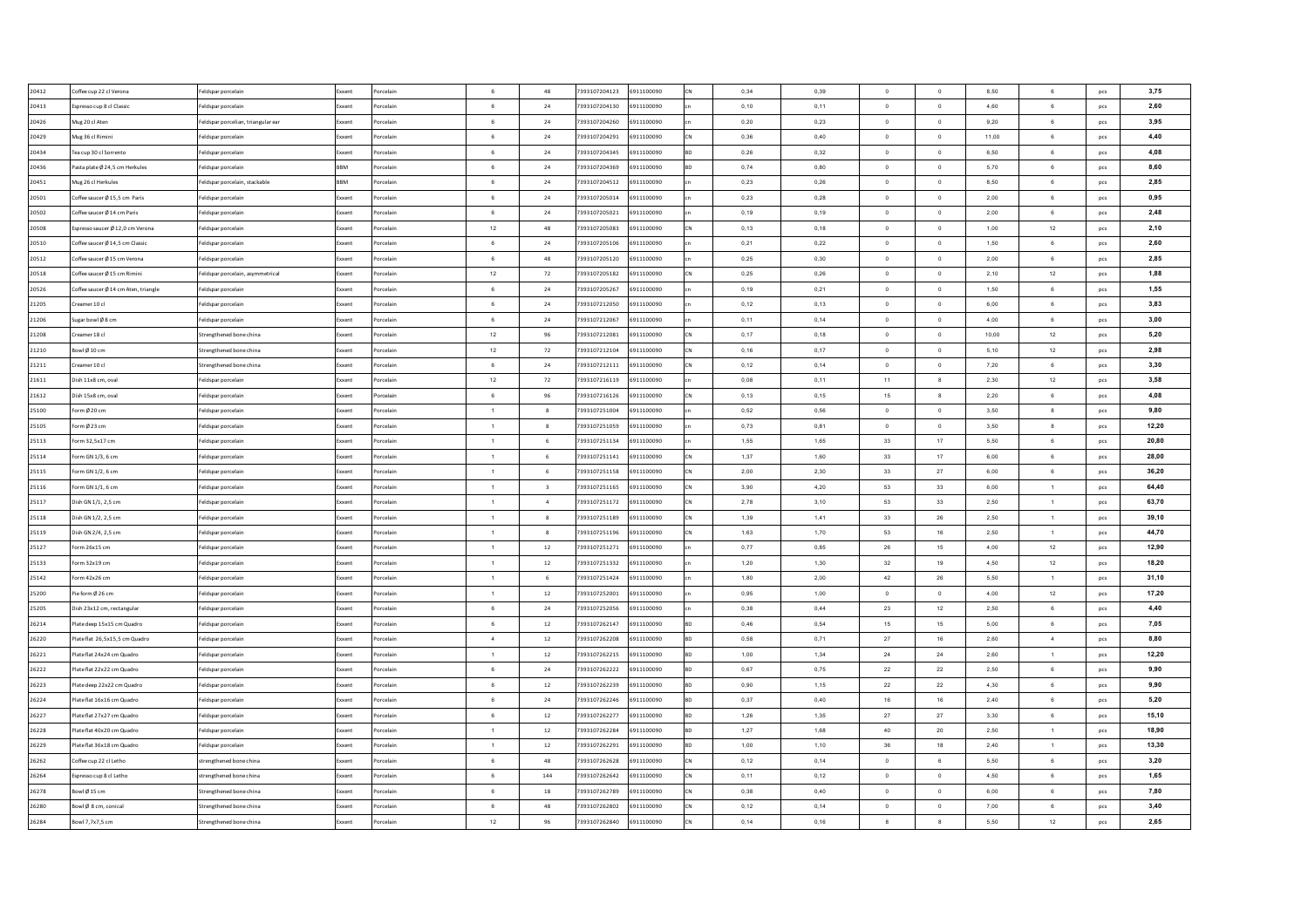| 20412 | Coffee cup 22 cl Verona             | Feldspar porcelain                 | Exxent        | orcelain              | 6               | 48                      | 7393107204123                  | 6911100090 | 0,34 | 0,39 | $\Omega$       | $\overline{0}$   | 8,50  | 6               | pcs | 3,75  |
|-------|-------------------------------------|------------------------------------|---------------|-----------------------|-----------------|-------------------------|--------------------------------|------------|------|------|----------------|------------------|-------|-----------------|-----|-------|
| 20413 | Espresso cup 8 cl Classic           | eldspar porcelair                  | <b>Exxen</b>  | orcelain              | 6               | 24                      | 7393107204130                  | 6911100090 | 0,10 | 0,11 | $\circ$        | $\circ$          | 4,60  | $\mathbf 6$     | pcs | 2,60  |
| 20426 | Mug 20 cl Aten                      | Feldspar porcelian, triangular ear | Exxent        | orcelain              | $\,$ 6 $\,$     | 24                      | 7393107204260                  | 6911100090 | 0,20 | 0,23 | $\mathbf 0$    | $\mathbf 0$      | 9,20  | $\mathbf 6$     | pcs | 3,95  |
| 20429 | Mug 36 cl Rimini                    | eldspar porcelain                  | Exxent        | orcelain              | $\,$ 6 $\,$     | 24                      | 7393107204291                  | 6911100090 | 0,36 | 0,40 | $\mathbf 0$    | $\,$ 0           | 11,00 | 6               | pcs | 4,40  |
| 20434 | Tea cup 30 cl Sorrento              | eldspar porcelain                  | Exxent        | orcelain              | 6               | 24                      | 7393107204345                  | 6911100090 | 0,26 | 0,32 | $\mathbf 0$    | $\bf{0}$         | 6,50  | 6               | pcs | 4,08  |
| 20436 | asta plate Ø 24,5 cm Herkules       | eldspar porcelair                  | BBM           | orcelain              | 6               | 24                      | 7393107204369                  | 6911100090 | 0,74 | 0,80 | $\circ$        | $\overline{0}$   | 5,70  | 6               | pcs | 8,60  |
| 20451 | Mug 26 cl Herkules                  | Feldspar porcelain, stackable      | <b>BBM</b>    | orcelain              | $6\phantom{.0}$ | 24                      | 7393107204512                  | 6911100090 | 0,23 | 0,26 | $\overline{0}$ | $\,$ 0           | 8,50  | 6               | pcs | 2,85  |
| 20501 | Coffee saucer Ø 15.5 cm Paris       | Feldspar porcelair                 | Exxent        | orcelain              | 6               | 24                      | 7393107205014                  | 6911100090 | 0,23 | 0.28 | $\overline{0}$ | $\circ$          | 2,00  | 6               | pcs | 0,95  |
| 20502 | Coffee saucer Ø 14 cm Paris         | Feldspar porcelair                 | Exxent        | orcelain              | 6               | 24                      | 7393107205021                  | 6911100090 | 0,19 | 0.19 | $\overline{0}$ | $\circ$          | 2.00  | 6               | pcs | 2,48  |
| 20508 | spresso saucer Ø 12,0 cm Verona     | Feldspar porcelair                 | Exxent        | orcelain              | $12\,$          | 48                      | 7393107205083                  | 6911100090 | 0,13 | 0,18 | $\overline{0}$ | $\circ$          | 1,00  | 12              | pcs | 2,10  |
| 20510 | Coffee saucer Ø 14.5 cm Classio     | Feldspar porcelair                 | Exxent        | 'orcelain             | $6^{\circ}$     | 24                      | 7393107205106                  | 6911100090 | 0.21 | 0.22 | $\Omega$       | $\Omega$         | 1,50  | 6               | pcs | 2,60  |
| 20512 | Coffee saucer Ø 15 cm Verona        | Feldspar porcelair                 | Exxent        | orcelain              | $6^{\circ}$     | 48                      | 7393107205120                  | 6911100090 | 0,25 | 0.30 | $\Omega$       | $\mathbf 0$      | 2,00  | 6               | pcs | 2,85  |
| 20518 | Coffee saucer Ø 15 cm Rimini        | Feldspar porcelain, asymmetrical   | Exxent        | orcelain              | 12              | 72                      | 7393107205182                  | 6911100090 | 0,25 | 0,26 | $\Omega$       | $\,$ 0           | 2,10  | 12              | pcs | 1,88  |
| 20526 | offee saucer Ø 14 cm Aten, triangle | eldspar porcelair                  | Exxent        | orcelair              | 6               | ${\bf 24}$              | 7393107205267                  | 6911100090 | 0,19 | 0,21 | $\overline{0}$ | $\,$ 0           | 1,50  | $\mathbf 6$     | pcs | 1,55  |
| 21205 | reamer 10 cl                        | eldspar porcelain                  | ixxent        | orcelain              | 6               | 24                      | 7393107212050                  | 6911100090 | 0,12 | 0,13 | $\,$ 0 $\,$    | $\mathbf 0$      | 6,00  | 6               | pcs | 3,83  |
| 21206 | ugar bowl Ø8 cm                     | eldspar porcelain                  | xxent         | orcelain              | 6               | $\bf{24}$               | 393107212067                   | 6911100090 | 0,11 | 0,14 | $\mathbf 0$    | $\mathbf 0$      | 4,00  | 6               | pcs | 3,00  |
| 21208 | reamer 18 cl                        | Strengthened bone china            | Exxent        | orcelain              | $12\,$          | 96                      | 7393107212081                  | 6911100090 | 0,17 | 0,18 | $\circ$        | $\mathbf{0}$     | 10,00 | 12              | pcs | 5,20  |
| 21210 | owl Ø 10 cm                         | Strengthened bone china            | ixxent        | orcelain              | $12\,$          | 72                      | 393107212104                   | 6911100090 | 0,16 | 0,17 | $\circ$        | $\circ$          | 5,10  | 12              | pcs | 2,98  |
| 21211 | reamer 10 cl                        | Strengthened bone china            | Exxent        | orcelain              | $\,6\,$         | $24\,$                  | 7393107212111                  | 6911100090 | 0,12 | 0,14 | $\circ$        | $\,$ 0           | 7,20  | $\mathbf 6$     | pcs | 3,30  |
| 21611 | Dish 11x8 cm, oval                  | Feldspar porcelain                 | ixxent        | orcelain              | 12              | 72                      | 7393107216119                  | 6911100090 | 0,08 | 0,11 | 11             | $\boldsymbol{8}$ | 2,30  | 12              | pcs | 3,58  |
| 21612 | Dish 15x8 cm, oval                  | Feldspar porcelair                 | Exxent        | <sup>b</sup> orcelain | 6               | 96                      | 7393107216126                  | 6911100090 | 0,13 | 0,15 | 15             | $\mathbf{8}$     | 2,20  | 6               | pcs | 4,08  |
| 25100 | orm Ø 20 cm                         | Feldspar porcelain                 | Exxent        | orcelain              | $\overline{1}$  | 8                       | 7393107251004                  | 6911100090 | 0,52 | 0,56 | $\overline{0}$ | $\circ$          | 3,50  | 8               | pcs | 9,80  |
| 25105 | orm Ø 23 cm                         | Feldspar porcelair                 | Exxent        | Porcelain             | $\overline{1}$  | 8                       | 7393107251059                  | 6911100090 | 0,73 | 0.81 | $\Omega$       | $\overline{0}$   | 3,50  | 8               | pcs | 12,20 |
| 25113 | orm 32.5x17 cm                      | Feldspar porcelair                 | Exxent        | Porcelain             | $\overline{1}$  | 6                       | 7393107251134                  | 6911100090 | 1.55 | 1.65 | 33             | 17               | 5.50  | 6               | pcs | 20,80 |
| 25114 | orm GN 1/3, 6 cm                    | Feldspar porcelain                 | Exxent        | Porcelain             | $\overline{1}$  | 6                       | 7393107251141                  | 6911100090 | 1,37 | 1,60 | 33             | 17               | 6,00  | 6               | pcs | 28.00 |
| 25115 | orm GN 1/2, 6 cm                    | Feldspar porcelain                 | Exxent        | orcelair              | $\overline{1}$  | 6                       | 7393107251158                  | 6911100090 | 2,00 | 2,30 | 33             | 27               | 6,00  | 6               | pcs | 36,20 |
| 25116 | orm GN 1/1, 6 cm                    | Feldspar porcelain                 | Exxent        | orcelain              | $\blacksquare$  | $\overline{\mathbf{3}}$ | 7393107251165                  | 6911100090 | 3,90 | 4,20 | 53             | 33               | 6,00  | $\mathbf{1}$    | pcs | 64,40 |
| 25117 | 0ish GN 1/1, 2,5 cm                 | Feldspar porcelain                 | Exxent        | orcelain              | $\overline{1}$  | $\overline{4}$          | 7393107251172                  | 6911100090 | 2,78 | 3,10 | 53             | 33               | 2,50  | $\mathbf{1}$    | pcs | 63,70 |
| 25118 | 0ish GN 1/2, 2,5 cm                 | eldspar porcelair                  | <b>Exxen</b>  | orcelain              | $\overline{1}$  | $^{8}$                  | 7393107251189                  | 6911100090 | 1,39 | 1,41 | 33             | 26               | 2,50  | $\mathbf{1}$    | pcs | 39,10 |
| 25119 | 0ish GN 2/4, 2,5 cm                 | Feldspar porcelair                 | Exxent        | orcelain              | $\overline{1}$  | $_{8}$                  | 7393107251196                  | 6911100090 | 1,63 | 1,70 | 53             | 16               | 2,50  | $\mathbf{1}$    | pcs | 44,70 |
| 25127 | orm 26x15 cm                        | eldspar porcelair                  | Exxent        | orcelain              | $\overline{1}$  | $12\,$                  | 7393107251271                  | 6911100090 | 0,77 | 0,85 | 26             | 15               | 4,00  | 12              | pcs | 12,90 |
| 25133 | orm 32x19 cm                        | Feldspar porcelair                 | Exxent        | orcelain              | $\overline{1}$  | 12                      | 7393107251332                  | 6911100090 | 1,20 | 1,30 | 32             | 19               | 4,50  | 12              | pcs | 18,20 |
| 25142 | orm 42x26 cm                        | Feldspar porcelair                 | Exxent        | orcelain              | $\overline{1}$  | 6                       | 7393107251424                  | 6911100090 | 1,80 | 2,00 | 42             | 26               | 5,50  | $\mathbf{1}$    | pcs | 31,10 |
| 25200 | Pie form Ø 26 cm                    | Feldspar porcelair                 | Exxent        | 'orcelain             | $\overline{1}$  | 12                      | 7393107252001                  | 6911100090 | 0,95 | 1,00 | $\overline{0}$ | $\overline{0}$   | 4,00  | 12              | pcs | 17,20 |
| 25205 | Dish 23x12 cm, rectangular          | Feldspar porcelair                 | Exxent        | orcelain              | $6\overline{6}$ | 24                      | 7393107252056                  | 6911100090 | 0,38 | 0.44 | 23             | 12               | 2,50  | $6\phantom{a}$  | pcs | 4,40  |
| 26214 | Plate deep 15x15 cm Quadro          | Feldspar porcelair                 | Exxent        | orcelain              | 6               | 12                      | 7393107262147                  | 6911100090 | 0.46 | 0.54 | 15             | 15               | 5.00  | $6\overline{6}$ | pcs | 7,05  |
| 26220 | Plate flat 26,5x15,5 cm Quadro      |                                    | Fxxent        | orcelain              | 4               | 12                      | 7393107262208                  | 6911100090 | 0,58 | 0,71 | 27             | 16               | 2,60  | $\sim$          |     | 8,80  |
|       | Plate flat 24x24 cm Quadro          | Feldspar porcelain                 | Exxent        |                       | $\overline{1}$  | 12                      |                                | 6911100090 | 1,00 |      | 24             |                  |       | $\mathbf{1}$    | pcs | 12,20 |
| 26221 |                                     | Feldspar porcelain                 | xxen:         | orcelain              | 6               |                         | 7393107262215<br>7393107262222 |            |      | 1,34 |                | 24               | 2,60  | 6               | pcs | 9,90  |
| 26222 | lateflat 22x22 cm Quadro            | eldspar porcelain                  |               | orcelain              | 6               | ${\bf 24}$              |                                | 6911100090 | 0,67 | 0,75 | $\bf 22$       | $\bf{22}$        | 2,50  |                 | pcs |       |
| 26223 | late deep 22x22 cm Quadro           | Feldspar porcelain                 | ixxent        | orcelain              | $6\overline{6}$ | 12                      | 7393107262239                  | 6911100090 | 0,90 | 1,15 | 22             | 22               | 4,30  | 6               | pcs | 9,90  |
| 26224 | late flat 16x16 cm Quadro           | eldspar porcelair                  |               | orcelain              |                 | 24                      | 7393107262246                  | 6911100090 | 0,37 | 0,40 | $16\,$         | 16               | 2,40  | $\mathbf 6$     | pcs | 5,20  |
| 26227 | late flat 27x27 cm Quadro           | eldspar porcelain                  | ixxent        | orcelain              | $\,6\,$         | $12\,$                  | 7393107262277                  | 6911100090 | 1,26 | 1,35 | 27             | 27               | 3,30  | $\mathbf 6$     | pcs | 15,10 |
| 26228 | late flat 40x20 cm Quadro           | eldspar porcelain                  | xxent         | orcelain              |                 | $12\,$                  | 7393107262284                  | 6911100090 | 1,27 | 1,68 | 40             | $20\degree$      | 2,50  | $\mathbf{1}$    | pcs | 18,90 |
| 26229 | late flat 36x18 cm Quadro           | Feldspar porcelain                 | Exxent        | orcelain              | $\overline{1}$  | $12\,$                  | 7393107262291                  | 6911100090 | 1,00 | 1,10 | $36\,$         | 18               | 2,40  | $\mathbf{1}$    | pcs | 13,30 |
| 26262 | Coffee cup 22 cl Letho              | strengthened bone china            | <b>Exxent</b> | orcelain              | 6               | 48                      | 7393107262628                  | 6911100090 | 0,12 | 0.14 | $\overline{0}$ | 6                | 5,50  | 6               | pcs | 3,20  |
| 26264 | Espresso cup 8 cl Letho             | strengthened bone china            | Exxent        | orcelain              | 6               | 144                     | 7393107262642                  | 6911100090 | 0,11 | 0,12 | $\overline{0}$ | $\overline{0}$   | 4,50  | 6               | pcs | 1,65  |
| 26278 | Bowl Ø15 cm                         | Strengthened bone china            | Exxent        | orcelain              | 6               | 18                      | 7393107262789                  | 6911100090 | 0,38 | 0.40 | $\overline{0}$ | $\overline{0}$   | 6,00  | $6\overline{6}$ | pcs | 7,80  |
| 26280 | owl Ø 8 cm, conical                 | Strengthened bone china            | Exxent        | orcelain              | 6               | 48                      | 7393107262802                  | 6911100090 | 0,12 | 0,14 | $\overline{0}$ | $\circ$          | 7,00  | 6               | pcs | 3,40  |
| 26284 | Bowl 7.7x7.5 cm                     | Strengthened bone china            | Exxent        | orcelain              | 12              | 96                      | 7393107262840                  | 6911100090 | 0,14 | 0.16 | 8              | $\boldsymbol{8}$ | 5,50  | 12              | pcs | 2,65  |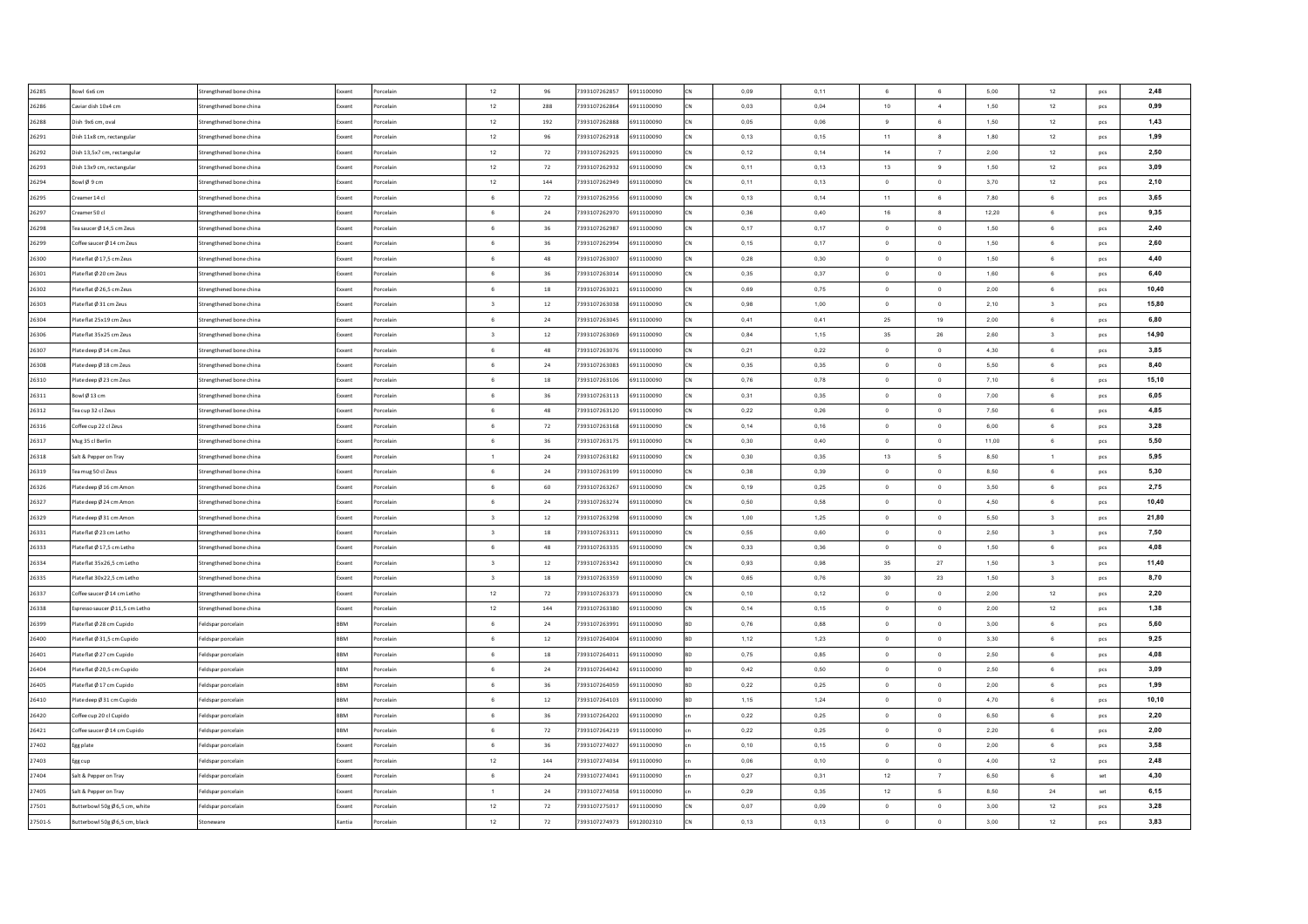| 26285   | Bowl 6x6 cm                    | Strengthened bone china | Exxent        | orcelain  | 12                      | 96         | 7393107262857 | 6911100090 | 0,09 | 0,11 | 6 <sup>5</sup> | $_{\rm 6}$               | 5,00  | 12                      | pcs | 2,48  |
|---------|--------------------------------|-------------------------|---------------|-----------|-------------------------|------------|---------------|------------|------|------|----------------|--------------------------|-------|-------------------------|-----|-------|
| 26286   | Caviar dish 10x4 cm            | Strengthened bone china | Exxent        | orcelain  | 12                      | 288        | 7393107262864 | 6911100090 | 0,03 | 0,04 | $10\,$         | $\sim$                   | 1,50  | 12                      | pcs | 0,99  |
| 26288   | Dish 9x6 cm, oval              | Strengthened bone china | Exxent        | orcelain  | 12                      | 192        | 7393107262888 | 6911100090 | 0,05 | 0,06 | 9              | $_{\rm 6}$               | 1,50  | 12                      | pcs | 1,43  |
| 26291   | Dish 11x8 cm, rectangular      | Strengthened bone china | Exxent        | orcelain  | 12                      | 96         | 7393107262918 | 6911100090 | 0,13 | 0,15 | 11             | $_{\rm 8}$               | 1,80  | 12                      | pcs | 1,99  |
| 26292   | Dish 13,5x7 cm, rectangular    | Strengthened bone china | Exxent        | orcelain  | $12\,$                  | 72         | 7393107262925 | 6911100090 | 0,12 | 0,14 | 14             | $\overline{7}$           | 2,00  | 12                      | pcs | 2,50  |
| 26293   | Dish 13x9 cm, rectangular      | Strengthened bone china | Exxent        | orcelain  | 12                      | 72         | 7393107262932 | 6911100090 | 0,11 | 0,13 | 13             | $_{9}$                   | 1,50  | 12                      | pcs | 3,09  |
| 26294   | owl Ø 9 cm                     | Strengthened bone china | Exxent        | orcelain  | $12\,$                  | 144        | 7393107262949 | 6911100090 | 0,11 | 0,13 | $\overline{0}$ | $\,$ 0                   | 3,70  | 12                      | pcs | 2,10  |
| 26295   | reamer 14 cl                   | Strengthened bone china | Exxent        | orcelain  | 6                       | 72         | 7393107262956 | 6911100090 | 0,13 | 0.14 | 11             | $6\phantom{a}$           | 7.80  | 6                       | pcs | 3,65  |
| 26297   | reamer 50 cl                   | Strengthened bone china | Exxent        | orcelain  | 6                       | 24         | 7393107262970 | 6911100090 | 0.36 | 0.40 | 16             | $\boldsymbol{8}$         | 12.20 | 6                       | pcs | 9,35  |
| 26298   | Tea saucer Ø 14,5 cm Zeus      | Strengthened bone china | Exxent        | orcelain  | 6                       | 36         | 7393107262987 | 6911100090 | 0,17 | 0,17 | $\overline{0}$ | $\overline{0}$           | 1,50  | 6                       | pcs | 2,40  |
| 26299   | Coffee saucer Ø 14 cm Zeus     | Strengthened bone china | Exxent        | 'orcelain | $6^{\circ}$             | 36         | 7393107262994 | 6911100090 | 0,15 | 0.17 | $\Omega$       | $\Omega$                 | 1,50  | 6                       | pcs | 2.60  |
| 26300   | Plate flat Ø 17.5 cm Zeu:      | Strengthened bone china | Exxent        | orcelain  | $6^{\circ}$             | 48         | 7393107263007 | 6911100090 | 0,28 | 0.30 | $\Omega$       | $\circ$                  | 1,50  | 6                       | pcs | 4,40  |
| 26301   | Plate flat Ø 20 cm Zeus        | Strengthened bone china | Exxent        | orcelair  | 6                       | 36         | 7393107263014 | 6911100090 | 0,35 | 0,37 | $\Omega$       | $\overline{0}$           | 1,60  | 6                       | pcs | 6,40  |
| 26302   | late flat Ø 26,5 cm Zeu:       | Strengthened bone china | Exxent        | orcelair  | $6\overline{6}$         | 18         | 7393107263021 | 6911100090 | 0,69 | 0,75 | $\overline{0}$ | $\,$ 0                   | 2,00  | $\mathbf 6$             | pcs | 10,40 |
| 26303   | late flat Ø 31 cm Zeus         | Strengthened bone china | ixxent        | orcelain  | $\overline{\mathbf{3}}$ | $12\,$     | 7393107263038 | 6911100090 | 0,98 | 1,00 | $\mathbf 0$    | $\mathbf 0$              | 2,10  | 3                       | pcs | 15,80 |
| 26304   | late flat 25x19 cm Zeus        | Strengthened bone china | xxent         | orcelain  | 6                       | 24         | 393107263045  | 6911100090 | 0,41 | 0,41 | $\bf 25$       | 19                       | 2,00  | 6                       | pcs | 6,80  |
| 26306   | late flat 35x25 cm Zeus        | Strengthened bone china | Exxent        | orcelain  | $\overline{\mathbf{3}}$ | 12         | 7393107263069 | 6911100090 | 0,84 | 1,15 | 35             | 26                       | 2,60  | $\overline{\mathbf{3}}$ | pcs | 14,90 |
| 26307   | late deep Ø 14 cm Zeus         | Strengthened bone china | ixxent        | orcelain  | 6                       | 48         | 393107263076  | 6911100090 | 0,21 | 0,22 | $\circ$        | $\circ$                  | 4,30  | 6                       | pcs | 3,85  |
| 26308   | late deep Ø 18 cm Zeus         | Strengthened bone china | Exxent        | orcelain  | $\,6\,$                 | $24\,$     | 7393107263083 | 6911100090 | 0,35 | 0,35 | $\circ$        | $\,$ 0                   | 5,50  | 6                       | pcs | 8,40  |
| 26310   | late deep Ø 23 cm Zeus         | Strengthened bone china | ixxent        | orcelain  | 6                       | 18         | 7393107263106 | 6911100090 | 0,76 | 0,78 | $\overline{0}$ | $\circ$                  | 7,10  | 6                       | pcs | 15,10 |
| 26311   | Bowl Ø 13 cm                   | Strengthened bone china | Exxent        | orcelain  | 6                       | 36         | 7393107263113 | 6911100090 | 0,31 | 0,35 | $\circ$        | $\circ$                  | 7,00  | 6                       | pcs | 6,05  |
| 26312   | Tea cup 32 cl Zeus             | Strengthened bone china | Exxent        | orcelain  | 6                       | 48         | 7393107263120 | 6911100090 | 0,22 | 0,26 | $\overline{0}$ | $\circ$                  | 7,50  | 6                       | pcs | 4,85  |
| 26316   | Coffee cup 22 cl Zeus          | Strengthened bone china | Exxent        | Porcelain | 6                       | 72         | 7393107263168 | 6911100090 | 0.14 | 0.16 | $\Omega$       | $\overline{0}$           | 6.00  | 6                       | pcs | 3,28  |
| 26317   | Mug 35 cl Berlin               | Strengthened bone china | Exxent        | Porcelain | 6                       | 36         | 7393107263175 | 6911100090 | 0.30 | 0.40 | $\Omega$       | $\overline{0}$           | 11.00 | 6                       | pcs | 5,50  |
| 26318   | Salt & Pepper on Tray          | Strengthened bone china | Exxent        | orcelain  | $\overline{1}$          | 24         | 7393107263182 | 6911100090 | 0,30 | 0,35 | 13             | $5\overline{5}$          | 8,50  | 1                       | pcs | 5,95  |
| 26319   | Tea mug 50 cl Zeus             | Strengthened bone china | Exxent        | orcelair  | 6                       | 24         | 7393107263199 | 6911100090 | 0,38 | 0,39 | $\Omega$       | $\mathbf 0$              | 8,50  | 6                       | pcs | 5,30  |
| 26326   | Plate deep Ø 16 cm Amon        | Strengthened bone china | Exxent        | orcelain  | $6\overline{6}$         | 60         | 7393107263267 | 6911100090 | 0,19 | 0,25 | $\overline{0}$ | $\circ$                  | 3,50  | 6                       | pcs | 2,75  |
| 26327   | late deep Ø 24 cm Amon         | Strengthened bone china | Exxent        | orcelain  | 6                       | ${\bf 24}$ | 7393107263274 | 6911100090 | 0,50 | 0,58 | $\Omega$       | $\,$ 0                   | 4,50  | 6                       | pcs | 10,40 |
| 26329   | late deep Ø 31 cm Amon         | Strengthened bone china | Exxen         | orcelain  | $\overline{\mathbf{3}}$ | 12         | 7393107263298 | 6911100090 | 1,00 | 1,25 | $\mathbf 0$    | $\mathbf 0$              | 5,50  | $\overline{\mathbf{3}}$ | pcs | 21,80 |
| 26331   | late flat Ø 23 cm Letho        | Strengthened bone china | Exxent        | orcelain  | $\overline{\mathbf{3}}$ | $18\,$     | 7393107263311 | 6911100090 | 0,55 | 0,60 | $\circ$        | $\overline{0}$           | 2,50  | $\overline{\mathbf{3}}$ | pcs | 7,50  |
| 26333   | late flat Ø 17,5 cm Letho      | Strengthened bone china | Exxent        | orcelain  | 6                       | 48         | 7393107263335 | 6911100090 | 0,33 | 0,36 | $\circ$        | $\overline{\phantom{0}}$ | 1,50  | 6                       | pcs | 4,08  |
| 26334   | Plate flat 35x26,5 cm Letho    | Strengthened bone china | Exxent        | orcelain  | $\overline{\mathbf{3}}$ | 12         | 7393107263342 | 6911100090 | 0,93 | 0,98 | 35             | 27                       | 1,50  | $\sqrt{3}$              | pcs | 11,40 |
| 26335   | late flat 30x22,5 cm Letho     | Strengthened bone china | Exxent        | orcelain  | $\overline{\mathbf{3}}$ | 18         | 7393107263359 | 6911100090 | 0,65 | 0,76 | 30             | 23                       | 1,50  | $_{\rm 3}$              | pcs | 8,70  |
| 26337   | Coffee saucer Ø 14 cm Letho    | Strengthened bone china | Exxent        | orcelain  | 12                      | 72         | 7393107263373 | 6911100090 | 0,10 | 0,12 | $\overline{0}$ | $\overline{0}$           | 2,00  | 12                      | pcs | 2,20  |
| 26338   | spresso saucer Ø 11.5 cm Letho | Strengthened bone china | Exxent        | orcelain  | 12                      | 144        | 7393107263380 | 6911100090 | 0,14 | 0.15 | $\overline{0}$ | $\circ$                  | 2,00  | 12                      | pcs | 1,38  |
| 26399   | Plate flat Ø 28 cm Cupido      | Feldspar porcelain      | <b>BBM</b>    | orcelain  | 6                       | 24         | 7393107263991 | 6911100090 | 0.76 | 0.88 | $\overline{0}$ | $\mathbf{0}$             | 3.00  | 6                       | pcs | 5,60  |
| 26400   | Plate flat Ø 31,5 cm Cupido    | Feldspar porcelain      | <b>RRM</b>    | orcelain  | 6                       | 12         | 7393107264004 | 6911100090 | 1,12 | 1,23 | $\overline{0}$ | $\,$ 0                   | 3,30  | 6                       | pcs | 9,25  |
| 26401   | Plate flat Ø 27 cm Cupido      | Feldspar porcelain      | <b>BBM</b>    | orcelain  | 6                       | 18         | 7393107264011 | 6911100090 | 0,75 | 0,85 | $\overline{0}$ | $\bf{0}$                 | 2,50  | 6                       | pcs | 4,08  |
| 26404   | lateflat Ø 20,5 cm Cupido      | eldspar porcelair       | RRM           | orcelain  | $6 \overline{6}$        | ${\bf 24}$ | 7393107264042 | 6911100090 | 0,42 | 0,50 | $\Omega$       | $\,$ 0                   | 2,50  | 6                       | pcs | 3,09  |
| 26405   | late flat Ø 17 cm Cupido       | Feldspar porcelair      | BBM           | orcelain  | 6                       | 36         | 7393107264059 | 6911100090 | 0,22 | 0,25 | $\circ$        | $\bf{0}$                 | 2,00  | 6                       | pcs | 1,99  |
| 26410   | late deep Ø 31 cm Cupido       | eldspar porcelair       | RRM           | orcelain  | $6\overline{6}$         | $12\,$     | 7393107264103 | 6911100090 | 1,15 | 1,24 | $\circ$        | $\,$ 0                   | 4,70  | $\mathbf 6$             | pcs | 10,10 |
| 26420   | Offee cup 20 cl Cupido         | eldspar porcelain       | BBM           | orcelain  | $\,6\,$                 | 36         | 7393107264202 | 6911100090 | 0,22 | 0,25 | $\,$ 0 $\,$    | $\mathbf 0$              | 6,50  | $\mathbf 6$             | pcs | 2,20  |
| 26421   | coffee saucer Ø 14 cm Cupido   | eldspar porcelain       | BBM           | orcelain  | 6                       | 72         | 7393107264219 | 6911100090 | 0,22 | 0,25 | $\mathbf 0$    | $\bf{0}$                 | 2,20  | 6                       | pcs | 2,00  |
| 27402   | Egg plate                      | Feldspar porcelair      | Exxent        | orcelain  | 6                       | 36         | 7393107274027 | 6911100090 | 0,10 | 0,15 | $\circ$        | $\circ$                  | 2,00  | $\mathbf 6$             | pcs | 3,58  |
| 27403   | Egg cup                        | Feldspar porcelain      | <b>Exxent</b> | orcelain  | 12                      | 144        | 7393107274034 | 6911100090 | 0,06 | 0.10 | $\overline{0}$ | $\mathbf{0}$             | 4,00  | 12                      | pcs | 2,48  |
| 27404   | Salt & Peoper on Trav          | Feldspar porcelair      | Exxent        | orcelain  | 6                       | 24         | 7393107274041 | 6911100090 | 0,27 | 0,31 | 12             | $\overline{7}$           | 6,50  | 6                       | set | 4,30  |
| 27405   | Salt & Pepper on Trav          | Feldspar porcelain      | Exxent        | orcelain  | $\overline{1}$          | 24         | 7393107274058 | 6911100090 | 0,29 | 0.35 | 12             | 5                        | 8.50  | 24                      | set | 6,15  |
| 27501   | Butterbowl 50g Ø 6,5 cm, white | Feldspar porcelain      | Exxent        | orcelain  | 12                      | 72         | 7393107275017 | 6911100090 | 0,07 | 0.09 | $\overline{0}$ | $\circ$                  | 3,00  | 12                      | pcs | 3,28  |
| 27501-S | Butterbowl 50g Ø 6,5 cm, black | Stoneware               | Xantia        | orcelain  | 12                      | 72         | 7393107274973 | 6912002310 | 0,13 | 0.13 | $\circ$        | $\circ$                  | 3.00  | 12                      |     | 3,83  |
|         |                                |                         |               |           |                         |            |               |            |      |      |                |                          |       |                         | pcs |       |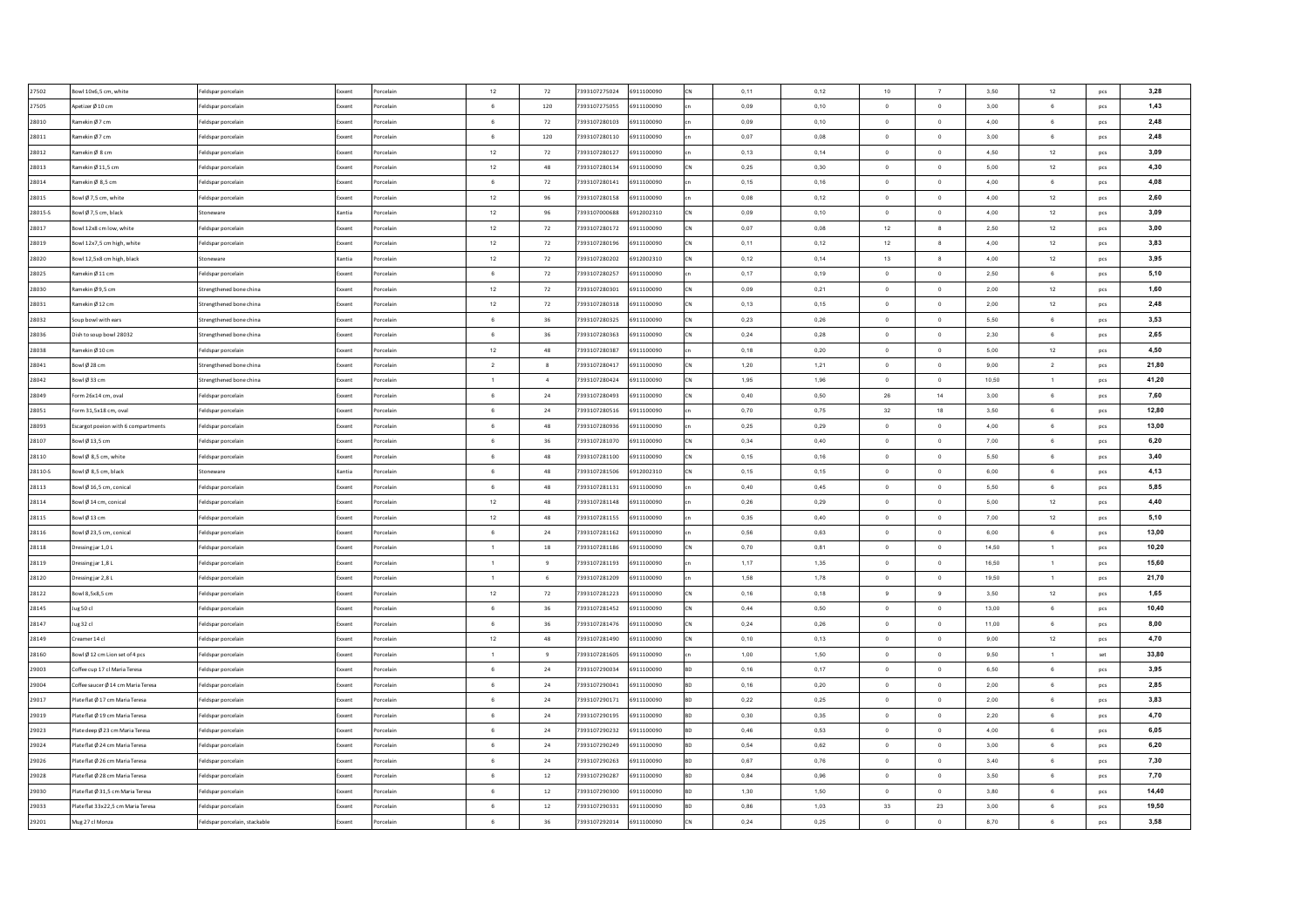| 27502   | Bowl 10x6,5 cm, white               | eldspar porcelain             | Exxent        | Porcelain | 12              | 72               | 7393107275024 | 6911100090 | CN        | 0,11 | 0,12 | 10             | $\overline{7}$           | 3,50  | 12           | pcs            | 3,28  |
|---------|-------------------------------------|-------------------------------|---------------|-----------|-----------------|------------------|---------------|------------|-----------|------|------|----------------|--------------------------|-------|--------------|----------------|-------|
| 27505   | Apetizer Ø 10 cm                    | eldspar porcelair             | xxent         | Porcelain | 6               | 120              | 7393107275055 | 6911100090 |           | 0,09 | 0,10 | $\overline{0}$ | $\circ$                  | 3,00  | $\mathbf 6$  | pcs            | 1,43  |
| 28010   | Ramekin Ø 7 cm                      | eldspar porcelain             | ixxen         | orcelair  | 6               | 72               | 7393107280103 | 6911100090 |           | 0,09 | 0,10 | $\overline{0}$ | $\mathbf 0$              | 4,00  | $\mathbf 6$  | pcs            | 2,48  |
| 28011   | Ramekin Ø 7 cm                      | eldspar porcelain             | xxent         | orcelain  | 6               | 120              | 7393107280110 | 6911100090 |           | 0,07 | 0,08 | $\,$ 0         | $\,$ 0                   | 3,00  | $\mathbf 6$  | pcs            | 2,48  |
| 28012   | Ramekin Ø8 cm                       | eldspar porcelain             | xxent         | Porcelain | $12\,$          | 72               | 7393107280127 | 6911100090 |           | 0,13 | 0,14 | $\,$ 0         | $\mathbf 0$              | 4,50  | 12           | pcs            | 3,09  |
| 28013   | Ramekin Ø 11,5 cm                   | eldspar porcelain             | xxent         | orcelain  | $12\,$          | 48               | 7393107280134 | 6911100090 | CN        | 0,25 | 0,30 | $\overline{0}$ | $\overline{0}$           | 5,00  | 12           | pcs            | 4,30  |
| 28014   | Ramekin Ø 8,5 cm                    | Feldspar porcelain            | xxent         | Porcelain | 6               | 72               | 7393107280141 | 6911100090 |           | 0,15 | 0,16 | $\overline{0}$ | $\,$ 0                   | 4,00  | $\mathbf 6$  | pcs            | 4,08  |
| 28015   | Bowl Ø7.5 cm, white                 | Feldspar porcelain            | xxent         | Porcelain | $12\,$          | 96               | 7393107280158 | 6911100090 |           | 0.08 | 0.12 | $\overline{0}$ | $\circ$                  | 4.00  | 12           | pcs            | 2,60  |
| 28015-S | Bowl Ø 7,5 cm, black                | Stoneware                     | Kantia        | Porcelain | 12              | 96               | 7393107000688 | 6912002310 | <b>CN</b> | 0.09 | 0.10 | $\overline{0}$ | $\overline{0}$           | 4.00  | 12           | pcs            | 3,09  |
| 28017   | Bowl 12x8 cm low, white             | Feldspar porcelair            | xxent         | orcelain  | $12\,$          | 72               | 7393107280172 | 6911100090 | <b>CN</b> | 0,07 | 0,08 | 12             | $\boldsymbol{8}$         | 2,50  | 12           | pcs            | 3,00  |
| 28019   | Bowl 12x7.5 cm high, white          | Feldspar porcelain            | xxent         | Porcelain | 12              | 72               | 7393107280196 | 6911100090 | lcN       | 0,11 | 0.12 | 12             | $\mathbf{g}$             | 4.00  | 12           | pcs            | 3,83  |
| 28020   | Bowl 12,5x8 cm high, black          | toneware                      | <b>Cantia</b> | orcelain  | 12              | 72               | 7393107280202 | 6912002310 | CN        | 0,12 | 0,14 | 13             | 8                        | 4,00  | 12           | pcs            | 3,95  |
| 28025   | Ramekin Ø11 cm                      | Feldspar porcelain            | ixxent        | orcelain  | 6 <sup>5</sup>  | 72               | 7393107280257 | 6911100090 |           | 0,17 | 0,19 | $\Omega$       | $\circ$                  | 2,50  | 6            | pcs            | 5,10  |
| 28030   | Ramekin Ø9,5 cm                     | trengthened bone china        | xxent         | orcelain  | $12\,$          | 72               | 7393107280301 | 6911100090 |           | 0,09 | 0,21 | $\overline{0}$ | $\overline{\phantom{0}}$ | 2,00  | 12           | pcs            | 1,60  |
| 28031   | Ramekin Ø12 cm                      | Strengthened bone china       | ixxent        | orcelain  | $12\,$          | 72               | 7393107280318 | 6911100090 |           | 0,13 | 0,15 | $\,$ 0         | $\mathbf 0$              | 2,00  | $12\,$       | pcs            | 2,48  |
| 28032   | Soup bowl with ears                 | Strengthened bone china       | oxent         | orcelain  | $_{\rm 6}$      | 36               | 7393107280325 | 6911100090 |           | 0,23 | 0,26 | $\,$ 0         | $\,$ 0                   | 5,50  | 6            | pcs            | 3,53  |
| 28036   | Dish to soup bowl 28032             | Strengthened bone china       | xxent         | orcelain  | 6               | 36               | 7393107280363 | 6911100090 |           | 0,24 | 0,28 | $\overline{0}$ | $\,0\,$                  | 2,30  | 6            | pcs            | 2,65  |
| 28038   | Ramekin Ø 10 cm                     | eldspar porcelain             | xxent         | orcelain  | $12\,$          | 48               | 7393107280387 | 6911100090 |           | 0,18 | 0,20 | $\overline{0}$ | $\,$ 0                   | 5,00  | 12           | pcs            | 4,50  |
| 28041   | Bowl Ø 28 cm                        | Strengthened bone china       | ixxent        | orcelain  | $\overline{2}$  | $\boldsymbol{8}$ | 7393107280417 | 6911100090 |           | 1,20 | 1,21 | $\overline{0}$ | $\,$ 0                   | 9,00  | $\,2\,$      | pcs            | 21,80 |
| 28042   | Bowl Ø33 cm                         | Strengthened bone china       | xxent         | orcelain  | $\overline{1}$  | $\overline{4}$   | 7393107280424 | 6911100090 |           | 1,95 | 1,96 | $\overline{0}$ | $\circ$                  | 10,50 | $\mathbf{1}$ | pcs            | 41,20 |
| 28049   | Form 26x14 cm, oval                 | Feldspar porcelain            | ixxent        | Porcelain | 6               | $\bf 24$         | 7393107280493 | 6911100090 | CN        | 0,40 | 0,50 | 26             | 14                       | 3,00  | 6            | pcs            | 7,60  |
| 28051   | Form 31.5x18 cm, oval               | Feldspar porcelain            | xxent         | Porcelain | 6               | $\bf 24$         | 7393107280516 | 6911100090 |           | 0,70 | 0,75 | 32             | 18                       | 3,50  | 6            | pcs            | 12,80 |
| 28093   | Escargot poeion with 6 compartments | Feldspar porcelain            | xxent         | Porcelain | $6\overline{6}$ | 48               | 7393107280936 | 6911100090 |           | 0.25 | 0.29 | $\overline{0}$ | $\overline{0}$           | 4.00  | 6            | pcs            | 13,00 |
| 28107   | Bowl Ø13.5 cm                       | Feldspar porcelain            | xxent         | Porcelain | 6               | 36               | 7393107281070 | 6911100090 | lcN       | 0.34 | 0.40 | $\Omega$       | $\overline{0}$           | 7.00  | 6            | pcs            | 6,20  |
| 28110   | Bowl Ø 8,5 cm, white                | Feldspar porcelain            | xxent         | Porcelain | 6               | 48               | 7393107281100 | 6911100090 | <b>CN</b> | 0,15 | 0,16 | $\overline{0}$ | $\overline{0}$           | 5,50  | 6            | pcs            | 3,40  |
| 28110-S | Bowl Ø 8,5 cm, black                | Stoneware                     | Kantia        | Porcelain | 6               | 48               | 7393107281506 | 6912002310 | lcN       | 0,15 | 0,15 | $\Omega$       | $\mathbf 0$              | 6,00  | 6            | pcs            | 4,13  |
| 28113   | Bowl Ø 16,5 cm, conical             | Feldspar porcelain            | ixxent        | Porcelain | $6\overline{6}$ | 48               | 7393107281131 | 6911100090 |           | 0,40 | 0,45 | $\overline{0}$ | $\overline{\phantom{a}}$ | 5,50  | 6            | pcs            | 5,85  |
| 28114   | Bowl Ø 14 cm, conical               | Feldspar porcelain            | xxent         | orcelain  | $12\,$          | 48               | 7393107281148 | 6911100090 |           | 0,26 | 0,29 | $\Omega$       | $\,$ 0                   | 5,00  | 12           | pcs            | 4,40  |
| 28115   | Bowl Ø13 cm                         | Feldspar porcelain            | xxent         | orcelain  | 12              | 48               | 7393107281155 | 6911100090 |           | 0,35 | 0,40 | $\overline{0}$ | $\overline{0}$           | 7,00  | 12           | pcs            | 5,10  |
| 28116   | Bowl Ø 23,5 cm, conical             | Feldspar porcelain            | xxent         | orcelain  | 6               | $\bf{24}$        | 7393107281162 | 6911100090 |           | 0,56 | 0,63 | $\overline{0}$ | $\,$ 0                   | 6,00  | 6            | pcs            | 13,00 |
| 28118   | Dressing jar 1,0L                   | Feldspar porcelain            | xxent         | orcelain  | $\overline{1}$  | 18               | 7393107281186 | 6911100090 |           | 0,70 | 0,81 | $\overline{0}$ | $\circ$                  | 14,50 | $\mathbf{1}$ | pcs            | 10,20 |
| 28119   | Dressing jar 1,8 L                  | Feldspar porcelain            | xxent         | orcelain  | 1               | 9                | 7393107281193 | 6911100090 |           | 1,17 | 1,35 | $\overline{0}$ | $\circ$                  | 16,50 | $\mathbf{1}$ | pcs            | 15,60 |
| 28120   | Dressing jar 2,8 L                  | Feldspar porcelain            | xxent         | Porcelain | 1               | 6                | 7393107281209 | 6911100090 |           | 1,58 | 1,78 | $\overline{0}$ | $\circ$                  | 19,50 | $\mathbf{1}$ | pcs            | 21,70 |
| 28122   | Bowl 8.5x8.5 cm                     | Feldspar porcelain            | xxent         | Porcelain | 12              | 72               | 7393107281223 | 6911100090 | <b>CN</b> | 0,16 | 0.18 | 9              | $_{9}$                   | 3,50  | 12           | pcs            | 1,65  |
| 28145   | Jug 50 cl                           | Feldspar porcelain            | xxent         | orcelain  | $6\overline{6}$ | 36               | 7393107281452 | 6911100090 | <b>CN</b> | 0,44 | 0.50 | $\overline{0}$ | $\circ$                  | 13.00 | 6            | pcs            | 10,40 |
| 28147   | Jug 32 cl                           | Feldspar porcelain            | Exxent        | orcelain  | 6               | 36               | 7393107281476 | 6911100090 | <b>CN</b> | 0.24 | 0.26 | $\overline{0}$ | $\overline{0}$           | 11.00 | 6            | pcs            | 8,00  |
| 28149   | Creamer 14 cl                       | Feldspar porcelain            | xxent         | orcelain  | $12\,$          | 48               | 7393107281490 | 6911100090 | low       | 0,10 | 0,13 | $\overline{0}$ | $\circ$                  | 9,00  | 12           | pcs            | 4,70  |
| 28160   | Bowl Ø 12 cm Lion set of 4 pcs      | Feldspar porcelain            | ixxent        | orcelain  | $\overline{1}$  | $\overline{9}$   | 7393107281605 | 6911100090 |           | 1,00 | 1,50 | $\overline{0}$ | $\overline{0}$           | 9,50  | $\mathbf{1}$ | $\mathsf{set}$ | 33,80 |
| 29003   | Coffee cup 17 cl Maria Teresa       | eldspar porcelain             | cxent         | orcelain  | 6               | ${\bf 24}$       | 7393107290034 | 6911100090 |           | 0,16 | 0,17 | $\overline{0}$ | $\,$ 0                   | 6,50  | $\,6\,$      | pcs            | 3,95  |
| 29004   | Coffee saucer Ø 14 cm Maria Teresa  | Feldspar porcelain            | xxent         | orcelain  | 6               | 24               | 7393107290041 | 6911100090 |           | 0,16 | 0,20 | $\overline{0}$ | $\overline{0}$           | 2,00  | 6            | pcs            | 2,85  |
| 29017   | Plate flat Ø 17 cm Maria Teresa     | eldspar porcelain             |               | orcelain  | 6               | $\bf 24$         | 7393107290171 | 6911100090 |           | 0,22 | 0,25 | $\overline{0}$ | $\,$ 0                   | 2,00  | $\mathbf 6$  | pcs            | 3,83  |
| 29019   | Plate flat Ø 19 cm Maria Teresa     | eldspar porcelain             | xxent         | orcelain  | $_{\rm 6}$      | $\bf 24$         | 7393107290195 | 6911100090 |           | 0,30 | 0,35 | $\,$ 0         | $\,$ 0                   | 2,20  | $\mathbf 6$  | pcs            | 4,70  |
| 29023   | late deep Ø 23 cm Maria Teresa      | eldspar porcelain             | xxent         | orcelain  | 6               | 24               | 7393107290232 | 6911100090 |           | 0,46 | 0,53 | $\,$ 0         | $\mathbf 0$              | 4,00  | 6            | pcs            | 6,05  |
| 29024   | Plate flat Ø 24 cm Maria Teresa     | Feldspar porcelain            | ixxent        | orcelain  | 6               | $\bf 24$         | 7393107290249 | 6911100090 |           | 0,54 | 0,62 | $\circ$        | $\circ$                  | 3,00  | $\mathbf 6$  | pcs            | 6,20  |
| 29026   | Plate flat Ø 26 cm Maria Teresa     | Feldspar porcelain            | xxent         | orcelain  | 6               | 24               | 7393107290263 | 6911100090 |           | 0,67 | 0,76 | $\overline{0}$ | $\overline{0}$           | 3,40  | 6            | pcs            | 7,30  |
| 29028   | Plate flat Ø 28 cm Maria Teresa     | Feldspar porcelain            | xxent         | orcelain  | 6               | 12               | 7393107290287 | 6911100090 | <b>RD</b> | 0,84 | 0.96 | $\circ$        | $\circ$                  | 3,50  | 6            | pcs            | 7,70  |
| 29030   | Plate flat Ø 31.5 cm Maria Teresa   | Feldspar porcelain            | xxent         | Porcelain | 6               | 12               | 7393107290300 | 6911100090 |           | 1.30 | 1.50 | $\overline{0}$ | $\overline{0}$           | 3,80  | 6            | pcs            | 14,40 |
| 29033   | Plate flat 33x22.5 cm Maria Teresa  | Feldspar porcelain            | xxent         | Porcelain | $6\overline{6}$ | 12               | 7393107290331 | 6911100090 | <b>RD</b> | 0,86 | 1,03 | 33             | 23                       | 3,00  | 6            | pcs            | 19,50 |
| 29201   | Mug 27 cl Monza                     | Feldspar porcelain, stackable | xxent         | Porcelain | 6               | 36               | 7393107292014 | 6911100090 | CN        | 0,24 | 0.25 | $\overline{0}$ | $\circ$                  | 8.70  | 6            | pcs            | 3,58  |
|         |                                     |                               |               |           |                 |                  |               |            |           |      |      |                |                          |       |              |                |       |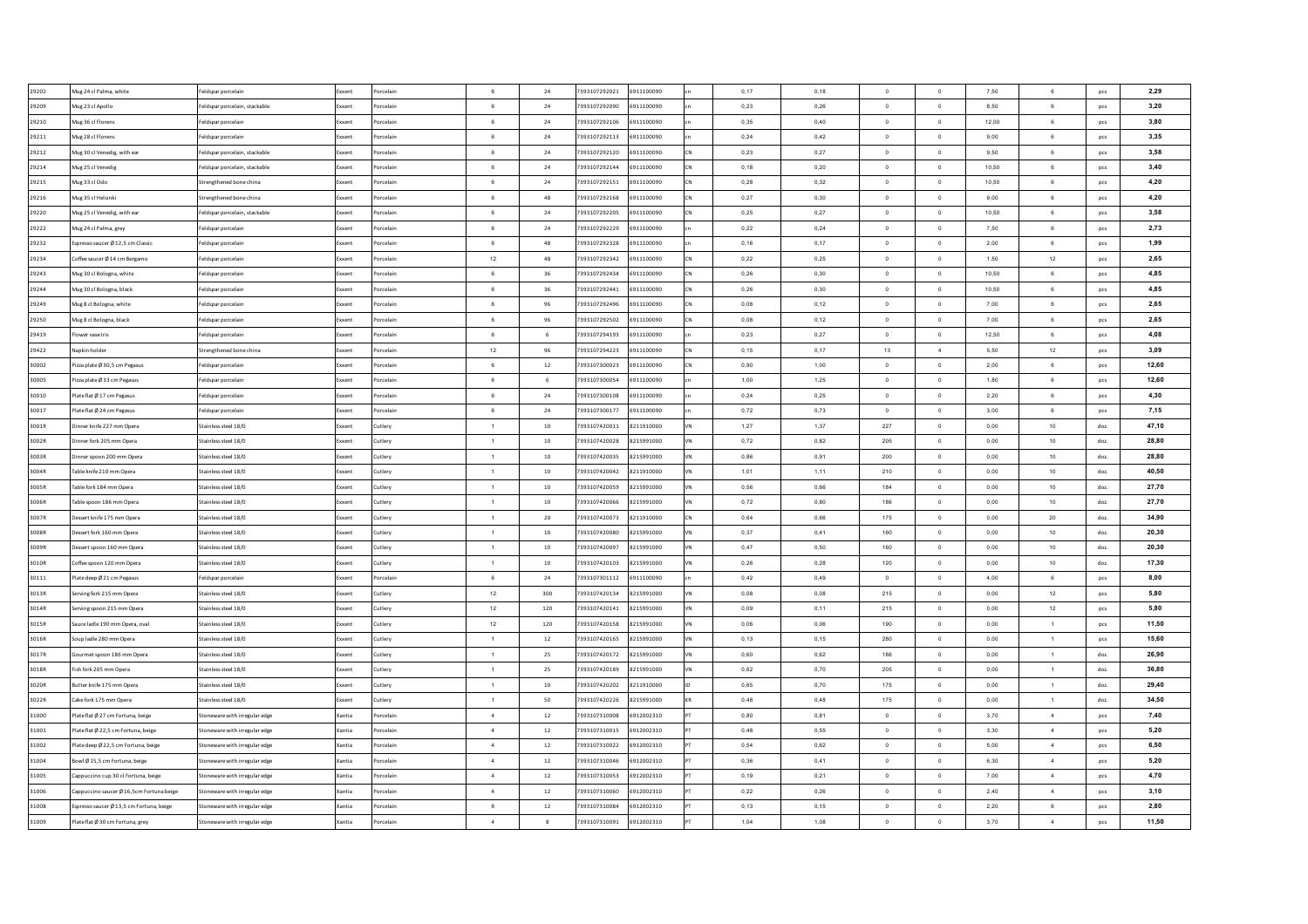| 29202          | Mug 24 cl Palma, white                   | Feldspar porcelain            | Exxent         | Porcelain | 6              | 24        | 7393107292021 | 6911100090 | 0,17 | 0,18 | $\Omega$       | $\overline{0}$ | 7,50  | 6                | pcs  | 2,29  |
|----------------|------------------------------------------|-------------------------------|----------------|-----------|----------------|-----------|---------------|------------|------|------|----------------|----------------|-------|------------------|------|-------|
| 29209          | Mug 23 cl Apollo                         | Feldspar porcelain, stackable | oxen           | Porcelain | 6              | 24        | 7393107292090 | 6911100090 | 0,23 | 0,26 | $\,$ 0 $\,$    | $\,$ 0 $\,$    | 8,50  | $\mathbf 6$      | pcs  | 3,20  |
| 29210          | Mug 36 cl Florens                        | Feldspar porcelair            | xxent          | Porcelair | $\,6\,$        | $\bf{24}$ | 7393107292106 | 6911100090 | 0,35 | 0,40 | $\mathbf 0$    | $\,0\,$        | 12,00 | $\mathbf 6$      | pcs  | 3,80  |
| 29211          | Mug 28 cl Florens                        | eldspar porcelain             | xxent          | Porcelain | 6              | 24        | 7393107292113 | 6911100090 | 0,24 | 0,42 | $\mathbf 0$    | $\,$ 0         | 9,00  | $\mathbf 6$      | pcs  | 3,35  |
| 29212          | Mug 30 cl Venedig, with ear              | Feldspar porcelain, stackable | ixxent         | Porcelain | 6              | 24        | 7393107292120 | 6911100090 | 0,23 | 0,27 | $\mathbf 0$    | $\mathbf 0$    | 9,50  | 6                | pcs  | 3,58  |
| 29214          | Mug 25 cl Venedig                        | eldspar porcelain, stackable  | xxent          | Porcelair | 6              | 24        | 7393107292144 | 6911100090 | 0,18 | 0,20 | $\circ$        | $\overline{0}$ | 10,50 | 6                | pcs  | 3,40  |
| 29215          | Mug 33 cl Oslo                           | Strengthened bone china       | xxent          | Porcelair | $_{\rm 6}$     | 24        | 7393107292151 | 6911100090 | 0,28 | 0,32 | $\overline{0}$ | $\,$ 0         | 10,50 | 6                | pcs  | 4,20  |
| 29216          | Mug 35 cl Helsinki                       | Strengthened bone china       | xxent          | Porcelain | 6              | 48        | 7393107292168 | 6911100090 | 0.27 | 0.30 | $\overline{0}$ | $\,$ 0 $\,$    | 9.00  | $6\overline{6}$  | pcs  | 4,20  |
| 29220          | Mug 25 cl Venedig, with ear              | Feldspar porcelain, stackable | xxent          | Porcelair | 6              | 24        | 7393107292205 | 6911100090 | 0.25 | 0.27 | $\overline{0}$ | $\mathbf{0}$   | 10.50 | 6                | pcs  | 3,58  |
| 29222          | Mug 24 cl Palma, grey                    | Feldspar porcelain            | xxent          | Porcelair | 6              | 24        | 7393107292229 | 6911100090 | 0,22 | 0,24 | $^{\circ}$     | $\overline{0}$ | 7,50  | 6                | pcs  | 2,73  |
| 29232          | Espresso saucer Ø 12.5 cm Classic        | Feldspar porcelain            | xxent          | Porcelair | -6             | 48        | 7393107292328 | 6911100090 | 0.16 | 0.17 | $\Omega$       | $\Omega$       | 2.00  | 6                | pcs  | 1,99  |
| 29234          | Coffee saucer Ø 14 cm Bergamo            | Feldspar porcelain            | cxent          | Porcelair | 12             | 48        | 7393107292342 | 6911100090 | 0.22 | 0.25 | $\Omega$       | $\overline{0}$ | 1.50  | 12               | pcs  | 2,65  |
| 29243          | Mug 30 cl Bologna, white                 | Feldspar porcelain            | xxent          | orcelair  | 6              | 36        | 7393107292434 | 6911100090 | 0,26 | 0,30 | $\Omega$       | $\mathbf{0}$   | 10,50 | 6                | pcs  | 4,85  |
| 29244          | Mug 30 cl Bologna, black                 | Feldspar porcelain            | oxent          | orcelair  | 6              | 36        | 7393107292441 | 6911100090 | 0,26 | 0,30 | $\overline{0}$ | $\,$ 0         | 10,50 | 6                | pcs  | 4,85  |
| 29249          | Mug 8 cl Bologna, white                  | Feldspar porcelain            | oxent          | orcelain  | 6              | 96        | 7393107292496 | 6911100090 | 0,08 | 0,12 | $\,$ 0 $\,$    | $\,0\,$        | 7,00  | 6                | pcs  | 2,65  |
| 29250          | Mug 8 cl Bologna, black                  | Feldspar porcelain            | oxent          | orcelain  | 6              | 96        | 7393107292502 | 6911100090 | 0,08 | 0,12 | $\mathbf 0$    | $\mathbf 0$    | 7,00  | 6                | pcs  | 2,65  |
| 29419          | lower vase Iris                          | Feldspar porcelain            | xxent          | Porcelain | 6              | 6         | 7393107294193 | 6911100090 | 0,23 | 0,27 | $\circ$        | $\mathbf{0}$   | 12,50 | 6                | pcs  | 4,08  |
| 29422          | lapkin holder                            | Strengthened bone china       | oxent          | Porcelain | $12\,$         | 96        | 7393107294223 | 6911100090 | 0,15 | 0,17 | 13             | $\overline{4}$ | 5,50  | 12               | pcs  | 3,09  |
| 30002          | Pizza plate Ø 30,5 cm Pegasus            | Feldspar porcelain            | xxent          | Porcelain | 6              | $12\,$    | 7393107300023 | 6911100090 | 0,90 | 1,00 | $\circ$        | $\,$ 0         | 2,00  | $\mathbf 6$      | pcs  | 12,60 |
| 30005          | Pizza plate Ø 33 cm Pegasus              | Feldspar porcelain            | xxent          | Porcelain | 6              | 6         | 7393107300054 | 6911100090 | 1,00 | 1,25 | $\overline{0}$ | $\,$ 0         | 1,80  | $\mathbf 6$      | pcs  | 12,60 |
| 30010          | Plate flat Ø 17 cm Pegasus               | Feldspar porcelain            | xxent          | Porcelain | 6              | 24        | 7393107300108 | 6911100090 | 0,24 | 0,25 | $\circ$        | $\,$ 0 $\,$    | 2,20  | $\,6\,$          | pcs  | 4,30  |
| 30017          | Plate flat Ø 24 cm Pegasus               | Feldspar porcelain            | xxent          | Porcelain | $_{\rm 6}$     | 24        | 7393107300177 | 6911100090 | 0,72 | 0,73 | $\overline{0}$ | $\,$ 0 $\,$    | 3,00  | 6                | pcs  | 7,15  |
| 3001R          | Dinner knife 227 mm Opera                | Stainless steel 18/0          | xxent          | Cutlerv   | $\overline{1}$ | 10        | 7393107420011 | 8211910000 | 1.27 | 1.37 | 227            | $\overline{0}$ | 0.00  | 10               | doz. | 47,10 |
| 3002R          | Dinner fork 205 mm Opera                 | Stainless steel 18/0          | xxent          | Cutlerv   | $\overline{1}$ | 10        | 7393107420028 | 8215991000 | 0,72 | 0.82 | 205            | $\overline{0}$ | 0.00  | 10               | doz. | 28,80 |
| 3003R          | Dinner spoon 200 mm Opera                | Stainless steel 18/0          | xxent          | Cutlery   | $\overline{1}$ | 10        | 7393107420035 | 8215991000 | 0,86 | 0,91 | 200            | $\overline{0}$ | 0.00  | 10               | doz. | 28.80 |
| 3004R          | Table knife 210 mm Opera                 | Stainless steel 18/0          | xxent          | Cutlery   | $\overline{1}$ | $10\,$    | 7393107420042 | 8211910000 | 1,01 | 1,11 | 210            | $\mathbf 0$    | 0,00  | 10               | doz. | 40,50 |
| 3005R          | Table fork 184 mm Opera                  | Stainless steel 18/0          | ixxent         | Cutlery   | $\overline{1}$ | $10\,$    | 7393107420059 | 8215991000 | 0,56 | 0,66 | 184            | $\mathbf 0$    | 0,00  | 10               | doz. | 27,70 |
| 3006R          | Table spoon 186 mm Opera                 | Stainless steel 18/0          | xxent          | Cutlery   | $\overline{1}$ | $10\,$    | 7393107420066 | 8215991000 | 0,72 | 0,80 | 186            | $\circ$        | 0,00  | 10               | doz. | 27,70 |
| 3007R          | Dessert knife 175 mm Opera               | Stainless steel 18/0          | xxent          | Cutlery   | $\overline{1}$ | 20        | 7393107420073 | 8211910000 | 0,64 | 0,66 | 175            | $\mathbf 0$    | 0,00  | 20               | doz. | 34,90 |
| 3008R          | Dessert fork 160 mm Opera                | Stainless steel 18/0          | xxent          | Cutlery   | $\overline{1}$ | $10\,$    | 7393107420080 | 8215991000 | 0,37 | 0,41 | 160            | $\circ$        | 0,00  | 10               | doz. | 20,30 |
| 3009R          | Dessert spoon 160 mm Opera               | Stainless steel 18/0          | xxent          | Cutlery   | $\overline{1}$ | $10$      | 7393107420097 | 8215991000 | 0,47 | 0,50 | 160            | $\,$ 0         | 0,00  | 10               | doz. | 20.30 |
| 3010R          | Coffee spoon 120 mm Opera                | Stainless steel 18/0          |                | Cutlery   | $\overline{1}$ | 10        | 7393107420103 | 8215991000 | 0,26 | 0,28 | 120            | $\,$ 0         | 0,00  | 10               | doz. | 17,30 |
| 30111          | Plate deep Ø 21 cm Pegasus               | Feldspar porcelain            | xxent          | Porcelair | $_{\rm 6}$     | 24        | 7393107301112 | 6911100090 | 0,42 | 0,49 | $\overline{0}$ | $\,$ 0         | 4,00  | $\,6\,$          | pcs  | 8,00  |
| 3013R          | Serving fork 215 mm Opera                | Stainless steel 18/0          | xxent<br>xxent | Cutlery   | 12             | 300       | 7393107420134 | 8215991000 | 0.08 | 0.08 | 215            | $\overline{0}$ | 0,00  | 12               | pcs  | 5,80  |
| 3014R          | Serving spoon 215 mm Opera               | Stainless steel 18/0          | xxent          | Cutlery   | 12             | 120       | 7393107420141 | 8215991000 | 0.09 | 0.11 | 215            | $\,$ 0 $\,$    | 0,00  | 12               | pcs  | 5,80  |
| 3015R          | Sauce ladle 190 mm Opera, oval           | Stainless steel 18/0          | xxent          | Cutlerv   | 12             | 120       | 7393107420158 | 8215991000 | 0.06 | 0.06 | 190            | $\overline{0}$ | 0.00  | $\overline{1}$   |      | 11,50 |
|                |                                          |                               | xent           |           | $\overline{1}$ |           |               | 8215991000 |      |      |                |                |       |                  | pcs  |       |
| 3016R<br>3017R | oup ladle 280 mm Opera                   | Stainless steel 18/0          |                | Cutlery   | $\overline{1}$ | 12        | 7393107420165 |            | 0,13 | 0,15 | 280            | $\,$ 0         | 0,00  | $\overline{1}$   | pcs  | 15,60 |
|                | Sourmet spoon 186 mm Opera               | Stainless steel 18/0          | xxent          | Cutlery   |                | 25        | 7393107420172 | 8215991000 | 0,60 | 0,62 | 186            | $\mathbf 0$    | 0,00  | $\overline{1}$   | doz. | 26,90 |
| 3018R          | Fish fork 205 mm Opera                   | Stainless steel 18/0          |                | Cutlery   | $\overline{1}$ | 25        | 7393107420189 | 8215991000 | 0,62 | 0,70 | 205            | $\mathbf 0$    | 0,00  | $\mathbf{1}$     | doz  | 36,80 |
| 3020R          | Butter knife 175 mm Opera                | Stainless steel 18/0          | oxent          | Cutlery   | $\overline{1}$ | $10$      | 7393107420202 | 8211910000 | 0,65 | 0,70 | 175            | $\mathbf 0$    | 0,00  | $\mathbf{1}$     | doz. | 29,40 |
| 3022R          | ake fork 175 mm Opera                    | Stainless steel 18/0          |                | Cutlery   | $\overline{1}$ | 50        | 7393107420226 | 8215991000 | 0,48 | 0,48 | 175            | $\,0\,$        | 0,00  | $\mathbf{1}$     | doz. | 34,50 |
| 31000          | Plate flat Ø 27 cm Fortuna, beige        | toneware with irregular edge  | antia          | orcelain  | $\sim$         | $12\,$    | 7393107310008 | 6912002310 | 0,80 | 0,81 | $\,$ 0 $\,$    | $\,0\,$        | 3,70  | $\sqrt{4}$       | pcs  | 7,40  |
| 31001          | Plateflat Ø 22,5 cm Fortuna, beige       | toneware with irregular edge  | antia          | orcelain  | $\overline{4}$ | 12        | 7393107310015 | 6912002310 | 0,48 | 0,55 | $\mathbf 0$    | $\,0\,$        | 3,30  | $\boldsymbol{4}$ | pcs  | 5,20  |
| 31002          | Plate deep Ø 22,5 cm Fortuna, beige      | Stoneware with irregular edge | Kantia         | Porcelain | $\sim$         | 12        | 7393107310022 | 6912002310 | 0,54 | 0,62 | $\circ$        | $\,$ 0         | 5,00  | $\overline{4}$   | pcs  | 6,50  |
| 31004          | Bowl Ø 15.5 cm Fortuna, beige            | Stoneware with irregular edge | Kantia         | Porcelain | $\sim$         | 12        | 7393107310046 | 6912002310 | 0,36 | 0.41 | $^{\circ}$     | $\circ$        | 6,30  | $\overline{4}$   | pcs  | 5,20  |
| 31005          | Cappuccino cup 30 cl Fortuna, beige      | Stoneware with irregular edge | Xantia         | Porcelain | $\sim$         | 12        | 7393107310053 | 6912002310 | 0,19 | 0,21 | $\overline{0}$ | $\circ$        | 7,00  | $\overline{4}$   | pcs  | 4,70  |
| 31006          | Cappuccino saucer Ø 16.5cm Fortuna beige | Stoneware with irregular edge | Xantia         | Porcelain | $\overline{4}$ | 12        | 7393107310060 | 6912002310 | 0.22 | 0.26 | $\overline{0}$ | $\mathbf{0}$   | 2.40  | $\overline{4}$   | pcs  | 3,10  |
| 31008          | Espresso saucer Ø 13.5 cm Fortuna, beige | Stoneware with irregular edge | Xantia         | Porcelain | 6              | 12        | 7393107310084 | 6912002310 | 0,13 | 0.15 | $\overline{0}$ | $\overline{0}$ | 2,20  | 6                | pcs  | 2,80  |
| 31009          | Plate flat Ø 30 cm Fortuna, grev         | Stoneware with irregular edge | Xantia         | Porcelain | $\sim$         | $_{8}$    | 7393107310091 | 6912002310 | 1.04 | 1.08 | $\circ$        | $\mathbf{0}$   | 3,70  | $\overline{4}$   | pcs  | 11,50 |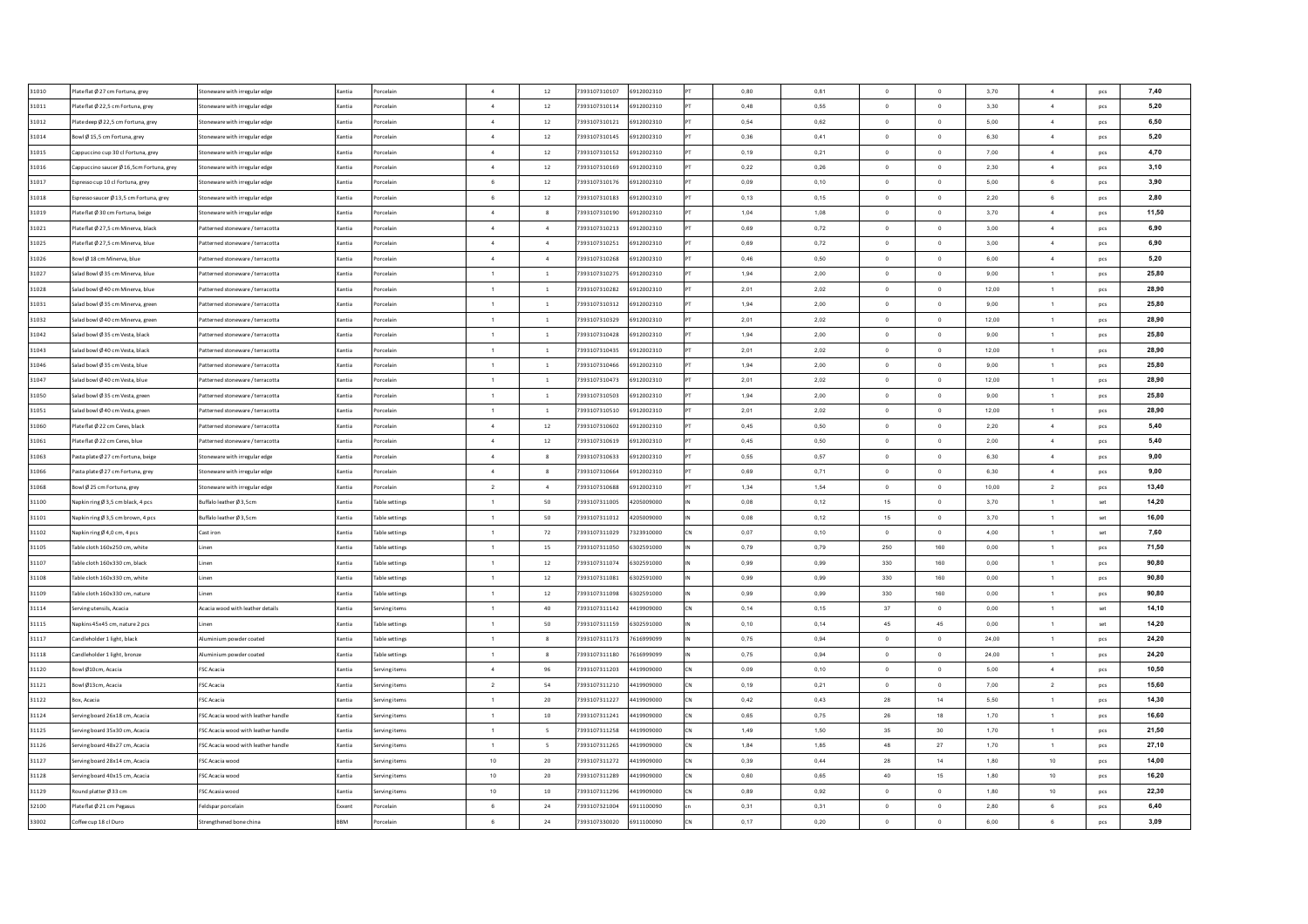| 31010          | Plateflat Ø 27 cm Fortuna, grey         | Stoneware with irregular edge             | Xantia        | Porcelain                        | $\sim$          | 12             | 7393107310107                  | 6912002310               | 0.80         | 0.81         | $\Omega$                         | $\overline{0}$           | 3.70         | $\sim$         | pcs            | 7.40           |
|----------------|-----------------------------------------|-------------------------------------------|---------------|----------------------------------|-----------------|----------------|--------------------------------|--------------------------|--------------|--------------|----------------------------------|--------------------------|--------------|----------------|----------------|----------------|
| 31011          | Plate flat Ø 22,5 cm Fortuna, grey      | Stoneware with irregular edge             | Xantia        | Porcelain                        | $\sim$          | 12             | 7393107310114                  | 6912002310               | 0.48         | 0,55         | $\overline{0}$                   | $\ddot{\phantom{0}}$     | 3,30         | 4              | pcs            | 5.20           |
| 31012          | Plate deep Ø 22,5 cm Fortuna, grey      | Stoneware with irregular edge             | Xantia        | orcelain                         | 4               | $12\,$         | 7393107310121                  | 6912002310               | 0,54         | 0,62         | $\Omega$                         | $\mathbf 0$              | 5,00         | $\overline{4}$ | pcs            | 6,50           |
| 31014          | Bowl Ø 15,5 cm Fortuna, grey            | Stoneware with irregular edge             | Xantia        | orcelain                         | $\sim$          | $12\,$         | 7393107310145                  | 6912002310               | 0,36         | 0,41         | $\overline{0}$                   | $\circ$                  | 6,30         | $\sim$         | pcs            | 5,20           |
| 31015          | appuccino cup 30 cl Fortuna, grey       | Stoneware with irregular edge             | Xantia        | orcelain                         | 4               | 12             | 7393107310152                  | 6912002310               | 0,19         | 0,21         | $\Omega$                         | $\mathbf 0$              | 7,00         | $\overline{4}$ | pcs            | 4,70           |
| 31016          | appuccino saucer Ø 16,5cm Fortuna, grey | Stoneware with irregular edge             | Xantia        | orcelain                         | $\sim$          | $12\,$         | 7393107310169                  | 6912002310               | 0,22         | 0,26         | $^{\circ}$                       | $\circ$                  | 2,30         | $\sqrt{4}$     | pcs            | 3,10           |
| 31017          | spresso cup 10 cl Fortuna, grey         | Stoneware with irregular edge             | Xantia        | orcelair                         | $\,6\,$         | $12\,$         | 7393107310176                  | 6912002310               | 0,09         | 0,10         | $\mathbf 0$                      | $\bf{0}$                 | 5,00         | 6              | pcs            | 3,90           |
| 31018          | Espresso saucer Ø 13,5 cm Fortuna, grey | Stoneware with irregular edge             | Xantia        | orcelain                         | $6\overline{6}$ | $12\,$         | 7393107310183                  | 6912002310               | 0,13         | 0,15         | $\circ$                          | $\overline{\phantom{0}}$ | 2,20         | 6              | pcs            | 2,80           |
| 31019          | late flat Ø 30 cm Fortuna, beige        | Stoneware with irregular edge             | Xantia        | $\sim$<br>orcelain               |                 | 8              | 7393107310190                  | 6912002310               | 1,04         | 1,08         | $\circ$                          | $\,$ 0                   | 3,70         | $\sqrt{4}$     | pcs            | 11,50          |
| 31021          | late flat Ø 27.5 cm Minerva, black      | Patterned stoneware / terracotta          | Xantia        | orcelain                         | $\sim$          | $\overline{a}$ | 7393107310213                  | 6912002310               | 0,69         | 0,72         | $\Omega$                         | $\overline{0}$           | 3,00         | $\overline{4}$ | pcs            | 6,90           |
| 31025          | Plate flat Ø 27.5 cm Minerva, blue      | Patterned stoneware / terracotta          | Xantia        | orcelain                         | $\overline{4}$  | $\overline{4}$ | 7393107310251                  | 6912002310               | 0.69         | 0,72         | $\overline{0}$                   | $\mathbf{0}$             | 3.00         | $\overline{4}$ | pcs            | 6,90           |
| 31026          | Bowl Ø 18 cm Minerva, blue              | Patterned stoneware / terracotta          | Xantia        | orcelain                         | $\sim$          | $\overline{4}$ | 7393107310268                  | 6912002310               | 0.46         | 0.50         | $\overline{0}$                   | $\circ$                  | 6.00         | $\sim$         | pcs            | 5,20           |
| 31027          | Salad Bowl Ø 35 cm Minerva, blue        | Patterned stoneware / terracotta          | Xantia        | orcelain                         | $\overline{1}$  | $\overline{1}$ | 7393107310275                  | 6912002310               | 1.94         | 2.00         | $\circ$                          | $\mathbf{0}$             | 9.00         | $\overline{1}$ | pcs            | 25.80          |
| 31028          | Salad bowl Ø 40 cm Minerva, blue        | Patterned stoneware / terracotta          | Xantia        | $\overline{1}$<br>orcelain       |                 | $\overline{1}$ | 7393107310282                  | 6912002310               | 2.01         | 2,02         | $\Omega$                         | $\Omega$                 | 12,00        | $\overline{1}$ | pcs            | 28,90          |
| 31031          | Salad bowl Ø 35 cm Minerva, green       | Patterned stoneware / terracotta          | Xantia        | orcelain                         | $\overline{1}$  | $\overline{1}$ | 7393107310312                  | 6912002310               | 1.94         | 2,00         | $\circ$                          | $\bf{0}$                 | 9,00         | $\mathbf{1}$   | pcs            | 25,80          |
| 31032          | alad bowl Ø 40 cm Minerva, green        | atterned stoneware / terracotta           | <b>Cantia</b> | orcelain                         | $\overline{1}$  | $\overline{1}$ | 7393107310329                  | 6912002310               | 2,01         | 2,02         | $\circ$                          | $\overline{0}$           | 12,00        | $\mathbf{1}$   | pcs            | 28,90          |
| 31042          | Salad bowl Ø 35 cm Vesta, black         | atterned stoneware / terracotta           | Xantia        | orcelain                         | $\overline{1}$  | $\,$ 1         | 7393107310428                  | 6912002310               | 1,94         | 2,00         | $\,$ 0 $\,$                      | $\mathbf 0$              | 9,00         | $\mathbf{1}$   | pcs            | 25,80          |
| 31043          | alad bowl Ø 40 cm Vesta, black          | atterned stoneware / terracotta           | <b>Cantia</b> | orcelain                         | $\overline{1}$  | $1\,$          | 7393107310435                  | 6912002310               | 2,01         | 2,02         | $\,$ 0 $\,$                      | $\mathbf 0$              | 12,00        | $\mathbf{1}$   | pcs            | 28,90          |
| 31046          | alad bowl Ø 35 cm Vesta, blue           | atterned stoneware / terracotta           | Xantia        | orcelain                         | $\overline{1}$  | $\overline{1}$ | 7393107310466                  | 6912002310               | 1,94         | 2,00         | $\,$ 0 $\,$                      | $\mathbf 0$              | 9,00         | $\mathbf{1}$   | pcs            | 25,80          |
| 31047          | alad bowl Ø 40 cm Vesta, blue           | atterned stoneware / terracotta           | <b>Cantia</b> | orcelain                         | $\overline{1}$  | $\mathbf{1}$   | 7393107310473                  | 6912002310               | 2,01         | 2.02         | $\circ$                          | $\circ$                  | 12,00        | $\mathbf{1}$   | pcs            | 28,90          |
| 31050          | Salad bowl Ø 35 cm Vesta, green         | atterned stoneware / terracotta           | Xantia        | orcelain                         | $\overline{1}$  | $\overline{1}$ | 7393107310503                  | 6912002310               | 1,94         | 2,00         | $\circ$                          | $\mathbf 0$              | 9,00         | $\mathbf{1}$   | pcs            | 25,80          |
| 31051          | Salad bowl Ø 40 cm Vesta, green         | Patterned stoneware / terracotta          | Xantia        | orcelain                         | $\overline{1}$  | $\,$ $\,$      | 7393107310510                  | 6912002310               | 2,01         | 2,02         | $\overline{0}$                   | $\,$ 0                   | 12,00        | $\mathbf{1}$   | pcs            | 28,90          |
| 31060          | Plate flat Ø 22 cm Ceres, black         | Patterned stoneware / terracotta          | Xantia        | Porcelain                        | $\overline{4}$  | 12             | 7393107310602                  | 6912002310               | 0.45         | 0.50         | $\overline{0}$                   | $\circ$                  | 2.20         | $\overline{4}$ | pcs            | 5,40           |
| 31061          | Plate flat Ø 22 cm Ceres. blue          | Patterned stoneware / terracotta          | Xantia        | Porcelain                        | 4               | 12             | 7393107310619                  | 6912002310               | 0.45         | 0.50         | $\overline{0}$                   | $\overline{0}$           | 2.00         | 4              | pcs            | 5.40           |
| 31063          | Pasta plate Ø 27 cm Fortuna, beige      | Stoneware with irregular edge             | Xantia        | Porcelain                        | $\sim$          | 8              | 7393107310633                  | 6912002310               | 0.55         | 0.57         | $\Omega$                         | $\overline{0}$           | 6.30         | $\sim$         | pcs            | 9.00           |
| 31066          | Pasta plate Ø 27 cm Fortuna, grey       | Stoneware with irregular edge             | <b>Xantia</b> | Porcelain                        | $\sim$          | 8              | 7393107310664                  | 6912002310               | 0.69         | 0.71         | $\Omega$                         | $\overline{0}$           | 6.30         | 4              | pcs            | 9.00           |
| 31068          | Bowl Ø 25 cm Fortuna, grey              | Stoneware with irregular edge             | Xantia        | Porcelain                        | $\overline{2}$  | $\overline{4}$ | 7393107310688                  | 6912002310               | 1.34         | 1,54         | $\overline{0}$                   | $\ddot{\phantom{0}}$     | 10.00        | $\overline{2}$ | pcs            | 13.40          |
| 31100          | √apkin ringØ 3,5 cm black, 4 pcs        | Buffalo leather Ø 3,5cm                   | Xantia        | <b>Table settings</b>            | $\overline{1}$  | 50             | 7393107311005                  | 4205009000               | 0.08         | 0,12         | 15                               | $\overline{0}$           | 3.70         | $\overline{1}$ | set            | 14.20          |
| 31101          | √apkin ringØ 3,5 cm brown, 4 pcs        | Buffalo leather Ø 3,5cm                   | Xantia        | <b>Table settings</b>            | $\overline{1}$  | 50             | 7393107311012                  | 4205009000               | 0,08         | 0,12         | 15                               | $\,$ 0                   | 3,70         | $\mathbf{1}$   | $\mathsf{set}$ | 16,00          |
| 31102          | lapkin ring Ø 4,0 cm, 4 pcs             | Cast iron                                 | Xantia        | able settings                    | $\overline{1}$  | 72             | 7393107311029                  | 7323910000               | 0,07         | 0,10         | $\circ$                          | $\circ$                  | 4,00         | $\mathbf{1}$   | set            | 7,60           |
| 31105          | able cloth 160x250 cm, white            | .inen                                     | Xantia        | Table settings                   | $\overline{1}$  | 15             | 7393107311050                  | 6302591000               | 0,79         | 0,79         | 250                              | 160                      | 0.00         | $\overline{1}$ | pcs            | 71,50          |
| 31107          | able cloth 160x330 cm, black            | Linen                                     | Xantia        | Table settings                   | $\overline{1}$  | 12             | 7393107311074                  | 6302591000               | 0,99         | 0,99         | 330                              | 160                      | 0,00         | $\mathbf{1}$   | pcs            | 90,80          |
| 31108          | able cloth 160x330 cm, white            | .inen                                     | Xantia        | Table settings                   | $\overline{1}$  | $12\,$         | 7393107311081                  | 6302591000               | 0,99         | 0,99         | 330                              | 160                      | 0,00         | 1              | pcs            | 90,80          |
| 31109          | Table cloth 160x330 cm, nature          | .inen                                     | Xantia        | Table settings                   | $\overline{1}$  | 12             | 7393107311098                  | 6302591000               | 0,99         | 0,99         | 330                              | 160                      | 0,00         | $\overline{1}$ | pcs            | 90,80          |
| 31114          | ierving utensils, Acacia                | Acacia wood with leather details          | Xantia        | Serving items                    | $\overline{1}$  | 40             | 7393107311142                  | 4419909000               | 0,14         | 0.15         | 37                               | $\circ$                  | 0,00         | $\overline{1}$ | set            | 14,10          |
| 31115          | Vapkins 45x45 cm. nature 2 pcs          | inen                                      | Xantia        | $\overline{1}$<br>Table settings |                 | 50             | 7393107311159                  | 6302591000               | 0,10         | 0.14         | 45                               | 45                       | 0,00         | $\overline{1}$ | set            | 14,20          |
| 31117          | andleholder 1 light, black              | Numinium powder coated                    | Xantia        | Table settings<br>$\overline{1}$ |                 | 8              | 7393107311173                  | 7616999099               | 0.75         | 0.94         | $\Omega$                         | $\overline{0}$           | 24.00        | $\overline{1}$ | pcs            | 24.20          |
| 31118          | Candleholder 1 light, bronze            | Aluminium powder coated                   | Xantia        | Table settings                   | $\overline{1}$  | 8              | 7393107311180                  | 7616999099               | 0,75         | 0,94         | $\overline{0}$                   | $\overline{0}$           | 24,00        | $\overline{1}$ | pcs            | 24,20          |
| 31120          | owl Ø10cm, Acacia                       | <b>FSC Acacia</b>                         | Xantia        | erving items<br>$\overline{4}$   |                 | 96             | 7393107311203                  | 4419909000               | 0,09         | 0,10         | $\overline{0}$                   | $\overline{0}$           | 5,00         | $\sim$         | pcs            | 10,50          |
| 31121          | Sowl Ø13cm, Acacia                      | FSC Acacia                                | Xantia        | erving items<br>$\overline{2}$   |                 | 54             | 7393107311210                  | 4419909000               | 0,19         | 0,21         | $\mathbf 0$                      | $\bf{0}$                 | 7,00         | $\overline{2}$ | pcs            | 15,60          |
| 31122          | ox, Acacia                              | FSC Acacia                                | <b>Cantia</b> | rving items                      | $\overline{1}$  | 20             | 7393107311227                  | 4419909000               | 0,42         | 0,43         | 28                               | 14                       | 5,50         | $\mathbf{1}$   | pcs            | 14,30          |
| 31124          | erving board 26x18 cm, Acacia           | FSC Acacia wood with leather handle       | Xantia        | erving items                     | $\overline{1}$  | $10$           | 7393107311241                  | 4419909000               | 0,65         | 0,75         | ${\bf 26}$                       | 18                       | 1,70         | $\mathbf{1}$   | pcs            | 16,60          |
| 31125          | erving board 35x30 cm, Acacia           | SC Acacia wood with leather handle        | <b>Cantia</b> | erving items                     | $\overline{1}$  | 5              | 7393107311258                  | 4419909000               | 1,49         | 1,50         | 35                               | 30                       | 1,70         | $\mathbf{1}$   | pcs            | 21,50          |
| 31126          | erving board 48x27 cm, Acacia           | FSC Acacia wood with leather handle       | Xantia        |                                  | $\overline{1}$  | 5              | 7393107311265                  | 4419909000               | 1,84         | 1,85         | 48                               | $27\,$                   | 1,70         | $\mathbf{1}$   |                | 27.10          |
|                |                                         |                                           |               | Serving items                    |                 |                |                                |                          |              |              |                                  |                          |              |                | pcs            |                |
| 31127<br>31128 | ierving board 28x14 cm, Acacia          | FSC Acacia wood<br><b>FSC Acacia wood</b> | Xantia        | Serving items                    | 10<br>10        | 20<br>20       | 7393107311272<br>7393107311289 | 4419909000<br>4419909000 | 0,39<br>0,60 | 0,44<br>0,65 | 28<br>40                         | 14<br>15                 | 1,80<br>1,80 | 10<br>10       | pcs            | 14,00<br>16,20 |
| 31129          | erving board 40x15 cm. Acacia           |                                           | Xantia        | Serving items                    | 10              | 10             | 7393107311296                  |                          | 0.89         | 0.92         |                                  | $\overline{0}$           | 1.80         | 10             | <b>DCS</b>     | 22,30          |
| 32100          | \ound platter Ø 33 cm                   | FSC Acasia wood                           | Xantia        | Serving items                    | 6               | 24             | 7393107321004                  | 4419909000<br>6911100090 | 0,31         | 0.31         | $\overline{0}$<br>$\overline{0}$ | $\circ$                  | 2,80         | 6              | pcs            | 6,40           |
|                | late flat Ø 21 cm Pegasus               | Feldspar porcelair                        | Exxent        | orcelain                         |                 |                |                                |                          |              |              |                                  |                          |              |                | pcs            |                |
| 33002          | Coffee cup 18 cl Duro                   | Strengthened bone china                   | <b>BBM</b>    | orcelain                         | 6               | $\bf{24}$      | 7393107330020                  | 6911100090               | 0,17         | 0.20         | $\circ$                          | $\circ$                  | 6,00         | 6              | pcs            | 3,09           |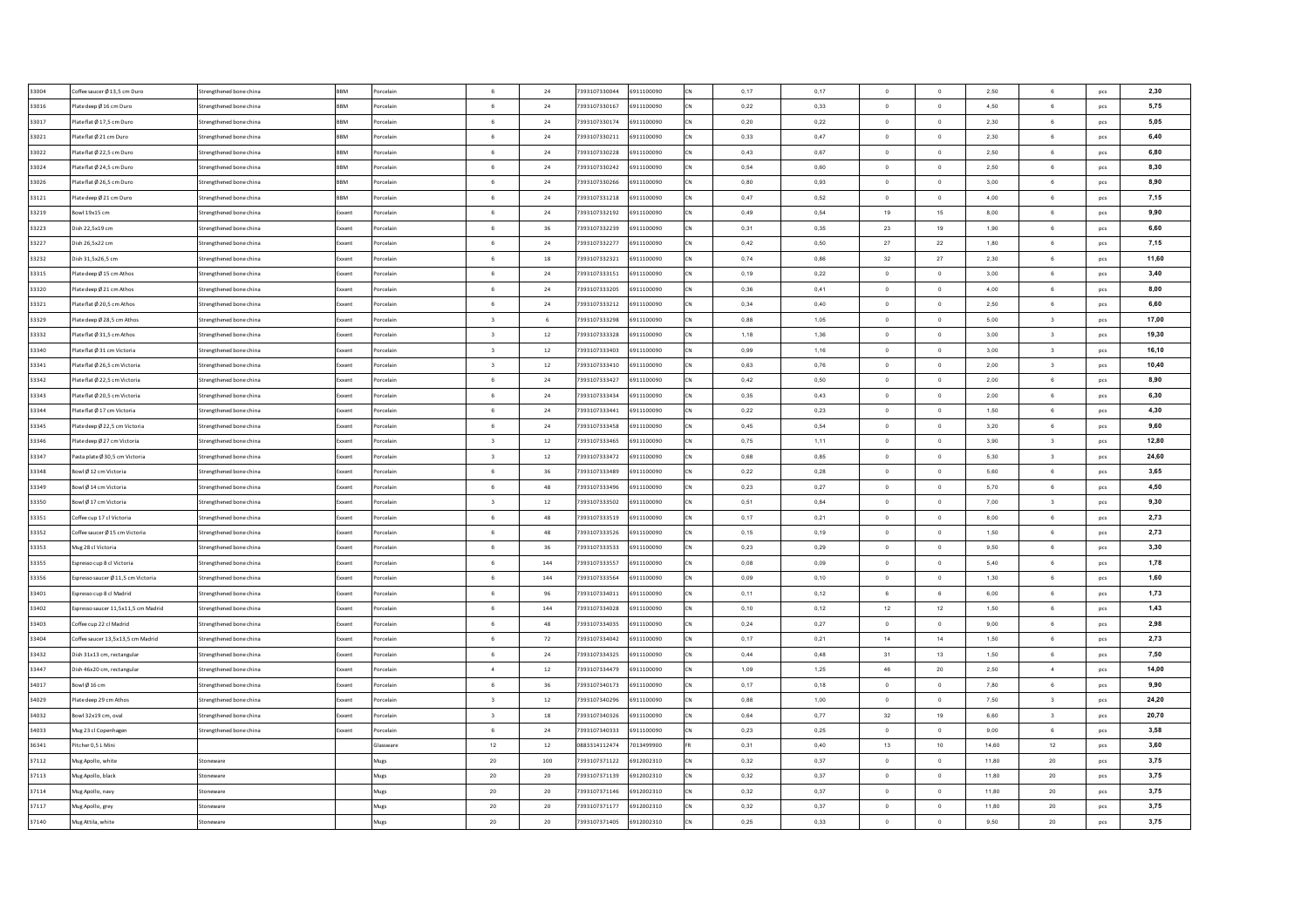| 33004 | Coffee saucer Ø 13,5 cm Duro       | Strengthened bone china | <b>BBM</b> | orcelain  | 6                       | 24        | 7393107330044 | 6911100090 | 0,17 | 0,17 | $\Omega$       | $\overline{0}$           | 2,50  | 6                       | pcs | 2,30  |
|-------|------------------------------------|-------------------------|------------|-----------|-------------------------|-----------|---------------|------------|------|------|----------------|--------------------------|-------|-------------------------|-----|-------|
| 33016 | late deep Ø 16 cm Duro             | Strengthened bone china | <b>BRM</b> | orcelain  | 6                       | 24        | 7393107330167 | 6911100090 | 0,22 | 0,33 | $\overline{0}$ | $\circ$                  | 4,50  | $\mathbf 6$             | pcs | 5,75  |
| 33017 | late flat Ø 17,5 cm Duro           | Strengthened bone china | BBM        | orcelair  | $\,$ 6 $\,$             | $\bf{24}$ | 7393107330174 | 6911100090 | 0,20 | 0,22 | $\mathbf 0$    | $\mathbf 0$              | 2,30  | $\mathbf 6$             | pcs | 5,05  |
| 33021 | late flat Ø 21 cm Duro             | Strengthened bone china | <b>BBM</b> | orcelain  | $\,$ 6 $\,$             | 24        | 7393107330211 | 6911100090 | 0,33 | 0,47 | $\mathbf 0$    | $\,$ 0                   | 2,30  | $\mathbf 6$             | pcs | 6,40  |
| 33022 | lateflat Ø 22,5 cm Duro            | Strengthened bone china | <b>BBM</b> | orcelain  | 6                       | 24        | 7393107330228 | 6911100090 | 0,43 | 0,67 | $\mathbf 0$    | $\bf{0}$                 | 2,50  | 6                       | pcs | 6,80  |
| 33024 | lateflat Ø 24,5 cm Duro            | Strengthened bone china | BBM        | orcelain  | 6                       | 24        | 7393107330242 | 6911100090 | 0,54 | 0.60 | $\circ$        | $\overline{0}$           | 2,50  | 6                       | pcs | 8,30  |
| 33026 | late flat Ø 26,5 cm Duro           | Strengthened bone china | <b>BBM</b> | orcelain  | $\,6\,$                 | 24        | 7393107330266 | 6911100090 | 0,80 | 0,93 | $\overline{0}$ | $\,$ 0                   | 3,00  | 6                       | pcs | 8,90  |
| 33121 | late deep Ø 21 cm Duro             | Strengthened bone china | <b>BBM</b> | orcelain  | 6                       | 24        | 7393107331218 | 6911100090 | 0,47 | 0.52 | $\overline{0}$ | $\circ$                  | 4,00  | 6                       | pcs | 7,15  |
| 33219 | Bowl 19x15 cm                      | Strengthened bone china | Exxent     | orcelain  | 6                       | 24        | 7393107332192 | 6911100090 | 0.49 | 0.54 | 19             | 15                       | 8.00  | 6                       | pcs | 9,90  |
| 33223 | Dish 22,5x19 cm                    | Strengthened bone china | Exxent     | orcelain  | 6                       | 36        | 7393107332239 | 6911100090 | 0,31 | 0,35 | 23             | 19                       | 1,90  | 6                       | pcs | 6,60  |
| 33227 | Dish 26.5x22 cm                    | Strengthened bone china | Exxent     | 'orcelain | $6^{\circ}$             | 24        | 7393107332277 | 6911100090 | 0.42 | 0.50 | 27             | 22                       | 1,80  | 6                       | pcs | 7,15  |
| 33232 | Dish 31.5x26.5 cm                  | Strengthened bone china | Exxent     | orcelain  | $6^{\circ}$             | 18        | 7393107332321 | 6911100090 | 0.74 | 0.86 | 32             | 27                       | 2.30  | 6                       | pcs | 11,60 |
| 33315 | late deep Ø 15 cm Athos            | Strengthened bone china | Exxent     | orcelain  | 6                       | 24        | 7393107333151 | 6911100090 | 0,19 | 0,22 | $\Omega$       | $\overline{0}$           | 3,00  | 6                       | pcs | 3,40  |
| 33320 | late deep Ø 21 cm Athos            | Strengthened bone china | Exxent     | orcelair  | 6                       | $24\,$    | 7393107333205 | 6911100090 | 0,36 | 0,41 | $\overline{0}$ | $\,$ 0                   | 4,00  | $\mathbf 6$             | pcs | 8,00  |
| 33321 | late flat Ø 20,5 cm Athos          | Strengthened bone china | ixxent     | orcelain  | 6                       | 24        | 7393107333212 | 6911100090 | 0,34 | 0,40 | $\,$ 0 $\,$    | $\mathbf 0$              | 2,50  | 6                       | pcs | 6,60  |
| 33329 | late deep Ø 28,5 cm Athos          | Strengthened bone china | xxent      | orcelain  | $\sqrt{3}$              | 6         | 7393107333298 | 6911100090 | 0,88 | 1,05 | $\mathbf 0$    | $\mathbf 0$              | 5,00  | 3                       | pcs | 17,00 |
| 33332 | lateflat Ø 31,5 cm Athos           | Strengthened bone china | Exxent     | orcelain  | $\overline{\mathbf{3}}$ | 12        | 7393107333328 | 6911100090 | 1,18 | 1,36 | $\circ$        | $\circ$                  | 3,00  | $\overline{\mathbf{3}}$ | pcs | 19,30 |
| 33340 | late flat Ø 31 cm Victoria         | Strengthened bone china | ixxent     | orcelain  | $\overline{\mathbf{3}}$ | 12        | 393107333403  | 6911100090 | 0,99 | 1,16 | $\circ$        | $\ddot{\mathbf{0}}$      | 3,00  | $\overline{\mathbf{3}}$ | pcs | 16,10 |
| 33341 | lateflat Ø 26,5 cm Victoria        | Strengthened bone china | Exxent     | orcelain  | $\overline{\mathbf{3}}$ | 12        | 7393107333410 | 6911100090 | 0,63 | 0,76 | $\circ$        | $\mathbf 0$              | 2,00  | $\mathsf 3$             | pcs | 10,40 |
| 33342 | lateflat Ø 22,5 cm Victoria        | Strengthened bone china | ixxent     | orcelain  | 6                       | $24\,$    | 7393107333427 | 6911100090 | 0,42 | 0,50 | $\overline{0}$ | $\circ$                  | 2,00  | 6                       | pcs | 8,90  |
| 33343 | late flat Ø 20,5 cm Victoria       | Strengthened bone china | Exxent     | orcelain  | 6                       | 24        | 7393107333434 | 6911100090 | 0,35 | 0,43 | $\circ$        | $\circ$                  | 2,00  | 6                       | pcs | 6,30  |
| 33344 | late flat Ø 17 cm Victoria         | Strengthened bone china | Exxent     | orcelain  | 6                       | $24\,$    | 7393107333441 | 6911100090 | 0,22 | 0,23 | $\overline{0}$ | $\circ$                  | 1,50  | 6                       | pcs | 4,30  |
| 33345 | Plate deep Ø 22.5 cm Victoria      | Strengthened bone china | Exxent     | Porcelain | 6                       | 24        | 7393107333458 | 6911100090 | 0.45 | 0.54 | $\Omega$       | $\overline{0}$           | 3.20  | 6                       | pcs | 9,60  |
| 33346 | Plate deep Ø 27 cm Victoria        | Strengthened bone china | Exxent     | Porcelain | $\overline{\mathbf{3}}$ | 12        | 7393107333465 | 6911100090 | 0.75 | 1,11 | $\Omega$       | $\overline{0}$           | 3.90  | $\overline{\mathbf{3}}$ | pcs | 12,80 |
| 33347 | Pasta plate Ø 30,5 cm Victoria     | Strengthened bone china | Exxent     | orcelain  | $\overline{\mathbf{3}}$ | 12        | 7393107333472 | 6911100090 | 0,68 | 0,85 | $\overline{0}$ | $\overline{0}$           | 5,30  | $\mathbf{3}$            | pcs | 24.60 |
| 33348 | Bowl Ø12 cm Victoria               | Strengthened bone china | Exxent     | orcelair  | 6                       | 36        | 7393107333489 | 6911100090 | 0,22 | 0,28 | $\Omega$       | $\mathbf 0$              | 5,60  | 6                       | pcs | 3,65  |
| 33349 | Bowl Ø 14 cm Victoria              | Strengthened bone china | Exxent     | orcelain  | $6\overline{6}$         | 48        | 7393107333496 | 6911100090 | 0,23 | 0,27 | $\overline{0}$ | $\circ$                  | 5,70  | 6                       | pcs | 4,50  |
| 33350 | Sowl Ø 17 cm Victoria              | Strengthened bone china | Exxent     | orcelain  | $\overline{\mathbf{3}}$ | $12\,$    | 7393107333502 | 6911100090 | 0,51 | 0.84 | $\Omega$       | $\,$ 0                   | 7,00  | $\overline{\mathbf{3}}$ | pcs | 9,30  |
| 33351 | coffee cup 17 cl Victoria          | Strengthened bone china | Exxent     | orcelain  | 6                       | 48        | 7393107333519 | 6911100090 | 0,17 | 0,21 | $\overline{0}$ | $\mathbf 0$              | 8,00  | 6                       | pcs | 2,73  |
| 33352 | Coffee saucer Ø 15 cm Victoria     | Strengthened bone china | Exxent     | orcelain  | $6\overline{6}$         | 48        | 7393107333526 | 6911100090 | 0,15 | 0,19 | $\circ$        | $\overline{0}$           | 1,50  | 6                       | pcs | 2,73  |
| 33353 | Mug 28 cl Victoria                 | Strengthened bone china | Exxent     | orcelain  | 6                       | 36        | 7393107333533 | 6911100090 | 0,23 | 0,29 | $\overline{0}$ | $\overline{\phantom{0}}$ | 9,50  | 6                       | pcs | 3,30  |
| 33355 | Espresso cup 8 cl Victoria         | Strengthened bone china | Exxent     | orcelain  | $6\phantom{.0}$         | 144       | 7393107333557 | 6911100090 | 0,08 | 0,09 | $\overline{0}$ | $\,$ 0                   | 5,40  | $\mathbf 6$             | pcs | 1,78  |
| 33356 | Espresso saucer Ø 11,5 cm Victoria | Strengthened bone china | Exxent     | orcelain  | 6                       | 144       | 7393107333564 | 6911100090 | 0,09 | 0,10 | $\overline{0}$ | $\circ$                  | 1,30  | $\mathbf 6$             | pcs | 1,60  |
| 33401 | Spresso cup 8 cl Madrid            | Strengthened bone china | Exxent     | orcelain  | 6                       | 96        | 7393107334011 | 6911100090 | 0,11 | 0,12 | 6              | 6                        | 6,00  | 6                       | pcs | 1,73  |
| 33402 | spresso saucer 11,5x11,5 cm Madrid | Strengthened bone china | Exxent     | orcelain  | $6\overline{6}$         | 144       | 7393107334028 | 6911100090 | 0,10 | 0.12 | 12             | 12                       | 1,50  | 6                       | pcs | 1,43  |
| 33403 | Coffee cup 22 cl Madrid            | Strengthened bone china | Exxent     | orcelain  | 6                       | 48        | 7393107334035 | 6911100090 | 0.24 | 0,27 | $\overline{0}$ | $\mathbf{0}$             | 9.00  | 6                       | pcs | 2,98  |
| 33404 | Offee saucer 13,5x13,5 cm Madrid   | Strengthened bone china | Exxent     | orcelain  | 6                       | 72        | 7393107334042 | 6911100090 | 0,17 | 0,21 | 14             | 14                       | 1,50  | 6                       | pcs | 2,73  |
| 33432 | Dish 31x13 cm, rectangular         | Strengthened bone china | Exxent     | orcelain  | 6                       | 24        | 7393107334325 | 6911100090 | 0,44 | 0,48 | 31             | 13                       | 1,50  | 6                       | pcs | 7,50  |
| 33447 | Dish 46x20 cm, rectangular         | Strengthened bone china | xxent      | orcelain  | $\overline{a}$          | $12\,$    | 7393107334479 | 6911100090 | 1,09 | 1,25 | 46             | $20\,$                   | 2,50  | $\boldsymbol{4}$        | pcs | 14,00 |
| 34017 | owl Ø16 cm                         | Strengthened bone china | xxent      | orcelain  | 6                       | 36        | 7393107340173 | 6911100090 | 0,17 | 0,18 | $\circ$        | $\bf{0}$                 | 7,80  | 6                       | pcs | 9,90  |
| 34029 | late deep 29 cm Athos              | trengthened bone china  |            | orcelain  | $\overline{\mathbf{3}}$ | $12\,$    | 7393107340296 | 6911100090 | 0,88 | 1,00 | $\circ$        | $\,$ 0                   | 7,50  | $\,$ 3                  | pcs | 24,20 |
| 34032 | owl 32x19 cm, oval                 | Strengthened bone china | xxent      | orcelain  | $\overline{\mathbf{3}}$ | $18\,$    | 7393107340326 | 6911100090 | 0,64 | 0,77 | 32             | 19                       | 6,60  | $\mathsf 3$             | pcs | 20,70 |
| 34033 | lug 23 cl Copenhagen               | Strengthened bone china | xxent      | orcelain  | 6                       | 24        | 7393107340333 | 6911100090 | 0,23 | 0,25 | $\mathbf 0$    | $\bf{0}$                 | 9,00  | 6                       | pcs | 3,58  |
| 36341 | ltcher 0,5 L Mini                  |                         |            | Glassware | 12                      | $12\,$    | 0883314112474 | 7013499900 | 0,31 | 0,40 | 13             | 10                       | 14,60 | 12                      | pcs | 3,60  |
| 37112 | Mug Apollo, white                  | Stoneware               |            | Vlues     | $20\,$                  | 100       | 7393107371122 | 6912002310 | 0,32 | 0,37 | $\overline{0}$ | $\mathbf{0}$             | 11.80 | $20\degree$             | pcs | 3,75  |
| 37113 | Mug Apollo, black                  | Stoneware               |            | Mugs      | 20                      | 20        | 7393107371139 | 6912002310 | 0,32 | 0,37 | $\circ$        | $\overline{0}$           | 11,80 | 20                      | pcs | 3,75  |
| 37114 | Mug Apollo, navy                   | Stoneware               |            | Mugs      | 20                      | 20        | 7393107371146 | 6912002310 | 0,32 | 0,37 | $\overline{0}$ | $\circ$                  | 11.80 | $20\degree$             | pcs | 3,75  |
| 37117 | Mug Apollo, grey                   | Stoneware               |            | Mugs      | 20                      | 20        | 7393107371177 | 6912002310 | 0,32 | 0,37 | $\overline{0}$ | $\circ$                  | 11.80 | $20\degree$             | pcs | 3,75  |
| 37140 | Mug Attila, white                  | Stoneware               |            |           | 20                      | 20        | 7393107371405 | 6912002310 | 0,25 | 0.33 | $\circ$        | $\circ$                  | 9,50  | $20\degree$             |     | 3,75  |
|       |                                    |                         |            | Mugs      |                         |           |               |            |      |      |                |                          |       |                         | pcs |       |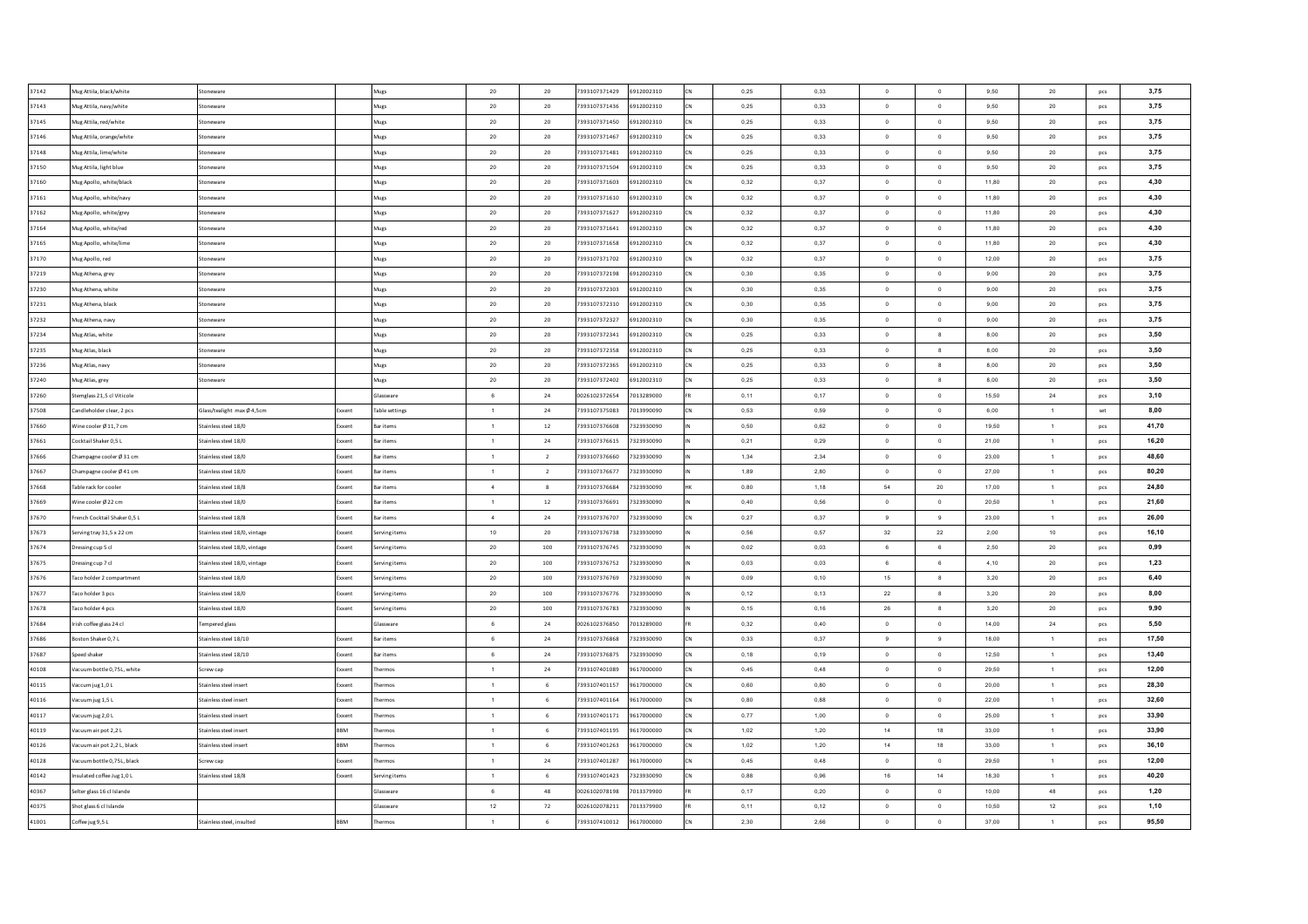| 37142 | Mug Attila, black/white     | Stoneware                               | Mugs                  | 20              | 20             | 7393107371429<br>6912002310 | CN | 0.25 | 0.33 | $\overline{0}$       | $\overline{0}$           | 9,50  | 20             | pcs        | 3,75  |
|-------|-----------------------------|-----------------------------------------|-----------------------|-----------------|----------------|-----------------------------|----|------|------|----------------------|--------------------------|-------|----------------|------------|-------|
| 37143 | Mug Attila, navy/white      | Stoneware                               | Mugs                  | $20\,$          | 20             | 7393107371436<br>6912002310 | CN | 0,25 | 0,33 | $\overline{0}$       | $\circ$                  | 9,50  | 20             | pcs        | 3,75  |
| 37145 | Mug Attila, red/white       | Stoneware                               | Mugs                  | $20\degree$     | 20             | 7393107371450<br>6912002310 | CN | 0,25 | 0,33 | $\overline{0}$       | $\circ$                  | 9,50  | $20\,$         | pcs        | 3,75  |
| 37146 | Mug Attila, orange/white    | Stoneware                               | Mugs                  | $20\degree$     | 20             | 7393107371467<br>6912002310 | CN | 0,25 | 0,33 | $\overline{0}$       | $\circ$                  | 9,50  | $20\degree$    | pcs        | 3,75  |
| 37148 | Mug Attila, lime/white      | Stoneware                               | Mugs                  | $20\degree$     | 20             | 7393107371481<br>6912002310 | CN | 0,25 | 0,33 | $\overline{0}$       | $\circ$                  | 9,50  | 20             | pcs        | 3,75  |
| 37150 | Mug Attila, light blue      | Stoneware                               | Mugs                  | $20\degree$     | 20             | 7393107371504<br>6912002310 | CN | 0.25 | 0.33 | $\circ$              | $\circ$                  | 9,50  | $20\degree$    | pcs        | 3,75  |
| 37160 | Mug Apollo, white/black     | Stoneware                               | Mugs                  | 20 <sub>2</sub> | 20             | 7393107371603<br>6912002310 | CN | 0,32 | 0,37 | $\circ$              | $\overline{0}$           | 11,80 | 20             | pcs        | 4,30  |
| 37161 | Mug Apollo, white/navy      | Stoneware                               | Mugs                  | 20              | 20             | 7393107371610<br>6912002310 | CN | 0,32 | 0.37 | $\overline{0}$       | $\overline{0}$           | 11.80 | 20             | pcs        | 4,30  |
| 37162 | Mug Apollo, white/grey      | Stoneware                               | Mugs                  | $20\degree$     | 20             | 7393107371627<br>6912002310 | CN | 0,32 | 0,37 | $\circ$              | $\overline{\mathbf{0}}$  | 11,80 | $20\,$         | pcs        | 4,30  |
| 37164 | Mug Apollo, white/red       | Stoneware                               | Mugs                  | $20\degree$     | 20             | 7393107371641<br>6912002310 | CN | 0,32 | 0,37 | $\circ$              | $\circ$                  | 11,80 | ${\bf 20}$     | pcs        | 4,30  |
| 37165 | Mug Apollo, white/lime      | Stoneware                               | Mugs                  | $20\,$          | 20             | 7393107371658<br>6912002310 | CN | 0,32 | 0,37 | $\circ$              | $\overline{\mathbf{0}}$  | 11,80 | $20\,$         | pcs        | 4,30  |
| 37170 | Mug Apollo, red             | Stoneware                               | Mugs                  | $20\degree$     | 20             | 7393107371702<br>6912002310 |    | 0,32 | 0,37 | $\circ$              | $\circ$                  | 12,00 | ${\bf 20}$     | pcs        | 3,75  |
| 37219 | Mug Athena, grey            | Stoneware                               | Mugs                  | $20\,$          | $20\,$         | 7393107372198<br>6912002310 |    | 0,30 | 0,35 | $\bullet$            | $\overline{\phantom{a}}$ | 9,00  | ${\bf 20}$     | pcs        | 3,75  |
| 37230 | lug Athena, white           | Stoneware                               | Mugs                  | $20\degree$     | 20             | 7393107372303<br>6912002310 |    | 0,30 | 0,35 | $\overline{0}$       | $\mathbf 0$              | 9,00  | $20\,$         | pcs        | 3,75  |
| 37231 | Mug Athena, black           | Stoneware                               | Mugs                  | $20\degree$     | 20             | 7393107372310<br>6912002310 | CN | 0,30 | 0,35 | $\overline{0}$       | $\circ$                  | 9,00  | $20\,$         | pcs        | 3,75  |
| 37232 | Mug Athena, navy            | Stoneware                               | Mugs                  | $20\degree$     | 20             | 7393107372327<br>6912002310 |    | 0,30 | 0,35 | $\overline{0}$       | $\circ$                  | 9,00  | $20\degree$    | pcs        | 3,75  |
| 37234 | Mug Atlas, white            | Stoneware                               | Mugs                  | $20\degree$     | 20             | 7393107372341<br>6912002310 | CN | 0,25 | 0,33 | $\overline{0}$       | $^{\circ}$               | 8,00  | $20\,$         | pcs        | 3,50  |
| 37235 | Mug Atlas, black            | Stoneware                               | Mugs                  | $20\degree$     | 20             | 7393107372358<br>6912002310 |    | 0,25 | 0,33 | $\overline{0}$       | $_{\rm 8}$               | 8,00  | $20\degree$    | pcs        | 3,50  |
| 37236 | Mug Atlas, navy             | Stoneware                               | Mues                  | $20\degree$     | 20             | 7393107372365<br>6912002310 | CN | 0,25 | 0,33 | $\overline{0}$       | $^{\circ}$               | 8,00  | $20\degree$    | <b>DCS</b> | 3,50  |
| 37240 | Mug Atlas, grey             | Stoneware                               | Mues                  | 20 <sub>2</sub> | 20             | 7393107372402<br>6912002310 |    | 0.25 | 0.33 | $\circ$              | 8                        | 8,00  | 20             | <b>DCS</b> | 3,50  |
| 37260 | Stemglass 21.5 cl Viticole  |                                         | Glassware             | 6               | 24             | 0026102372654<br>7013289000 |    | 0.11 | 0.17 | $\overline{0}$       | $\overline{0}$           | 15.50 | 24             | pcs        | 3,10  |
| 37508 | Candleholder clear, 2 pcs   | Glass/tealight max Ø4.5cm<br>Exxent     | <b>Table settings</b> | $\overline{1}$  | 24             | 7393107375083<br>7013990090 | CN | 0,53 | 0,59 | $\overline{0}$       | $\circ$                  | 6,00  | $\overline{1}$ | set        | 8,00  |
| 37660 | Wine cooler Ø 11,7 cm       | Stainless steel 18/0<br>Exxent          | <b>Bar items</b>      | $\overline{1}$  | 12             | 7393107376608<br>7323930090 |    | 0,50 | 0,62 | $\overline{0}$       | $\overline{0}$           | 19,50 | $\overline{1}$ | pcs        | 41.70 |
| 37661 | Cocktail Shaker 0,5 L       | Stainless steel 18/0<br>Exxent          | <b>Bar items</b>      | $\overline{1}$  | 24             | 7393107376615<br>7323930090 |    | 0,21 | 0,29 | $\circ$              | $\overline{\phantom{a}}$ | 21,00 | $\overline{1}$ | pcs        | 16,20 |
| 37666 | Champagne cooler Ø 31 cm    | Stainless steel 18/0<br>ixxent          | <b>Bar items</b>      | 1               | $\overline{2}$ | 7393107376660<br>7323930090 |    | 1,34 | 2,34 | $\bullet$            | $\overline{\phantom{a}}$ | 23,00 | $\overline{1}$ | pcs        | 48,60 |
| 37667 | Champagne cooler Ø 41 cm    | Stainless steel 18/0<br>ixxent          | Bar items             | $\overline{1}$  | $\overline{2}$ | 7393107376677<br>7323930090 |    | 1,89 | 2,80 | $\bullet$            | $\overline{\phantom{a}}$ | 27,00 | $\overline{1}$ | pcs        | 80,20 |
| 37668 | Table rack for cooler       | Stainless steel 18/8<br>ixxent          | <b>Bar</b> items      | 4               | $\mathbf{8}$   | 7393107376684<br>7323930090 |    | 0,80 | 1,18 | 54                   | 20                       | 17,00 | $\overline{1}$ | pcs        | 24,80 |
| 37669 | Vine cooler Ø 22 cm         | Stainless steel 18/0<br>ixxent          | <b>Bar items</b>      | $\mathbf{1}$    | $12\,$         | 7393107376691<br>7323930090 |    | 0,40 | 0,56 | $\overline{0}$       | $\circ$                  | 20,50 | $\overline{1}$ | pcs        | 21,60 |
| 37670 | rench Cocktail Shaker 0,5 L | Stainless steel 18/8<br>xxent           | <b>Bar items</b>      | 4               | 24             | 7393107376707<br>7323930090 | CN | 0,27 | 0,37 | 9                    | 9                        | 23,00 | $\overline{1}$ | pcs        | 26,00 |
| 37673 | ierving tray 31,5 x 22 cm   | Stainless steel 18/0, vintage<br>Exxent | Serving items         | 10              | 20             | 7393107376738<br>7323930090 |    | 0,56 | 0,57 | 32                   | 22                       | 2,00  | 10             | pcs        | 16,10 |
| 37674 | Oressing cup 5 cl           | Stainless steel 18/0, vintage<br>Exxent | Serving items         | $20\degree$     | 100            | 7393107376745<br>7323930090 |    | 0,02 | 0,03 | 6                    | $6\phantom{.0}$          | 2,50  | $20\degree$    | pcs        | 0,99  |
| 37675 | Oressing cup 7 cl           | Stainless steel 18/0, vintage<br>Exxent | Serving items         | 20 <sub>2</sub> | 100            | 7393107376752<br>7323930090 |    | 0,03 | 0,03 | 6                    | $6\overline{6}$          | 4,10  | 20             | pcs        | 1,23  |
| 37676 | Taco holder 2 compartment   | Stainless steel 18/0<br><b>xxent</b>    | Serving items         | 20 <sub>2</sub> | 100            | 7323930090<br>7393107376769 |    | 0.09 | 0.10 | 15                   | $_{8}$                   | 3,20  | 20             | pcs        | 6,40  |
| 37677 | Taco holder 3 pcs           | Stainless steel 18/0<br>Exxent          | Serving items         | 20 <sub>2</sub> | 100            | 7393107376776<br>7323930090 |    | 0.12 | 0.13 | 22                   | $_{\rm 8}$               | 3,20  | 20             | pcs        | 8,00  |
| 37678 | Taco holder 4 pcs           | Stainless steel 18/0<br>ixxent          | Serving items         | $20\,$          | 100            | 7393107376783<br>7323930090 |    | 0.15 | 0.16 | 26                   | $_{8}$                   | 3,20  | $20\degree$    | pcs        | 9,90  |
| 37684 | Irish coffee glass 24 cl    | Tempered glass                          | Glassware             | 6               | 24             | 0026102376850<br>7013289000 |    | 0.32 | 0.40 | $\overline{0}$       | $\overline{0}$           | 14.00 | 24             | pcs        | 5,50  |
| 37686 | soston Shaker 0,7 L         | Stainless steel 18/10<br>oxent          | <b>Bar items</b>      | 6               | 24             | 7393107376868<br>7323930090 |    | 0,33 | 0,37 | 9                    | 9                        | 18,00 | $\overline{1}$ | pcs        | 17,50 |
| 37687 | peed shaker                 | Stainless steel 18/10<br>xxent          | <b>Bar items</b>      | $6\overline{6}$ | 24             | 7393107376875<br>7323930090 |    | 0,18 | 0,19 | $\circ$              | $\overline{0}$           | 12,50 | $\overline{1}$ | pcs        | 13,40 |
| 40108 | acuum bottle 0,75L, white   | Screw cap<br>oxent                      | hermos                | $\overline{1}$  | 24             | 7393107401089<br>9617000000 |    | 0,45 | 0,48 | $\overline{0}$       | $\overline{0}$           | 29,50 | $\overline{1}$ | pcs        | 12,00 |
| 40115 | accum jug 1,0 L             | Stainless steel insert<br>xxent         | Thermos               | $\overline{1}$  | 6              | 7393107401157<br>9617000000 | CN | 0,60 | 0,80 | $\overline{0}$       | $\,$ 0                   | 20,00 | $\overline{1}$ | pcs        | 28,30 |
| 40116 | acuum jug 1,5 L             | Stainless steel insert<br>oxent         | hermos                | $\mathbf{1}$    | 6              | 7393107401164<br>9617000000 |    | 0,80 | 0,88 | $\overline{0}$       | $\circ$                  | 22,00 | $\overline{1}$ | pcs        | 32,60 |
| 40117 | acuum jug 2,0 L             | Stainless steel insert<br>ixxent        | hermos                | $\mathbf{1}$    | 6              | 7393107401171<br>9617000000 | CN | 0,77 | 1,00 | $\overline{0}$       | $\,$ 0                   | 25,00 | $\overline{1}$ | pcs        | 33,90 |
| 40119 | acuum air pot 2,2 L         | Stainless steel insert<br>BM            | hermos                | $\mathbf{1}$    | 6              | 7393107401195<br>9617000000 |    | 1,02 | 1,20 | 14                   | 18                       | 33,00 | $\overline{1}$ | pcs        | 33,90 |
| 40126 | Vacuum air pot 2,2 L, black | BBM<br>Stainless steel insert           | Thermos               | $\overline{1}$  | 6              | 7393107401263<br>9617000000 | CN | 1,02 | 1,20 | 14                   | 18                       | 33,00 | $\overline{1}$ | pcs        | 36,10 |
| 40128 | Vacuum bottle 0.75L, black  | Screw cap<br><b>xxent</b>               | Thermos               | $\overline{1}$  | 24             | 7393107401287<br>9617000000 |    | 0.45 | 0.48 | $\circ$              | $\overline{0}$           | 29,50 | $\overline{1}$ | <b>DCS</b> | 12,00 |
| 40142 | nsulated coffee Jug 1.0 L   | Stainless steel 18/8<br>Exxent          | Serving items         | $\overline{1}$  | 6              | 7393107401423<br>7323930090 | CN | 0,88 | 0,96 | 16                   | 14                       | 18,30 | $\overline{1}$ | pcs        | 40,20 |
| 40367 | elter glass 16 cl Islande   |                                         | Glassware             | 6               | 48             | 0026102078198<br>7013379900 |    | 0.17 | 0.20 | $\circ$              | $\overline{0}$           | 10.00 | 48             | pcs        | 1,20  |
| 40375 | hot glass 6 cl Islande      |                                         | Glassware             | $12\,$          | 72             | 0026102078211<br>7013379900 |    | 0.11 | 0.12 | $\ddot{\phantom{0}}$ | $\circ$                  | 10,50 | 12             | pcs        | 1,10  |
| 41001 | Coffee jug 9,5 L            | <b>BBM</b><br>Stainless steel, insulted | Thermos               | $\overline{1}$  | 6              | 7393107410012<br>9617000000 | CN | 2.30 | 2.66 | $\circ$              | $\circ$                  | 37.00 | $\overline{1}$ | pcs        | 95,50 |
|       |                             |                                         |                       |                 |                |                             |    |      |      |                      |                          |       |                |            |       |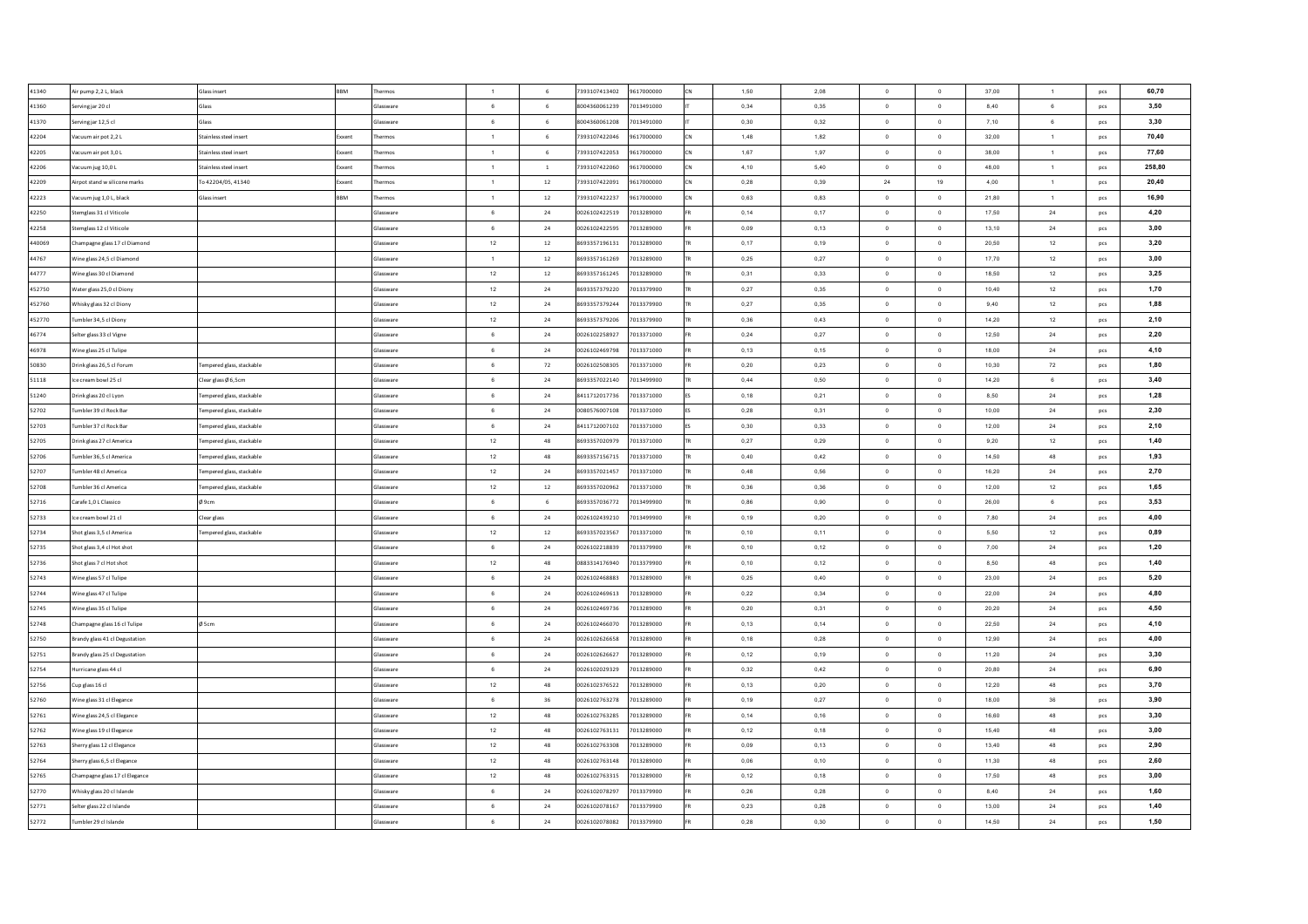| 41340          | Air pump 2,2L, black           | Glass insert              | <b>BBM</b> | hermos           | $\overline{1}$  | 6               | 7393107413402 | 9617000000 | 1.50         | 2.08 | $\Omega$       | $\overline{0}$          | 37,00          | $\overline{1}$ | pcs        | 60,70  |
|----------------|--------------------------------|---------------------------|------------|------------------|-----------------|-----------------|---------------|------------|--------------|------|----------------|-------------------------|----------------|----------------|------------|--------|
| 41360          | Serving jar 20 cl              | Glass                     |            | Glassware        | 6               | 6               | 8004360061239 | 7013491000 | 0,34         | 0,35 | $\overline{0}$ | $\ddot{\phantom{0}}$    | 8,40           | 6              | pcs        | 3.50   |
| 41370          | ierving jar 12,5 cl            | Glass                     |            | Glassware        | 6               | 6               | 8004360061208 | 7013491000 | 0,30         | 0,32 | $^{\circ}$     | $\mathbf 0$             | 7,10           | 6              | pcs        | 3,30   |
| 42204          | Vacuum air pot 2,2 L           | Stainless steel insert    | Exxent     | hermos           | $\overline{1}$  | $6\overline{6}$ | 7393107422046 | 9617000000 | 1,48         | 1,82 | $\overline{0}$ | $\overline{\mathbf{0}}$ | 32,00          | $\mathbf{1}$   | pcs        | 70,40  |
| 42205          | acuum air pot 3,0 L            | Stainless steel insert    | Exxen      | ermos            | $\overline{1}$  | 6               | 7393107422053 | 9617000000 | 1,67         | 1,97 | $^{\circ}$     | $\mathbf 0$             | 38,00          | $\mathbf{1}$   | pcs        | 77,60  |
| 42206          | acuum jug 10,0 L               | stainless steel insert    | Exxent     | hermos           | $\blacksquare$  | $\,$ 1 $\,$     | 7393107422060 | 9617000000 | 4,10         | 5,40 | $\circ$        | $\circ$                 | 48,00          | $\mathbf{1}$   | pcs        | 258,80 |
| 42209          | Virpot stand w silicone marks  | To 42204/05, 41340        | Exxent     | ermos            | $\mathbf{1}$    | $12\,$          | 7393107422091 | 9617000000 | 0,28         | 0,39 | $\bf 24$       | 19                      | 4,00           | $\mathbf{1}$   | pcs        | 20,40  |
| 42223          | Vacuum jug 1,0 L, black        | Glass insert              | <b>BBM</b> | hermos           | $\overline{1}$  | $12\,$          | 7393107422237 | 9617000000 | 0,63         | 0,83 | $\overline{0}$ | $\circ$                 | 21,80          | $\mathbf{1}$   | pcs        | 16,90  |
| 42250          | temglass 31 cl Viticole        |                           |            | Glassware        | 6               | $24\,$          | 0026102422519 | 7013289000 | 0,14         | 0,17 | $\overline{0}$ | $\,$ 0                  | 17,50          | 24             | pcs        | 4,20   |
| 42258          | temglass 12 cl Viticole        |                           |            | Glassware        | $6\overline{6}$ | 24              | 0026102422595 | 7013289000 | 0,09         | 0,13 | $\circ$        | $\overline{0}$          | 13,10          | 24             | <b>DCS</b> | 3,00   |
| 440069         | Champagne glass 17 cl Diamond  |                           |            | Glassware        | 12              | 12              | 8693357196131 | 7013289000 | 0,17         | 0.19 | $\overline{0}$ | $\circ$                 | 20.50          | 12             | pcs        | 3,20   |
| 44767          | Vine glass 24,5 cl Diamond     |                           |            | Glassware        | $\overline{1}$  | 12              | 8693357161269 | 7013289000 | 0,25         | 0,27 | $\overline{0}$ | $\circ$                 | 17,70          | 12             | pcs        | 3,00   |
| 44777          | Vine glass 30 cl Diamond       |                           |            | Glassware        | $12\,$          | 12              | 8693357161245 | 7013289000 | 0.31         | 0.33 | $\overline{0}$ | $\mathbf{0}$            | 18.50          | 12             | pcs        | 3,25   |
| 452750         | Vater glass 25,0 cl Diony      |                           |            | Glassware        | 12              | 24              | 8693357379220 | 7013379900 | 0,27         | 0,35 | $\Omega$       | $\theta$                | 10,40          | 12             | pcs        | 1,70   |
| 452760         | Whisky glass 32 cl Diony       |                           |            | Glassware        | $12\,$          | 24              | 8693357379244 | 7013379900 | 0,27         | 0,35 | $\overline{0}$ | $\overline{0}$          | 9,40           | 12             | pcs        | 1,88   |
| 452770         | umbler 34,5 cl Diony           |                           |            | ilassware        | 12              | 24              | 8693357379206 | 7013379900 | 0,36         | 0,43 | $\circ$        | $\overline{0}$          | 14,20          | 12             | pcs        | 2,10   |
| 46774          | ielter glass 33 cl Vigne       |                           |            | ilassware        | $\,6\,$         | 24              | 0026102258927 | 7013371000 | 0,24         | 0,27 | $\,$ 0 $\,$    | $\,$ 0                  | 12,50          | 24             | pcs        | 2,20   |
| 46978          | /ine glass 25 cl Tulipe        |                           |            | lassware         | $\,6\,$         | $\bf{24}$       | 0026102469798 | 7013371000 | 0,13         | 0,15 | $\,$ 0 $\,$    | $\,$ 0                  | 18,00          | 24             | pcs        | 4,10   |
| 50830          | Orink glass 26,5 cl Forum      | lempered glass, stackable |            | Glassware        | 6               | 72              | 0026102508305 | 7013371000 | 0,20         | 0,23 | $\,$ 0 $\,$    | $\mathbf 0$             | 10,30          | 72             | pcs        | 1,80   |
| 51118          | ce cream bowl 25 cl            | Clear glass Ø 6,5cm       |            | ilassware        | 6               | $\bf{24}$       | 8693357022140 | 7013499900 | 0,44         | 0,50 | $\circ$        | $\,$ 0                  | 14,20          | 6              | pcs        | 3,40   |
| 51240          | Orink glass 20 cl Lyon         | lempered glass, stackable |            | Glassware        | 6               | 24              | 8411712017736 | 7013371000 | 0,18         | 0,21 | $\circ$        | $\,$ 0 $\,$             | 8,50           | $\bf 24$       | pcs        | 1,28   |
| 52702          | umbler 39 cl Rock Bar          | Fempered glass, stackable |            | Glassware        | 6               | $24\,$          | 0080576007108 | 7013371000 | 0,28         | 0,31 | $\circ$        | $\circ$                 | 10,00          | $\bf 24$       | pcs        | 2,30   |
| 52703          | umbler 37 cl Rock Bar          | lempered glass, stackable |            | Glassware        | 6               | 24              | 8411712007102 | 7013371000 | 0,30         | 0.33 | $\overline{0}$ | $\circ$                 | 12.00          | $\bf 24$       | pcs        | 2,10   |
| 52705          | Drink glass 27 cl America      | Tempered glass, stackable |            | Glassware        | 12              | 48              | 8693357020979 | 7013371000 | 0.27         | 0.29 | $\overline{0}$ | $\overline{0}$          | 9.20           | 12             | pcs        | 1.40   |
| 52706          | umbler 36.5 cl America         | Tempered glass, stackable |            | Glassware        | $12\,$          | 48              | 8693357156715 | 7013371000 | 0,40         | 0.42 | $\Omega$       | $\overline{0}$          | 14.50          | 48             | pcs        | 1,93   |
| 52707          | umbler 48 cl America           | lempered glass, stackable |            | Glassware        | 12              | 24              | 8693357021457 | 7013371000 | 0.48         | 0.56 | $\Omega$       | $\overline{0}$          | 16.20          | 24             | pcs        | 2,70   |
| 52708          | umbler 36 cl America           | Tempered glass, stackable |            | Glassware        | $12\,$          | 12              | 8693357020962 | 7013371000 | 0,36         | 0,36 | $\overline{0}$ | $\overline{0}$          | 12,00          | 12             | pcs        | 1,65   |
| 52716          | Carafe 1,0 L Classico          | Ø9cm                      |            | Glassware        | 6               | 6               | 8693357036772 | 7013499900 | 0,86         | 0,90 | $^{\circ}$     | $\overline{0}$          | 26.00          | 6              | pcs        | 3,53   |
| 52733          | ce cream bowl 21 cl            | Clear glass               |            | Glassware        | $6\overline{6}$ | 24              | 0026102439210 | 7013499900 | 0,19         | 0,20 | $\overline{0}$ | $\bullet$               | 7,80           | 24             | pcs        | 4,00   |
| 52734          | hot glass 3,5 cl America       | Fempered glass, stackable |            | Glassware        | $12\,$          | $12\,$          | 8693357023567 | 7013371000 | 0,10         | 0,11 | $\circ$        | $\mathbf{0}$            | 5,50           | 12             | pcs        | 0,89   |
| 52735          | hot glass 3,4 cl Hot shot      |                           |            | <b>Glassware</b> | 6               | 24              | 0026102218839 | 7013379900 | 0,10         | 0,12 | $\overline{0}$ | $\circ$                 | 7,00           | 24             | pcs        | 1,20   |
| 52736          | hot glass 7 cl Hot shot        |                           |            | Glassware        | $12\,$          | 48              | 0883314176940 | 7013379900 | 0,10         | 0,12 | $\overline{0}$ | $\,$ 0                  | 8,50           | 48             | pcs        | 1,40   |
| 52743          | Vine glass 57 cl Tulipe        |                           |            | Glassware        | 6               | 24              | 0026102468883 | 7013289000 | 0,25         | 0,40 | $\overline{0}$ | $\circ$                 | 23,00          | 24             | pcs        | 5,20   |
| 52744          | Vine glass 47 cl Tulipe        |                           |            | Glassware        | 6               | 24              | 0026102469613 | 7013289000 | 0,22         | 0,34 | $\overline{0}$ | $\circ$                 | 22,00          | 24             | pcs        | 4,80   |
| 52745          | Vine glass 35 cl Tulipe        |                           |            | Glassware        | 6               | 24              | 0026102469736 | 7013289000 | 0,20         | 0,31 | $\circ$        | $\circ$                 | 20,20          | 24             | <b>DCS</b> | 4,50   |
| 52748          | Champagne glass 16 cl Tulipe   | Ø <sub>5cm</sub>          |            | Glassware        | $6\overline{6}$ | 24              | 0026102466070 | 7013289000 | 0,13         | 0,14 | $\overline{0}$ | $\overline{0}$          | 22,50          | 24             | pcs        | 4,10   |
| 52750          |                                |                           |            | Glassware        | 6               | 24              | 0026102626658 | 7013289000 | 0,18         | 0,28 | $\overline{0}$ | $\circ$                 | 12,90          | 24             |            | 4,00   |
|                | Brandy glass 41 cl Degustation |                           |            | Glassware        | 6               | 24              | 0026102626627 | 7013289000 |              | 0,19 | $\overline{0}$ | $\,$ 0                  |                |                | pcs        | 3,30   |
| 52751<br>52754 | Brandy glass 25 cl Degustation |                           |            | Glasswar         | 6               | 24              | 0026102029329 | 7013289000 | 0,12<br>0,32 | 0,42 | $\overline{0}$ | $\circ$                 | 11,20<br>20,80 | $\bf 24$       | pcs        | 6,90   |
|                | urricane glass 44 cl           |                           |            |                  |                 | 48              |               |            |              |      | $\overline{0}$ |                         |                | 24             | pcs        |        |
| 52756          | cup glass 16 cl                |                           |            | Glassware        | $12\,$          |                 | 0026102376522 | 7013289000 | 0,13         | 0,20 |                | $\,$ 0                  | 12,20          | 48             | pcs        | 3,70   |
| 52760          | ine glass 31 cl Elegance       |                           |            | ilassware        | 6               | 36              | 0026102763278 | 7013289000 | 0,19         | 0,27 | $\circ$        | $\overline{0}$          | 18,00          | 36             | pcs        | 3,90   |
| 52761          | Vine glass 24,5 cl Elegance    |                           |            | ilassware        | 12              | 48              | 0026102763285 | 7013289000 | 0,14         | 0,16 | $\circ$        | $\,$ 0                  | 16,60          | 48             | pcs        | 3,30   |
| 52762          | /ine glass 19 cl Elegance      |                           |            | lassware         | 12              | 48              | 0026102763131 | 7013289000 | 0,12         | 0,18 | $\,$ 0 $\,$    | $\,$ 0                  | 15,40          | 48             | pcs        | 3,00   |
| 52763          | herry glass 12 cl Elegance     |                           |            | Glassware        | 12              | 48              | 0026102763308 | 7013289000 | 0,09         | 0,13 | $\circ$        | $\circ$                 | 13,40          | 48             | pcs        | 2,90   |
| 52764          | herry glass 6,5 cl Elegance    |                           |            | Glassware        | 12              | 48              | 0026102763148 | 7013289000 | 0,06         | 0,10 | $\overline{0}$ | $\,$ 0                  | 11,30          | 48             | pcs        | 2,60   |
| 52765          | hampagne glass 17 cl Elegance  |                           |            | Glassware        | 12              | 48              | 0026102763315 | 7013289000 | 0,12         | 0,18 | $\circ$        | $\overline{0}$          | 17,50          | 48             | pcs        | 3,00   |
| 52770          | Vhisky glass 20 cl Islande     |                           |            | Glassware        | 6               | 24              | 0026102078297 | 7013379900 | 0,26         | 0.28 | $\overline{0}$ | $\circ$                 | 8.40           | 24             | pcs        | 1,60   |
| 52771          | ielter glass 22 cl Islande     |                           |            | Glassware        | 6               | 24              | 0026102078167 | 7013379900 | 0,23         | 0,28 | $\overline{0}$ | $\circ$                 | 13.00          | 24             | pcs        | 1,40   |
| 52772          | umbler 29 cl Islande           |                           |            | Glassware        | 6               | $\bf{24}$       | 0026102078082 | 7013379900 | 0,28         | 0,30 | $\circ$        | $\mathbf{0}$            | 14.50          | 24             | pcs        | 1,50   |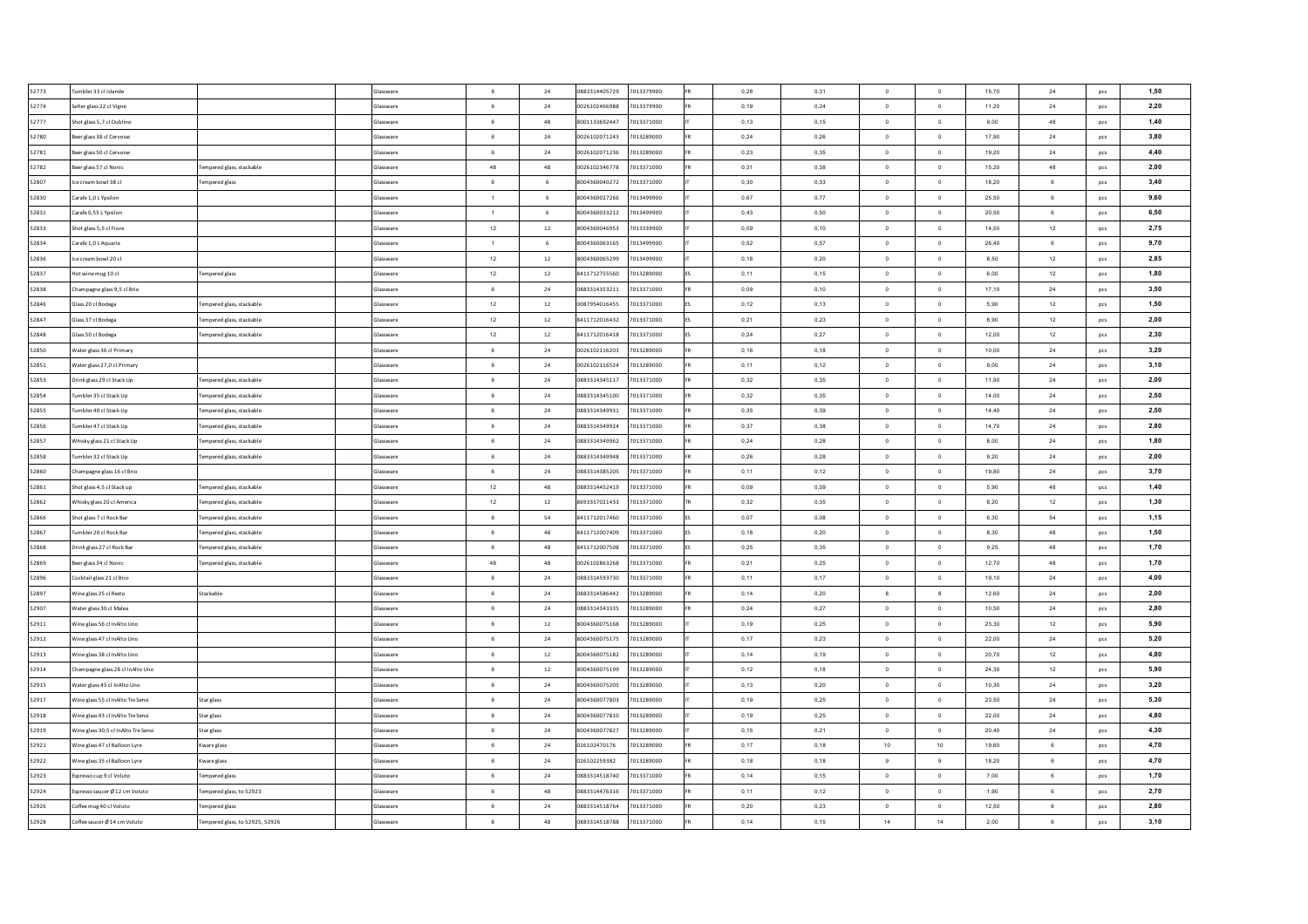| 52773 | umbler 33 cl Islande                                            | Glassware        | 6               | 24        | 0883314405729 | 7013379900 | 0,28 | 0.31 | $\circ$        | $\overline{0}$   | 15,70 | 24             | pcs        | 1,50 |
|-------|-----------------------------------------------------------------|------------------|-----------------|-----------|---------------|------------|------|------|----------------|------------------|-------|----------------|------------|------|
| 52774 | elter glass 22 cl Vigne                                         | ilassware        | $6\overline{6}$ | 24        | 0026102466988 | 7013379900 | 0,19 | 0,24 | $\circ$        | $\circ$          | 11,20 | $\bf{24}$      | pcs        | 2,20 |
| 52777 | hot glass 5,7 cl Dublino                                        | <b>Glassware</b> | $6\overline{6}$ | 48        | 8001133692447 | 7013371000 | 0,13 | 0,15 | $\circ$        | $\,$ 0           | 9,00  | 48             | pcs        | 1,40 |
| 52780 | seer glass 38 cl Cervoise                                       | <b>Glassware</b> | 6               | 24        | 0026102071243 | 7013289000 | 0,24 | 0,26 | $\overline{0}$ | $\circ$          | 17,90 | 24             | pcs        | 3,80 |
| 52781 | seer glass 50 cl Cervoise                                       | Glassware        | $\,6\,$         | $24\,$    | 0026102071236 | 7013289000 | 0,23 | 0,35 | $\circ$        | $\,$ 0           | 19,20 | 24             | pcs        | 4,40 |
| 52782 | seer glass 57 cl Nonic<br>Fempered glass, stackable             | Glassware        | 48              | 48        | 0026102346778 | 7013371000 | 0,31 | 0,38 | $\overline{0}$ | $\circ$          | 15,20 | 48             | <b>DCS</b> | 2,00 |
| 52807 | ce cream bowl 38 cl<br><b>Fempered glass</b>                    | Glassware        | 6               | 6         | 8004360040272 | 7013371000 | 0,30 | 0,33 | $\overline{0}$ | $\mathbf{0}$     | 18.20 | 6              | pcs        | 3,40 |
| 52830 | Carafe 1,0 L Ypsilon                                            | Glassware        | $\overline{1}$  | 6         | 8004360027266 | 7013499900 | 0.67 | 0.77 | $\Omega$       | $\circ$          | 25.50 | 6              | pcs        | 9,60 |
| 52831 | Carafe 0,55 L Ypsilon                                           | <b>Glassware</b> | $\overline{1}$  | 6         | 8004360033212 | 7013499900 | 0,43 | 0,50 | $^{\circ}$     | $\mathbf{0}$     | 20.50 | 6              | pcs        | 6,50 |
| 52833 | hot glass 5,5 cl Fiore                                          | <b>Glassware</b> | $12\,$          | 12        | 8004360046953 | 7013339900 | 0,09 | 0,10 | $\overline{0}$ | $\circ$          | 14,50 | 12             | pcs        | 2,75 |
| 52834 | Carafe 1,0 L Aquaria                                            | ilassware        | $\overline{1}$  | 6         | 8004360063165 | 7013499900 | 0,52 | 0,57 | $\overline{0}$ | $\overline{0}$   | 26,40 | 6              | pcs        | 9,70 |
| 52836 | e cream bowl 20 cl                                              | <b>Glassware</b> | $12\,$          | $12\,$    | 8004360065299 | 7013499900 | 0,18 | 0,20 | $\Omega$       | $\,$ 0           | 8,50  | 12             | pcs        | 2,85 |
| 52837 | lot wine mug 10 cl<br><b>Tempered glass</b>                     | ilassware        | $12\,$          | $12\,$    | 8411712755560 | 7013289000 | 0,11 | 0,15 | $\overline{0}$ | $\overline{0}$   | 6,00  | 12             | pcs        | 1,80 |
| 52838 | hampagne glass 9,5 cl Brio                                      | ilassware        | 6               | 24        | 0883314353211 | 7013371000 | 0,09 | 0,10 | $\mathbf 0$    | $\bf{0}$         | 17,10 | 24             | pcs        | 3,50 |
| 52846 | Slass 20 cl Bodega<br>Fempered glass, stackable                 | <b>Slassware</b> | $12\,$          | $12\,$    | 0087954016455 | 7013371000 | 0,12 | 0,13 | $\circ$        | $\,$ 0           | 5,90  | 12             | pcs        | 1,50 |
| 52847 | lass 37 cl Bodega<br>Fempered glass, stackable                  | <b>Glassware</b> | 12              | $12\,$    | 8411712016432 | 7013371000 | 0,21 | 0,23 | $\circ$        | $\,$ 0           | 8,90  | 12             | pcs        | 2,00 |
| 52848 | Slass 50 cl Bodega<br>Fempered glass, stackable                 | Glassware        | 12              | $12\,$    | 8411712016418 | 7013371000 | 0,24 | 0,27 | $\mathbf 0$    | $\,$ 0           | 12,00 | 12             | pcs        | 2,30 |
| 52850 | Vater glass 36 cl Primary                                       | Glassware        | 6               | $24\,$    | 0026102116203 | 7013289000 | 0,16 | 0,18 | $\,$ 0 $\,$    | $\,$ 0           | 10,00 | 24             | pcs        | 3,20 |
| 52851 | Vater glass 27.0 cl Primary                                     | Glassware        | 6               | 24        | 0026102116524 | 7013289000 | 0,11 | 0,12 | $\overline{0}$ | $\circ$          | 9,00  | 24             | pcs        | 3,10 |
| 52853 | Orink glass 29 cl Stack Up<br>Tempered glass, stackable         | Glassware        | 6               | 24        | 0883314345117 | 7013371000 | 0,32 | 0,35 | $\overline{0}$ | $\overline{0}$   | 11,90 | 24             | pcs        | 2,00 |
| 52854 | umbler 35 cl Stack Up<br>Tempered glass, stackable              | Glassware        | 6               | 24        | 0883314345100 | 7013371000 | 0,32 | 0,35 | $\overline{0}$ | $\circ$          | 14.00 | 24             | pcs        | 2,50 |
| 52855 | umbler 40 cl Stack Up<br>Tempered glass, stackable              | Glassware        | 6               | 24        | 0883314349931 | 7013371000 | 0.35 | 0.39 | $^{\circ}$     | $\overline{0}$   | 14.40 | 24             | pcs        | 2,50 |
| 52856 | umbler 47 cl Stack Up<br>Tempered glass, stackable              | Glassware        | 6               | 24        | 0883314349924 | 7013371000 | 0,37 | 0,38 | $\overline{0}$ | $\overline{0}$   | 14,70 | 24             | pcs        | 2.80 |
| 52857 | Whisky glass 21 cl Stack Up<br>lempered glass, stackable        | Glassware        | 6               | 24        | 0883314349962 | 7013371000 | 0,24 | 0,28 | $\Omega$       | $\mathbf 0$      | 8,00  | 24             | pcs        | 1,80 |
| 52858 | umbler 32 cl Stack Up<br>Tempered glass, stackable              | Glassware        | 6               | 24        | 0883314349948 | 7013371000 | 0,26 | 0,28 | $\overline{0}$ | $\bullet$        | 9,20  | 24             | pcs        | 2,00 |
| 52860 | Champagne glass 16 cl Brio                                      | Glassware        | 6               | 24        | 0883314385205 | 7013371000 | 0,11 | 0,12 | $\Omega$       | $\mathbf 0$      | 19.80 | 24             | pcs        | 3,70 |
| 52861 | ihot glass 4,5 cl Stack up<br>Fempered glass, stackable         | <b>Glassware</b> | 12              | 48        | 0883314452419 | 7013371000 | 0,09 | 0,09 | $^{\circ}$     | $\circ$          | 5,90  | 48             | pcs        | 1,40 |
| 52862 | Vhisky glass 20 cl America<br>empered glass, stackable          | <b>Glassware</b> | 12              | $12\,$    | 8693357021433 | 7013371000 | 0,32 | 0,35 | $\circ$        | $\mathbf 0$      | 8,20  | 12             | pcs        | 1,30 |
| 52866 | hot glass 7 cl Rock Bar<br>lempered glass, stackable            | Glassware        | $\,$ 6 $\,$     | 54        | 8411712017460 | 7013371000 | 0,07 | 0,08 | $\mathbf 0$    | $\,$ 0           | 6,30  | 54             | pcs        | 1,15 |
| 52867 | umbler 20 cl Rock Bar<br>lempered glass, stackable              | Glassware        | 6               | 48        | 8411712007409 | 7013371000 | 0,18 | 0,20 | $\overline{0}$ | $\,$ 0           | 8,30  | 48             | pcs        | 1,50 |
| 52868 | Orink glass 27 cl Rock Bar<br>Fempered glass, stackable         | Glassware        | 6               | 48        | 8411712007508 | 7013371000 | 0,25 | 0,35 | $\circ$        | $\circ$          | 9,25  | 48             | pcs        | 1,70 |
| 52869 | seer glass 34 cl Nonic<br>Tempered glass, stackable             | Glassware        | 48              | 48        | 0026102863268 | 7013371000 | 0,21 | 0,25 | $\overline{0}$ | $\mathbf{0}$     | 12,70 | 48             | pcs        | 1,70 |
| 52896 | Cocktail glass 21 cl Brio                                       | Glassware        | $6\overline{6}$ | 24        | 0883314593730 | 7013371000 | 0,11 | 0,17 | $\overline{0}$ | $\circ$          | 19,10 | 24             | <b>DCS</b> | 4,00 |
| 52897 | Stackable<br>Vine glass 25 cl Resto                             | Glassware        | 6               | 24        | 0883314586442 | 7013289000 | 0.14 | 0.20 | 8              | $\boldsymbol{8}$ | 12.60 | 24             | pcs        | 2,00 |
| 52907 | Vater glass 30 cl Malea                                         | <b>Glassware</b> | 6               | 24        | 0883314343335 | 7013289000 | 0.24 | 0,27 | $\overline{0}$ | $\circ$          | 10.50 | $\bf 24$       | pcs        | 2,80 |
| 52911 | Vine glass 56 cl InAlto Uno                                     | Glassware        | 6               | 12        | 8004360075168 | 7013289000 | 0.19 | 0,25 | $\overline{0}$ | $\mathbf{0}$     | 23.30 | 12             | pcs        | 5,90 |
| 52912 | /ineglass 47 cl InAlto Uno                                      | <b>Glassware</b> | 6               | 24        | 8004360075175 | 7013289000 | 0,17 | 0,23 | $\overline{0}$ | $\mathbf 0$      | 22,00 | 24             | pcs        | 5,20 |
| 52913 | Vine glass 38 cl InAlto Uno                                     | ilassware        | 6               | $12\,$    | 8004360075182 | 7013289000 | 0,14 | 0,19 | $\overline{0}$ | $\,$ 0           | 20,70 | 12             | pcs        | 4,80 |
| 52914 | hampagne glass 28 cl InAlto Uno                                 | lassware         | 6               | 12        | 8004360075199 | 7013289000 | 0,12 | 0,18 | $\circ$        | $\overline{0}$   | 24,30 | 12             | pcs        | 5,90 |
| 52915 | Vater glass 45 cl InAlto Uno                                    | lassware         | $6\overline{6}$ | 24        | 8004360075205 | 7013289000 | 0,13 | 0,20 | $\circ$        | $\mathbf 0$      | 10,30 | 24             | pcs        | 3,20 |
| 52917 | /ine glass 55 cl InAlto Tre Sensi<br>Star glass                 | lassware         | $\,6\,$         | $\bf{24}$ | 8004360077803 | 7013289000 | 0,19 | 0,25 | $\,$ 0 $\,$    | $\,$ 0           | 23,50 | 24             | pcs        | 5,30 |
| 52918 | Vine glass 43 cl InAlto Tre Sensi<br>Star glass                 | lassware         | 6               | 24        | 8004360077810 | 7013289000 | 0,19 | 0,25 | $\,$ 0 $\,$    | $\,$ 0           | 22,00 | 24             | pcs        | 4,80 |
| 52919 | /ine glass 30,5 cl InAlto Tre Sensi<br>star glass               | lassware         | 6               | 24        | 8004360077827 | 7013289000 | 0,15 | 0,21 | $\mathbf 0$    | $\mathbf 0$      | 20,40 | 24             | pcs        | 4,30 |
| 52921 | Vine glass 47 cl Balloon Lyre<br>Kwarx glass                    | Glassware        | $\,6\,$         | $24\,$    | 026102470176  | 7013289000 | 0,17 | 0,18 | 10             | 10               | 19,60 | $\mathbf 6$    | pcs        | 4,70 |
| 52922 | Vine glass 35 cl Balloon Lyre<br>Kwarx glass                    | Glassware        | 6               | 24        | 026102259382  | 7013289000 | 0,18 | 0,18 | -9             | 9                | 18.20 | 6              | pcs        | 4,70 |
| 52923 | spresso cup 9 cl Voluto<br><b>Fempered glass</b>                | Glassware        | 6               | 24        | 0883314518740 | 7013371000 | 0,14 | 0,15 | $\overline{0}$ | $\circ$          | 7,00  | $6\phantom{a}$ | pcs        | 1,70 |
| 52924 | spresso saucer Ø 12 cm Voluto<br>Tempered glass, to 52923       | Glassware        | 6               | 48        | 0883314476316 | 7013371000 | 0.11 | 0.12 | $\overline{0}$ | $\circ$          | 1.90  | 6              | pcs        | 2,70 |
| 52926 | Coffee mug 40 cl Voluto<br><b>Fempered glass</b>                | Glassware        | 6               | 24        | 0883314518764 | 7013371000 | 0,20 | 0,23 | $\overline{0}$ | $\circ$          | 12,50 | 6              | pcs        | 2,80 |
| 52928 | Tempered glass, to 52925, 52926<br>Coffee saucer Ø 14 cm Voluto | Glassware        | 6               | 48        | 0883314518788 | 7013371000 | 0,14 | 0,15 | 14             | 14               | 2,00  | 6              | pcs        | 3,10 |
|       |                                                                 |                  |                 |           |               |            |      |      |                |                  |       |                |            |      |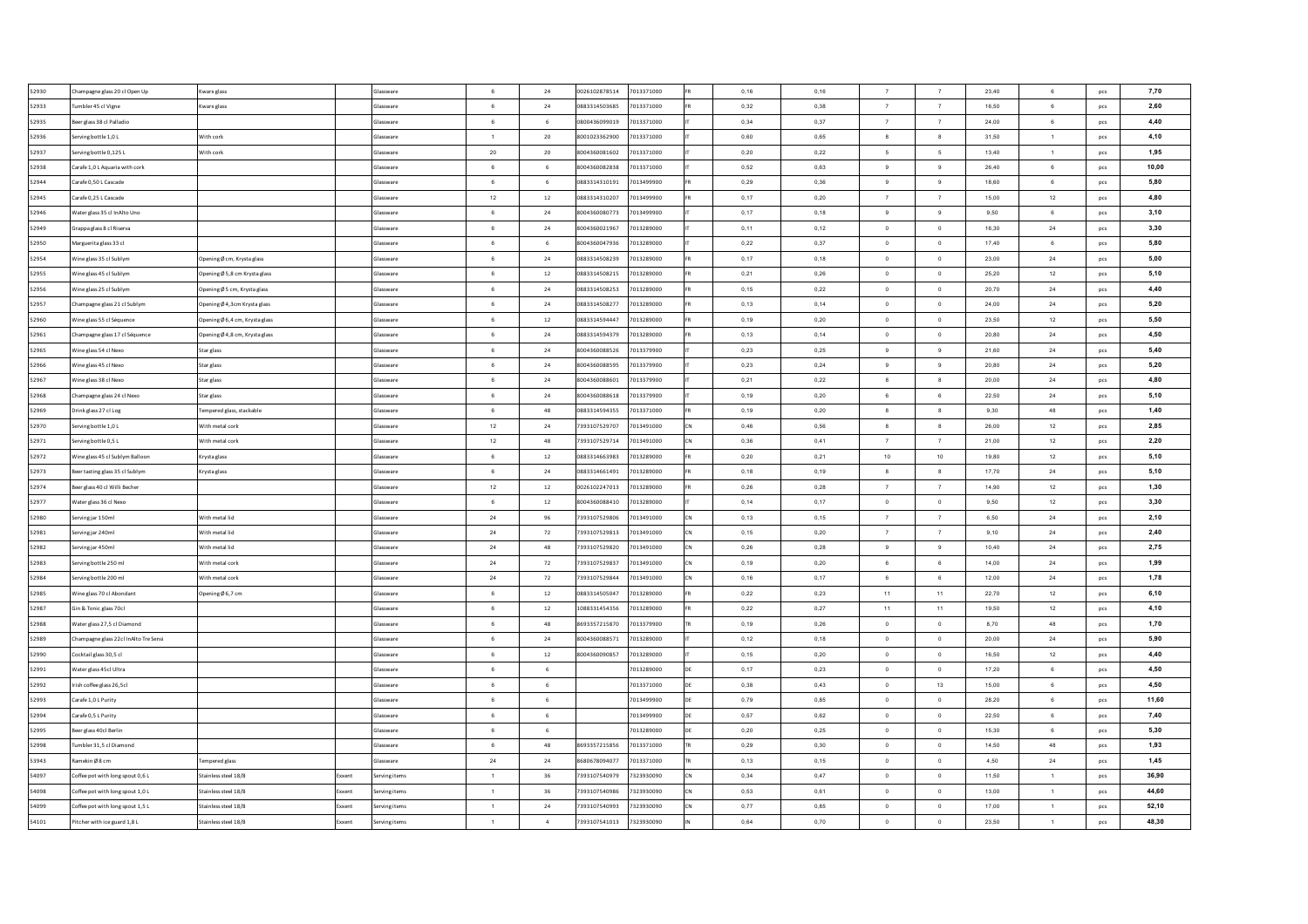| 52930 | Champagne glass 20 cl Open Up         | Kwarx glass                     |        | Glassware        | 6               | 24              | 0026102878514 | 7013371000 | 0.16 | 0.16 | $\overline{7}$ | $\overline{7}$           | 23.40 | 6              | pcs        | 7,70  |
|-------|---------------------------------------|---------------------------------|--------|------------------|-----------------|-----------------|---------------|------------|------|------|----------------|--------------------------|-------|----------------|------------|-------|
| 52933 | Tumbler 45 cl Vigne                   | Kwarx glass                     |        | Glassware        | 6               | 24              | 0883314503685 | 7013371000 | 0,32 | 0,38 | $\overline{7}$ | 7                        | 16.50 | 6              | pcs        | 2,60  |
| 52935 | Seer glass 38 cl Palladio             |                                 |        | Glassware        | 6               | 6               | 0800436099019 | 7013371000 | 0,34 | 0,37 | $\overline{7}$ | 7                        | 24,00 | 6              | pcs        | 4,40  |
| 52936 | erving bottle 1,0 L                   | With cork                       |        | Glassware        | $\overline{1}$  | 20              | 8001023362900 | 7013371000 | 0,60 | 0,65 | $^{\circ}$     | $\overline{\mathbf{8}}$  | 31,50 | $\overline{1}$ | pcs        | 4,10  |
| 52937 | erving bottle 0,125L                  | With cork                       |        | Glassware        | 20              | 20              | 8004360081602 | 7013371000 | 0,20 | 0,22 | - 5            | 5                        | 13,40 | $\mathbf{1}$   | pcs        | 1,95  |
| 52938 | Carafe 1,0 L Aquaria with cork        |                                 |        | <b>Glassware</b> | 6               | $6\overline{6}$ | 8004360082838 | 7013371000 | 0,52 | 0,63 | 9              | 9                        | 26,40 | 6              | pcs        | 10,00 |
| 52944 | Carafe 0,50 L Cascade                 |                                 |        | Glassware        | $\,$ 6 $\,$     | 6               | 0883314310191 | 7013499900 | 0,29 | 0,36 | 9              | $\boldsymbol{9}$         | 18,60 | $\mathbf 6$    | pcs        | 5,80  |
| 52945 | Carafe 0,25 L Cascade                 |                                 |        | Glassware        | $12\,$          | $12\,$          | 0883314310207 | 7013499900 | 0,17 | 0,20 | $\overline{7}$ | $\scriptstyle{7}$        | 15,00 | 12             | pcs        | 4,80  |
| 52946 | Vater glass 35 cl InAlto Uno          |                                 |        | Glassware        | 6               | $24\,$          | 8004360080773 | 7013499900 | 0,17 | 0,18 | 9              | $_{9}$                   | 9,50  | 6              | pcs        | 3,10  |
| 52949 | Srappa glass 8 cl Riserva             |                                 |        | Glassware        | $6\overline{6}$ | 24              | 8004360021967 | 7013289000 | 0,11 | 0,12 | $\circ$        | $\overline{0}$           | 16,30 | 24             | pcs        | 3,30  |
| 52950 | Marguerita glass 33 cl                |                                 |        | Glassware        | 6               | 6               | 8004360047936 | 7013289000 | 0,22 | 0,37 | $\overline{0}$ | $\circ$                  | 17,40 | 6              | pcs        | 5,80  |
| 52954 | Vine glass 35 cl Sublym               | Opening Ø cm, Krysta glass      |        | Glassware        | $6\overline{6}$ | 24              | 0883314508239 | 7013289000 | 0,17 | 0.18 | $\overline{0}$ | $\circ$                  | 23.00 | 24             | pcs        | 5,00  |
| 52955 | Vine glass 45 cl Sublym               | Dpening Ø 5,8 cm Krysta glass   |        | Glassware        | 6               | 12              | 0883314508215 | 7013289000 | 0.21 | 0.26 | $\overline{0}$ | $\mathbf{0}$             | 25.20 | 12             | pcs        | 5,10  |
| 52956 | Vine glass 25 cl Sublym               | ⊃pening Ø 5 cm, Krysta glass    |        | Glassware        | $6^{\circ}$     | 24              | 0883314508253 | 7013289000 | 0,15 | 0,22 | $\Omega$       | $\theta$                 | 20,70 | 24             | pcs        | 4,40  |
| 52957 | hampagne glass 21 cl Sublym           | Opening Ø 4,3cm Krysta glass    |        | Glassware        | 6               | 24              | 0883314508277 | 7013289000 | 0,13 | 0,14 | $\overline{0}$ | $\overline{0}$           | 24,00 | 24             | pcs        | 5,20  |
| 52960 | /ine glass 55 cl Séquence             | 0 pening Ø 6,4 cm, Krysta glass |        | ilassware        | 6               | 12              | 0883314594447 | 7013289000 | 0,19 | 0,20 | $\circ$        | $\overline{0}$           | 23,50 | 12             | pcs        | 5,50  |
| 52961 | hampagne glass 17 cl Séquence         | Opening Ø 4,8 cm, Krysta glass  |        | ilassware        | $\,6\,$         | 24              | 0883314594379 | 7013289000 | 0,13 | 0,14 | $\,$ 0 $\,$    | $\,$ 0                   | 20,80 | 24             | pcs        | 4,50  |
| 52965 | /ine glass 54 cl Nexo                 | Star glass                      |        | lassware         | $\,6\,$         | $\bf{24}$       | 8004360088526 | 7013379900 | 0,23 | 0,25 | $\,9$          | $\boldsymbol{9}$         | 21,60 | 24             | pcs        | 5,40  |
| 52966 | Vine glass 45 cl Nexo                 | Star glass                      |        | Glassware        | 6               | $\bf{24}$       | 8004360088595 | 7013379900 | 0,23 | 0,24 | $\,9$          | $\boldsymbol{9}$         | 20,80 | 24             | pcs        | 5,20  |
| 52967 | Vine glass 38 cl Nexo                 | Star glass                      |        | ilassware        | 6               | $\bf{24}$       | 004360088601  | 7013379900 | 0,21 | 0,22 | 8              | 8                        | 20,00 | 24             | pcs        | 4,80  |
| 52968 | Champagne glass 24 cl Nexo            | Star glass                      |        | Glassware        | 6               | 24              | 8004360088618 | 7013379900 | 0,19 | 0,20 | 6              | 6                        | 22,50 | $\bf 24$       | pcs        | 5,10  |
| 52969 | Orink glass 27 cl Log                 | Fempered glass, stackable       |        | Glassware        | 6               | 48              | 0883314594355 | 7013371000 | 0,19 | 0,20 | $^{\circ}$     | $\boldsymbol{8}$         | 9,30  | 48             | pcs        | 1,40  |
| 52970 | erving bottle 1.0 L                   | With metal cork                 |        | Glassware        | 12              | 24              | 7393107529707 | 7013491000 | 0,46 | 0.56 | 8              | $_{8}$                   | 26.00 | 12             | pcs        | 2,85  |
| 52971 | erving bottle 0,5 L                   | With metal cork                 |        | Glassware        | 12              | 48              | 7393107529714 | 7013491000 | 0.36 | 0.41 | $\overline{7}$ | $\overline{7}$           | 21.00 | 12             | pcs        | 2,20  |
| 52972 | Vine glass 45 cl Sublym Balloon       | Krysta glass                    |        | Glassware        | 6               | 12              | 0883314663983 | 7013289000 | 0,20 | 0.21 | 10             | 10                       | 19.80 | 12             | pcs        | 5,10  |
| 52973 | Beer tasting glass 35 cl Sublym       | Krysta glass                    |        | Glassware        | 6               | 24              | 0883314661491 | 7013289000 | 0.18 | 0.19 | $\mathbf{a}$   | $_{8}$                   | 17.70 | 24             | pcs        | 5,10  |
| 52974 | Beer glass 40 cl Willi Becher         |                                 |        | Glassware        | $12\,$          | 12              | 0026102247013 | 7013289000 | 0,26 | 0,28 | $\overline{7}$ | 7                        | 14,90 | 12             | pcs        | 1,30  |
| 52977 | Vater glass 36 cl Nexo                |                                 |        | Glassware        | 6               | 12              | 8004360088410 | 7013289000 | 0,14 | 0,17 | $\overline{0}$ | $\overline{0}$           | 9.50  | 12             | pcs        | 3,30  |
| 52980 | erving jar 150ml                      | With metal lid                  |        | Glassware        | ${\bf 24}$      | 96              | 7393107529806 | 7013491000 | 0,13 | 0,15 | $\overline{7}$ | $7\phantom{.0}$          | 6,50  | 24             | pcs        | 2,10  |
| 52981 | erving jar 240ml                      | With metal lid                  |        | Glassware        | $\bf 24$        | 72              | 7393107529813 | 7013491000 | 0,15 | 0,20 | $\overline{7}$ | $\overline{7}$           | 9,10  | 24             | pcs        | 2,40  |
| 52982 | erving jar 450ml                      | Nith metal lid                  |        | Glassware        | $\bf 24$        | 48              | 7393107529820 | 7013491000 | 0,26 | 0,28 | 9              | $_{9}$                   | 10,40 | 24             | pcs        | 2,75  |
| 52983 | erving bottle 250 ml                  | With metal cork                 |        | Glassware        | $\bf 24$        | 72              | 7393107529837 | 7013491000 | 0,19 | 0,20 | 6              | $\,6\,$                  | 14,00 | 24             | pcs        | 1,99  |
| 52984 | erving bottle 200 ml                  | With metal cork                 |        | Glassware        | $\bf 24$        | 72              | 7393107529844 | 7013491000 | 0,16 | 0,17 | 6              | $6\phantom{.0}$          | 12,00 | 24             | pcs        | 1,78  |
| 52985 | Vine glass 70 cl Abondant             | Dpening Ø 6,7 cm                |        | Glassware        | 6               | $12\,$          | 0883314505047 | 7013289000 | 0,22 | 0,23 | 11             | 11                       | 22,70 | 12             | pcs        | 6,10  |
| 52987 | Gin & Tonic glass 70cl                |                                 |        | Glassware        | 6               | $12\,$          | 1088331454356 | 7013289000 | 0,22 | 0,27 | 11             | 11                       | 19,50 | 12             | <b>DCS</b> | 4,10  |
| 52988 | Water glass 27.5 cl Diamond           |                                 |        | Glassware        | $6\overline{6}$ | 48              | 8693357215870 | 7013379900 | 0,19 | 0,26 | $\circ$        | $\overline{0}$           | 8,70  | 48             | pcs        | 1,70  |
| 52989 | Champagne glass 22cl InAlto Tre Sensi |                                 |        | Glassware        | 6               | 24              | 8004360088571 | 7013289000 | 0,12 | 0,18 | $\overline{0}$ | $\overline{0}$           | 20.00 | 24             | pcs        | 5,90  |
| 52990 | Cocktail glass 30,5 cl                |                                 |        | Glassware        | 6               | $12\,$          | 8004360090857 | 7013289000 | 0,15 | 0,20 | $\overline{0}$ | $\,$ 0                   | 16,50 | 12             | pcs        | 4,40  |
| 52991 | Vater glass 45cl Ultra                |                                 |        | <b>Glassware</b> | 6               | 6               |               | 7013289000 | 0,17 | 0,23 | $\overline{0}$ | $\overline{\phantom{0}}$ | 17,20 | 6              | pcs        | 4,50  |
| 52992 | rish coffee glass 26,5cl              |                                 |        | Glassware        | 6               | 6               |               | 7013371000 | 0,38 | 0,43 | $\overline{0}$ | 13                       | 15,00 | $\,6\,$        | pcs        | 4,50  |
| 52993 | arafe 1,0 L Purity                    |                                 |        | ilassware        | 6               | 6               |               | 7013499900 | 0,79 | 0,85 | $\circ$        | $\overline{0}$           | 28,20 | 6              | pcs        | 11,60 |
| 52994 | arafe 0,5 L Purity                    |                                 |        | <b>Glassware</b> | $\,6\,$         | $\,$ 6          |               | 7013499900 | 0,57 | 0,62 | $\,$ 0 $\,$    | $\,$ 0                   | 22,50 | $\mathbf 6$    | pcs        | 7,40  |
| 52995 | eer glass 40cl Berlin                 |                                 |        | ilassware        | 6               | $\,$ 6          |               | 7013289000 | 0,20 | 0,25 | $\,$ 0 $\,$    | $\,$ 0                   | 15,30 | 6              | pcs        | 5,30  |
| 52998 | umbler 31,5 cl Diamond                |                                 |        | Glassware        | $\,6\,$         | 48              | 8693357215856 | 7013371000 | 0,29 | 0,30 | $\circ$        | $\circ$                  | 14,50 | 48             | pcs        | 1,93  |
| 53943 | amekin Ø8 cm                          | <b>Fempered</b> glass           |        | Glassware        | $\bf 24$        | 24              | 8680678094077 | 7013371000 | 0,13 | 0,15 | $\overline{0}$ | $\,$ 0                   | 4,50  | 24             | pcs        | 1,45  |
| 54097 | Coffee pot with long spout 0.6 L      | Stainless steel 18/8            | Exxent | Serving items    | $\overline{1}$  | 36              | 7393107540979 | 7323930090 | 0,34 | 0,47 | $\circ$        | $\overline{0}$           | 11,50 | $\mathbf{1}$   | pcs        | 36,90 |
| 54098 | Coffee pot with long spout 1,0 L      | Stainless steel 18/8            | Exxent | Serving items    | $\overline{1}$  | 36              | 7393107540986 | 7323930090 | 0,53 | 0.61 | $\overline{0}$ | $\circ$                  | 13.00 | $\overline{1}$ | pcs        | 44,60 |
| 54099 | Coffee pot with long spout 1,5 L      | Stainless steel 18/8            | Exxent | Serving items    | $\overline{1}$  | 24              | 7393107540993 | 7323930090 | 0,77 | 0,85 | $\overline{0}$ | $\circ$                  | 17,00 | $\mathbf{1}$   | pcs        | 52,10 |
| 54101 | ltcher with ice guard 1,8 L           | Stainless steel 18/8            | Exxent | Serving items    | $\overline{1}$  | $\overline{4}$  | 7393107541013 | 7323930090 | 0,64 | 0,70 | $\circ$        | $\mathbf{0}$             | 23.50 | $\mathbf{1}$   | pcs        | 48,30 |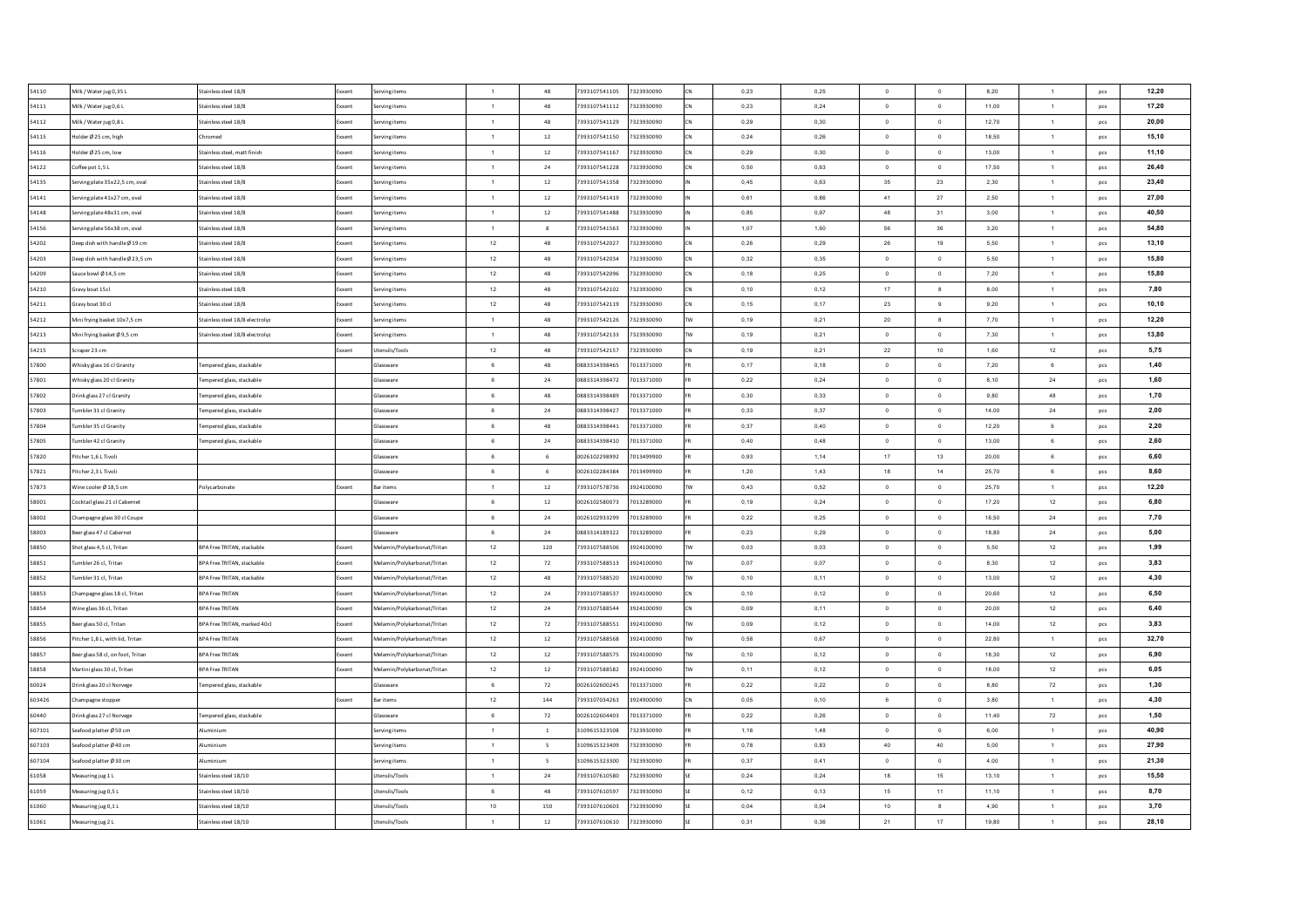| 54110  | Milk / Water jug 0,35 L           | Stainless steel 18/8            | Exxent       | Serving items               | $\overline{1}$  | 48                       | 7393107541105 | 7323930090 |           | 0,23 | 0,25 | $\Omega$       | $\overline{0}$ | 8,20  | $\mathbf{1}$   | pcs | 12,20 |
|--------|-----------------------------------|---------------------------------|--------------|-----------------------------|-----------------|--------------------------|---------------|------------|-----------|------|------|----------------|----------------|-------|----------------|-----|-------|
| 54111  | Milk / Water jug 0,6 L            | Stainless steel 18/8            | Exxent       | Serving items               | $\blacksquare$  | 48                       | 7393107541112 | 7323930090 |           | 0,23 | 0,24 | $\overline{0}$ | $\circ$        | 11,00 | $\mathbf{1}$   | pcs | 17,20 |
| 54112  | Milk / Water jug 0,8 L            | Stainless steel 18/8            | Exxent       | Serving items               | $\mathbf{1}$    | 48                       | 7393107541129 | 7323930090 |           | 0,29 | 0,30 | $\mathbf 0$    | $\,$ 0         | 12,70 | $\mathbf{1}$   | pcs | 20,00 |
| 54115  | older Ø 25 cm, high               | Chromed                         | <b>Exxen</b> | Serving items               | $\mathbf{1}$    | $12\,$                   | 7393107541150 | 7323930090 |           | 0,24 | 0,26 | $\circ$        | $\circ$        | 18,50 | $\overline{1}$ | pcs | 15,10 |
| 54116  | older Ø 25 cm, low                | Stainless steel, matt finish    | Exxent       | Serving items               | $\overline{1}$  | $12\,$                   | 7393107541167 | 7323930090 |           | 0,29 | 0,30 | $\mathbf 0$    | $\mathbf 0$    | 13,00 | $\mathbf{1}$   | pcs | 11,10 |
| 54122  | Offee pot 1,5 L                   | Stainless steel 18/8            | Exxent       | erving items                | $\overline{1}$  | 24                       | 7393107541228 | 7323930090 |           | 0,50 | 0.63 | $\circ$        | $\overline{0}$ | 17,50 | $\mathbf{1}$   | pcs | 26,40 |
| 54135  | ierving plate 35x22,5 cm, oval    | Stainless steel 18/8            | Exxent       | Serving items               | $\overline{1}$  | 12                       | 7393107541358 | 7323930090 |           | 0,45 | 0,63 | 35             | $\bf 23$       | 2,30  | $\mathbf{1}$   | pcs | 23,40 |
| 54141  | ierving plate 41x27 cm, oval      | Stainless steel 18/8            | Exxent       | Serving items               | $\overline{1}$  | 12                       | 7393107541419 | 7323930090 |           | 0,61 | 0.86 | 41             | 27             | 2,50  | $\overline{1}$ | pcs | 27,00 |
| 54148  | erving plate 48x31 cm, oval       | Stainless steel 18/8            | Exxent       | Serving items               | $\overline{1}$  | 12                       | 7393107541488 | 7323930090 |           | 0.85 | 0.97 | 48             | 31             | 3,00  | $\overline{1}$ | pcs | 40,50 |
| 54156  | erving plate 56x38 cm, oval       | Stainless steel 18/8            | Exxent       | Serving items               | $\overline{1}$  | 8                        | 7393107541563 | 7323930090 |           | 1.07 | 1,60 | 56             | 36             | 3.20  | $\overline{1}$ | pcs | 54,80 |
| 54202  | Deep dish with handle Ø 19 cm     | Stainless steel 18/8            | Exxent       | Serving items               | $12\,$          | 48                       | 7393107542027 | 7323930090 |           | 0,26 | 0,29 | ${\bf 26}$     | 19             | 5.50  | $\overline{1}$ | pcs | 13,10 |
| 54203  | Deep dish with handle Ø 23.5 cm   | Stainless steel 18/8            | Exxent       | Serving items               | 12              | 48                       | 7393107542034 | 7323930090 |           | 0.32 | 0.35 | $\Omega$       | $\circ$        | 5,50  | $\overline{1}$ | pcs | 15,80 |
| 54209  | auce bowl Ø 14.5 cm               | Stainless steel 18/8            | Exxent       | Serving items               | 12              | 48                       | 7393107542096 | 7323930090 |           | 0.18 | 0,25 | $\Omega$       | $\overline{0}$ | 7.20  | $\overline{1}$ | pcs | 15,80 |
| 54210  | Gravy boat 15cl                   | Stainless steel 18/8            | Exxent       | erving items                | $12\,$          | 48                       | 7393107542102 | 7323930090 |           | 0,10 | 0.12 | 17             | $\mathbf{s}$   | 8,00  | $\overline{1}$ | pcs | 7,80  |
| 54211  | Gravy boat 30 cl                  | Stainless steel 18/8            | xxent        | erving items                | 12              | 48                       | 7393107542119 | 7323930090 |           | 0,15 | 0,17 | 23             | $_{9}$         | 9,20  | $\mathbf{1}$   | pcs | 10,10 |
| 54212  | lini frying basket 10x7,5 cm      | tainless steel 18/8 electrolyz  | xxent        | erving items                | $\overline{1}$  | 48                       | 7393107542126 | 7323930090 |           | 0,19 | 0,21 | $20\,$         | 8              | 7,70  | $\mathbf{1}$   | pcs | 12,20 |
| 54213  | Mini frying basket Ø9,5 cm        | Stainless steel 18/8 electrolyz | ixxent       | erving items                | $\overline{1}$  | 48                       | 7393107542133 | 7323930090 |           | 0,19 | 0,21 | $\mathbf 0$    | $\,$ 0         | 7,30  | $\mathbf{1}$   | pcs | 13,80 |
| 54215  | icraper 23 cm                     |                                 | xxent        | Itensils/Tools              | $12\,$          | 48                       | 7393107542157 | 7323930090 |           | 0,19 | 0,21 | $22\,$         | 10             | 1,60  | 12             | pcs | 5,75  |
| 57800  | Whisky glass 16 cl Granity        | lempered glass, stackable       |              | Glassware                   | 6               | 48                       | 0883314398465 | 7013371000 |           | 0,17 | 0,18 | $\circ$        | $\circ$        | 7,20  | 6              | pcs | 1,40  |
| 57801  | Vhisky glass 20 cl Granity        | lempered glass, stackable       |              | Glassware                   | 6               | 24                       | 0883314398472 | 7013371000 |           | 0,22 | 0,24 | $\circ$        | $\mathbf 0$    | 8,10  | 24             | pcs | 1,60  |
| 57802  | Drink glass 27 cl Granity         | Fempered glass, stackable       |              | Glassware                   | $6\phantom{.0}$ | 48                       | 0883314398489 | 7013371000 |           | 0,30 | 0,33 | $\overline{0}$ | $\circ$        | 9,80  | 48             | pcs | 1,70  |
| 57803  | umbler 31 cl Granity              | Fempered glass, stackable       |              | Glassware                   | $6\phantom{.0}$ | $24\,$                   | 0883314398427 | 7013371000 |           | 0,33 | 0,37 | $\overline{0}$ | $\mathbf 0$    | 14,00 | $\bf 24$       | pcs | 2,00  |
| 57804  | Tumbler 35 cl Granity             | lempered glass, stackable       |              | Glassware                   | 6               | 48                       | 0883314398441 | 7013371000 |           | 0.37 | 0.40 | $\overline{0}$ | $\overline{0}$ | 12.20 | 6              | pcs | 2,20  |
| 57805  | umbler 42 cl Granity              | Tempered glass, stackable       |              | Glassware                   | 6               | $24\,$                   | 0883314398410 | 7013371000 |           | 0.40 | 0.48 | $\overline{0}$ | $\overline{0}$ | 13.00 | 6              | pcs | 2,60  |
| 57820  | Pitcher 1.6 L Tivoli              |                                 |              | Glassware                   | 6               | 6                        | 0026102298992 | 7013499900 |           | 0.93 | 1,14 | 17             | 13             | 20.00 | 6              | pcs | 6,60  |
| 57821  | ltcher 2.3 L Tivoli               |                                 |              | Glassware                   | 6               | 6                        | 0026102284384 | 7013499900 |           | 1.20 | 1.43 | 18             | 14             | 25.70 | 6              | pcs | 8,60  |
| 57873  | Wine cooler Ø 18.5 cm             | Polycarbonate                   | Exxent       | <b>Bar items</b>            | $\overline{1}$  | 12                       | 7393107578736 | 3924100090 |           | 0.43 | 0.52 | $\overline{0}$ | $\overline{0}$ | 25.70 | 1              | pcs | 12,20 |
| 58001  | Cocktail glass 21 cl Cabernet     |                                 |              | Glassware                   | 6               | 12                       | 0026102580073 | 7013289000 |           | 0,19 | 0,24 | $\overline{0}$ | $\overline{0}$ | 17,20 | 12             | pcs | 6,80  |
| 58002  | Champagne glass 30 cl Coupe       |                                 |              | Glassware                   | 6               | 24                       | 0026102933299 | 7013289000 |           | 0,22 | 0,25 | $\overline{0}$ | $\overline{0}$ | 16,50 | 24             | pcs | 7,70  |
| 58003  | eer glass 47 cl Cabernet          |                                 |              | <b>Slassware</b>            | 6               | 24                       | 0883314189322 | 7013289000 |           | 0,23 | 0,29 | $\mathbf 0$    | $\,$ 0         | 18,80 | 24             | pcs | 5,00  |
| 58850  | hot glass 4,5 cl, Tritan          | 3PA Free TRITAN, stackable      | Exxent       | Aelamin/Polykarbonat/Tritan | $12\,$          | 120                      | 7393107588506 | 3924100090 |           | 0,03 | 0,03 | $\mathbf 0$    | $\circ$        | 5,50  | 12             | pcs | 1,99  |
| 58851  | umbler 26 cl. Tritan              | BPA Free TRITAN, stackable      | Exxent       | Aelamin/Polykarbonat/Tritan | 12              | 72                       | 7393107588513 | 3924100090 |           | 0,07 | 0,07 | $\circ$        | $\overline{0}$ | 8,30  | 12             | pcs | 3,83  |
| 58852  | umbler 31 cl, Tritan              | BPA Free TRITAN, stackable      | Exxent       | Melamin/Polykarbonat/Tritan | $12\,$          | 48                       | 7393107588520 | 3924100090 |           | 0,10 | 0,11 | $\overline{0}$ | $\circ$        | 13,00 | 12             | pcs | 4,30  |
| 58853  | Champagne glass 18 cl, Tritan     | <b>BPA Free TRITAN</b>          | Exxent       | Melamin/Polykarbonat/Tritan | 12              | 24                       | 7393107588537 | 3924100090 |           | 0,10 | 0,12 | $\circ$        | $\overline{0}$ | 20,60 | 12             | pcs | 6,50  |
| 58854  | Vine glass 36 cl, Tritan          | <b>BPA Free TRITAN</b>          | Exxent       | Melamin/Polykarbonat/Tritan | 12              | 24                       | 7393107588544 | 3924100090 |           | 0,09 | 0,11 | $\overline{0}$ | $\circ$        | 20,00 | 12             | pcs | 6,40  |
| 58855  | seer glass 50 cl, Tritan          | BPA Free TRITAN, marked 40cl    | Exxent       | Melamin/Polykarbonat/Tritan | 12              | 72                       | 7393107588551 | 3924100090 | <b>TW</b> | 0,09 | 0,12 | $\overline{0}$ | $\circ$        | 14,00 | 12             | pcs | 3,83  |
| 58856  | ltcher 1,8 L, with lid, Tritan    | <b>BPA Free TRITAN</b>          | Exxent       | Melamin/Polykarbonat/Tritan | 12              | $12\,$                   | 7393107588568 | 3924100090 |           | 0,58 | 0,67 | $\overline{0}$ | $\overline{0}$ | 22,80 | 1              | pcs | 32,70 |
| 58857  | seer glass 58 cl, on foot, Tritan | <b>BPA Free TRITAN</b>          | Exxent       | Melamin/Polykarbonat/Tritan | 12              | 12                       | 7393107588575 | 3924100090 |           | 0.10 | 0.12 | $\Omega$       | $\overline{0}$ | 18.30 | 12             | pcs | 6,90  |
| 58858  | Martini glass 30 cl, Tritan       | <b>BPA Free TRITAN</b>          | Exxent       | Melamin/Polykarbonat/Tritan | $12\,$          | 12                       | 7393107588582 | 3924100090 |           | 0,11 | 0,12 | $\Omega$       | $\circ$        | 18.00 | 12             | pcs | 6,05  |
| 60024  | Drink glass 20 cl Norvege         | lempered glass, stackable       |              | Glassware                   | $6^{\circ}$     | 72                       | 0026102600245 | 7013371000 |           | 0.22 | 0.22 | $\overline{0}$ | $\overline{0}$ | 8,80  | 72             | pcs | 1,30  |
| 603426 | hampagne stopper                  |                                 | Exxent       | Bar items                   | $12\,$          | 144                      | 7393107034263 | 3924900090 |           | 0,05 | 0,10 | 6              | $\circ$        | 3,80  | $\overline{1}$ | pcs | 4,30  |
| 60440  | Orink glass 27 cl Norvege         | Fempered glass, stackable       |              | Glassware                   | 6               | 72                       | 0026102604403 | 7013371000 |           | 0,22 | 0,26 | $\overline{0}$ | $\,$ 0         | 11,40 | 72             | pcs | 1,50  |
| 607101 | eafood platter Ø 50 cm            | Numinium                        |              | Serving items               | $\overline{1}$  | $\,$ $\,$                | 3109615323508 | 7323930090 |           | 1,18 | 1,48 | $\overline{0}$ | $\,$ 0         | 6,00  | $\mathbf{1}$   | pcs | 40,90 |
| 607103 | ieafood platter Ø 40 cm           | Numinium                        |              | Serving items               | $\overline{1}$  | $\overline{\phantom{a}}$ | 3109615323409 | 7323930090 |           | 0,78 | 0,83 | 40             | 40             | 5,00  | $\mathbf{1}$   | pcs | 27,90 |
| 607104 | eafood platter Ø 30 cm            | Vuminium                        |              | erving items                | $\overline{1}$  | $\overline{5}$           | 109615323300  | 7323930090 |           | 0,37 | 0,41 | $\circ$        | $\circ$        | 4,00  | $\mathbf{1}$   | pcs | 21,30 |
| 61058  | Measuring jug 1 L                 | Stainless steel 18/10           |              | Jtensils/Tools              | $\overline{1}$  | $24\,$                   | 7393107610580 | 7323930090 |           | 0,24 | 0,24 | 18             | 15             | 13,10 | $\mathbf{1}$   | pcs | 15,50 |
| 61059  | leasuring jug 0,5 L               | Stainless steel 18/10           |              | Itensils/Tools              | $6\overline{6}$ | 48                       | 7393107610597 | 7323930090 |           | 0,12 | 0,13 | 15             | 11             | 11,10 | $\mathbf{1}$   | pcs | 8,70  |
| 61060  | Measuring jug 0,1 L               | Stainless steel 18/10           |              | Jtensils/Tools              | 10              | 150                      | 7393107610603 | 7323930090 |           | 0,04 | 0,04 | $10\,$         | $^{\circ}$     | 4,90  | $\mathbf{1}$   | pcs | 3,70  |
| 61061  | Measuring jug 2 L                 | Stainless steel 18/10           |              | Utensils/Tools              | $\overline{1}$  | $12\,$                   | 7393107610610 | 7323930090 |           | 0,31 | 0,36 | 21             | 17             | 19,80 | $\mathbf{1}$   | pcs | 28,10 |
|        |                                   |                                 |              |                             |                 |                          |               |            |           |      |      |                |                |       |                |     |       |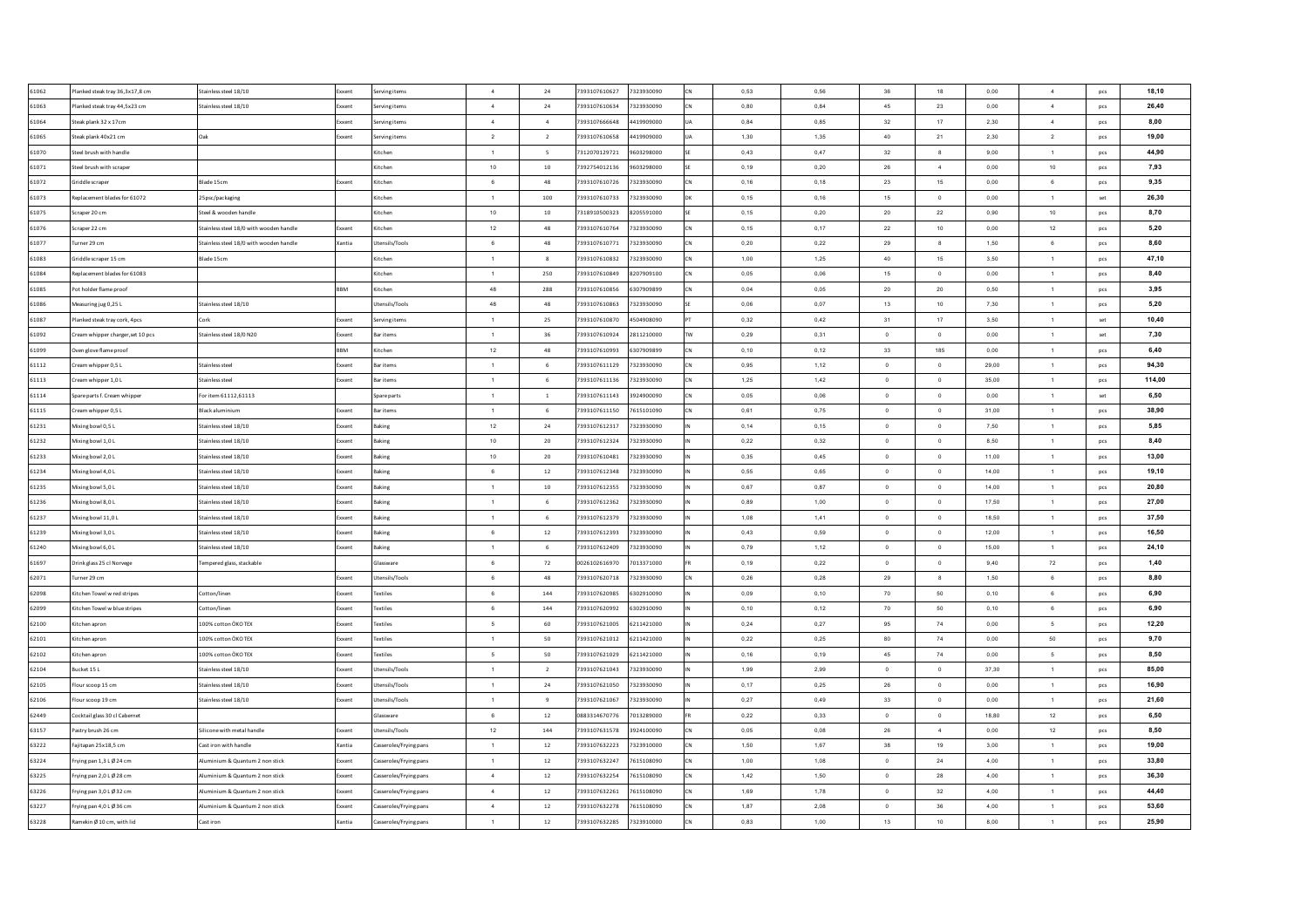| 61062 | Planked steak tray 36,3x17,8 cm   | Stainless steel 18/10                     | ixxent     | erving items           | $\sim$          | 24              | 7393107610627 | 7323930090 | CN         | 0,53 | 0,56 | 36             | 18                       | 0,00      | 4              | pcs            | 18,10  |
|-------|-----------------------------------|-------------------------------------------|------------|------------------------|-----------------|-----------------|---------------|------------|------------|------|------|----------------|--------------------------|-----------|----------------|----------------|--------|
| 61063 | Planked steak tray 44,5x23 cm     | Stainless steel 18/10                     | xxent      | erving items           | $\sim$          | $\bf 24$        | 7393107610634 | 7323930090 | <b>ICN</b> | 0,80 | 0,84 | 45             | 23                       | 0,00      | $\overline{4}$ | pcs            | 26.40  |
| 61064 | Steak plank 32 x 17cm             |                                           | ixxent     | erving items           | $\sim$          | $\overline{4}$  | 7393107666648 | 4419909000 |            | 0,84 | 0,85 | 32             | 17                       | 2,30      | $\overline{4}$ | pcs            | 8,00   |
| 61065 | Steak plank 40x21 cm              |                                           | ixxent     | erving items           | $\overline{2}$  | $\overline{2}$  | 7393107610658 | 4419909000 | <b>UA</b>  | 1,30 | 1,35 | 40             | 21                       | 2,30      | $\overline{2}$ | pcs            | 19,00  |
| 61070 | Steel brush with handle           |                                           |            | Kitchen                | $\overline{1}$  | 5               | 7312070129721 | 9603298000 |            | 0,43 | 0,47 | 32             | $\boldsymbol{8}$         | 9,00      | $\mathbf{1}$   | pcs            | 44,90  |
| 61071 | Steel brush with scraper          |                                           |            | Kitchen                | 10              | 10              | 7392754012136 | 9603298000 | <b>SF</b>  | 0,19 | 0,20 | 26             | $\sim$                   | 0,00      | 10             | pcs            | 7,93   |
| 61072 | Griddle scraper                   | Blade 15cm                                | xxent      | Kitchen                | 6               | 48              | 7393107610726 | 7323930090 | <b>CN</b>  | 0,16 | 0,18 | 23             | 15                       | 0,00      | 6              | pcs            | 9,35   |
| 61073 | Replacement blades for 61072      | 25psc/packaging                           |            | Kitchen                | $\overline{1}$  | 100             | 7393107610733 | 7323930090 | lnk        | 0,15 | 0.16 | 15             | $\circ$                  | 0.00      | $\mathbf{1}$   | set            | 26,30  |
| 61075 | Scraper 20 cm                     | Steel & wooden handle                     |            | Kitchen                | 10              | 10              | 7318910500323 | 8205591000 | SF         | 0.15 | 0.20 | 20             | 22                       | 0.90      | 10             | pcs            | 8,70   |
| 61076 | Scraper 22 cm                     | Stainless steel 18/0 with wooden handle   | xxent      | Kitchen                | 12              | 48              | 7393107610764 | 7323930090 | CN         | 0,15 | 0,17 | 22             | 10                       | 0,00      | 12             | pcs            | 5,20   |
| 61077 | Turner 29 cm                      | Stainless steel 18/0 with wooden handle   | Xantia     | Utensils/Tools         | 6 <sup>5</sup>  | 48              | 7393107610771 | 7323930090 | <b>CN</b>  | 0.20 | 0.22 | 29             | $\mathbf{a}$             | 1,50      | 6              | pcs            | 8,60   |
| 61083 | Griddle scraper 15 cm             | Blade 15cm                                |            | Kitchen                | $\overline{1}$  | 8               | 7393107610832 | 7323930090 | Icw        | 1,00 | 1,25 | 40             | 15                       | 3,50      | 1              | pcs            | 47,10  |
| 61084 | Replacement blades for 61083      |                                           |            | Kitchen                | $\overline{1}$  | 250             | 7393107610849 | 8207909100 | <b>CN</b>  | 0,05 | 0,06 | 15             | $\circ$                  | 0,00      | $\overline{1}$ | pcs            | 8,40   |
| 61085 | Pot holder flame proof            |                                           | <b>RRM</b> | Kitchen                | 48              | 288             | 7393107610856 | 6307909899 | CN         | 0,04 | 0,05 | 20             | 20                       | 0,50      | $\mathbf{1}$   | pcs            | 3,95   |
| 61086 | Measuring jug 0,25 L              | Stainless steel 18/10                     |            | Itensils/Tools         | 48              | 48              | 7393107610863 | 7323930090 |            | 0,06 | 0,07 | 13             | 10                       | 7,30      | $\mathbf{1}$   | pcs            | 5,20   |
| 61087 | Planked steak tray cork, 4pcs     |                                           | oxent      | erving items           | $\overline{1}$  | 25              | 7393107610870 | 4504908090 |            | 0,32 | 0,42 | 31             | 17                       | 3,50      | $\mathbf{1}$   | $\mathsf{set}$ | 10,40  |
| 61092 | Cream whipper charger, set 10 pcs | Stainless steel 18/0 N20                  | xxent      | Bar items              | $\overline{1}$  | 36              | 7393107610924 | 2811210000 | <b>TW</b>  | 0,29 | 0,31 | $\overline{0}$ | $\mathbf 0$              | $_{0,00}$ | $\mathbf{1}$   | $\mathsf{set}$ | 7,30   |
| 61099 | Oven glove flame proof            |                                           | <b>BM</b>  | <b>litchen</b>         | $12\,$          | 48              | 7393107610993 | 6307909899 |            | 0,10 | 0,12 | 33             | 185                      | 0,00      | $\mathbf{1}$   | pcs            | 6,40   |
| 61112 | Cream whipper 0,5 L               | Stainless steel                           | ixxent     | Bar items              | $\overline{1}$  | 6               | 7393107611129 | 7323930090 |            | 0,95 | 1,12 | $\circ$        | $\,$ 0                   | 29,00     | $\mathbf{1}$   | pcs            | 94.30  |
| 61113 | Cream whipper 1,0 L               | Stainless steel                           | xxent      | <b>Bar items</b>       | $\overline{1}$  | 6               | 7393107611136 | 7323930090 |            | 1,25 | 1,42 | $\overline{0}$ | $\circ$                  | 35,00     | $\mathbf{1}$   | pcs            | 114,00 |
| 61114 | Spare parts f. Cream whipper      | For item 61112,61113                      |            | Spare parts            | $\blacksquare$  | $\overline{1}$  | 7393107611143 | 3924900090 | CN         | 0,05 | 0,06 | $\circ$        | $\overline{0}$           | 0,00      | 1              | set            | 6,50   |
| 61115 | Cream whipper 0.5 L               | Black aluminium                           | xxent      | <b>Bar items</b>       | $\overline{1}$  | 6               | 7393107611150 | 7615101090 | CN         | 0,61 | 0,75 | $\overline{0}$ | $\overline{0}$           | 31,00     | $\mathbf{1}$   | pcs            | 38,90  |
| 61231 | Mixing bowl 0,5 L                 | Stainless steel 18/10                     | xxent      | Baking                 | 12              | 24              | 7393107612317 | 7323930090 |            | 0.14 | 0,15 | $\overline{0}$ | $\overline{0}$           | 7,50      | $\overline{1}$ | pcs            | 5,85   |
| 61232 | Mixing bowl 1,0L                  | Stainless steel 18/10                     | xxent      | Baking                 | 10              | 20              | 7393107612324 | 7323930090 |            | 0.22 | 0.32 | $\Omega$       | $\overline{0}$           | 8.50      | $\overline{1}$ | pcs            | 8,40   |
| 61233 | Mixing bowl 2,0 L                 | Stainless steel 18/10                     | xxent      | Baking                 | 10              | 20              | 7393107610481 | 7323930090 |            | 0,35 | 0,45 | $\overline{0}$ | $\overline{0}$           | 11,00     | 1              | pcs            | 13,00  |
| 61234 | Mixing bowl 4,0 L                 | Stainless steel 18/10                     | ixxent     | Baking                 | 6               | $12\,$          | 7393107612348 | 7323930090 |            | 0,55 | 0,65 | $\Omega$       | $\overline{0}$           | 14,00     | $\mathbf{1}$   | pcs            | 19,10  |
| 61235 | Mixing bowl 5,0 L                 | Stainless steel 18/10                     | ixxent     | Baking                 | $\mathbf{1}$    | $10\,$          | 7393107612355 | 7323930090 |            | 0,67 | 0,87 | $\overline{0}$ | $\overline{\phantom{0}}$ | 14,00     | 1              | pcs            | 20,80  |
| 61236 | Mixing bowl 8,0 L                 | Stainless steel 18/10                     | xxent      | Baking                 | $\overline{1}$  | 6               | 7393107612362 | 7323930090 |            | 0,89 | 1,00 | $\Omega$       | $\circ$                  | 17.50     | $\mathbf{1}$   | pcs            | 27,00  |
| 61237 | Mixing bowl 11,0 L                | Stainless steel 18/10                     | xxent      | Baking                 | 1               | 6               | 7393107612379 | 7323930090 |            | 1,08 | 1,41 | $\overline{0}$ | $\overline{0}$           | 18,50     | $\mathbf{1}$   | pcs            | 37,50  |
| 61239 | Mixing bowl 3,0 L                 | Stainless steel 18/10                     | xxent      | <b>Baking</b>          | 6               | $12\,$          | 7393107612393 | 7323930090 |            | 0,43 | 0,59 | $\overline{0}$ | $\,$ 0                   | 12,00     | $\mathbf{1}$   | pcs            | 16,50  |
| 61240 | Mixing bowl 6,0 L                 | Stainless steel 18/10                     | ixxent     | <b>Baking</b>          | $\overline{1}$  | $6\overline{6}$ | 7393107612409 | 7323930090 |            | 0,79 | 1,12 | $\overline{0}$ | $\circ$                  | 15,00     | 1              | pcs            | 24,10  |
| 61697 | Drink glass 25 cl Norvege         | Tempered glass, stackable                 |            | Glassware              | 6               | 72              | 0026102616970 | 7013371000 |            | 0,19 | 0,22 | $\overline{0}$ | $\,$ 0                   | 9,40      | 72             | pcs            | 1,40   |
| 62071 | Turner 29 cm                      |                                           | xxent      | Jtensils/Tools         | 6               | 48              | 7393107620718 | 7323930090 | <b>CN</b>  | 0,26 | 0,28 | 29             | $\boldsymbol{8}$         | 1,50      | 6              | pcs            | 8,80   |
| 62098 | Kitchen Towel w red stripes       | Cotton/linen                              | xxent      | extiles                | 6               | 144             | 7393107620985 | 6302910090 |            | 0,09 | 0.10 | 70             | 50                       | 0,10      | 6              | pcs            | 6,90   |
| 62099 | Kitchen Towel w blue stripes      | Cotton/linen                              | xxent      | extiles                | $6\overline{6}$ | 144             | 7393107620992 | 6302910090 |            | 0,10 | 0.12 | 70             | 50                       | 0,10      | $6\phantom{a}$ | pcs            | 6,90   |
| 62100 | Kitchen apron                     | 100% cotton ÖKO TEX                       | Exxent     | extiles                | $5\phantom{.0}$ | 60              | 7393107621005 | 6211421000 |            | 0.24 | 0.27 | 95             | 74                       | 0.00      | 5              | pcs            | 12,20  |
| 62101 | Kitchen apron                     | 100% cotton ÖKO TEX                       | xxent      | <b>Textiles</b>        | $\overline{1}$  | 50              | 7393107621012 | 6211421000 |            | 0,22 | 0,25 | 80             | 74                       | 0,00      | $50\,$         | pcs            | 9,70   |
| 62102 | Kitchen apron                     | 100% cotton ÖKO TEX                       | ixxent     | extiles                | -5              | 50              | 7393107621029 | 6211421000 |            | 0,16 | 0,19 | 45             | 74                       | 0,00      | $\sqrt{5}$     | pcs            | 8,50   |
| 62104 | Bucket 15 L                       | Stainless steel 18/10                     | cxent      | Itensils/Tools         | $\overline{1}$  | $\overline{2}$  | 7393107621043 | 7323930090 |            | 1,99 | 2,99 | $\Omega$       | $\,$ 0                   | 37,30     | $\mathbf{1}$   | pcs            | 85,00  |
| 62105 | lour scoop 15 cm                  | Stainless steel 18/10                     | xxent      | Itensils/Tools         | $\overline{1}$  | 24              | 7393107621050 | 7323930090 |            | 0,17 | 0,25 | 26             | $\overline{0}$           | 0,00      | $\mathbf{1}$   | pcs            | 16,90  |
| 62106 | lour scoop 19 cm                  | tainless steel 18/10                      | oxent      | Itensils/Tools         | $\overline{1}$  | 9               | 7393107621067 | 7323930090 |            | 0,27 | 0,49 | 33             | $\,$ 0                   | 0,00      | $\mathbf{1}$   | pcs            | 21,60  |
| 62449 | Cocktail glass 30 cl Cabernet     |                                           |            | ilassware              | 6               | $12\,$          | 0883314670776 | 7013289000 |            | 0,22 | 0,33 | $\,$ 0 $\,$    | $\,$ 0                   | 18,80     | 12             | pcs            | 6,50   |
| 63157 | astry brush 26 cm                 | ilicone with metal handle                 | xxent      | Itensils/Tools         | $12\,$          | 144             | 7393107631578 | 3924100090 |            | 0,05 | 0,08 | 26             | $\overline{4}$           | 0,00      | 12             | pcs            | 8,50   |
| 63222 | Fajitapan 25x18,5 cm              | Cast iron with handle                     | Kantia     | Casseroles/Frying pans | $\overline{1}$  | 12              | 7393107632223 | 7323910000 |            | 1,50 | 1,67 | 38             | 19                       | 3,00      | $\mathbf{1}$   | pcs            | 19,00  |
| 63224 | Frving pan 1.3 L Ø 24 cm          | <b>Numinium &amp; Quantum 2 non stick</b> | xxent      | Casseroles/Frving pans | $\overline{1}$  | 12              | 7393107632247 | 7615108090 |            | 1,00 | 1.08 | $\overline{0}$ | 24                       | 4,00      | 1              | pcs            | 33,80  |
| 63225 | Frving pan 2.0 L Ø 28 cm          | Numinium & Quantum 2 non stick            | xxent      | Casseroles/Frving pans | 4               | 12              | 7393107632254 | 7615108090 | CN         | 1,42 | 1,50 | $\circ$        | 28                       | 4,00      | $\mathbf{1}$   | pcs            | 36,30  |
| 63226 | Frving pan 3.0 L Ø 32 cm          | <b>Numinium &amp; Quantum 2 non stick</b> | xxent      | Casseroles/Frving pans | $\overline{4}$  | 12              | 7393107632261 | 7615108090 |            | 1.69 | 1.78 | $\overline{0}$ | 32                       | 4.00      | $\mathbf{1}$   | pcs            | 44,40  |
| 63227 | Frying pan 4,0 L Ø 36 cm          | Aluminium & Quantum 2 non stick           | Exxent     | Casseroles/Frying pans | $\overline{4}$  | 12              | 7393107632278 | 7615108090 | CN         | 1,87 | 2,08 | $\overline{0}$ | 36                       | 4,00      | 1              | pcs            | 53,60  |
| 63228 | Ramekin Ø 10 cm, with lid         | Cast iron                                 | Xantia     | Casseroles/Frying pans | $\overline{1}$  | 12              | 7393107632285 | 7323910000 | CN         | 0,83 | 1.00 | 13             | 10                       | 8.00      | $\mathbf{1}$   |                | 25,90  |
|       |                                   |                                           |            |                        |                 |                 |               |            |            |      |      |                |                          |           |                | pcs            |        |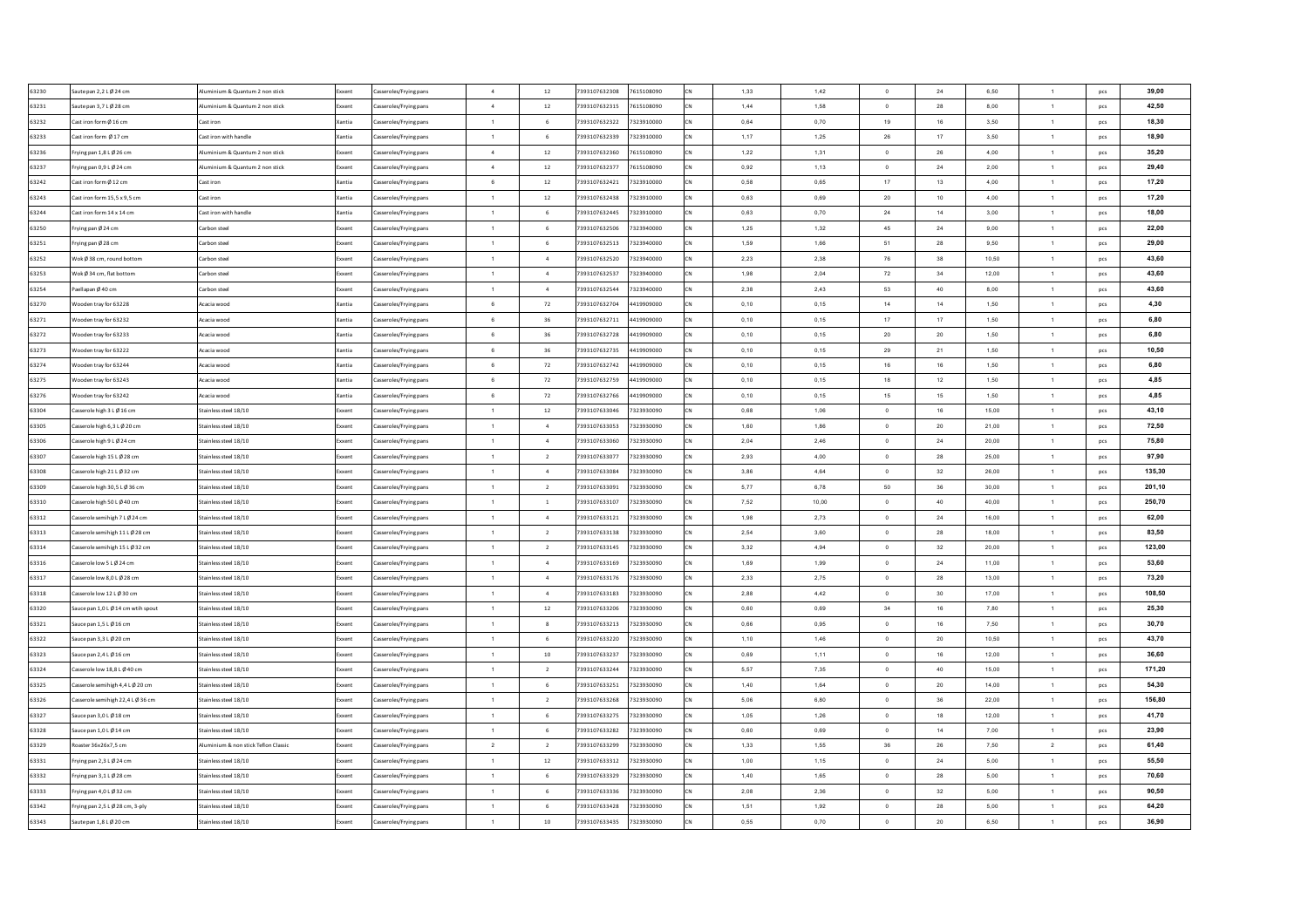| 63230 | aute pan 2,2 L Ø 24 cm            | Numinium & Quantum 2 non stick            | Exxent           | Casseroles/Frying pans<br>$\overline{a}$ |        | 12             | 7393107632308 | 7615108090 | 1,33 | 1,42  | $\Omega$       | 24 | 6,50  | $\mathbf{1}$   | pcs        | 39,00  |
|-------|-----------------------------------|-------------------------------------------|------------------|------------------------------------------|--------|----------------|---------------|------------|------|-------|----------------|----|-------|----------------|------------|--------|
| 63231 | aute pan 3,7 L Ø 28 cm            | Numinium & Quantum 2 non stick            | <b>Exxen</b>     | Casseroles/Frying pans                   | $\sim$ | $12\,$         | 7393107632315 | 7615108090 | 1,44 | 1,58  | $^{\circ}$     | 28 | 8,00  | $\mathbf{1}$   | pcs        | 42.50  |
| 63232 | Cast iron form Ø 16 cm            | Cast iron                                 | Xantia           | Casseroles/Frying pans<br>$\overline{1}$ |        | 6              | 7393107632322 | 7323910000 | 0,64 | 0,70  | 19             | 16 | 3,50  | $\mathbf{1}$   | pcs        | 18,30  |
| 63233 | Cast iron form Ø17 cm             | Cast iron with handle                     | Xantia           | asseroles/Frying pans<br>1               |        | 6              | 7393107632339 | 7323910000 | 1,17 | 1,25  | 26             | 17 | 3,50  | $\overline{1}$ | pcs        | 18,90  |
| 63236 | rying pan 1,8 L Ø 26 cm           | Numinium & Quantum 2 non stick            | Exxent           | Casseroles/Frying pans<br>$\sim$         |        | 12             | 7393107632360 | 7615108090 | 1,22 | 1,31  | $\mathbf 0$    | 26 | 4,00  | $\mathbf{1}$   | pcs        | 35,20  |
| 63237 | rying pan 0,9 L Ø 24 cm           | <b>Numinium &amp; Quantum 2 non stick</b> | Exxent           | $\overline{4}$<br>asseroles/Frying pans  |        | 12             | 7393107632377 | 7615108090 | 0,92 | 1,13  | $\circ$        | 24 | 2,00  | $\mathbf{1}$   | pcs        | 29,40  |
| 63242 | Cast iron form Ø 12 cm            | Cast iron                                 | Xantia           | $6\overline{6}$<br>asseroles/Frying pans |        | $12\,$         | 7393107632421 | 7323910000 | 0,58 | 0,65  | 17             | 13 | 4,00  | $\mathbf{1}$   | pcs        | 17,20  |
| 63243 | Cast iron form 15.5 x 9.5 cm      | Cast iron                                 | Xantia           | $\overline{1}$<br>Casseroles/Frying pans |        | 12             | 7393107632438 | 7323910000 | 0.63 | 0.69  | 20             | 10 | 4.00  | $\overline{1}$ | pcs        | 17,20  |
| 63244 | Cast iron form 14 x 14 cm         | Cast iron with handle                     | Xantia           | $\overline{1}$<br>Casseroles/Frying pans |        | 6              | 7393107632445 | 7323910000 | 0.63 | 0.70  | 24             | 14 | 3.00  | $\overline{1}$ | pcs        | 18,00  |
| 63250 | rying pan Ø 24 cm                 | Carbon steel                              | Exxent           | $\overline{1}$<br>Casseroles/Frying pans |        | 6              | 7393107632506 | 7323940000 | 1,25 | 1,32  | 45             | 24 | 9,00  | $\overline{1}$ | pcs        | 22,00  |
| 63251 | rying pan Ø 28 cm                 | Carbon steel                              | Exxent           | $\overline{1}$<br>Casseroles/Frying pans |        | 6              | 7393107632513 | 7323940000 | 1.59 | 1.66  | 51             | 28 | 9.50  | $\overline{1}$ | pcs        | 29,00  |
| 63252 | Vok Ø 38 cm, round bottom         | Carbon steel                              | Exxent           | Casseroles/Frying pans<br>$\overline{1}$ |        | $\mathbf{A}$   | 7393107632520 | 7323940000 | 2.23 | 2.38  | 76             | 38 | 10.50 | $\overline{1}$ | pcs        | 43,60  |
| 63253 | Vok Ø 34 cm, flat botton          | Carbon steel                              | Exxent           | asseroles/Frying pans<br>$\overline{1}$  |        | $\Delta$       | 7393107632537 | 7323940000 | 1,98 | 2,04  | 72             | 34 | 12,00 | $\overline{1}$ | pcs        | 43,60  |
| 63254 | aellapan Ø 40 cm                  | Carbon steel                              | Exxent           | asseroles/Frying pans<br>$\overline{1}$  |        | $\Delta$       | 7393107632544 | 7323940000 | 2,38 | 2,43  | 53             | 40 | 8,00  | $\mathbf{1}$   | pcs        | 43,60  |
| 63270 | Vooden tray for 63228             | Acacia wood                               | Xantia           | Casseroles/Frying pans<br>6              |        | $72\,$         | 7393107632704 | 4419909000 | 0,10 | 0,15  | 14             | 14 | 1,50  | $\mathbf{1}$   | pcs        | 4,30   |
| 63271 | ooden tray for 63232              | Acacia wood                               | Xantia           | Casseroles/Frying pans<br>6              |        | 36             | 7393107632711 | 4419909000 | 0,10 | 0,15  | 17             | 17 | 1,50  | $\mathbf{1}$   | pcs        | 6,80   |
| 63272 | Vooden tray for 63233             | Acacia wood                               | Xantia           | Casseroles/Frying pans<br>6              |        | 36             | 7393107632728 | 4419909000 | 0,10 | 0,15  | 20             | 20 | 1,50  | $\mathbf{1}$   | pcs        | 6,80   |
| 63273 | Vooden tray for 63222             | Acacia wood                               | Xantia           | 6<br>asseroles/Frying pans               |        | 36             | 7393107632735 | 4419909000 | 0,10 | 0,15  | 29             | 21 | 1,50  | $\mathbf{1}$   | pcs        | 10,50  |
| 63274 | Vooden tray for 63244             | Acacia wood                               | Xantia           | $6\overline{6}$<br>asseroles/Frying pans |        | 72             | 7393107632742 | 4419909000 | 0,10 | 0,15  | 16             | 16 | 1,50  | $\mathbf{1}$   | pcs        | 6.80   |
| 63275 | Vooden tray for 63243             | Acacia wood                               | Xantia           | Casseroles/Frying pans<br>6              |        | 72             | 7393107632759 | 4419909000 | 0,10 | 0,15  | 18             | 12 | 1,50  | $\mathbf{1}$   | pcs        | 4,85   |
| 63276 | Vooden tray for 63242             | Acacia wood                               | Xantia           | 6<br>Casseroles/Frying pans              |        | 72             | 7393107632766 | 4419909000 | 0,10 | 0,15  | 15             | 15 | 1,50  | 1              | pcs        | 4,85   |
| 63304 | Casserole high 3 L Ø 16 cm        | Stainless steel 18/10                     | Exxent           | Casseroles/Frving pans<br>$\overline{1}$ |        | $12\,$         | 7393107633046 | 7323930090 | 0,68 | 1,06  | $\overline{0}$ | 16 | 15,00 | $\mathbf{1}$   | pcs        | 43,10  |
| 63305 | Casserole high 6.3 L Ø 20 cm      | Stainless steel 18/10                     | Exxent           | $\overline{1}$<br>Casseroles/Frying pans |        | $\overline{a}$ | 7393107633053 | 7323930090 | 1.60 | 1,86  | $\overline{0}$ | 20 | 21.00 | $\overline{1}$ | pcs        | 72,50  |
| 63306 | Casserole high 9 L Ø 24 cm        | Stainless steel 18/10                     | Exxent           | Casseroles/Frying pans<br>$\overline{1}$ |        | $\mathbf{A}$   | 7393107633060 | 7323930090 | 2.04 | 2.46  | $\Omega$       | 24 | 20.00 | $\overline{1}$ | pcs        | 75,80  |
| 63307 | Casserole high 15 L Ø 28 cm       | Stainless steel 18/10                     | Exxent           | Casseroles/Frying pans<br>$\overline{1}$ |        | $\overline{2}$ | 7393107633077 | 7323930090 | 2,93 | 4,00  | $\overline{0}$ | 28 | 25.00 | 1              | pcs        | 97,90  |
| 63308 | Casserole high 21 L Ø 32 cm       | Stainless steel 18/10                     | Exxent           | Casseroles/Frying pans<br>$\overline{1}$ |        | $\overline{4}$ | 7393107633084 | 7323930090 | 3,86 | 4,64  | $\Omega$       | 32 | 26.00 | $\mathbf{1}$   | pcs        | 135,30 |
| 63309 | Casserole high 30,5 L Ø 36 cm     | Stainless steel 18/10                     | Exxent           | Casseroles/Frying pans<br>$\overline{1}$ |        | $\overline{2}$ | 7393107633091 | 7323930090 | 5,77 | 6,78  | 50             | 36 | 30,00 | 1              | pcs        | 201,10 |
| 63310 | asserole high 50 L Ø 40 cm        | Stainless steel 18/10                     | <b>Exxen</b>     | Casseroles/Frying pans<br>$\overline{1}$ |        | $\,$ 1 $\,$    | 7393107633107 | 7323930090 | 7,52 | 10,00 | $\Omega$       | 40 | 40.00 | $\mathbf{1}$   | pcs        | 250,70 |
| 63312 | asserole semihigh 7 L Ø 24 cm     | Stainless steel 18/10                     | Exxen            | Casseroles/Frying pans                   | 1      | $\sim$         | 7393107633121 | 7323930090 | 1,98 | 2,73  | $\overline{0}$ | 24 | 16,00 | $\mathbf{1}$   | pcs        | 62,00  |
| 63313 | Casserole semihigh 11 L Ø 28 cm   | Stainless steel 18/10                     |                  | $\overline{1}$<br>asseroles/Frying pans  |        | $\overline{2}$ | 7393107633138 | 7323930090 | 2,54 | 3,60  | $\circ$        | 28 | 18,00 | $\mathbf{1}$   | pcs        | 83,50  |
| 63314 | asserole semihigh 15 L Ø 32 cm    | Stainless steel 18/10                     | Exxent<br>Exxent | $\mathbf{1}$<br>asseroles/Frying pans    |        | $\overline{2}$ | 7393107633145 | 7323930090 | 3,32 | 4,94  | $\overline{0}$ | 32 | 20,00 | $\overline{1}$ | pcs        | 123,00 |
| 63316 | Casserole low 5 L Ø 24 cm         | Stainless steel 18/10                     |                  | $\overline{1}$<br>asseroles/Frying pans  |        | $\overline{4}$ | 7393107633169 | 7323930090 | 1,69 | 1,99  | $\overline{0}$ | 24 | 11,00 | $\overline{1}$ |            | 53,60  |
| 63317 | Casserole low 8,0 L Ø 28 cm       | Stainless steel 18/10                     | Exxent           | $\mathbf{1}$<br>Casseroles/Frying pans   |        | $\sqrt{4}$     | 7393107633176 | 7323930090 | 2,33 | 2,75  | $\overline{0}$ | 28 | 13,00 | $\mathbf{1}$   | pcs<br>pcs | 73,20  |
| 63318 | Casserole low 12 L Ø 30 cm        | Stainless steel 18/10                     | Exxent<br>Exxent | $\overline{1}$<br>Casseroles/Frving pans |        | $\overline{4}$ | 7393107633183 | 7323930090 | 2.88 | 4,42  | $\overline{0}$ | 30 | 17,00 | $\overline{1}$ | pcs        | 108,50 |
| 63320 | auce pan 1.0 L Ø 14 cm wtih spout | Stainless steel 18/10                     |                  | $\overline{1}$                           |        | $12\,$         | 7393107633206 | 7323930090 | 0.60 | 0.69  | 34             | 16 | 7,80  | $\overline{1}$ |            | 25,30  |
| 63321 | auce pan 1.5 L Ø 16 cm            | Stainless steel 18/10                     | Exxent<br>Exxent | Casseroles/Frying pans<br>$\overline{1}$ |        | 8              | 7393107633213 | 7323930090 | 0.66 | 0.95  | $\overline{0}$ | 16 | 7,50  | $\overline{1}$ | pcs        | 30,70  |
|       |                                   |                                           |                  | Casseroles/Frying pans<br>$\overline{1}$ |        |                |               |            |      |       |                |    |       |                | pcs        | 43.70  |
| 63322 | auce pan 3,3 L Ø 20 cm            | Stainless steel 18/10                     | Exxent           | Casseroles/Frying pans                   |        | 6              | 7393107633220 | 7323930090 | 1,10 | 1,46  | $\overline{0}$ | 20 | 10,50 | $\overline{1}$ | pcs        |        |
| 63323 | auce pan 2,4 L Ø 16 cm            | Stainless steel 18/10                     | Exxent           | Casseroles/Frying pans<br>$\overline{1}$ |        | 10             | 7393107633237 | 7323930090 | 0,69 | 1,11  | $\overline{0}$ | 16 | 12,00 | $\overline{1}$ | pcs        | 36,60  |
| 63324 | asserole low 18,8 L Ø 40 cm       | Stainless steel 18/10                     | xxent            | asseroles/Frying pans<br>$\overline{1}$  |        | $\overline{2}$ | 7393107633244 | 7323930090 | 5,57 | 7,35  | $\mathbf 0$    | 40 | 15,00 | $\mathbf{1}$   | pcs        | 171,20 |
| 63325 | asserole semihigh 4,4 L Ø 20 cm   | Stainless steel 18/10                     | ixxent           | asseroles/Frying pans<br>$\overline{1}$  |        | 6              | 7393107633251 | 7323930090 | 1,40 | 1,64  | $\circ$        | 20 | 14,00 | $\mathbf{1}$   | pcs        | 54,30  |
| 63326 | asserole semihigh 22,4 L Ø 36 cm  | tainless steel 18/10                      |                  | $\overline{1}$<br>asseroles/Frying pans  |        | $\overline{2}$ | 7393107633268 | 7323930090 | 5,06 | 6,80  | $\circ$        | 36 | 22,00 | $\mathbf{1}$   | pcs        | 156,80 |
| 63327 | auce pan 3,0 L Ø 18 cm            | stainless steel 18/10                     | ixxent           | asseroles/Frying pans<br>$\overline{1}$  |        | $\,$ 6         | 7393107633275 | 7323930090 | 1,05 | 1,26  | $\,$ 0 $\,$    | 18 | 12,00 | $\mathbf{1}$   | pcs        | 41,70  |
| 63328 | auce pan 1,0 L Ø 14 cm            | stainless steel 18/10                     | xxent            | asseroles/Frying pans<br>$\overline{1}$  |        | 6              | 7393107633282 | 7323930090 | 0,60 | 0,69  | $\mathbf 0$    | 14 | 7,00  | $\mathbf{1}$   | pcs        | 23,90  |
| 63329 | loaster 36x26x7,5 cm              | Aluminium & non stick Teflon Classic      | Exxent           | $\overline{2}$<br>Casseroles/Frying pans |        | $\overline{2}$ | 7393107633299 | 7323930090 | 1,33 | 1,55  | $36\,$         | 26 | 7,50  | $\overline{2}$ | pcs        | 61,40  |
| 63331 | rving pan 2.3 L Ø 24 cm           | Stainless steel 18/10                     | Exxent           | Casseroles/Frving pans<br>$\overline{1}$ |        | 12             | 7393107633312 | 7323930090 | 1,00 | 1.15  | $^{\circ}$     | 24 | 5,00  | $\overline{1}$ | pcs        | 55,50  |
| 63332 | rving pan 3.1 L Ø 28 cm           | Stainless steel 18/10                     | Exxent           | $\overline{1}$<br>Casseroles/Frving pans |        | 6              | 7393107633329 | 7323930090 | 1,40 | 1.65  | $\overline{0}$ | 28 | 5,00  | $\overline{1}$ | pcs        | 70,60  |
| 63333 | rvine pan 4.0 L Ø 32 cm           | Stainless steel 18/10                     | Exxent           | Casseroles/Frving pans<br>$\overline{1}$ |        | 6              | 7393107633336 | 7323930090 | 2.08 | 2.36  | $\overline{0}$ | 32 | 5.00  | $\mathbf{1}$   | pcs        | 90,50  |
| 63342 | rying pan 2,5 L Ø 28 cm, 3-ply    | Stainless steel 18/10                     | Exxent           | $\mathbf{1}$<br>Casseroles/Frying pans   |        | 6              | 7393107633428 | 7323930090 | 1.51 | 1.92  | $\overline{0}$ | 28 | 5,00  | $\mathbf{1}$   | pcs        | 64,20  |
| 63343 | Saute pan 1.8 L Ø 20 cm           | Stainless steel 18/10                     | Exxent           | $\overline{1}$<br>Casseroles/Frying pans |        | $10$           | 7393107633435 | 7323930090 | 0,55 | 0.70  | $\circ$        | 20 | 6,50  | $\mathbf{1}$   | pcs        | 36,90  |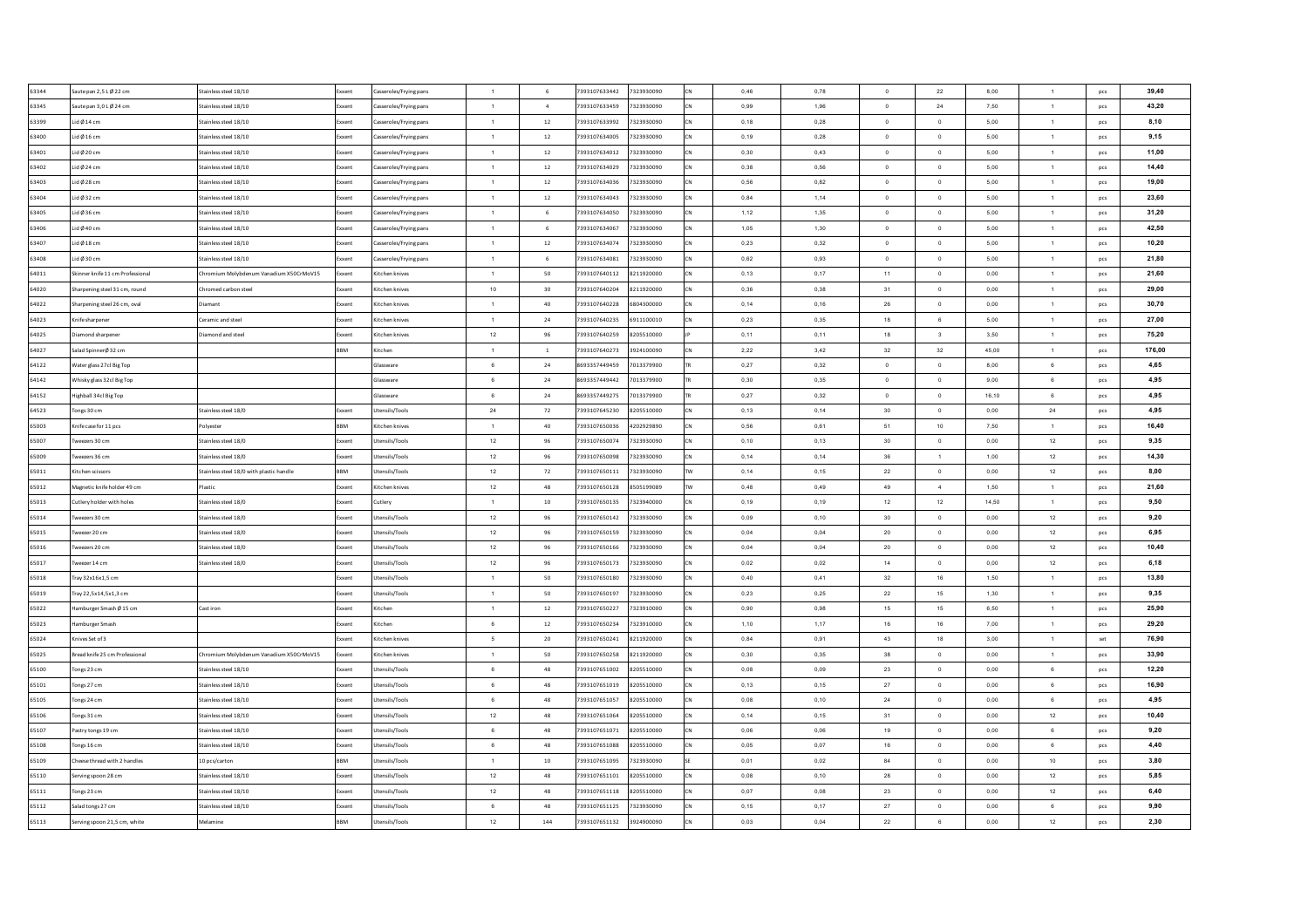| 63344 | aute pan 2,5 LØ 22 cm           | Stainless steel 18/10                    | Exxent       | asseroles/Frying pans  | $\overline{1}$ | 6              | 7393107633442<br>7323930090 |           | 0,46 | 0,78 | $\circ$        | 22                      | 8,00      | $\mathbf{1}$   | pcs            | 39,40  |
|-------|---------------------------------|------------------------------------------|--------------|------------------------|----------------|----------------|-----------------------------|-----------|------|------|----------------|-------------------------|-----------|----------------|----------------|--------|
| 63345 | aute pan 3,0 LØ 24 cm           | Stainless steel 18/10                    | xxent        | asseroles/Frying pans  | 1              | $\,$ 4 $\,$    | 7393107633459<br>7323930090 |           | 0,99 | 1,96 | $\circ$        | 24                      | 7,50      | $\mathbf{1}$   | pcs            | 43,20  |
| 63399 | id Ø 14 cm                      | Stainless steel 18/10                    | ixxent       | Casseroles/Frying pans | $\overline{1}$ | $12\,$         | 7393107633992<br>7323930090 |           | 0,18 | 0,28 | $\mathbf 0$    | $\,0\,$                 | 5,00      | $\mathbf{1}$   | pcs            | 8,10   |
| 63400 | Lid $\emptyset$ 16 cm           | Stainless steel 18/10                    | xxent        | asseroles/Frying pans  | $\overline{1}$ | $12\,$         | 7393107634005<br>7323930090 | CN        | 0,19 | 0,28 | $\mathbf 0$    | $\,$ 0                  | 5,00      | $\mathbf{1}$   | pcs            | 9,15   |
| 63401 | Lid Ø 20 cm                     | Stainless steel 18/10                    | ixxent       | Casseroles/Frying pans | $\overline{1}$ | 12             | 7393107634012<br>7323930090 |           | 0,30 | 0,43 | $\mathbf 0$    | $\mathbf 0$             | 5,00      | $\mathbf{1}$   | pcs            | 11,00  |
| 63402 | Lid Ø 24 cm                     | Stainless steel 18/10                    | ixxent       | asseroles/Frying pans  | $\overline{1}$ | 12             | 7393107634029<br>7323930090 |           | 0,38 | 0,56 | $\overline{0}$ | $\overline{0}$          | 5,00      | $\overline{1}$ | pcs            | 14,40  |
| 63403 | Lid Ø 28 cm                     | Stainless steel 18/10                    | Exxent       | Casseroles/Frying pans | $\overline{1}$ | $12\,$         | 7393107634036<br>7323930090 | CN        | 0,56 | 0,82 | $\circ$        | $\,$ 0                  | 5,00      | $\overline{1}$ | pcs            | 19,00  |
| 63404 | Lid Ø 32 cm                     | Stainless steel 18/10                    | ixxent       | Casseroles/Frying pans | $\overline{1}$ | 12             | 7393107634043<br>7323930090 |           | 0.84 | 1.14 | $\overline{0}$ | $\,$ 0 $\,$             | 5.00      | $\overline{1}$ | pcs            | 23,60  |
| 63405 | Lid Ø 36 cm                     | Stainless steel 18/10                    | Exxent       | Casseroles/Frying pans | $\overline{1}$ | 6              | 7393107634050<br>7323930090 | <b>CN</b> | 1.12 | 1.35 | $\overline{0}$ | $\overline{0}$          | 5.00      | $\overline{1}$ | pcs            | 31,20  |
| 63406 | Lid Ø40 cm                      | Stainless steel 18/10                    | ixxent       | asseroles/Frying pans  | $\overline{1}$ | 6              | 7393107634067<br>7323930090 | <b>CN</b> | 1,05 | 1,30 | $^{\circ}$     | $\overline{0}$          | 5,00      | $\overline{1}$ | pcs            | 42,50  |
| 63407 | Lid Ø 18 cm                     | Stainless steel 18/10                    | Exxent       | Casseroles/Frying pans | $\overline{1}$ | 12             | 7393107634074<br>7323930090 | CN        | 0.23 | 0.32 | $\Omega$       | $\Omega$                | 5.00      | $\overline{1}$ | pcs            | 10,20  |
| 63408 | .id Ø 30 cm                     | Stainless steel 18/10                    | xxent        | Casseroles/Frying pans | $\overline{1}$ | 6              | 7393107634081<br>7323930090 |           | 0.62 | 0.93 | $\Omega$       | $\overline{0}$          | 5.00      | $\overline{1}$ | pcs            | 21,80  |
| 64011 | kinner knife 11 cm Professional | Chromium Molybdenum Vanadium X50CrMoV15  | Exxent       | Kitchen knives         | $\overline{1}$ | 50             | 7393107640112<br>8211920000 |           | 0,13 | 0,17 | 11             | $\mathbf{0}$            | 0,00      | $\overline{1}$ | pcs            | 21,60  |
| 64020 | harpening steel 31 cm, round    | Chromed carbon stee                      | xxent        | Kitchen knives         | $10\,$         | 30             | 7393107640204<br>8211920000 |           | 0,36 | 0,38 | 31             | $\,$ 0                  | 0,00      | $\overline{1}$ | pcs            | 29,00  |
| 64022 | harpening steel 26 cm, oval     | Diamant                                  | xxent        | itchen knives          | $\overline{1}$ | 40             | 7393107640228<br>6804300000 |           | 0,14 | 0,16 | ${\bf 26}$     | $\,0\,$                 | $_{0,00}$ | $\mathbf{1}$   | pcs            | 30,70  |
| 64023 | nife sharpener                  | Ceramic and steel                        | xxent        | litchen knives         | $\mathbf{1}$   | 24             | 7393107640235<br>6911100010 |           | 0,23 | 0,35 | 18             | $_{\rm 6}$              | 5,00      | $\mathbf{1}$   | pcs            | 27,00  |
| 64025 | iamond sharpener                | Diamond and steel                        | xxent        | Kitchen knives         | $12\,$         | 96             | 7393107640259<br>8205510000 |           | 0,11 | 0,11 | 18             | $\overline{\mathbf{3}}$ | 3,50      | $\mathbf{1}$   | pcs            | 75,20  |
| 64027 | alad SpinnerØ 32 cm             |                                          | <b>BM</b>    | itchen                 | $\overline{1}$ | $\overline{1}$ | 7393107640273<br>3924100090 |           | 2,22 | 3,42 | 32             | 32                      | 45,00     | $\mathbf{1}$   | pcs            | 176,00 |
| 64122 | Water glass 27cl Big Top        |                                          |              | Glassware              | 6              | $\bf 24$       | 8693357449459<br>7013379900 |           | 0,27 | 0,32 | $\circ$        | $\,$ 0                  | 8,00      | 6              | pcs            | 4,65   |
| 64142 | Whisky glass 32cl Big Top       |                                          |              | Glassware              | 6              | $\bf 24$       | 8693357449442<br>7013379900 |           | 0,30 | 0,35 | $\overline{0}$ | $\,$ 0                  | 9,00      | $\mathbf 6$    | pcs            | 4,95   |
| 64152 | lighball 34cl Big Top           |                                          |              | Glassware              | 6              | 24             | 8693357449275<br>7013379900 |           | 0,27 | 0,32 | $\mathbf{0}$   | $\,$ 0 $\,$             | 16,10     | $\,$ 6 $\,$    | pcs            | 4,95   |
| 64523 | ones 30 cm                      | Stainless steel 18/0                     | Exxent       | Utensils/Tools         | 24             | 72             | 7393107645230<br>8205510000 |           | 0,13 | 0,14 | 30             | $\,$ 0 $\,$             | 0,00      | 24             | pcs            | 4,95   |
| 65003 | (nife case for 11 pcs           | Polyester                                | RRM          | Kitchen knives         | $\overline{1}$ | 40             | 7393107650036<br>4202929890 | CN        | 0.56 | 0.61 | 51             | 10                      | 7.50      | $\overline{1}$ | pcs            | 16,40  |
| 65007 | weezers 30 cm                   | Stainless steel 18/0                     | Exxent       | Utensils/Tools         | 12             | 96             | 7393107650074<br>7323930090 |           | 0.10 | 0.13 | 30             | $\overline{0}$          | 0.00      | 12             | pcs            | 9,35   |
| 65009 | weezers 36 cm                   | Stainless steel 18/0                     | Exxent       | Utensils/Tools         | 12             | 96             | 7393107650098<br>7323930090 | <b>CN</b> | 0,14 | 0,14 | 36             | $\overline{1}$          | 1,00      | 12             | pcs            | 14,30  |
| 65011 | (itchen scissors                | Stainless steel 18/0 with plastic handle | BBM          | Utensils/Tools         | 12             | 72             | 7393107650111<br>7323930090 |           | 0,14 | 0,15 | 22             | $\mathbf 0$             | 0,00      | 12             | pcs            | 8,00   |
| 65012 | Magnetic knife holder 49 cm     | Plastic                                  | Exxent       | Kitchen knives         | 12             | 48             | 7393107650128<br>8505199089 | <b>TM</b> | 0,48 | 0,49 | 49             | $\sim$                  | 1,50      | $\mathbf{1}$   | pcs            | 21,60  |
| 65013 | cutlery holder with holes       | Stainless steel 18/0                     | Exxent       | Cutlery                | $\mathbf{1}$   | $10\,$         | 7393107650135<br>7323940000 |           | 0,19 | 0,19 | 12             | 12                      | 14,50     | $\mathbf{1}$   | pcs            | 9,50   |
| 65014 | weezers 30 cm                   | Stainless steel 18/0                     | ixxent       | Utensils/Tools         | 12             | 96             | 7393107650142<br>7323930090 |           | 0,09 | 0,10 | 30             | $\mathbf 0$             | 0,00      | 12             | pcs            | 9,20   |
| 65015 | weezer 20 cm                    | Stainless steel 18/0                     | Exxent       | Utensils/Tools         | 12             | 96             | 7393107650159<br>7323930090 |           | 0,04 | 0,04 | $20\,$         | $\circ$                 | 0,00      | 12             | pcs            | 6,95   |
| 65016 | weezers 20 cm                   | Stainless steel 18/0                     | ixxent       | Utensils/Tools         | 12             | 96             | 7393107650166<br>7323930090 | CN        | 0,04 | 0,04 | $20\,$         | $\,$ 0                  | 0,00      | 12             | pcs            | 10,40  |
| 65017 | weezer 14 cm                    | Stainless steel 18/0                     | Exxent       | Utensils/Tools         | 12             | 96             | 7393107650173<br>7323930090 |           | 0,02 | 0,02 | 14             | $\,$ 0                  | 0,00      | 12             | pcs            | 6,18   |
| 65018 | Fray 32x16x1,5 cm               |                                          | ixxent       | Utensils/Tools         | 1              | 50             | 7393107650180<br>7323930090 |           | 0,40 | 0,41 | 32             | 16                      | 1,50      | $\mathbf{1}$   | pcs            | 13,80  |
| 65019 | Frav 22.5x14.5x1.3 cm           |                                          | Exxent       | Utensils/Tools         | $\overline{1}$ | 50             | 7393107650197<br>7323930090 |           | 0.23 | 0.25 | 22             | 15                      | 1,30      | $\overline{1}$ | pcs            | 9,35   |
| 65022 | lamburger Smash Ø 15 cm         | Cast iron                                | <b>xxent</b> | Kitchen                | 1              | 12             | 7393107650227<br>7323910000 | <b>CN</b> | 0,90 | 0.98 | 15             | 15                      | 6,50      | $\overline{1}$ | pcs            | 25,90  |
| 65023 | lamburger Smash                 |                                          | Exxent       | Kitchen                | 6              | 12             | 7393107650234<br>7323910000 | <b>CN</b> | 1.10 | 1.17 | 16             | 16                      | 7,00      | $\overline{1}$ | pcs            | 29,20  |
| 65024 | nives Set of 3                  |                                          | xxent        | Kitchen knives         | -5             | 20             | 7393107650241<br>8211920000 |           | 0,84 | 0,91 | 43             | 18                      | 3,00      | $\overline{1}$ | $\mathsf{set}$ | 76,90  |
| 65025 | Bread knife 25 cm Professional  | Chromium Molybdenum Vanadium X50CrMoV15  | ixxent       | Kitchen knives         | $\overline{1}$ | 50             | 7393107650258<br>8211920000 |           | 0,30 | 0,35 | 38             | $\mathbf 0$             | 0,00      | $\overline{1}$ | pcs            | 33,90  |
| 65100 | ongs 23 cm                      | Stainless steel 18/10                    | oxent        | tensils/Tools          | 6              | 48             | 7393107651002<br>8205510000 |           | 0,08 | 0,09 | 23             | $\mathbf 0$             | 0,00      | $\,6\,$        | pcs            | 12,20  |
| 65101 | ongs 27 cm                      | Stainless steel 18/10                    | xxent        | Itensils/Tools         | 6              | 48             | 7393107651019<br>8205510000 |           | 0,13 | 0,15 | 27             | $\mathbf 0$             | 0,00      | 6              | pcs            | 16,90  |
| 65105 | ongs 24 cm                      | Stainless steel 18/10                    | xent         | Itensils/Tools         | 6              | 48             | 7393107651057<br>8205510000 |           | 0,08 | 0,10 | $\bf 24$       | $\,0\,$                 | 0,00      | $\mathbf 6$    | pcs            | 4,95   |
| 65106 | ongs 31 cm                      | Stainless steel 18/10                    | xxent        | tensils/Tools          | 12             | 48             | 7393107651064<br>8205510000 |           | 0,14 | 0,15 | 31             | $\,0\,$                 | 0,00      | 12             | pcs            | 10,40  |
| 65107 | astry tongs 19 cm               | stainless steel 18/10                    | xxent        | tensils/Tools          | 6              | 48             | 7393107651071<br>8205510000 |           | 0,06 | 0,06 | 19             | $\mathbf 0$             | 0,00      | 6              | pcs            | 9,20   |
| 65108 | Tongs 16 cm                     | Stainless steel 18/10                    | ixxent       | Utensils/Tools         | 6              | 48             | 7393107651088<br>8205510000 |           | 0,05 | 0,07 | 16             | $\,$ 0                  | 0,00      | $\mathbf 6$    | pcs            | 4,40   |
| 65109 | heese thread with 2 handles     | 10 pcs/carton                            | BM           | Utensils/Tools         | $\overline{1}$ | 10             | 7393107651095<br>7323930090 |           | 0,01 | 0.02 | 84             | $\circ$                 | 0,00      | 10             | pcs            | 3,80   |
| 65110 | serving spoon 28 cm             | Stainless steel 18/10                    | ixxent       | Utensils/Tools         | 12             | 48             | 7393107651101<br>8205510000 |           | 0,08 | 0.10 | 28             | $\circ$                 | 0,00      | 12             | pcs            | 5,85   |
| 65111 | ongs 23 cm                      | Stainless steel 18/10                    | Exxent       | Utensils/Tools         | 12             | 48             | 7393107651118<br>8205510000 |           | 0,07 | 0.08 | 23             | $\mathbf{0}$            | 0.00      | 12             | pcs            | 6,40   |
| 65112 | salad tones 27 cm               | Stainless steel 18/10                    | Exxent       | Jtensils/Tools         | 6              | 48             | 7393107651125<br>7323930090 |           | 0.15 | 0.17 | 27             | $\overline{0}$          | 0.00      | 6              | pcs            | 9,90   |
| 65113 | Serving spoon 21,5 cm, white    | Melamine                                 | BBM          | Utensils/Tools         | 12             | 144            | 7393107651132<br>3924900090 |           | 0.03 | 0.04 | 22             | 6                       | 0.00      | 12             | pcs            | 2,30   |
|       |                                 |                                          |              |                        |                |                |                             |           |      |      |                |                         |           |                |                |        |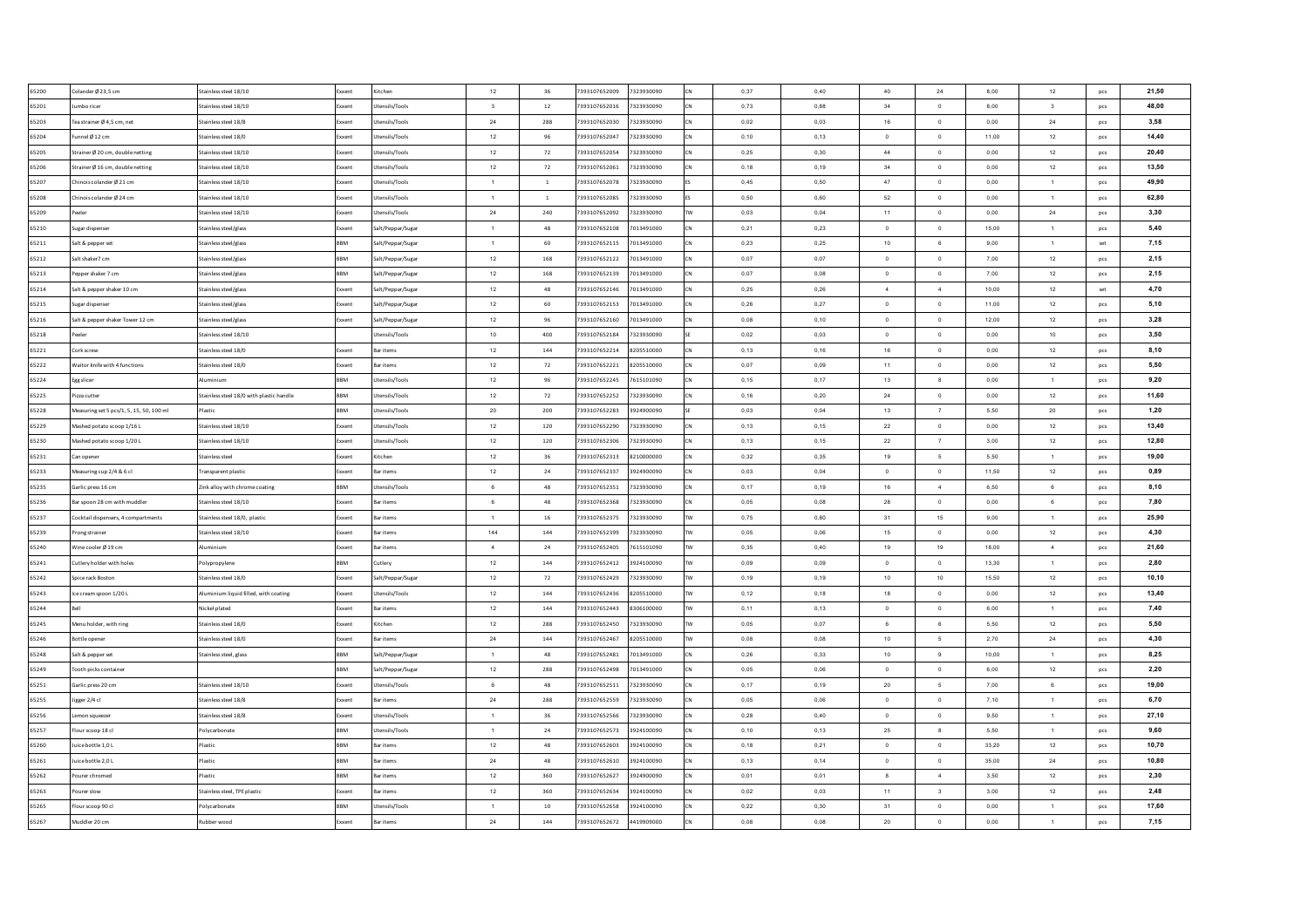| 65200 | Colander Ø 23,5 cm                       | Stainless steel 18/10                    | Exxent     | Kitchen               | 12                      | 36             | 7393107652009 | 7323930090 |           | 0.37 | 0.40  | 40             | 24                      | 8.00      | 12                      | pcs | 21.50 |
|-------|------------------------------------------|------------------------------------------|------------|-----------------------|-------------------------|----------------|---------------|------------|-----------|------|-------|----------------|-------------------------|-----------|-------------------------|-----|-------|
| 65201 | Jumbo ricer                              | Stainless steel 18/10                    | xxent      | Utensils/Tools        | $\overline{\mathbf{3}}$ | 12             | 7393107652016 | 7323930090 |           | 0,73 | 0,88  | 34             | $\overline{0}$          | 8,00      | $\overline{\mathbf{3}}$ | pcs | 48.00 |
| 65203 | Tea strainer Ø 4,5 cm, net               | Stainless steel 18/8                     | xxent      | Utensils/Tools        | 24                      | 288            | 7393107652030 | 7323930090 |           | 0,02 | 0,03  | 16             | $\mathbf 0$             | 0,00      | 24                      | pcs | 3,58  |
| 65204 | Funnel Ø 12 cm                           | Stainless steel 18/0                     | ixxent     | Utensils/Tools        | 12                      | 96             | 7393107652047 | 7323930090 |           | 0,10 | 0,13  | $\Omega$       | $\,$ 0                  | 11,00     | 12                      | pcs | 14,40 |
| 65205 | Strainer Ø 20 cm, double netting         | Stainless steel 18/10                    | xxen       | Utensils/Tools        | 12                      | 72             | 7393107652054 | 7323930090 |           | 0,25 | 0,30  | 44             | $\mathbf 0$             | 0,00      | 12                      | pcs | 20,40 |
| 65206 | Strainer Ø 16 cm, double netting         | Stainless steel 18/10                    | oxent      | Utensils/Tools        | 12                      | 72             | 7393107652061 | 7323930090 |           | 0,18 | 0,19  | 34             | $\,$ 0                  | 0,00      | 12                      | pcs | 13,50 |
| 65207 | Chinois colander Ø 21 cm                 | Stainless steel 18/10                    | xxent      | Utensils/Tools        | $\overline{1}$          | $\overline{1}$ | 7393107652078 | 7323930090 |           | 0,45 | 0,50  | 47             | $\,0\,$                 | 0,00      | $\mathbf{1}$            | pcs | 49,90 |
| 65208 | Chinois colander Ø 24 cm                 | Stainless steel 18/10                    | xxent      | Utensils/Tools        | $\overline{1}$          | $\mathbf 1$    | 7393107652085 | 7323930090 |           | 0,50 | 0,60  | 52             | $\,$ 0                  | 0,00      | $\overline{1}$          | pcs | 62,80 |
| 65209 | Peeler                                   | Stainless steel 18/10                    | xxent      | <b>Utensils/Tools</b> | 24                      | 240            | 7393107652092 | 7323930090 |           | 0,03 | 0,04  | 11             | $\,$ 0                  | 0,00      | 24                      | pcs | 3,30  |
| 65210 | Sugar dispenser                          | Stainless steel/glass                    | xxent      | Salt/Peppar/Sugar     | $\mathbf{1}$            | 48             | 7393107652108 | 7013491000 |           | 0,21 | 0,23  | $\overline{0}$ | $\circ$                 | 15,00     | $\mathbf{1}$            | pcs | 5,40  |
| 65211 | Salt & pepper set                        | Stainless steel/glass                    | <b>BBM</b> | Salt/Peppar/Sugar     | $\overline{1}$          | 60             | 7393107652115 | 7013491000 |           | 0.23 | 0.25  | 10             | 6                       | 9.00      | $\overline{1}$          | set | 7,15  |
| 65212 | Salt shaker7 cm                          | Stainless steel/glass                    | BBM        | Salt/Peppar/Sugar     | 12                      | 168            | 7393107652122 | 7013491000 |           | 0.07 | 0.07  | $\overline{0}$ | $\,$ 0 $\,$             | 7.00      | 12                      | pcs | 2,15  |
| 65213 | Pepper shaker 7 cm                       | Stainless steel/glass                    | BBM        | Salt/Peppar/Sugar     | 12                      | 168            | 7393107652139 | 7013491000 |           | 0.07 | 0.08  | $^{\circ}$     | $\mathbf{0}$            | 7.00      | 12                      | pcs | 2,15  |
| 65214 | Salt & pepper shaker 10 cm               | Stainless steel/glass                    | cxent      | Salt/Peppar/Sugar     | 12                      | 48             | 7393107652146 | 7013491000 |           | 0,25 | 0,26  | $\sim$         | $\overline{4}$          | 10.00     | 12                      | set | 4,70  |
| 65215 | Sugar dispenser                          | Stainless steel/glass                    | xxent      | Salt/Peppar/Sugar     | 12                      | 60             | 7393107652153 | 7013491000 |           | 0,26 | 0,27  | $\overline{0}$ | $\mathbf 0$             | 11,00     | 12                      | pcs | 5,10  |
| 65216 | Salt & pepper shaker Tower 12 cm         | Stainless steel/glass                    | xent       | Salt/Peppar/Sugar     | 12                      | 96             | 7393107652160 | 7013491000 |           | 0,08 | 0,10  | $\circ$        | $\,$ 0                  | 12,00     | 12                      | pcs | 3,28  |
| 65218 | 'eeler                                   | Stainless steel 18/10                    |            | Jtensils/Tools        | 10                      | 400            | 7393107652184 | 7323930090 |           | 0,02 | 0,03  | $\,$ 0 $\,$    | $\,0\,$                 | 0,00      | 10                      | pcs | 3,50  |
| 65221 | Cork screw                               | Stainless steel 18/0                     | oxent      | Bar items             | 12                      | 144            | 7393107652214 | 8205510000 |           | 0,13 | 0,16  | $16\,$         | $\,0\,$                 | 0,00      | 12                      | pcs | 8,10  |
| 65222 | Waitor knife with 4 functions            | Stainless steel 18/0                     | xxent      | Bar items             | $12\,$                  | $72\,$         | 7393107652221 | 8205510000 |           | 0,07 | 0,09  | 11             | $\,0\,$                 | $_{0,00}$ | 12                      | pcs | 5,50  |
| 65224 | Egg slicer                               | Juminium                                 |            | Utensils/Tools        | $12\,$                  | 96             | 7393107652245 | 7615101090 |           | 0,15 | 0,17  | 13             | 8                       | $_{0,00}$ | 1                       | pcs | 9,20  |
| 65225 | Pizza cutter                             | Stainless steel 18/0 with plastic handle | BBM        | Utensils/Tools        | $12\,$                  | 72             | 7393107652252 | 7323930090 |           | 0,16 | 0,20  | 24             | $\mathbf 0$             | 0,00      | 12                      | pcs | 11,60 |
| 65228 | Measuring set 5 pcs/1, 5, 15, 50, 100 ml | lastic                                   | <b>BM</b>  | Utensils/Tools        | $20\,$                  | 200            | 7393107652283 | 3924900090 |           | 0,03 | 0,04  | 13             | $\overline{7}$          | 5,50      | $20\degree$             | pcs | 1,20  |
| 65229 | Mashed potato scoop 1/16 L               | Stainless steel 18/10                    | xxent      | Utensils/Tools        | $12\,$                  | 120            | 7393107652290 | 7323930090 |           | 0.13 | 0.15  | 22             | $\overline{0}$          | 0.00      | 12                      | pcs | 13,40 |
| 65230 | Mashed potato scoop 1/20 L               | Stainless steel 18/10                    | Exxent     | Utensils/Tools        | 12                      | 120            | 7393107652306 | 7323930090 |           | 0.13 | 0.15  | 22             | $\overline{7}$          | 3.00      | 12                      | pcs | 12.80 |
| 65231 | Can opener                               | Stainless steel                          | xxent      | Kitchen               | 12                      | 36             | 7393107652313 | 8210000000 |           | 0.32 | 0.35  | 19             | $5\overline{5}$         | 5.50      | $\mathbf{1}$            | pcs | 19,00 |
| 65233 | Measuring cup 2/4 & 6 cl                 | Transparent plastic                      | xxent      | <b>Bar items</b>      | 12                      | 24             | 7393107652337 | 3924900090 |           | 0.03 | 0.04  | $^{\circ}$     | $\overline{0}$          | 11.50     | 12                      | pcs | 0.89  |
| 65235 | Garlic press 16 cm                       | Zink alloy with chrome coating           | <b>RRM</b> | Utensils/Tool:        | 6                       | 48             | 7393107652351 | 7323930090 |           | 0,17 | 0,19  | 16             | $\overline{4}$          | 6,50      | 6                       | pcs | 8,10  |
| 65236 | Bar spoon 28 cm with muddler             | Stainless steel 18/10                    | xxent      | <b>Bar items</b>      | 6                       | 48             | 7393107652368 | 7323930090 |           | 0,05 | 0.08  | 28             | $\overline{0}$          | 0.00      | 6                       | pcs | 7,80  |
| 65237 | Cocktail dispensers, 4 compartments      | Stainless steel 18/0, plastic            | ixxent     | <b>Bar items</b>      | $\mathbf{1}$            | $16\,$         | 7393107652375 | 7323930090 |           | 0,75 | 0,80  | 31             | 15                      | 9,00      | $\overline{1}$          | pcs | 25,90 |
| 65239 | Prong strainer                           | Stainless steel 18/10                    | ixxent     | <b>Bar items</b>      | 144                     | 144            | 7393107652399 | 7323930090 |           | 0,05 | 0,06  | 15             | $\mathbf{0}$            | 0,00      | 12                      | pcs | 4,30  |
| 65240 | Wine cooler Ø 19 cm                      | <b>Numinium</b>                          | xxent      | <b>Bar items</b>      | $\sim$                  | 24             | 7393107652405 | 7615101090 |           | 0,35 | 0,40  | 19             | 19                      | 18,00     | $\overline{4}$          | pcs | 21,60 |
| 65241 | Cutlery holder with holes                | Polypropylene                            | BBM        | Cutlery               | 12                      | 144            | 7393107652412 | 3924100090 |           | 0,09 | 0,09  | $\circ$        | $\overline{0}$          | 13,30     | $\overline{1}$          | pcs | 2,80  |
| 65242 | Spice rack Boston                        | Stainless steel 18/0                     | xxent      | Salt/Peppar/Sugar     | 12                      | 72             | 7393107652429 | 7323930090 |           | 0,19 | 0,19  | 10             | 10                      | 15,50     | 12                      | pcs | 10,10 |
| 65243 | Ice cream spoon 1/20 L                   | Aluminium liquid filled, with coating    | Exxent     | <b>Utensils/Tools</b> | 12                      | 144            | 7393107652436 | 8205510000 |           | 0,12 | 0,18  | 18             | $\,$ 0                  | 0,00      | 12                      | pcs | 13,40 |
| 65244 |                                          | Nickel plated                            | xxent      | <b>Bar items</b>      | 12                      | 144            | 7393107652443 | 8306100000 | <b>TV</b> | 0,11 | 0.13  | $\overline{0}$ | $\,$ 0 $\,$             | 6,00      | $\overline{1}$          | pcs | 7,40  |
| 65245 | Menu holder, with ring                   | Stainless steel 18/0                     | xxent      | Kitchen               | 12                      | 288            | 7393107652450 | 7323930090 | TW        | 0,05 | 0,07  | 6              | 6                       | 5,50      | 12                      | pcs | 5,50  |
| 65246 | Bottle opener                            | Stainless steel 18/0                     | cxent      | <b>Bar items</b>      | 24                      | 144            | 7393107652467 | 8205510000 |           | 0.08 | 0.08  | 10             | $\sqrt{5}$              | 2.70      | 24                      | pcs | 4,30  |
| 65248 | Salt & pepper set                        | Stainless steel, glass                   | <b>RRM</b> | Salt/Peppar/Sugar     | $\overline{1}$          | 48             | 7393107652481 | 7013491000 |           | 0,26 | 0,33  | 10             | 9                       | 10,00     | $\overline{1}$          | pcs | 8,25  |
| 65249 | poth picks container                     |                                          | <b>RM</b>  | Salt/Peppar/Sugar     | 12                      | 288            | 7393107652498 | 7013491000 |           | 0,05 | 0,06  | $\overline{0}$ | $\,$ 0                  | 6,00      | 12                      | pcs | 2,20  |
| 65251 | Garlic press 20 cm                       | Stainless steel 18/10                    | xxent      | Utensils/Tools        | 6                       | 48             | 7393107652511 | 7323930090 |           | 0,17 | 0,19  | $20\,$         | $\sqrt{5}$              | 7,00      | $\,6\,$                 | pcs | 19,00 |
| 65255 | igger 2/4 cl                             | tainless steel 18/8                      |            | <b>Bar items</b>      | 24                      | 288            | 7393107652559 | 7323930090 |           | 0,05 | 0,06  | $\circ$        | $\,$ 0                  | 7,10      | $\mathbf{1}$            | pcs | 6,70  |
| 65256 | emon squeezer                            | Stainless steel 18/8                     | oxent      | Utensils/Tools        | $\mathbf{1}$            | 36             | 7393107652566 | 7323930090 |           | 0,28 | 0,40  | $\,$ 0 $\,$    | $\,0\,$                 | 9,50      | $\mathbf{1}$            | pcs | 27,10 |
| 65257 | lour scoop 18 cl                         | olycarbonate                             | <b>BM</b>  | Jtensils/Tools        | $\overline{1}$          | $\bf{24}$      | 7393107652573 | 3924100090 |           | 0,10 | 0, 13 | 25             | $\bf{8}$                | 5,50      | 1                       | pcs | 9,60  |
| 65260 | Juice bottle 1,0 L                       | Plastic                                  | <b>BM</b>  | <b>Bar items</b>      | 12                      | 48             | 7393107652603 | 3924100090 |           | 0,18 | 0,21  | $\circ$        | $\,$ 0                  | 33,20     | 12                      | pcs | 10,70 |
| 65261 | Juice bottle 2,0 L                       | Plastic                                  | <b>BM</b>  | <b>Bar items</b>      | 24                      | 48             | 7393107652610 | 3924100090 |           | 0,13 | 0,14  | $\overline{0}$ | $\,$ 0                  | 35,00     | 24                      | pcs | 10,80 |
| 65262 | Pourer chromed                           | Plastic                                  | BBM        | <b>Bar items</b>      | 12                      | 360            | 7393107652627 | 3924900090 |           | 0,01 | 0,01  | 8              | $\sim$                  | 3,50      | 12                      | pcs | 2,30  |
| 65263 | Pourer slow                              | Stainless steel. TPE plastic             | xxent      | <b>Bar items</b>      | 12                      | 360            | 7393107652634 | 3924100090 |           | 0.02 | 0.03  | 11             | $\overline{\mathbf{3}}$ | 3.00      | 12                      | pcs | 2,48  |
| 65265 | Flour scoop 90 cl                        | Polycarbonate                            | BBM        | Utensils/Tools        | $\overline{1}$          | 10             | 7393107652658 | 3924100090 |           | 0,22 | 0.30  | 31             | $\overline{0}$          | 0,00      | $\mathbf{1}$            | pcs | 17,60 |
| 65267 | Muddler 20 cm                            | Rubber wood                              | Exxent     | <b>Bar items</b>      | 24                      | 144            | 7393107652672 | 4419909000 |           | 0,08 | 0.08  | 20             | $\circ$                 | 0.00      | $\mathbf{1}$            | pcs | 7,15  |
|       |                                          |                                          |            |                       |                         |                |               |            |           |      |       |                |                         |           |                         |     |       |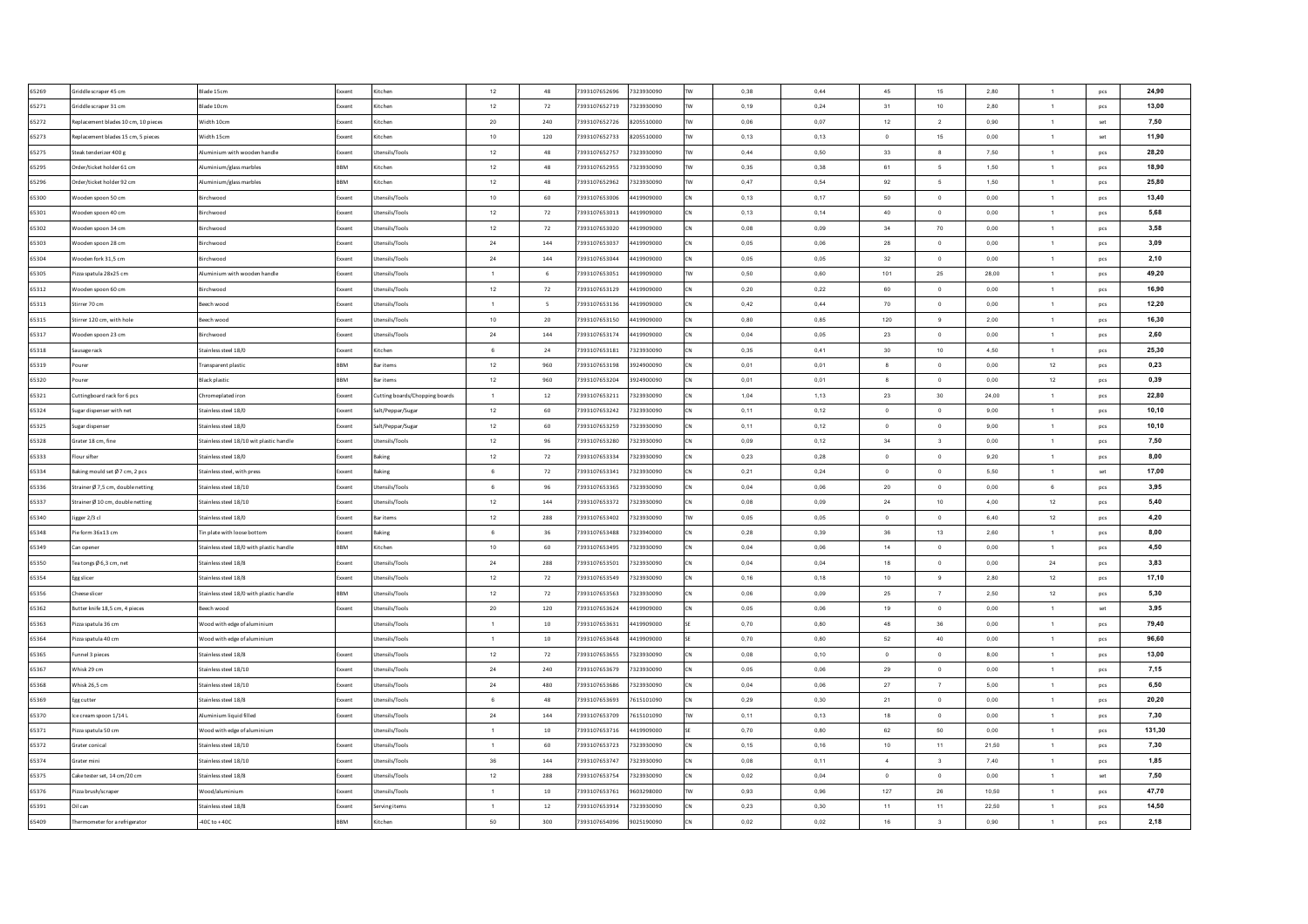| 65269          | Griddle scraper 45 cm               | Blade 15cm                               | Exxent         | Kitchen                        | 12                 | 48        | 7393107652696                  | 7323930090               | <b>TW</b>  | 0,38 | 0,44          | 45             | 15                      | 2,80      | $\mathbf{1}$                   | pcs | 24,90         |
|----------------|-------------------------------------|------------------------------------------|----------------|--------------------------------|--------------------|-----------|--------------------------------|--------------------------|------------|------|---------------|----------------|-------------------------|-----------|--------------------------------|-----|---------------|
| 65271          | Griddle scraper 31 cm               | Blade 10cm                               | xxent          | Kitchen                        | 12                 | 72        | 7393107652719                  | 7323930090               | <b>TW</b>  | 0,19 | 0,24          | 31             | 10                      | 2,80      | $\mathbf{1}$                   | pcs | 13,00         |
| 65272          | Replacement blades 10 cm, 10 pieces | Width 10cm                               | xxent          | Kitcher                        | $20\,$             | 240       | 7393107652726                  | 8205510000               | <b>TW</b>  | 0,06 | 0,07          | 12             | $\overline{2}$          | 0,90      | $\mathbf{1}$                   | set | 7,50          |
| 65273          | Replacement blades 15 cm, 5 pieces  | Width 15cm                               | xxent          | Kitchen                        | 10                 | 120       | 7393107652733                  | 8205510000               | <b>TW</b>  | 0,13 | 0,13          | $\,$ 0         | 15                      | 0,00      | $\mathbf{1}$                   | set | 11,90         |
| 65275          | Steak tenderizer 400 g              | Numinium with wooden handle              | xxent          | Jtensils/Tools                 | $12\,$             | 48        | 7393107652757                  | 7323930090               | <b>TW</b>  | 0,44 | 0,50          | 33             | $\boldsymbol{8}$        | 7,50      | $\mathbf{1}$                   | pcs | 28,20         |
| 65295          | Order/ticket holder 61 cm           | luminium/glass marbles                   | BBM            | Kitchen                        | $12\,$             | 48        | 7393107652955                  | 7323930090               | <b>TW</b>  | 0,35 | 0,38          | 61             | 5                       | 1,50      | $\mathbf{1}$                   | pcs | 18,90         |
| 65296          | Order/ticket holder 92 cm           | Aluminium/glass marbles                  | BBM            | Kitchen                        | $12\,$             | 48        | 7393107652962                  | 7323930090               | <b>TW</b>  | 0,47 | 0,54          | 92             | $\mathfrak s$           | 1,50      | $\mathbf{1}$                   | pcs | 25,80         |
| 65300          | Wooden spoon 50 cm                  | Birchwood                                | xxent          | Jtensils/Tools                 | 10                 | 60        | 7393107653006                  | 4419909000               | <b>ICN</b> | 0,13 | 0.17          | 50             | $\circ$                 | 0.00      | $\mathbf{1}$                   | pcs | 13,40         |
| 65301          | Wooden spoon 40 cm                  | Birchwood                                | xxent          | Jtensils/Tools                 | 12                 | 72        | 7393107653013                  | 4419909000               | CN         | 0.13 | 0.14          | 40             | $\overline{0}$          | 0.00      | $\overline{1}$                 | pcs | 5,68          |
| 65302          | Wooden spoon 34 cm                  | Birchwood                                | xxent          | Jtensils/Tools                 | 12                 | 72        | 7393107653020                  | 4419909000               | <b>CN</b>  | 0,08 | 0,09          | 34             | 70                      | 0,00      | 1                              | pcs | 3,58          |
| 65303          | Wooden spoon 28 cm                  | <b>Rirchwood</b>                         | xxent          | Jtensils/Tools                 | $\bf 24$           | 144       | 7393107653037                  | 4419909000               | lcN        | 0.05 | 0.06          | 28             | $\Omega$                | 0.00      | $\overline{1}$                 | pcs | 3,09          |
| 65304          | Wooden fork 31.5 cm                 | Birchwood                                | xxent          | Jtensils/Tools                 | 24                 | 144       | 7393107653044                  | 4419909000               | CN         | 0.05 | 0.05          | 32             | $\overline{0}$          | 0.00      | $\overline{1}$                 | pcs | 2,10          |
| 65305          | Pizza spatula 28x25 cm              | Numinium with wooden handle              | xxent          | Itensils/Tools                 | $\overline{1}$     | 6         | 7393107653051                  | 4419909000               | <b>TW</b>  | 0,50 | 0,60          | 101            | 25                      | 28.00     | $\overline{1}$                 | pcs | 49,20         |
| 65312          | Wooden spoon 60 cm                  | Birchwood                                | xxent          | Itensils/Tools                 | $12\,$             | 72        | 7393107653129                  | 4419909000               |            | 0,20 | 0,22          | 60             | $\,$ 0                  | 0,00      | $\mathbf{1}$                   | pcs | 16,90         |
| 65313          | Stirrer 70 cm                       | Beech wood                               | ixxent         | Itensils/Tools                 | $\overline{1}$     | 5         | 7393107653136                  | 4419909000               |            | 0,42 | 0,44          | 70             | $\mathbf 0$             | 0,00      | $\mathbf{1}$                   | pcs | 12,20         |
| 65315          | Stirrer 120 cm, with hole           | seech wood                               | xxent          | Itensils/Tools                 | 10                 | 20        | 7393107653150                  | 4419909000               |            | 0,80 | 0,85          | 120            | 9                       | 2,00      | $\mathbf{1}$                   | pcs | 16,30         |
| 65317          | Wooden spoon 23 cm                  | Birchwood                                | xxent          | Itensils/Tools                 | $\bf 24$           | 144       | 7393107653174                  | 4419909000               |            | 0,04 | 0,05          | 23             | $\mathbf 0$             | $_{0,00}$ | $\mathbf{1}$                   | pcs | 2,60          |
| 65318          | Sausage rack                        | Stainless steel 18/0                     | xxent          | <b>litchen</b>                 | 6                  | 24        | 7393107653181                  | 7323930090               |            | 0,35 | 0,41          | 30             | $10$                    | 4,50      | $\mathbf{1}$                   | pcs | 25,30         |
| 65319          | Pourer                              | Transparent plastic                      | BBM            | Bar items                      | $12\,$             | 960       | 7393107653198                  | 3924900090               |            | 0,01 | 0,01          | $_{8}$         | $\,$ 0                  | 0,00      | 12                             | pcs | 0.23          |
| 65320          | <b>Pourer</b>                       | Black plastic                            | <b>BM</b>      | Bar items                      | 12                 | 960       | 7393107653204                  | 3924900090               |            | 0,01 | 0,01          | 8              | $\circ$                 | 0,00      | 12                             | pcs | 0,39          |
| 65321          | Cuttingboard rack for 6 pcs         | Chromeplated iron                        | ixxent         | Cutting boards/Chopping boards | $\overline{1}$     | $12\,$    | 7393107653211                  | 7323930090               | CN         | 1,04 | 1,13          | 23             | 30                      | 24,00     | $\mathbf{1}$                   | pcs | 22,80         |
| 65324          | Sugar dispenser with net            | Stainless steel 18/0                     | xxent          | Salt/Peppar/Sugar              | 12                 | 60        | 7393107653242                  | 7323930090               | CN         | 0,11 | 0,12          | $\overline{0}$ | $\overline{0}$          | 9,00      | 1                              | pcs | 10,10         |
| 65325          | Sugar dispenser                     | Stainless steel 18/0                     | xxent          | Salt/Peppar/Sugar              | 12                 | 60        | 7393107653259                  | 7323930090               | lcN        | 0.11 | 0.12          | $\Omega$       | $\overline{0}$          | 9.00      | $\overline{1}$                 | pcs | 10,10         |
| 65328          | Grater 18 cm, fine                  | Stainless steel 18/10 wit plastic handle | Exxent         | Utensils/Tools                 | 12                 | 96        | 7393107653280                  | 7323930090               | lcN        | 0.09 | 0.12          | 34             | $\overline{\mathbf{3}}$ | 0.00      | $\overline{1}$                 | pcs | 7,50          |
| 65333          | Flour sifter                        | Stainless steel 18/0                     | xxent          | Baking                         | 12                 | 72        | 7393107653334                  | 7323930090               | <b>CN</b>  | 0,23 | 0,28          | $\overline{0}$ | $\overline{0}$          | 9,20      | 1                              | pcs | 8,00          |
| 65334          | Baking mould set Ø 7 cm, 2 pcs      | Stainless steel, with press              | ixxent         | Baking                         | 6                  | 72        | 7393107653341                  | 7323930090               | lcN        | 0,21 | 0,24          | $\Omega$       | $\mathbf 0$             | 5.50      | $\mathbf{1}$                   | set | 17,00         |
| 65336          | Strainer Ø 7,5 cm, double netting   | Stainless steel 18/10                    | ixxent         | Utensils/Tools                 | $6\overline{6}$    | 96        | 7393107653365                  | 7323930090               | CN         | 0,04 | 0,06          | $20\,$         | $\circ$                 | 0,00      | 6                              | pcs | 3,95          |
| 65337          | Strainer Ø 10 cm, double netting    | Stainless steel 18/10                    | xxent          | Jtensils/Tools                 | $12\,$             | 144       | 7393107653372                  | 7323930090               | low        | 0,08 | 0,09          | $\bf 24$       | 10                      | 4.00      | 12                             | pcs | 5,40          |
| 65340          | Jigger 2/3 cl                       | Stainless steel 18/0                     | xxent          | <b>Bar items</b>               | 12                 | 288       | 7393107653402                  | 7323930090               | <b>TW</b>  | 0,05 | 0,05          | $\overline{0}$ | $\mathbf 0$             | 6,40      | 12                             | pcs | 4,20          |
| 65348          | Pie form 36x13 cm                   | Tin plate with loose bottom              | xxent          | <b>Baking</b>                  | 6                  | 36        | 7393107653488                  | 7323940000               | CN         | 0,28 | 0,39          | 36             | 13                      | 2,60      | $\mathbf{1}$                   | pcs | 8,00          |
| 65349          | Can opener                          | Stainless steel 18/0 with plastic handle | BBM            | Kitchen                        | 10                 | 60        | 7393107653495                  | 7323930090               | <b>CN</b>  | 0,04 | 0,06          | 14             | $\circ$                 | 0,00      | $\mathbf{1}$                   | pcs | 4,50          |
| 65350          | Tea tongs Ø 6,3 cm, net             | Stainless steel 18/8                     | Exxent         | Jtensils/Tools                 | $\bf 24$           | 288       | 7393107653501                  | 7323930090               | CN         | 0,04 | 0,04          | 18             | $\,$ 0                  | 0,00      | 24                             | pcs | 3,83          |
| 65354          | Egg slicer                          | Stainless steel 18/8                     | ixxent         | Jtensils/Tools                 | 12                 | 72        | 7393107653549                  | 7323930090               | CN         | 0,16 | 0,18          | 10             | $_{9}$                  | 2,80      | 12                             | pcs | 17,10         |
| 65356          | Cheese slicer                       | Stainless steel 18/0 with plastic handle | <b>BBM</b>     | tensils/Tools                  | 12                 | 72        | 7393107653563                  | 7323930090               | <b>CN</b>  | 0.06 | 0,09          | 25             | $\overline{7}$          | 2,50      | 12                             | pcs | 5,30          |
| 65362          | Butter knife 18.5 cm, 4 pieces      | Beech wood                               | xxent          | Jtensils/Tools                 | 20                 | 120       | 7393107653624                  | 4419909000               | <b>CN</b>  | 0.05 | 0.06          | 19             | $\circ$                 | 0,00      | $\mathbf{1}$                   | set | 3,95          |
| 65363          | Pizza spatula 36 cm                 | Wood with edge of aluminium              |                | Jtensils/Tools                 | $\overline{1}$     | 10        | 7393107653631                  | 4419909000               |            | 0.70 | 0.80          | 48             | 36                      | 0.00      | $\mathbf{1}$                   | pcs | 79,40         |
| 65364          | Pizza spatula 40 cm                 | Wood with edge of aluminium              |                | Utensils/Tools                 | $\overline{1}$     | 10        | 7393107653648                  | 4419909000               |            | 0,70 | 0,80          | 52             | 40                      | 0,00      | $\overline{1}$                 | pcs | 96,60         |
|                |                                     |                                          |                |                                |                    |           |                                |                          | CN         |      |               | $\overline{0}$ |                         |           |                                |     |               |
| 65365<br>65367 | unnel 3 pieces                      | Stainless steel 18/8                     | xxent<br>cxent | Itensils/Tools                 | $12\,$<br>$\bf 24$ | 72<br>240 | 7393107653655<br>7393107653679 | 7323930090<br>7323930090 |            | 0,08 | 0, 10<br>0,06 |                | $\mathbf 0$<br>$\,$ 0   | 8,00      | $\overline{1}$<br>$\mathbf{1}$ | pcs | 13,00<br>7,15 |
|                | Whisk 29 cm                         | Stainless steel 18/10                    |                | Itensils/Tools                 |                    | 480       |                                | 7323930090               |            | 0,05 |               | 29             | $\overline{7}$          | 0,00      |                                | pcs |               |
| 65368          | Whisk 26,5 cm                       | Stainless steel 18/10                    | xxent          | Itensils/Tools                 | 24<br>6            |           | 7393107653686                  |                          |            | 0,04 | 0,06          | 27             |                         | 5,00      | $\mathbf{1}$                   | pcs | 6,50          |
| 65369          | Egg cutter                          | tainless steel 18/8                      |                | Itensils/Tools                 |                    | 48        | 7393107653693                  | 7615101090               |            | 0,29 | 0,30          | 21             | $\,$ 0                  | 0,00      | $\mathbf{1}$                   | pcs | 20,20         |
| 65370          | Ice cream spoon 1/14 L              | Numinium liquid filled                   | xxent          | Itensils/Tools                 | $\bf 24$           | 144       | 7393107653709                  | 7615101090               | <b>TW</b>  | 0,11 | 0,13          | 18             | $\,$ 0                  | 0,00      | $\mathbf{1}$                   | pcs | 7,30          |
| 65371          | Pizza spatula 50 cm                 | Wood with edge of aluminium              |                | tensils/Tools                  | $\overline{1}$     | 10        | 7393107653716                  | 4419909000               |            | 0,70 | 0,80          | 62             | 50                      | 0,00      | $\mathbf{1}$                   | pcs | 131,30        |
| 65372          | Grater conical                      | Stainless steel 18/10                    | ixxent         | Jtensils/Tools                 | $\overline{1}$     | 60        | 7393107653723                  | 7323930090               |            | 0,15 | 0,16          | $10$           | 11                      | 21,50     | $\mathbf{1}$                   | pcs | 7,30          |
| 65374          | Grater mini                         | Stainless steel 18/10                    | xxent          | Jtensils/Tools                 | 36                 | 144       | 7393107653747                  | 7323930090               |            | 0,08 | 0.11          | $\sim$         | $\overline{\mathbf{3}}$ | 7,40      | $\mathbf{1}$                   | pcs | 1,85          |
| 65375          | Cake tester set. 14 cm/20 cm        | Stainless steel 18/8                     | xxent          | Jtensils/Tools                 | 12                 | 288       | 7393107653754                  | 7323930090               | CN         | 0,02 | 0,04          | $\overline{0}$ | $\circ$                 | 0,00      | $\mathbf{1}$                   | set | 7,50          |
| 65376          | Pizza brush/scrape                  | Wood/aluminium                           | xxent          | Jtensils/Tools                 | $\overline{1}$     | 10        | 7393107653761                  | 9603298000               | <b>TW</b>  | 0.93 | 0.96          | 127            | 26                      | 10.50     | 1                              | pcs | 47,70         |
| 65391          | Oil can                             | Stainless steel 18/8                     | xxent          | Serving items                  | $\overline{1}$     | 12        | 7393107653914                  | 7323930090               | CN         | 0,23 | 0.30          | 11             | 11                      | 22.50     | $\mathbf{1}$                   | pcs | 14,50         |
| 65409          | Thermometer for a refrigerator      | $-40C$ to $+40C$                         | BBM            | Kitchen                        | 50                 | 300       | 7393107654096                  | 9025190090               | CN         | 0,02 | 0.02          | 16             | $\overline{\mathbf{3}}$ | 0.90      | $\mathbf{1}$                   | pcs | 2,18          |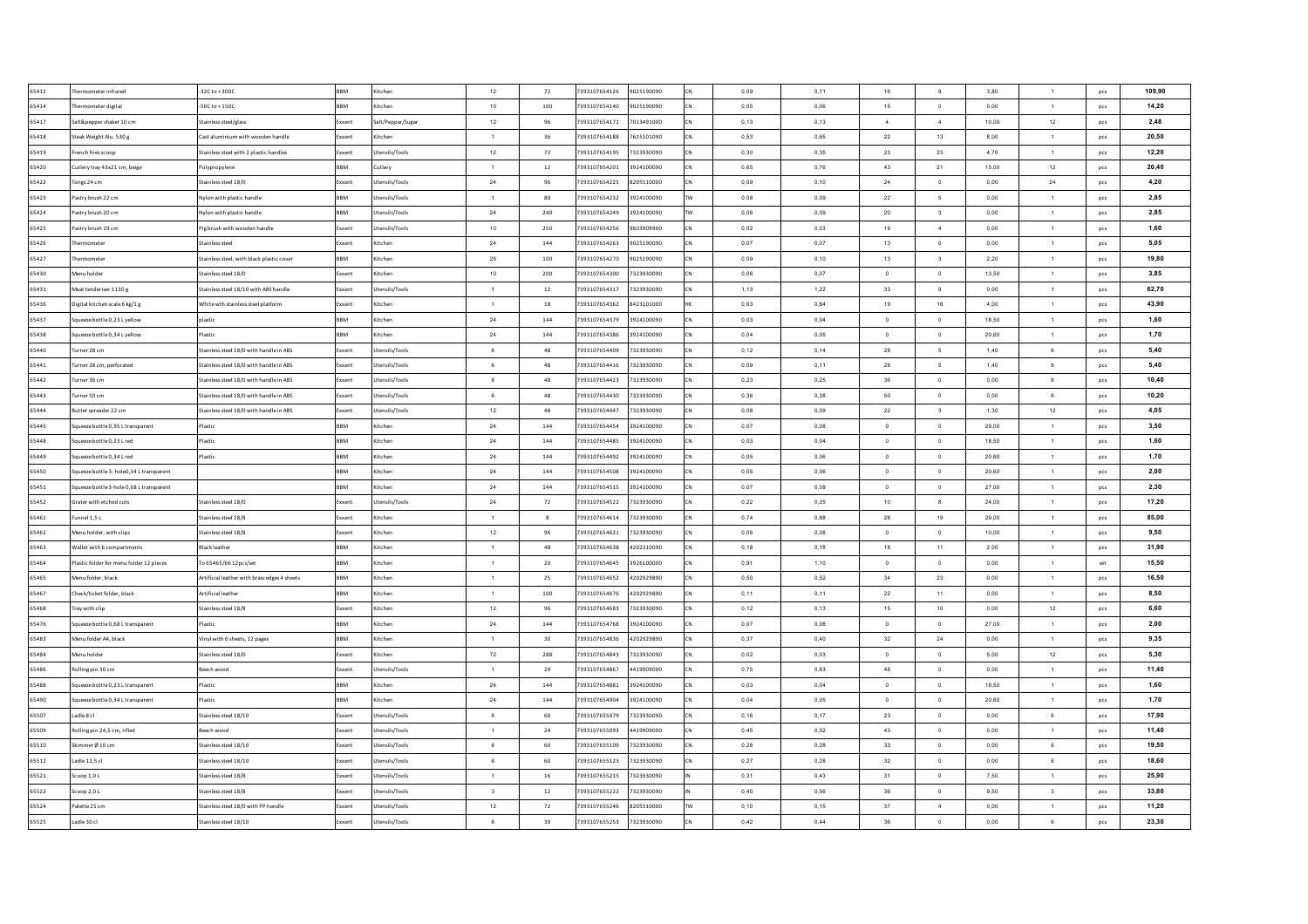| 65412 | Thermometer infrared                     | $-32C$ to $+300C$                            | <b>BBM</b> | Kitchen           | 12                           | 72         | 7393107654126 | 9025190090 | CN         | 0,09 | 0,11 | 16             | 9                        | 3,80  | $\mathbf{1}$            | pcs        | 109,90 |
|-------|------------------------------------------|----------------------------------------------|------------|-------------------|------------------------------|------------|---------------|------------|------------|------|------|----------------|--------------------------|-------|-------------------------|------------|--------|
| 65414 | Thermometer digital                      | -50C to $+150C$                              | <b>RRM</b> | Kitchen           | 10                           | 100        | 7393107654140 | 9025190090 | <b>ICN</b> | 0,05 | 0,06 | 15             | $\overline{0}$           | 0,00  | $\mathbf{1}$            | pcs        | 14,20  |
| 65417 | Salt&pepper shaker 10 cm                 | Stainless steel/glass                        | ixxen      | Salt/Peppar/Sugar | $12\,$                       | 96         | 7393107654171 | 7013491000 | CN         | 0,13 | 0,13 | $\overline{4}$ | $\boldsymbol{4}$         | 10,00 | 12                      | pcs        | 2,48   |
| 65418 | Steak Weight Alu. 530 g                  | Cast aluminium with wooden handle            | ixxent     | Kitchen           | $\overline{1}$               | 36         | 7393107654188 | 7615101090 | CN         | 0,53 | 0,65 | 22             | 13                       | 8,00  | $\mathbf{1}$            | pcs        | 20,50  |
| 65419 | rench fries scoop                        | Stainless steel with 2 plastic handles       | xxent      | Jtensils/Tools    | $12\,$                       | 72         | 7393107654195 | 7323930090 | <b>CN</b>  | 0,30 | 0,35 | 23             | 23                       | 4,70  | $\mathbf{1}$            | pcs        | 12,20  |
| 65420 | Cutlery tray 43x21 cm, beige             | Polypropylene                                | BBM        | Cutlery           | $\overline{1}$               | 12         | 7393107654201 | 3924100090 | CN         | 0,65 | 0,76 | 43             | 21                       | 15,00 | 12                      | pcs        | 20.40  |
| 65422 | Tongs 24 cm                              | Stainless steel 18/0                         | Exxent     | Utensils/Tools    | $\bf{24}$                    | 96         | 7393107654225 | 8205510000 | <b>CN</b>  | 0,09 | 0,10 | $\bf 24$       | $\,$ 0                   | 0,00  | $\bf 24$                | pcs        | 4,20   |
| 65423 | Pastry brush 22 cm                       | Nylon with plastic handle                    | BBM        | Utensils/Tools    | $\overline{1}$               | 80         | 7393107654232 | 3924100090 | <b>TW</b>  | 0.08 | 0.09 | 22             | $5\phantom{.0}$          | 0.00  | $\overline{1}$          | pcs        | 2,85   |
| 65424 | Pastry brush 20 cm                       | Nylon with plastic handle                    | BBM        | Jtensils/Tools    | $\bf{24}$                    | 240        | 7393107654249 | 3924100090 | <b>TW</b>  | 0.06 | 0.09 | 20             | $\overline{\mathbf{3}}$  | 0.00  | $\overline{1}$          | pcs        | 2,85   |
| 65425 | Pastry brush 19 cm                       | Pig brush with wooden handle                 | xxent      | Utensils/Tools    | 10                           | 250        | 7393107654256 | 9603909900 | CN         | 0,02 | 0.03 | 19             | $\sim$                   | 0.00  | 1                       | pcs        | 1,60   |
| 65426 | Thermometer                              | Stainless steel                              | Exxent     | Kitchen           | $\bf 24$                     | 144        | 7393107654263 | 9025190090 | <b>CN</b>  | 0.07 | 0.07 | 13             | $\overline{0}$           | 0.00  | $\overline{1}$          | pcs        | 5.05   |
| 65427 | Thermometer                              | Stainless steel, with black plastic cover    | <b>RRM</b> | Kitchen           | 25                           | 100        | 7393107654270 | 9025190090 | lcN        | 0.09 | 0.10 | 13             | $\overline{\mathbf{3}}$  | 2.20  | 1                       | pcs        | 19,80  |
| 65430 | Menu holder                              | Stainless steel 18/0                         | ixxent     | Kitchen           | 10                           | 200        | 7393107654300 | 7323930090 | <b>CN</b>  | 0,06 | 0.07 | $\Omega$       | $\circ$                  | 13,50 | $\overline{1}$          | pcs        | 3,85   |
| 65431 | Meat tenderiser 1130 g                   | Stainless steel 18/10 with ABS handle        | xxent      | Utensils/Tools    | $\overline{1}$               | $12\,$     | 7393107654317 | 7323930090 | low        | 1,13 | 1,22 | 33             | $_{9}$                   | 0,00  | $\mathbf{1}$            | pcs        | 62,70  |
| 65436 | Digital kitchen scale 6 kg/1 g           | White wth stainless steel platform           | ixxent     | <b>litchen</b>    | $\overline{1}$               | 18         | 7393107654362 | 8423101000 |            | 0,63 | 0,84 | 19             | 16                       | 4,00  | $\mathbf{1}$            | pcs        | 43,90  |
| 65437 | Squeeze bottle 0,23 L yellow             | plastic                                      | <b>BM</b>  | itchen            | $\bf 24$                     | 144        | 7393107654379 | 3924100090 |            | 0,03 | 0,04 | $\,$ 0         | $\,$ 0                   | 18,50 | $\mathbf{1}$            | pcs        | 1,60   |
| 65438 | Squeeze bottle 0,34 L yellow             | Plastic                                      | BBM        | litchen           | $\bf 24$                     | 144        | 7393107654386 | 3924100090 |            | 0,04 | 0,05 | $\overline{0}$ | $\mathbf 0$              | 20,60 | $\mathbf{1}$            | pcs        | 1,70   |
| 65440 | Furner 28 cm                             | Stainless steel 18/0 with handle in ABS      | xxent      | Itensils/Tools    | 6                            | 48         | 7393107654409 | 7323930090 |            | 0,12 | 0,14 | 28             | 5                        | 1,40  | 6                       | pcs        | 5,40   |
| 65441 | Turner 28 cm, perforated                 | Stainless steel 18/0 with handle in ABS      | ixxent     | Jtensils/Tools    | 6                            | 48         | 7393107654416 | 7323930090 |            | 0,09 | 0,11 | 28             | $\mathfrak s$            | 1,40  | $\mathbf 6$             | pcs        | 5,40   |
| 65442 | Turner 36 cm                             | Stainless steel 18/0 with handle in ABS      | xxent      | Jtensils/Tools    | 6                            | 48         | 7393107654423 | 7323930090 |            | 0,23 | 0,25 | $36\,$         | $\overline{0}$           | 0,00  | 6                       | pcs        | 10,40  |
| 65443 | Turner 50 cm                             | Stainless steel 18/0 with handle in ABS      | Exxent     | Utensils/Tools    | 6                            | 48         | 7393107654430 | 7323930090 | CN         | 0,36 | 0,38 | 50             | $\overline{0}$           | 0,00  | 6                       | pcs        | 10,20  |
| 65444 | Butter spreader 22 cm                    | Stainless steel 18/0 with handle in ABS      | Exxent     | Utensils/Tools    | 12                           | 48         | 7393107654447 | 7323930090 | <b>CN</b>  | 0,08 | 0,09 | 22             | $\overline{\mathbf{3}}$  | 1,30  | 12                      | pcs        | 4,05   |
| 65445 | Squeeze bottle 0.95 L transparent        | Plastic                                      | <b>RRM</b> | Kitchen           | 24                           | 144        | 7393107654454 | 3924100090 | <b>CN</b>  | 0.07 | 0.08 | $\Omega$       | $\overline{0}$           | 29.00 | $\overline{1}$          | pcs        | 3,50   |
| 65448 | Squeeze bottle 0.23 L red                | Plastic                                      | <b>RRM</b> | Kitchen           | 24                           | 144        | 7393107654485 | 3924100090 | lcN        | 0.03 | 0.04 | $\Omega$       | $\overline{0}$           | 18.50 | $\overline{1}$          | pcs        | 1,60   |
| 65449 | Squeeze bottle 0,34 L red                | Plastic                                      | <b>RRM</b> | Kitchen           | 24                           | 144        | 7393107654492 | 3924100090 | <b>CN</b>  | 0,05 | 0,06 | $\overline{0}$ | $\overline{0}$           | 20.60 | 1                       | pcs        | 1,70   |
| 65450 | Squeeze bottle 3-hole0,34 L transparent  |                                              | <b>RRM</b> | Kitcher           | 24                           | 144        | 7393107654508 | 3924100090 | <b>CN</b>  | 0,05 | 0,06 | $\Omega$       | $\overline{0}$           | 20.60 | $\mathbf{1}$            | pcs        | 2.00   |
| 65451 | Squeeze bottle 3-hole 0,68 L transparent |                                              | BBM        | Kitchen           | 24                           | $\bf 144$  | 7393107654515 | 3924100090 | CN         | 0,07 | 0,08 | $\overline{0}$ | $\overline{\phantom{0}}$ | 27,00 | 1                       | pcs        | 2,30   |
| 65452 | Grater with etched cuts                  | Stainless steel 18/0                         | ixxent     | Utensils/Tools    | ${\bf 24}$                   | 72         | 7393107654522 | 7323930090 | low        | 0,22 | 0,25 | 10             | $\boldsymbol{8}$         | 24,00 | $\mathbf{1}$            | pcs        | 17,20  |
| 65461 | Funnel 1,5 L                             | Stainless steel 18/8                         | xxent      | Kitchen           | 1                            | 8          | 7393107654614 | 7323930090 | CN         | 0,74 | 0,88 | 28             | 19                       | 29,00 | $\mathbf{1}$            | pcs        | 85,00  |
| 65462 | Menu holder, with clips                  | Stainless steel 18/8                         | Exxent     | Kitchen           | $12\,$                       | 96         | 7393107654621 | 7323930090 | <b>CN</b>  | 0,06 | 0,08 | $\overline{0}$ | $\overline{0}$           | 10,00 | $\mathbf{1}$            | pcs        | 9,50   |
| 65463 | Wallet with 6 compartments               | <b>Black leather</b>                         | BBM        | Kitchen           | $\overline{1}$               | 48         | 7393107654638 | 4202310090 | <b>CN</b>  | 0,18 | 0,18 | 18             | 11                       | 2,00  | $\mathbf{1}$            | pcs        | 31,90  |
| 65464 | Plastic folder for menu folder 12 pieces | To 65465/66 12pcs/set                        | BBM        | Kitchen           | $\overline{1}$               | 20         | 7393107654645 | 3926100000 | CN         | 0,91 | 1,10 | $\overline{0}$ | $\circ$                  | 0,00  | $\mathbf{1}$            | set        | 15,50  |
| 65465 | Menu folder, black                       | Artificial leather with brass edges 4 sheets | BBM        | Kitchen           | $\blacksquare$               | 25         | 7393107654652 | 4202929890 | <b>CN</b>  | 0,50 | 0,52 | 34             | 23                       | 0,00  | $\mathbf{1}$            | pcs        | 16,50  |
| 65467 | Check/ticket folder, black               | Artificial leather                           | <b>BBM</b> | Kitchen           | 1                            | 100        | 7393107654676 | 4202929890 | <b>CN</b>  | 0,11 | 0.11 | 22             | 11                       | 0,00  | $\overline{1}$          | pcs        | 8,50   |
| 65468 | Tray with clip                           | Stainless steel 18/8                         | xxent      | Kitchen           | 12                           | 96         | 7393107654683 | 7323930090 | lon        | 0,12 | 0.13 | 15             | 10                       | 0,00  | 12                      | pcs        | 6,60   |
| 65476 | Squeeze bottle 0.68 L transparent        | Plastic                                      | BBM        | Kitchen           | $\bf{24}$                    | 144        | 7393107654768 | 3924100090 | <b>CN</b>  | 0.07 | 0.08 | $\overline{0}$ | $\overline{0}$           | 27.00 | $\overline{1}$          | pcs        | 2,00   |
| 65483 | Menu folder A4, black                    | Vinyl with 6 sheets, 12 pages                | <b>RRM</b> | Kitchen           | $\overline{1}$               | 30         | 7393107654836 | 4202929890 | <b>CN</b>  | 0,37 | 0,40 | 32             | 24                       | 0,00  | $\overline{1}$          | pcs        | 9,35   |
| 65484 | Menu holder                              |                                              | ixxent     | Kitchen           |                              | 288        | 7393107654843 | 7323930090 | lcN        | 0,02 | 0,03 | $\overline{0}$ | $\overline{0}$           | 5,00  |                         |            | 5,30   |
| 65486 | Rolling pin 30 cm                        | Stainless steel 18/0<br>Beech wood           | xxent      | Jtensils/Tools    | ${\bf 72}$<br>$\overline{1}$ | ${\bf 24}$ | 7393107654867 | 4419909000 |            | 0,75 | 0,83 | 48             | $\mathbf{0}$             | 0,00  | 12<br>$\mathbf{1}$      | pcs<br>pcs | 11,40  |
| 65488 | Squeeze bottle 0,23 L transparent        | Plastic                                      | <b>RRM</b> | itchen            | 24                           | 144        | 7393107654881 | 3924100090 | CN         | 0,03 | 0,04 | $\overline{0}$ | $\overline{0}$           | 18,50 | $\mathbf{1}$            | pcs        | 1,60   |
| 65490 | Squeeze bottle 0,34 L transparent        | Plastic                                      | <b>ERM</b> | itchen            | $\bf 24$                     | 144        | 7393107654904 | 3924100090 |            | 0,04 | 0,05 | $\overline{0}$ | $\,$ 0                   | 20,60 | $\mathbf{1}$            | pcs        | 1,70   |
|       |                                          |                                              |            |                   |                              |            |               |            | CN         |      |      |                | $\,$ 0                   |       | $\mathbf 6$             |            |        |
| 65507 | Ladle 8 cl                               | Stainless steel 18/10                        | ixxent     | Itensils/Tools    | 6                            | 60         | 7393107655079 | 7323930090 |            | 0,16 | 0,17 | 23             | $\,$ 0                   | 0,00  |                         | pcs        | 17,90  |
| 65509 | Rolling pin 24,5 cm, rifled              | seech wood                                   | xxent      | Itensils/Tools    | $\overline{1}$               | 24         | 7393107655093 | 4419909000 |            | 0,45 | 0,52 | 43             |                          | 0,00  | $\mathbf{1}$            | pcs        | 11,40  |
| 65510 | Skimmer Ø10 cm                           | Stainless steel 18/10                        | ixxent     | Jtensils/Tools    | 6                            | 60         | 7393107655109 | 7323930090 |            | 0,28 | 0,28 | 33             | $\overline{0}$           | 0,00  | 6                       | pcs        | 19,50  |
| 65512 | Ladie 12.5 cl                            | Stainless steel 18/10                        | xxent      | Jtensils/Tools    | 6                            | 60         | 7393107655123 | 7323930090 |            | 0,27 | 0.28 | 32             | $\overline{0}$           | 0,00  | 6                       | pcs        | 18,60  |
| 65521 | Scoop 1.0 L                              | Stainless steel 18/8                         | xxent      | Jtensils/Tools    | $\overline{1}$               | 16         | 7393107655215 | 7323930090 |            | 0,31 | 0.43 | 31             | $\overline{\mathbf{0}}$  | 7,50  | $\mathbf{1}$            | pcs        | 25,90  |
| 65522 | Scoop 2.0 L                              | Stainless steel 18/8                         | xxent      | Jtensils/Tools    | $\overline{\mathbf{3}}$      | 12         | 7393107655222 | 7323930090 |            | 0.40 | 0.56 | 36             | $\overline{0}$           | 9,50  | $\overline{\mathbf{3}}$ | pcs        | 33,80  |
| 65524 | Palette 25 cm                            | Stainless steel 18/0 with PP handle          | xxent      | Utensils/Tools    | 12                           | 72         | 7393107655246 | 8205510000 | <b>TW</b>  | 0,10 | 0.15 | 37             | $\overline{4}$           | 0,00  | $\mathbf{1}$            | pcs        | 11,20  |
| 65525 | Ladle 30 cl                              | Stainless steel 18/10                        | Exxent     | Utensils/Tools    | 6                            | 30         | 7393107655253 | 7323930090 | CN         | 0,42 | 0.44 | 36             | $\circ$                  | 0.00  | 6                       | pcs        | 23,30  |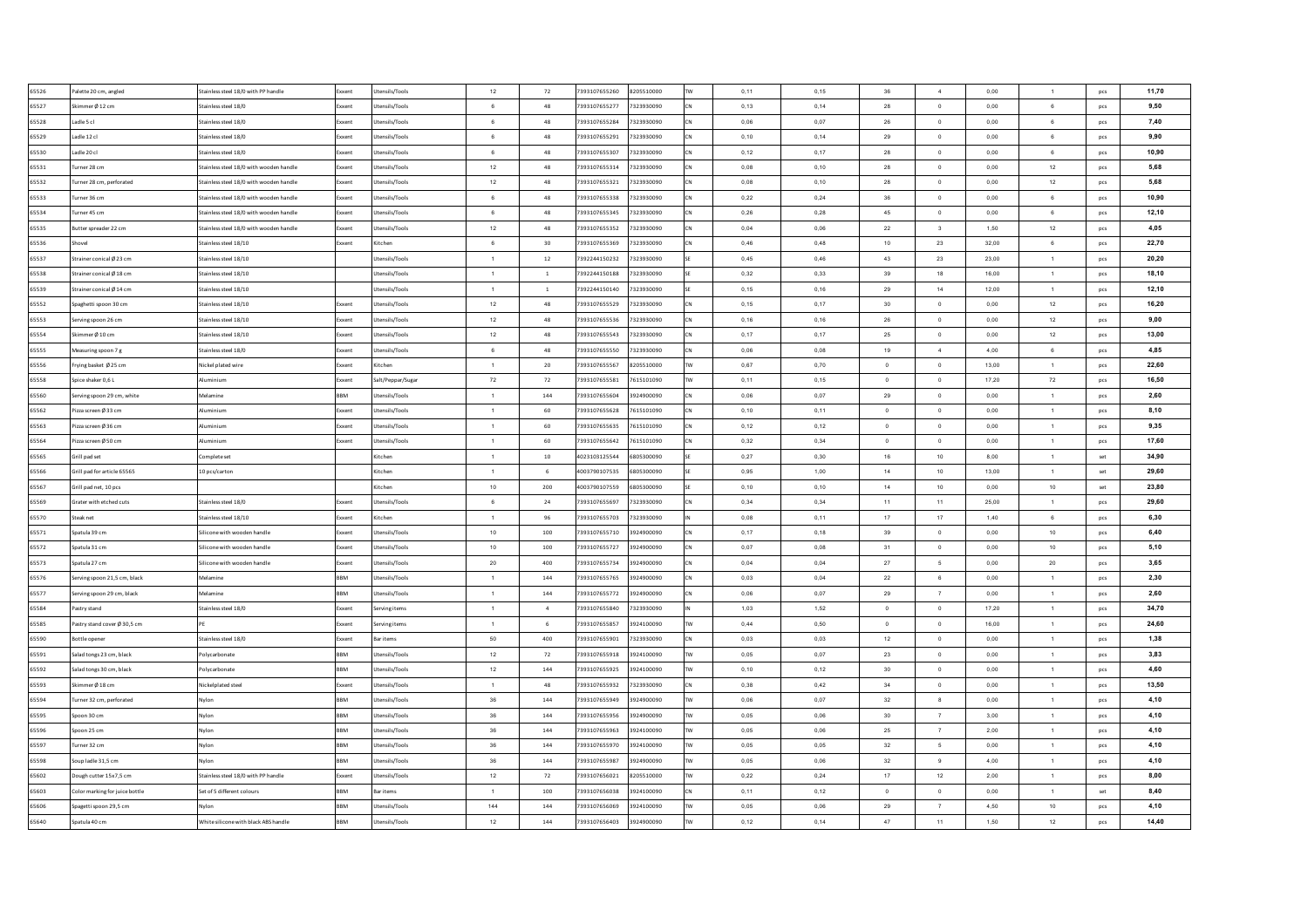| 65526 | Palette 20 cm, angled          | Stainless steel 18/0 with PP handle     | Exxent       | Utensils/Tools    | 12             | 72             | 7393107655260 | 8205510000 |           | 0,11 | 0.15 | 36             | $\frac{4}{ }$           | 0.00  | $\overline{1}$ | pcs            | 11.70 |
|-------|--------------------------------|-----------------------------------------|--------------|-------------------|----------------|----------------|---------------|------------|-----------|------|------|----------------|-------------------------|-------|----------------|----------------|-------|
| 65527 | Skimmer Ø 12 cm                | Stainless steel 18/0                    | Exxent       | Utensils/Tools    | 6              | 48             | 7393107655277 | 7323930090 |           | 0,13 | 0,14 | 28             | $\ddot{\phantom{0}}$    | 0.00  | 6              | pcs            | 9.50  |
| 65528 | Ladle 5 cl                     | Stainless steel 18/0                    | Exxent       | Utensils/Tools    | 6              | 48             | 7393107655284 | 7323930090 |           | 0,06 | 0.07 | 26             | $\overline{0}$          | 0,00  | 6              | pcs            | 7,40  |
| 65529 | Ladle 12 cl                    | Stainless steel 18/0                    | Exxent       | Utensils/Tools    | 6              | 48             | 7393107655291 | 7323930090 |           | 0,10 | 0,14 | 29             | $\circ$                 | 0,00  | 6              | pcs            | 9,90  |
| 65530 | Ladle 20 cl                    | Stainless steel 18/0                    | <b>Exxen</b> | Utensils/Tools    | 6              | 48             | 7393107655307 | 7323930090 |           | 0,12 | 0,17 | 28             | $\mathbf 0$             | 0.00  | 6              | pcs            | 10,90 |
| 65531 | urner 28 cm                    | stainless steel 18/0 with wooden handle | Exxent       | Utensils/Tools    | 12             | 48             | 7393107655314 | 7323930090 |           | 0,08 | 0,10 | 28             | $\circ$                 | 0,00  | 12             | pcs            | 5,68  |
| 65532 | urner 28 cm, perforated        | stainless steel 18/0 with wooden handle | Exxent       | Itensils/Tools    | 12             | 48             | 7393107655321 | 7323930090 |           | 0,08 | 0,10 | 28             | $\,$ 0                  | 0,00  | 12             | pcs            | 5,68  |
| 65533 | Turner 36 cm                   | Stainless steel 18/0 with wooden handle | Exxent       | Jtensils/Tools    | 6              | 48             | 7393107655338 | 7323930090 |           | 0,22 | 0,24 | $36\,$         | $\circ$                 | 0,00  | $\,6\,$        | pcs            | 10,90 |
| 65534 | urner 45 cm                    | Stainless steel 18/0 with wooden handle | Exxent       | Jtensils/Tools    | 6              | 48             | 7393107655345 | 7323930090 |           | 0,26 | 0,28 | 45             | $\,$ 0                  | 0,00  | 6              | pcs            | 12,10 |
| 65535 | Butter spreader 22 cm          | Stainless steel 18/0 with wooden handle | Exxent       | Jtensils/Tools    | 12             | 48             | 7393107655352 | 7323930090 |           | 0,04 | 0,06 | 22             | $\overline{\mathbf{3}}$ | 1,50  | 12             | <b>DCS</b>     | 4,05  |
| 65536 | hove                           | Stainless steel 18/10                   | Exxent       | Kitchen           | 6              | 30             | 7393107655369 | 7323930090 |           | 0.46 | 0.48 | 10             | 23                      | 32.00 | 6              | pcs            | 22,70 |
| 65537 | Strainer conical Ø 23 cm       | Stainless steel 18/10                   |              | Jtensils/Tools    | $\overline{1}$ | 12             | 7392244150232 | 7323930090 |           | 0,45 | 0.46 | 43             | 23                      | 23.00 | 1              | pcs            | 20,20 |
| 65538 | Strainer conical Ø 18 cm       | Stainless steel 18/10                   |              | Utensils/Tools    | $\overline{1}$ | $\overline{1}$ | 7392244150188 | 7323930090 |           | 0.32 | 0.33 | 39             | 18                      | 16.00 | $\overline{1}$ | pcs            | 18,10 |
| 65539 | Strainer conical Ø 14 cm       | Stainless steel 18/10                   |              | Itensils/Tools    | $\overline{1}$ | $\overline{1}$ | 7392244150140 | 7323930090 |           | 0,15 | 0,16 | 29             | 14                      | 12,00 | $\overline{1}$ | pcs            | 12,10 |
| 65552 | ipaghetti spoon 30 cm          | Stainless steel 18/10                   | ixxent       | Jtensils/Tools    | $12\,$         | 48             | 7393107655529 | 7323930090 |           | 0,15 | 0,17 | 30             | $\overline{0}$          | 0,00  | 12             | pcs            | 16,20 |
| 65553 | erving spoon 26 cm             | Stainless steel 18/10                   | oxen:        | Itensils/Tools    | 12             | 48             | 7393107655536 | 7323930090 |           | 0,16 | 0,16 | 26             | $\overline{0}$          | 0,00  | 12             | pcs            | 9,00  |
| 65554 | kimmer Ø 10 cm                 | Stainless steel 18/10                   | xxent        | Itensils/Tools    | 12             | 48             | 7393107655543 | 7323930090 |           | 0,17 | 0,17 | 25             | $\,$ 0                  | 0,00  | 12             | pcs            | 13,00 |
| 65555 | leasuring spoon 7 g            | stainless steel 18/0                    | xxent        | tensils/Tools     | $\,6\,$        | 48             | 7393107655550 | 7323930090 |           | 0,06 | 0,08 | 19             | $\ddot{4}$              | 4,00  | $\mathbf 6$    | pcs            | 4,85  |
| 65556 | rying basket Ø25 cm            | Nickel plated wire                      | Exxent       | <b>litchen</b>    | $\overline{1}$ | 20             | 7393107655567 | 8205510000 |           | 0,67 | 0,70 | $\,$ 0 $\,$    | $\mathbf 0$             | 13,00 | $\mathbf{1}$   | pcs            | 22,60 |
| 65558 | pice shaker 0,6 L              | luminium                                | <b>xxent</b> | Salt/Peppar/Sugar | ${\bf 72}$     | $72\,$         | 7393107655581 | 7615101090 |           | 0,11 | 0,15 | $\circ$        | $\mathbf{0}$            | 17,20 | 72             | pcs            | 16,50 |
| 65560 | ierving spoon 29 cm, white     | Melamine                                | BBM          | Jtensils/Tools    | $\overline{1}$ | 144            | 7393107655604 | 3924900090 |           | 0,06 | 0,07 | $\bf 29$       | $\,$ 0 $\,$             | 0,00  | $\mathbf{1}$   | pcs            | 2,60  |
| 65562 | izza screen Ø 33 cm            | Numinium                                | Exxent       | Itensils/Tools    | $\overline{1}$ | 60             | 7393107655628 | 7615101090 |           | 0,10 | 0,11 | $\circ$        | $\overline{0}$          | 0,00  | $\mathbf{1}$   | pcs            | 8,10  |
| 65563 | izza screen Ø 36 cm            | <b>Aluminium</b>                        | Exxent       | Utensils/Tools    | $\overline{1}$ | 60             | 7393107655635 | 7615101090 |           | 0,12 | 0.12 | $\overline{0}$ | $\circ$                 | 0,00  | $\mathbf{1}$   | pcs            | 9,35  |
| 65564 | Pizza screen Ø 50 cm           | <b>Aluminium</b>                        | Exxent       | Utensils/Tools    | $\overline{1}$ | 60             | 7393107655642 | 7615101090 |           | 0.32 | 0.34 | $\overline{0}$ | $\overline{0}$          | 0.00  | $\blacksquare$ | pcs            | 17,60 |
| 65565 | Grill pad set                  | Complete set                            |              | Kitchen           | $\overline{1}$ | $10\,$         | 4023103125544 | 6805300090 |           | 0,27 | 0.30 | 16             | 10                      | 8,00  | $\sim$         | $\mathsf{set}$ | 34,90 |
| 65566 | Grill pad for article 65565    | 10 pcs/carton                           |              | Kitchen           | $\overline{1}$ | 6              | 4003790107535 | 6805300090 |           | 0.95 | 1.00 | 14             | 10                      | 13.00 | $\blacksquare$ | set            | 29.60 |
| 65567 | Grill pad net, 10 pcs          |                                         |              | Kitchen           | 10             | 200            | 4003790107559 | 6805300090 |           | 0.10 | 0,10 | 14             | 10                      | 0,00  | 10             | $\mathsf{set}$ | 23.80 |
| 65569 | Grater with etched cuts        | Stainless steel 18/0                    | Exxent       | Utensils/Tools    | 6              | 24             | 7393107655697 | 7323930090 |           | 0,34 | 0,34 | 11             | 11                      | 25,00 | $\overline{1}$ | pcs            | 29.60 |
| 65570 | Steak net                      | Stainless steel 18/10                   | Exxent       | Kitchen           | $\overline{1}$ | 96             | 7393107655703 | 7323930090 |           | 0,08 | 0,11 | 17             | 17                      | 1,40  | 6              | pcs            | 6,30  |
| 65571 | Spatula 39 cm                  | silicone with wooden handle             | Exxent       | Jtensils/Tools    | $10$           | 100            | 7393107655710 | 3924900090 |           | 0,17 | 0,18 | 39             | $\overline{0}$          | 0,00  | 10             | pcs            | 6,40  |
| 65572 | Spatula 31 cm                  | silicone with wooden handle             | Exxent       | Jtensils/Tools    | 10             | 100            | 7393107655727 | 3924900090 |           | 0,07 | 0,08 | 31             | $\overline{0}$          | 0,00  | 10             | pcs            | 5,10  |
| 65573 | Spatula 27 cm                  | Silicone with wooden handle             | Exxent       | Jtensils/Tools    | $20\,$         | 400            | 7393107655734 | 3924900090 |           | 0,04 | 0,04 | 27             | $\mathfrak s$           | 0,00  | $20\,$         | pcs            | 3,65  |
| 65576 | erving spoon 21,5 cm, black    | Melamine                                | BBM          | Jtensils/Tools    | $\overline{1}$ | 144            | 7393107655765 | 3924900090 |           | 0,03 | 0,04 | 22             | $6\phantom{.0}$         | 0,00  | $\mathbf{1}$   | pcs            | 2,30  |
| 65577 | ierving spoon 29 cm, black     | Melamine                                | <b>BBM</b>   | Jtensils/Tools    | $\overline{1}$ | 144            | 7393107655772 | 3924900090 |           | 0,06 | 0,07 | 29             | $\overline{7}$          | 0,00  | $\overline{1}$ | pcs            | 2,60  |
| 65584 | Pastry stand                   | Stainless steel 18/0                    | Exxent       | Serving items     | $\blacksquare$ | $\sqrt{4}$     | 7393107655840 | 7323930090 |           | 1,03 | 1,52 | $\,$ 0 $\,$    | $\overline{0}$          | 17,20 | $\overline{1}$ | <b>DCS</b>     | 34,70 |
| 65585 | Pastry stand cover Ø 30.5 cm   |                                         | Exxent       | Serving items     | $\overline{1}$ | 6              | 7393107655857 | 3924100090 | <b>TW</b> | 0,44 | 0,50 | $\overline{0}$ | $\overline{0}$          | 16,00 | 1              | pcs            | 24,60 |
| 65590 | Bottle opener                  | Stainless steel 18/0                    | Exxent       | <b>Bar items</b>  | 50             | 400            | 7393107655901 | 7323930090 |           | 0.03 | 0.03 | 12             | $\circ$                 | 0.00  | $\overline{1}$ | pcs            | 1,38  |
| 65591 | Salad tongs 23 cm, black       | Polycarbonate                           | <b>RRM</b>   | Jtensils/Tools    | $12\,$         | 72             | 7393107655918 | 3924100090 |           | 0,05 | 0,07 | 23             | $\,$ 0                  | 0,00  | $\mathbf{1}$   | pcs            | 3,83  |
| 65592 | Salad tongs 30 cm, black       | Polycarbonate                           | <b>RRM</b>   | Itensils/Tools    | $12\,$         | 144            | 7393107655925 | 3924100090 |           | 0,10 | 0,12 | 30             | $\circ$                 | 0,00  | $\overline{1}$ | pcs            | 4,60  |
| 65593 | Skimmer Ø 18 cm                | Nickelplated steel                      | Exxent       | Jtensils/Tools    | $\overline{1}$ | 48             | 7393107655932 | 7323930090 |           | 0,38 | 0,42 | 34             | $\,$ 0                  | 0,00  | $\overline{1}$ | pcs            | 13,50 |
| 65594 | urner 32 cm, perforated        |                                         | <b>RRM</b>   | tensils/Tools     | 36             | 144            | 7393107655949 | 3924900090 |           | 0,06 | 0,07 | 32             | $\boldsymbol{8}$        | 0,00  | $\mathbf{1}$   | pcs            | 4,10  |
| 65595 | poon 30 cm                     | Wylon                                   | BBM          | tensils/Tools     | 36             | 144            | 7393107655956 | 3924900090 |           | 0,05 | 0,06 | 30             | $\overline{7}$          | 3,00  | $\mathbf{1}$   | pcs            | 4,10  |
| 65596 | poon 25 cm                     | wlon                                    | BBM          | tensils/Tools     | 36             | 144            | 7393107655963 | 3924100090 |           | 0,05 | 0,06 | 25             | $\overline{7}$          | 2,00  | $\mathbf{1}$   | pcs            | 4,10  |
| 65597 | urner 32 cm                    | Nylon                                   | BBM          | Jtensils/Tools    | 36             | 144            | 7393107655970 | 3924100090 |           | 0,05 | 0,05 | 32             | $5\overline{5}$         | 0,00  | $\mathbf{1}$   | pcs            | 4,10  |
| 65598 | oup ladle 31,5 cm              | Wylon                                   | BBM          | Jtensils/Tools    | 36             | 144            | 7393107655987 | 3924900090 |           | 0,05 | 0,06 | 32             | 9                       | 4,00  | $\mathbf{1}$   | pcs            | 4,10  |
| 65602 | Jough cutter 15x7.5 cm         | Stainless steel 18/0 with PP handle     | Exxent       | Utensils/Tools    | 12             | 72             | 7393107656021 | 8205510000 |           | 0,22 | 0,24 | 17             | 12                      | 2,00  | $\overline{1}$ | pcs            | 8,00  |
| 65603 | Color marking for juice bottle | Set of 5 different colours              | <b>BBM</b>   | <b>Bar items</b>  | $\overline{1}$ | 100            | 7393107656038 | 3924100090 |           | 0.11 | 0.12 | $\overline{0}$ | $\overline{0}$          | 0,00  | $\overline{1}$ | set            | 8,40  |
| 65606 | pagetti spoon 29,5 cm          | Nvlon                                   | <b>BBM</b>   | Utensils/Tools    | 144            | 144            | 7393107656069 | 3924100090 |           | 0,05 | 0,06 | 29             | $\overline{7}$          | 4,50  | 10             | pcs            | 4,10  |
| 65640 | Spatula 40 cm                  | White silicone with black ABS handle    | <b>BBM</b>   | Utensils/Tools    | 12             | 144            | 7393107656403 | 3924900090 |           | 0,12 | 0.14 | 47             | 11                      | 1,50  | 12             | pcs            | 14,40 |
|       |                                |                                         |              |                   |                |                |               |            |           |      |      |                |                         |       |                |                |       |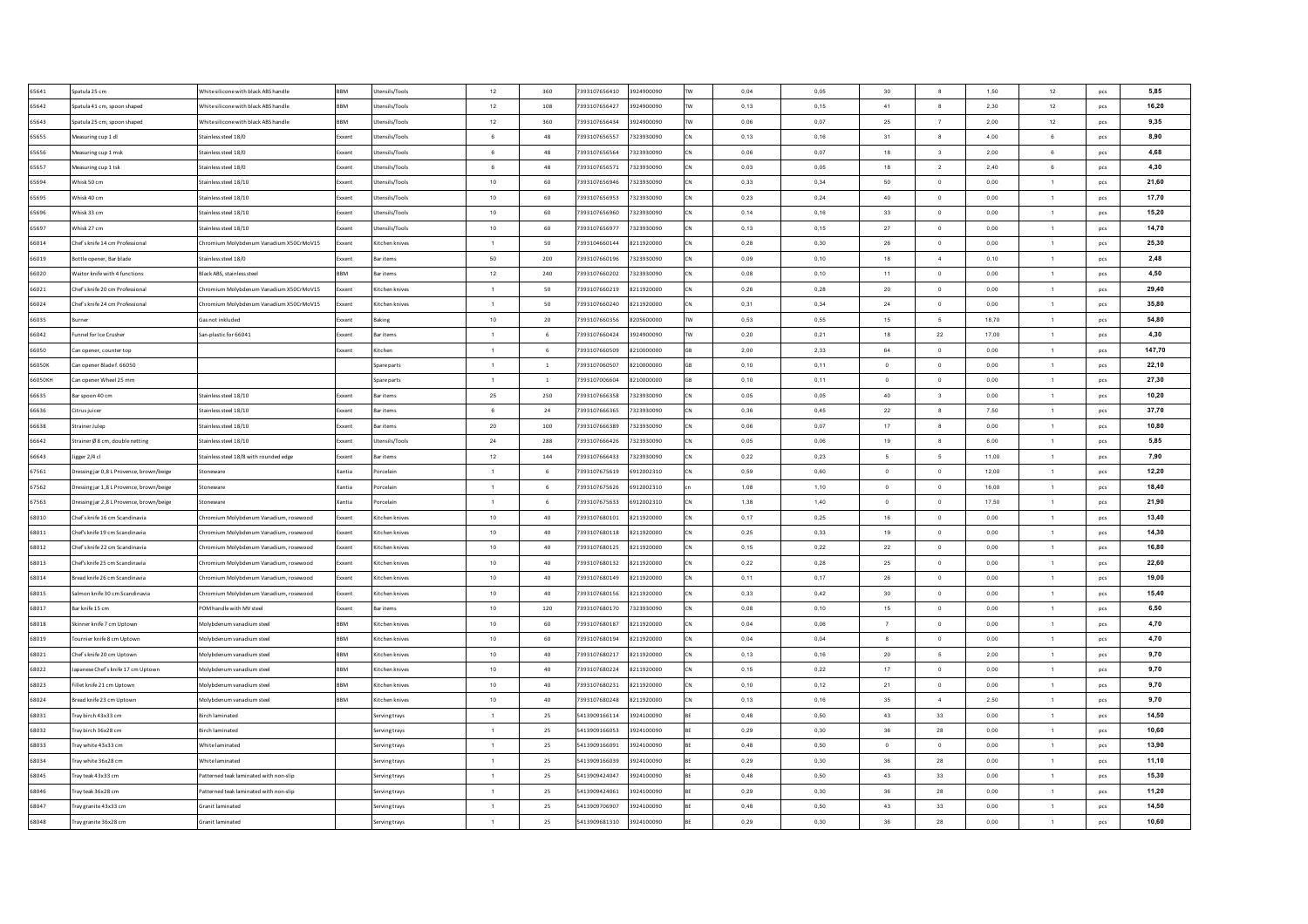| 65641   | Spatula 25 cm                            | Vhite silicone with black ABS handle    | <b>BBM</b> | Utensils/Tools   | 12               | 360            | 7393107656410 | 3924900090 | 0,04 | 0,05 | 30             | $\boldsymbol{8}$        | 1,50  | 12             | pcs | 5,85   |
|---------|------------------------------------------|-----------------------------------------|------------|------------------|------------------|----------------|---------------|------------|------|------|----------------|-------------------------|-------|----------------|-----|--------|
| 65642   | Spatula 41 cm, spoon shaped              | White silicone with black ABS handle    | RRM        | Utensils/Tools   | 12               | 108            | 7393107656427 | 3924900090 | 0,13 | 0,15 | 41             | $\boldsymbol{8}$        | 2,30  | 12             | pcs | 16,20  |
| 65643   | Spatula 25 cm, spoon shaped              | White silicone with black ABS handle    | BBM        | Utensils/Tools   | 12               | 360            | 7393107656434 | 3924900090 | 0,06 | 0,07 | 25             | $\scriptstyle{7}$       | 2,00  | 12             | pcs | 9,35   |
| 65655   | Measuring cup 1 dl                       | Stainless steel 18/0                    | xxent      | Utensils/Tools   | $\,6\,$          | 48             | 7393107656557 | 7323930090 | 0,13 | 0,16 | 31             | $\boldsymbol{8}$        | 4,00  | $\mathbf 6$    | pcs | 8,90   |
| 65656   | Measuring cup 1 msk                      | Stainless steel 18/0                    | ixxent     | Utensils/Tools   | 6                | 48             | 7393107656564 | 7323930090 | 0,06 | 0,07 | 18             | $\overline{\mathbf{3}}$ | 2,00  | 6              | pcs | 4,68   |
| 65657   | Measuring cup 1 tsk                      | Stainless steel 18/0                    | xxent      | Utensils/Tools   | 6                | 48             | 7393107656571 | 7323930090 | 0,03 | 0,05 | 18             | $\overline{2}$          | 2,40  | 6              | pcs | 4,30   |
| 65694   | Whisk 50 cm                              | Stainless steel 18/10                   | xxent      | Utensils/Tools   | $10\,$           | 60             | 7393107656946 | 7323930090 | 0,33 | 0,34 | 50             | $\,$ 0                  | 0,00  | $\mathbf{1}$   | pcs | 21,60  |
| 65695   | Whisk 40 cm                              | Stainless steel 18/10                   | xxent      | Utensils/Tools   | 10               | 60             | 7393107656953 | 7323930090 | 0.23 | 0.24 | 40             | $\,$ 0 $\,$             | 0.00  | $\overline{1}$ | pcs | 17,70  |
| 65696   | Whisk 33 cm                              | Stainless steel 18/10                   | xxent      | Utensils/Tools   | 10               | 60             | 7393107656960 | 7323930090 | 0.14 | 0.16 | 33             | $\mathbf{0}$            | 0.00  | $\overline{1}$ | pcs | 15,20  |
| 65697   | Whisk 27 cm                              | Stainless steel 18/10                   | xxent      | Utensils/Tools   | 10               | 60             | 7393107656977 | 7323930090 | 0,13 | 0,15 | 27             | $\overline{0}$          | 0.00  | $\overline{1}$ | pcs | 14,70  |
| 66014   | Chef's knife 14 cm Professional          | Chromium Molybdenum Vanadium X50CrMoV15 | xxent      | Kitchen knives   | $\overline{1}$   | 50             | 7393104660144 | 8211920000 | 0.28 | 0.30 | 26             | $\Omega$                | 0.00  | $\mathbf{1}$   | pcs | 25,30  |
| 66019   | Bottle opener, Bar blade                 | Stainless steel 18/0                    | xxent      | <b>Bar items</b> | 50               | 200            | 7393107660196 | 7323930090 | 0.09 | 0.10 | 18             | $\sim$                  | 0.10  | $\overline{1}$ | pcs | 2,48   |
| 66020   | Waitor knife with 4 function:            | Black ABS, stainless stee               | <b>RRM</b> | <b>Bar items</b> | 12               | 240            | 7393107660202 | 7323930090 | 0.08 | 0,10 | 11             | $\mathbf{0}$            | 0,00  | $\overline{1}$ | pcs | 4,50   |
| 66021   | Chef's knife 20 cm Professional          | hromium Molybdenum Vanadium X50CrMoV15  | oxent      | Kitchen knive    | $\overline{1}$   | 50             | 7393107660219 | 8211920000 | 0,26 | 0,28 | $20\,$         | $\,$ 0                  | 0,00  | $\mathbf{1}$   | pcs | 29.40  |
| 66024   | Chef's knife 24 cm Professiona           | Chromium Molybdenum Vanadium X50CrMoV15 | xxent      | Kitchen knive    | $\overline{1}$   | 50             | 7393107660240 | 8211920000 | 0,31 | 0,34 | $\bf 24$       | $\,0\,$                 | 0,00  | $\mathbf{1}$   | pcs | 35,80  |
| 66035   | urnei                                    | as not inkluded                         | oxent      | Baking           | 10               | 20             | 7393107660356 | 8205600000 | 0,53 | 0,55 | 15             | 5                       | 18,70 | $\mathbf{1}$   | pcs | 54,80  |
| 66042   | unnel for Ice Crusher                    | San-plastic for 66041                   | xxent      | <b>Bar items</b> | $\overline{1}$   | 6              | 7393107660424 | 3924900090 | 0,20 | 0,21 | 18             | ${\bf 22}$              | 17,00 | $\mathbf{1}$   | pcs | 4,30   |
| 66050   | Can opener, counter top                  |                                         | oxent      | Kitchen          | $\overline{1}$   | 6              | 7393107660509 | 8210000000 | 2,00 | 2,33 | 64             | $\mathbf{0}$            | 0,00  | $\mathbf{1}$   | pcs | 147,70 |
| 66050K  | Can opener Blade f. 66050                |                                         |            | Spare parts      | $\overline{1}$   | $\overline{1}$ | 7393107060507 | 8210000000 | 0,10 | 0,11 | $\overline{0}$ | $\,$ 0                  | 0,00  | $\mathbf{1}$   | pcs | 22.10  |
| 66050KH | Can opener Wheel 25 mm                   |                                         |            | Spare parts      | $\overline{1}$   | $\overline{1}$ | 7393107006604 | 8210000000 | 0,10 | 0,11 | $\overline{0}$ | $\,$ 0                  | 0,00  | $\mathbf{1}$   | pcs | 27,30  |
| 66635   | Bar spoon 40 cm                          | Stainless steel 18/10                   | xxent      | <b>Bar items</b> | 25               | 250            | 7393107666358 | 7323930090 | 0,05 | 0,05 | 40             | $\overline{\mathbf{3}}$ | 0,00  | 1              | pcs | 10,20  |
| 66636   | Citrus iuicer                            | Stainless steel 18/10                   | xxent      | <b>Bar items</b> | $_{\rm 6}$       | 24             | 7393107666365 | 7323930090 | 0,36 | 0,45 | 22             | $\mathbf{8}$            | 7,50  | $\overline{1}$ | pcs | 37,70  |
| 66638   | Strainer Juleo                           | Stainless steel 18/10                   | Exxent     | <b>Bar items</b> | 20               | 100            | 7393107666389 | 7323930090 | 0.06 | 0.07 | 17             | $_{8}$                  | 0.00  | $\overline{1}$ | pcs | 10,80  |
| 66642   | Strainer Ø8 cm, double netting           | Stainless steel 18/10                   | xxent      | Utensils/Tools   | 24               | 288            | 7393107666426 | 7323930090 | 0.05 | 0.06 | 19             | 8                       | 6.00  | $\overline{1}$ | pcs | 5,85   |
| 66643   | Jigger 2/4 cl                            | Stainless steel 18/8 with rounded edge  | Exxent     | <b>Bar items</b> | 12               | 144            | 7393107666433 | 7323930090 | 0,22 | 0,23 | - 5            | 5                       | 11.00 | $\overline{1}$ | pcs | 7.90   |
| 67561   | Dressing jar 0,8 L Provence, brown/beige | Stoneware                               | Xantia     | Porcelair        | $\overline{1}$   | 6              | 7393107675619 | 6912002310 | 0,59 | 0,60 | $\circ$        | $\mathbf 0$             | 12,00 | $\overline{1}$ | pcs | 12,20  |
| 67562   | Dressing jar 1,8 L Provence, brown/beige | Stoneware                               | Xantia     | Porcelair        | $\overline{1}$   | 6              | 7393107675626 | 6912002310 | 1,08 | 1,10 | $\overline{0}$ | $\,$ 0 $\,$             | 16,00 | $\mathbf{1}$   | pcs | 18,40  |
| 67563   | Dressing jar 2,8 L Provence, brown/beige | Stoneware                               | Xantia     | Porcelain        | $\overline{1}$   | 6              | 7393107675633 | 6912002310 | 1,38 | 1,40 | $\Omega$       | $\,$ 0                  | 17.50 | $\overline{1}$ | pcs | 21,90  |
| 68010   | Chef's knife 16 cm Scandinavia           | Chromium Molybdenum Vanadium, rosewood  | ixxent     | Kitchen knives   | 10               | 40             | 7393107680101 | 8211920000 | 0,17 | 0,25 | 16             | $\overline{0}$          | 0,00  | $\overline{1}$ | pcs | 13,40  |
| 68011   | Chef's knife 19 cm Scandinavia           | hromium Molybdenum Vanadium, rosewood   | xxent      | Kitchen knives   | 10               | 40             | 7393107680118 | 8211920000 | 0,25 | 0,33 | 19             | $\circ$                 | 0,00  | $\mathbf{1}$   | pcs | 14,30  |
| 68012   | Chef's knife 22 cm Scandinavia           | hromium Molybdenum Vanadium, rosewood   | ixxent     | Kitchen knives   | 10               | 40             | 7393107680125 | 8211920000 | 0,15 | 0,22 | $22\,$         | $\,$ 0                  | 0,00  | $\overline{1}$ | pcs | 16,80  |
| 68013   | Chef's knife 25 cm Scandinavia           | Chromium Molybdenum Vanadium, rosewood  | xxent      | Kitchen knives   | 10               | 40             | 7393107680132 | 8211920000 | 0,22 | 0,28 | 25             | $\,$ 0                  | 0,00  | $\overline{1}$ | pcs | 22,60  |
| 68014   | Bread knife 26 cm Scandinavia            | Chromium Molybdenum Vanadium, rosewood  | xxent      | Kitchen knives   | 10               | 40             | 7393107680149 | 8211920000 | 0,11 | 0,17 | ${\bf 26}$     | $\,$ 0                  | 0,00  | $\mathbf{1}$   | pcs | 19,00  |
| 68015   | Salmon knife 30 cm Scandinavia           | Chromium Molybdenum Vanadium, rosewood  | Exxent     | Kitchen knives   | 10 <sub>1</sub>  | 40             | 7393107680156 | 8211920000 | 0,33 | 0.42 | 30             | $\overline{0}$          | 0,00  | $\mathbf{1}$   | pcs | 15,40  |
| 68017   | Bar knife 15 cm                          | POM handle with MV steel                | xxent      | <b>Bar items</b> | 10 <sub>10</sub> | 120            | 7393107680170 | 7323930090 | 0.08 | 0.10 | 15             | $\,$ 0 $\,$             | 0,00  | $\overline{1}$ | pcs | 6,50   |
| 68018   | Skinner knife 7 cm Uptown                | Molybdenum vanadium steel               | BBM        | Kitchen knives   | 10               | 60             | 7393107680187 | 8211920000 | 0.04 | 0.06 | $\overline{7}$ | $\mathbf{0}$            | 0.00  | $\overline{1}$ | pcs | 4,70   |
| 68019   | purnier knife 8 cm Uptown                | Molybdenum vanadium steel               | RRM        | Kitchen knives   | 10               | 60             | 7393107680194 | 8211920000 | 0,04 | 0,04 | 8              | $\,$ 0                  | 0,00  | $\overline{1}$ | pcs | 4,70   |
| 68021   | Chef's knife 20 cm Uptowr                | Molybdenum vanadium steel               | <b>RRM</b> | Kitchen knive    | 10               | 40             | 7393107680217 | 8211920000 | 0,13 | 0,16 | 20             | $\sqrt{5}$              | 2,00  | $\overline{1}$ | pcs | 9,70   |
| 68022   | spanese Chef's knife 17 cm Uptown        | Molybdenum vanadium steel               | RM         | Kitchen knives   | 10               | 40             | 7393107680224 | 8211920000 | 0,15 | 0,22 | 17             | $\,$ 0                  | 0,00  | $\mathbf{1}$   | pcs | 9,70   |
| 68023   | Fillet knife 21 cm Uptown                | Molybdenum vanadium steel               | <b>RRM</b> | Kitchen knives   | 10               | 40             | 7393107680231 | 8211920000 | 0,10 | 0,12 | 21             | $\mathbf 0$             | 0,00  | $\mathbf{1}$   | pcs | 9,70   |
| 68024   | Bread knife 23 cm Uptowr                 | Molybdenum vanadium steel               | <b>RM</b>  | Kitchen knives   | 10               | 40             | 7393107680248 | 8211920000 | 0,13 | 0,16 | $35\,$         | $\boldsymbol{4}$        | 2,50  | $\mathbf{1}$   |     | 9,70   |
|         |                                          |                                         |            |                  |                  |                |               |            |      |      |                |                         |       |                | pcs |        |
| 68031   | Tray birch 43x33 cm                      | sirch laminated                         |            | Serving trays    | $\overline{1}$   | 25             | 5413909166114 | 3924100090 | 0,48 | 0,50 | 43             | 33                      | 0,00  | $\mathbf{1}$   | pcs | 14,50  |
| 68032   | Fray birch 36x28 cm                      | sirch laminated                         |            | Serving trays    | $\overline{1}$   | 25             | 5413909166053 | 3924100090 | 0,29 | 0,30 | $36\,$         | 28                      | 0,00  | $\mathbf{1}$   | pcs | 10,60  |
| 68033   | Tray white 43x33 cm                      | White laminated                         |            | Serving trays    | $\overline{1}$   | 25             | 5413909166091 | 3924100090 | 0,48 | 0,50 | $\overline{0}$ | $\,$ 0 $\,$             | 0,00  | $\mathbf{1}$   | pcs | 13,90  |
| 68034   | Trav white 36x28 cm                      | White laminated                         |            | Serving travs    | $\overline{1}$   | 25             | 5413909166039 | 3924100090 | 0,29 | 0.30 | 36             | 28                      | 0,00  | $\mathbf{1}$   | pcs | 11,10  |
| 68045   | Trav teak 43x33 cm                       | Patterned teak laminated with non-slip  |            | Serving travs    | $\overline{1}$   | 25             | 5413909424047 | 3924100090 | 0,48 | 0,50 | 43             | 33                      | 0,00  | $\overline{1}$ | pcs | 15,30  |
| 68046   | Trav teak 36x28 cm                       | Patterned teak laminated with non-slip  |            | Serving trays    | $\overline{1}$   | 25             | 5413909424061 | 3924100090 | 0.29 | 0.30 | 36             | 28                      | 0.00  | $\overline{1}$ | pcs | 11,20  |
| 68047   | Tray granite 43x33 cm                    | <b>Granit laminated</b>                 |            | Serving trays    | $\overline{1}$   | 25             | 5413909706907 | 3924100090 | 0,48 | 0.50 | 43             | 33                      | 0,00  | $\mathbf{1}$   | pcs | 14,50  |
| 68048   | Tray granite 36x28 cm                    | <b>Granit laminated</b>                 |            | Serving trays    | $\overline{1}$   | 25             | 5413909681310 | 3924100090 | 0.29 | 0.30 | 36             | 28                      | 0.00  | $\mathbf{1}$   | pcs | 10,60  |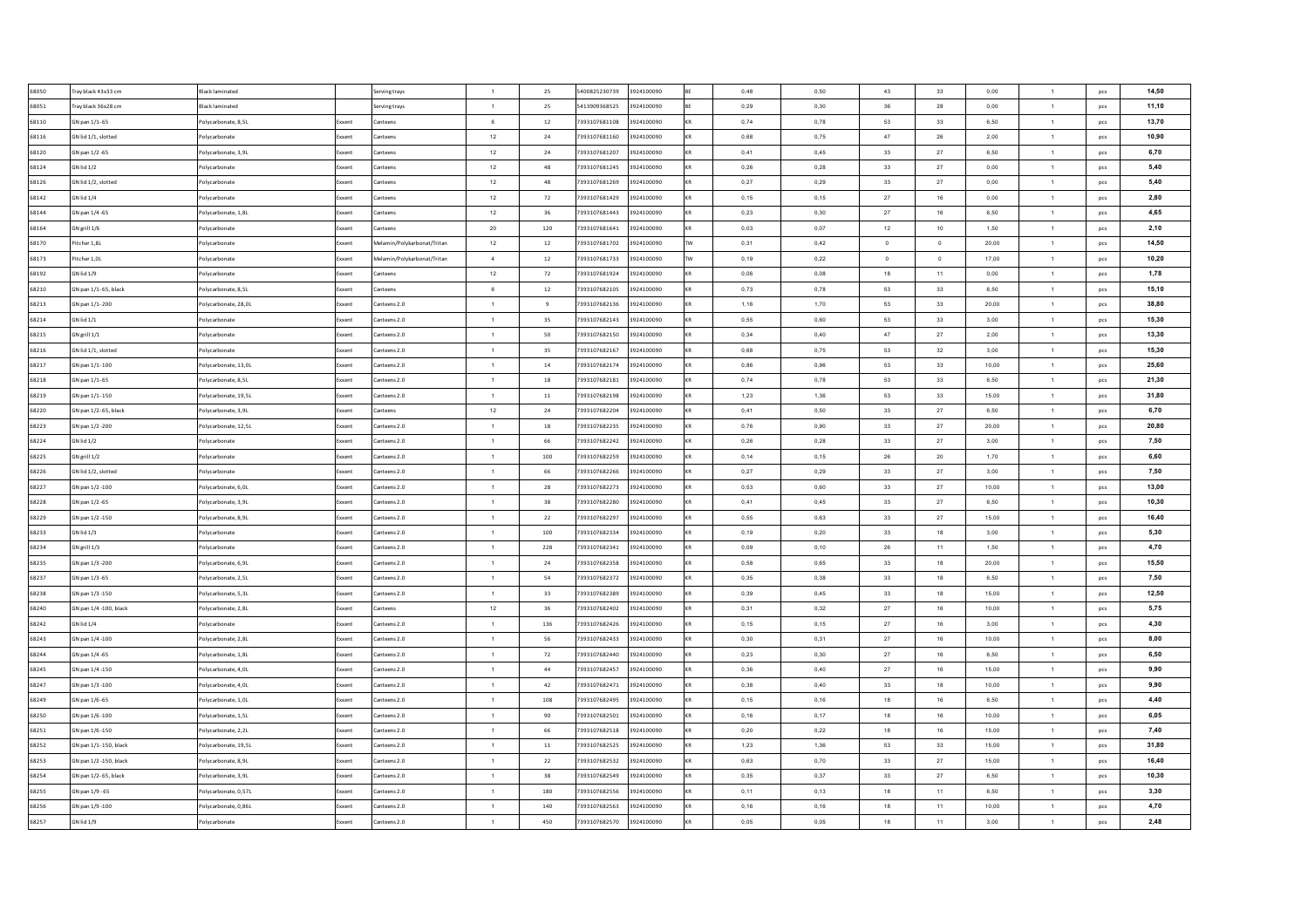| 68050 | Tray black 43x33 cm    | <b>Black laminated</b> |                | Serving trays               | $\overline{1}$ | 25         | 5400825230739 | 3924100090 | 0,48 | 0,50 | 43         | 33             | 0,00  | $\mathbf{1}$   | pcs        | 14,50 |
|-------|------------------------|------------------------|----------------|-----------------------------|----------------|------------|---------------|------------|------|------|------------|----------------|-------|----------------|------------|-------|
| 68051 | Tray black 36x28 cm    | <b>Black laminated</b> |                | Serving trays               | $\mathbf{1}$   | 25         | 5413909368525 | 3924100090 | 0,29 | 0,30 | $36\,$     | 28             | 0,00  | $\mathbf{1}$   | pcs        | 11,10 |
| 68110 | GN pan 1/1-65          | Polycarbonate, 8,5L    | xxent          | Canteens                    | $_{\rm 6}$     | $12\,$     | 7393107681108 | 3924100090 | 0,74 | 0,78 | 53         | 33             | 6,50  | $\mathbf{1}$   | pcs        | 13,70 |
| 68116 | GN lid 1/1, slotted    | Polycarbonate          | oxent          | Canteens                    | 12             | 24         | 7393107681160 | 3924100090 | 0,68 | 0,75 | 47         | 26             | 2,00  | $\overline{1}$ | pcs        | 10,90 |
| 68120 | GN pan 1/2 -65         | Polycarbonate, 3,9L    | ixxent         | Canteens                    | 12             | ${\bf 24}$ | 7393107681207 | 3924100090 | 0,41 | 0,45 | 33         | 27             | 6,50  | $\mathbf{1}$   | pcs        | 6,70  |
| 68124 | GN lid 1/2             | olycarbonate           | xxent          | Canteens                    | 12             | 48         | 7393107681245 | 3924100090 | 0,26 | 0,28 | 33         | 27             | 0,00  | $\mathbf{1}$   | pcs        | 5,40  |
| 68126 | GN lid 1/2, slotted    | Polycarbonate          | xxent          | Canteens                    | $12\,$         | 48         | 7393107681269 | 3924100090 | 0,27 | 0,29 | 33         | 27             | 0,00  | $\mathbf{1}$   | pcs        | 5,40  |
| 68142 | GN lid 1/4             | Polycarbonate          | xxent          | Canteens                    | 12             | 72         | 7393107681429 | 3924100090 | 0.15 | 0.15 | 27         | 16             | 0.00  | $\overline{1}$ | pcs        | 2,80  |
| 68144 | GN pan 1/4 -65         | Polycarbonate, 1,8L    | xxent          | Canteens                    | 12             | 36         | 7393107681443 | 3924100090 | 0.23 | 0.30 | 27         | 16             | 6,50  | $\overline{1}$ | pcs        | 4,65  |
| 68164 | GN grill 1/6           | Polycarbonate          | xxent          | Canteens                    | 20             | 120        | 7393107681641 | 3924100090 | 0.03 | 0,07 | 12         | 10             | 1,50  | $\overline{1}$ | pcs        | 2,10  |
| 68170 | Pitcher 1.8L           | Polycarbonate          | xxent          | Melamin/Polykarbonat/Tritar | 12             | 12         | 7393107681702 | 3924100090 | 0.31 | 0.42 | $\Omega$   | $\Omega$       | 20.00 | $\overline{1}$ | pcs        | 14,50 |
| 68173 | Pitcher 1.0L           | Polycarbonate          | xxent          | Melamin/Polykarbonat/Tritar | $\sim$         | 12         | 7393107681733 | 3924100090 | 0,19 | 0.22 | $\Omega$   | $\overline{0}$ | 17.00 | $\overline{1}$ | pcs        | 10,20 |
| 68192 | GN lid 1/9             | Polycarbonate          | xxent          | Canteens                    | 12             | 72         | 7393107681924 | 3924100090 | 0,06 | 0,08 | 18         | 11             | 0,00  | $\overline{1}$ | pcs        | 1,78  |
| 68210 | GN pan 1/1-65, black   | Polycarbonate, 8,5L    | oxent          | anteens                     | 6              | $12\,$     | 7393107682105 | 3924100090 | 0,73 | 0,78 | 53         | 33             | 6,50  | $\mathbf{1}$   | pcs        | 15,10 |
| 68213 | GN pan 1/1-200         | Polycarbonate, 28,0L   | oxent          | Canteens 2.0                | $\overline{1}$ | $\,9$      | 7393107682136 | 3924100090 | 1,16 | 1,70 | 53         | 33             | 20,00 | $\mathbf{1}$   | pcs        | 38,80 |
| 68214 | GN lid 1/1             | olycarbonate           | oxent          | Canteens 2.0                | $\overline{1}$ | 35         | 7393107682143 | 3924100090 | 0,55 | 0,60 | 53         | 33             | 3,00  | $\mathbf{1}$   | pcs        | 15,30 |
| 68215 | GN grill 1/1           | Polycarbonate          | xxent          | Canteens 2.0                | $\overline{1}$ | 50         | 7393107682150 | 3924100090 | 0,34 | 0,40 | 47         | $27\,$         | 2,00  | $\mathbf{1}$   | pcs        | 13,30 |
| 68216 | GN lid 1/1, slotted    | Polycarbonate          | oxent          | Canteens 2.0                | $\overline{1}$ | 35         | 7393107682167 | 3924100090 | 0,68 | 0,75 | 53         | 32             | 3,00  | $\mathbf{1}$   | pcs        | 15,30 |
| 68217 | GN pan 1/1-100         | Polycarbonate, 13,0L   | xxent          | Canteens 2.0                | $\overline{1}$ | ${\bf 14}$ | 7393107682174 | 3924100090 | 0,86 | 0,96 | 53         | 33             | 10,00 | $\mathbf{1}$   | pcs        | 25,60 |
| 68218 | GN pan 1/1-65          | Polycarbonate, 8,5L    | xxent          | Canteens 2.0                | $\overline{1}$ | 18         | 7393107682181 | 3924100090 | 0,74 | 0,78 | 53         | 33             | 6,50  | $\mathbf{1}$   | pcs        | 21,30 |
| 68219 | GN pan 1/1-150         | Polycarbonate, 19,5L   | xxent          | Canteens 2.0                | $\overline{1}$ | 11         | 7393107682198 | 3924100090 | 1,23 | 1,36 | 53         | 33             | 15,00 | 1              | pcs        | 31,80 |
| 68220 | GN pan 1/2-65, black   | Polycarbonate, 3.9L    | xxent          | Canteens                    | $12\,$         | 24         | 7393107682204 | 3924100090 | 0,41 | 0,50 | 33         | 27             | 6,50  | $\mathbf{1}$   | pcs        | 6,70  |
| 68223 | GN pan 1/2 -200        | Polycarbonate, 12.5L   | xxent          | Canteens 2.0                | $\overline{1}$ | 18         | 7393107682235 | 3924100090 | 0.76 | 0.90 | 33         | 27             | 20.00 | $\overline{1}$ | pcs        | 20,80 |
| 68224 | <b>GN lid 1/2</b>      | Polycarbonate          | xxent          | Canteens 2.0                | $\overline{1}$ | 66         | 7393107682242 | 3924100090 | 0,26 | 0.28 | 33         | 27             | 3.00  | $\overline{1}$ | pcs        | 7,50  |
| 68225 | GN grill 1/2           | Polycarbonate          | xxent          | Canteens 2.0                | $\overline{1}$ | 100        | 7393107682259 | 3924100090 | 0,14 | 0,15 | 26         | 20             | 1,70  | 1              | pcs        | 6.60  |
| 68226 | GN lid 1/2, slotted    | Polycarbonate          | xxent          | Canteens 2.0                | $\overline{1}$ | 66         | 7393107682266 | 3924100090 | 0,27 | 0,29 | 33         | 27             | 3,00  | $\mathbf{1}$   | pcs        | 7,50  |
| 68227 | GN pan 1/2 -100        | Polycarbonate, 6,0L    | ixxent         | Canteens 2.0                | $\overline{1}$ | 28         | 7393107682273 | 3924100090 | 0,53 | 0,60 | 33         | $27\,$         | 10,00 | $\mathbf{1}$   | pcs        | 13,00 |
| 68228 | GN pan 1/2 -65         | Polycarbonate, 3,9L    | xxent          | Canteens 2.0                | $\overline{1}$ | 38         | 7393107682280 | 3924100090 | 0,41 | 0,45 | 33         | 27             | 6,50  | $\mathbf{1}$   | pcs        | 10,30 |
| 68229 | GN pan 1/2 -150        | Polycarbonate, 8,9L    | xxent          | Canteens 2.0                | $\overline{1}$ | 22         | 7393107682297 | 3924100090 | 0,55 | 0,63 | 33         | 27             | 15,00 | $\mathbf{1}$   | pcs        | 16,40 |
| 68233 | <b>GN lid 1/3</b>      | Polycarbonate          | xxent          | Canteens 2.0                | $\overline{1}$ | 100        | 7393107682334 | 3924100090 | 0,19 | 0,20 | 33         | 18             | 3,00  | $\mathbf{1}$   | pcs        | 5,30  |
| 68234 | GN grill 1/3           | Polycarbonate          | xxent          | Canteens 2.0                | $\overline{1}$ | 228        | 7393107682341 | 3924100090 | 0,09 | 0,10 | ${\bf 26}$ | 11             | 1,50  | $\mathbf{1}$   | pcs        | 4,70  |
| 68235 | GN pan 1/3 -200        | Polycarbonate, 6,9L    |                | Canteens 2.0                | $\overline{1}$ | 24         | 7393107682358 | 3924100090 | 0,58 | 0,65 | 33         | 18             | 20,00 | $\mathbf{1}$   | pcs        | 15,50 |
| 68237 | GN pan 1/3 -65         | Polycarbonate, 2,5L    | xxent          | Canteens 2.0                | $\mathbf{1}$   | 54         | 7393107682372 | 3924100090 | 0,35 | 0,38 | 33         | 18             | 6,50  | $\mathbf{1}$   | pcs        | 7,50  |
| 68238 | GN pan 1/3 -150        | Polycarbonate, 5.3L    | xxent<br>xxent | Canteens 2.0                | $\overline{1}$ | 33         | 7393107682389 | 3924100090 | 0,39 | 0.45 | 33         | 18             | 15,00 | $\mathbf{1}$   | <b>DCS</b> | 12,50 |
| 68240 | GN pan 1/4 -100, black | Polycarbonate, 2.8L    | xxent          | Canteens                    | 12             | 36         | 7393107682402 | 3924100090 | 0,31 | 0,32 | 27         | 16             | 10,00 | $\overline{1}$ | pcs        | 5,75  |
| 68242 | GN lid 1/4             | Polycarbonate          | xxent          | Canteens 2.0                | $\overline{1}$ | 136        | 7393107682426 | 3924100090 | 0.15 | 0.15 | 27         | 16             | 3.00  | $\overline{1}$ |            | 4,30  |
|       |                        |                        |                |                             |                |            |               |            |      |      |            |                |       |                | pcs        |       |
| 68243 | GN pan 1/4 -100        | Polycarbonate, 2,8L    | cxent          | Canteens 2.0                | $\overline{1}$ | 56         | 7393107682433 | 3924100090 | 0,30 | 0,31 | 27         | 16             | 10,00 | $\overline{1}$ | pcs        | 8,00  |
| 68244 | GN pan 1/4 -65         | Polycarbonate, 1,8L    | xxent          | Canteens 2.0                | $\overline{1}$ | 72         | 7393107682440 | 3924100090 | 0,23 | 0,30 | 27         | 16             | 6,50  | $\overline{1}$ | pcs        | 6,50  |
| 68245 | GN pan 1/4 -150        | olycarbonate, 4,0L     | xent           | Canteens 2.0                | $\overline{1}$ | 44         | 7393107682457 | 3924100090 | 0,36 | 0,40 | 27         | 16             | 15,00 | $\mathbf{1}$   | pcs        | 9,90  |
| 68247 | GN pan 1/3 -100        | Polycarbonate, 4,0L    | oxent          | Canteens 2.0                | $\overline{1}$ | 42         | 7393107682471 | 3924100090 | 0,38 | 0,40 | 33         | 18             | 10,00 | $\mathbf{1}$   | pcs        | 9,90  |
| 68249 | GN pan 1/6 -65         | olycarbonate, 1,0L     | xent           | Canteens 2.0                | $\overline{1}$ | 108        | 7393107682495 | 3924100090 | 0,15 | 0,16 | 18         | 16             | 6,50  | $\mathbf{1}$   | pcs        | 4,40  |
| 68250 | GN pan 1/6 -100        | olycarbonate, 1,5L     | oxent          | Canteens 2.0                | $\overline{1}$ | 90         | 7393107682501 | 3924100090 | 0,16 | 0,17 | 18         | 16             | 10,00 | $\mathbf{1}$   | pcs        | 6,05  |
| 68251 | GN pan 1/6 -150        | olycarbonate, 2,2L     | oxent          | Canteens 2.0                | $\overline{1}$ | 66         | 7393107682518 | 3924100090 | 0,20 | 0,22 | 18         | 16             | 15,00 | 1              | pcs        | 7,40  |
| 68252 | GN pan 1/1-150, black  | Polycarbonate, 19,5L   | xxent          | Canteens 2.0                | $\overline{1}$ | $11\,$     | 7393107682525 | 3924100090 | 1,23 | 1,36 | 53         | 33             | 15,00 | $\mathbf{1}$   | pcs        | 31,80 |
| 68253 | GN pan 1/2 -150, black | Polycarbonate, 8.9L    | xxent          | Canteens 2.0                | $\overline{1}$ | 22         | 7393107682532 | 3924100090 | 0,63 | 0,70 | 33         | 27             | 15,00 | $\mathbf{1}$   | pcs        | 16,40 |
| 68254 | GN pan 1/2-65, black   | Polycarbonate, 3.9L    | xxent          | Canteens 2.0                | $\overline{1}$ | 38         | 7393107682549 | 3924100090 | 0,35 | 0,37 | 33         | 27             | 6,50  | $\mathbf{1}$   | pcs        | 10,30 |
| 68255 | GN pan 1/9 - 65        | Polycarbonate, 0.57L   | xxent          | Canteens 2.0                | $\overline{1}$ | 180        | 7393107682556 | 3924100090 | 0.11 | 0.13 | 18         | 11             | 6,50  | $\overline{1}$ | pcs        | 3,30  |
| 68256 | GN pan 1/9 -100        | Polycarbonate, 0.86L   | xxent          | Canteens 2.0                | $\overline{1}$ | 140        | 7393107682563 | 3924100090 | 0,16 | 0.16 | 18         | 11             | 10,00 | $\mathbf{1}$   | pcs        | 4,70  |
| 68257 | <b>GN lid 1/9</b>      | Polycarbonate          | Exxent         | Canteens 2.0                | $\overline{1}$ | 450        | 7393107682570 | 3924100090 | 0,05 | 0.05 | 18         | 11             | 3.00  | $\mathbf{1}$   | pcs        | 2,48  |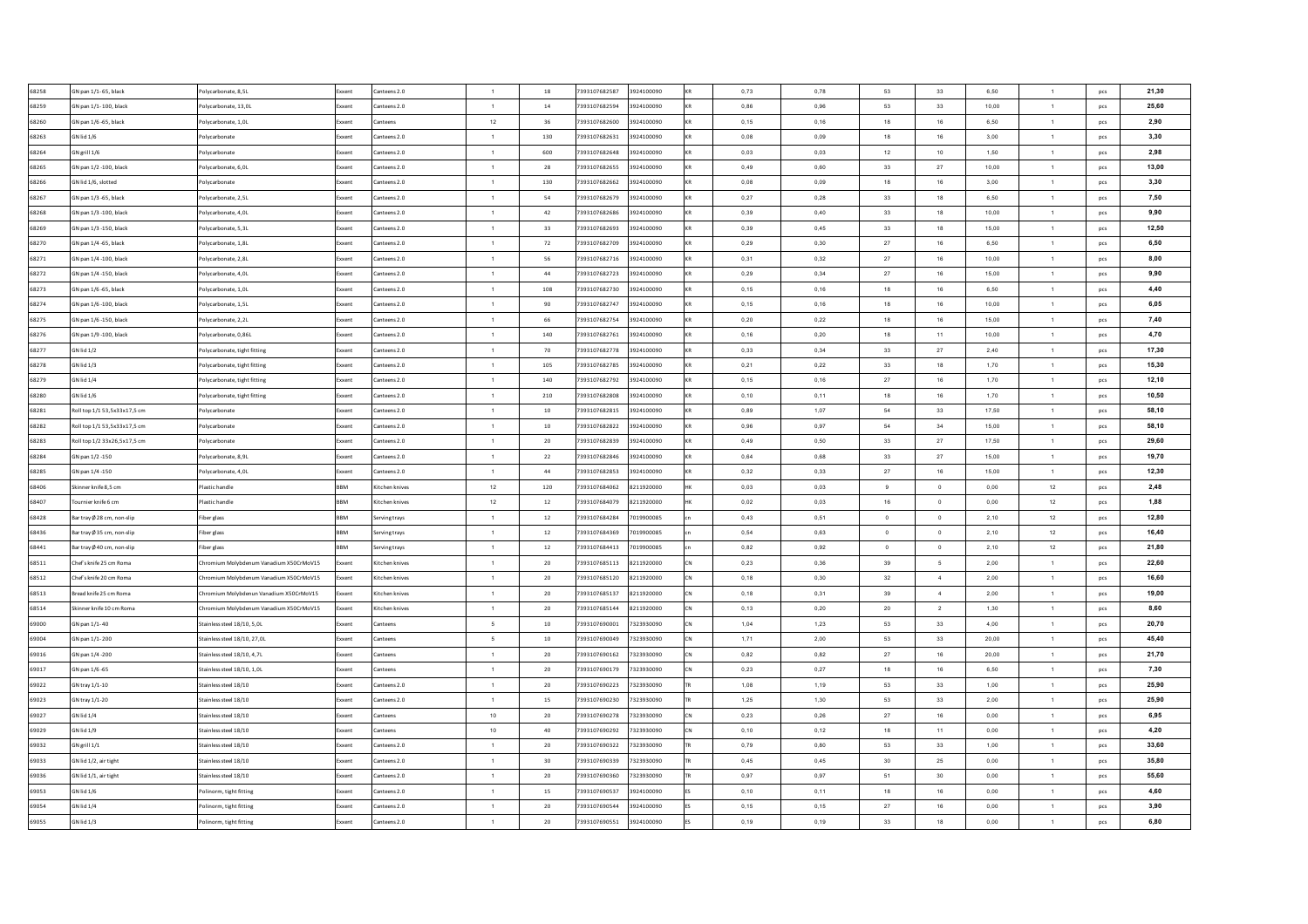| 68258 | GN pan 1/1-65, black         | Polycarbonate, 8,5L                     | Exxent        | Canteens 2.0                 | $\overline{1}$                   | 18          | 7393107682587 | 3924100090 | 0,73 | 0.78 | 53             | 33             | 6,50  | $\mathbf{1}$                   | pcs        | 21,30 |
|-------|------------------------------|-----------------------------------------|---------------|------------------------------|----------------------------------|-------------|---------------|------------|------|------|----------------|----------------|-------|--------------------------------|------------|-------|
| 68259 | GN pan 1/1-100, black        | Polycarbonate, 13,0L                    | Exxent        | Canteens 2.0                 | $\overline{1}$                   | $14\,$      | 7393107682594 | 3924100090 | 0,86 | 0,96 | 53             | 33             | 10,00 | $\mathbf{1}$                   | pcs        | 25,60 |
| 68260 | GN pan 1/6 -65, black        | Polycarbonate, 1,0L                     | Exxent        | Canteens                     | 12                               | 36          | 7393107682600 | 3924100090 | 0,15 | 0,16 | 18             | 16             | 6,50  | $\mathbf{1}$                   | pcs        | 2,90  |
| 68263 | GN lid 1/6                   | Polycarbonate                           | Exxent        | Canteens 2.0                 | $\overline{1}$                   | 130         | 7393107682631 | 3924100090 | 0,08 | 0,09 | 18             | 16             | 3,00  | $\mathbf{1}$                   | pcs        | 3,30  |
| 68264 | GN grill 1/6                 | Polycarbonate                           | Exxent        | Canteens 2.0                 | $\overline{1}$                   | 600         | 7393107682648 | 3924100090 | 0,03 | 0,03 | 12             | 10             | 1,50  | $\mathbf{1}$                   | pcs        | 2,98  |
| 68265 | GN pan 1/2 -100, black       | Polycarbonate, 6.0L                     | Exxent        | Canteens 2.0                 | $\overline{1}$                   | 28          | 7393107682655 | 3924100090 | 0,49 | 0,60 | 33             | $27\,$         | 10,00 | $\overline{1}$                 | <b>DCS</b> | 13,00 |
| 68266 | GN lid 1/6, slotted          | Polycarbonate                           | Exxent        | Canteens 2.0                 | $\overline{1}$                   | 130         | 7393107682662 | 3924100090 | 0.08 | 0.09 | 18             | 16             | 3,00  | $\overline{1}$                 | pcs        | 3,30  |
| 68267 | GN pan 1/3 -65, black        | Polycarbonate, 2,5L                     | Exxent        | Canteens 2.0                 | $\overline{1}$                   | 54          | 7393107682679 | 3924100090 | 0.27 | 0,28 | 33             | 18             | 6.50  | $\overline{1}$                 | pcs        | 7,50  |
| 68268 | GN pan 1/3 -100, black       | Polycarbonate, 4,0L                     | Exxent        | Canteens 2.0                 | $\overline{1}$                   | 42          | 7393107682686 | 3924100090 | 0.39 | 0.40 | 33             | 18             | 10.00 | $\overline{1}$                 | pcs        | 9.90  |
| 68269 | GN pan 1/3 -150, black       | Polycarbonate, 5,3L                     | Exxent        | Canteens 2.0                 | $\overline{1}$                   | 33          | 7393107682693 | 3924100090 | 0,39 | 0,45 | 33             | 18             | 15,00 | $\overline{1}$                 | pcs        | 12,50 |
| 68270 | GN pan 1/4 -65, black        | Polycarbonate, 1,8L                     | Exxent        | Canteens 2.0                 | $\overline{1}$                   | 72          | 7393107682709 | 3924100090 | 0,29 | 0,30 | 27             | 16             | 6,50  | $\overline{1}$                 | pcs        | 6,50  |
| 68271 | GN pan 1/4 -100, black       | Polycarbonate, 2,8L                     | ixxent        | Canteens 2.0                 | $\overline{1}$                   | 56          | 7393107682716 | 3924100090 | 0,31 | 0,32 | 27             | 16             | 10,00 | $\overline{1}$                 | pcs        | 8,00  |
| 68272 | GN pan 1/4 -150, black       | Polycarbonate, 4,0L                     | ixxent        | Canteens 2.0                 | $\overline{1}$                   | $_{\rm 44}$ | 7393107682723 | 3924100090 | 0,29 | 0,34 | 27             | 16             | 15,00 | $\mathbf{1}$                   | pcs        | 9,90  |
| 68273 | SN pan 1/6 -65, black        | olycarbonate, 1,0L                      | xxent         | anteens 2.0                  | $\overline{1}$                   | 108         | 7393107682730 | 3924100090 | 0,15 | 0,16 | 18             | 16             | 6,50  | 1                              | pcs        | 4,40  |
| 68274 | GN pan 1/6 -100, black       | Polycarbonate, 1,5L                     | Exxent        | Canteens 2.0                 | $\overline{1}$                   | 90          | 7393107682747 | 3924100090 | 0,15 | 0,16 | 18             | 16             | 10,00 | $\mathbf{1}$                   | pcs        | 6,05  |
| 68275 | GN pan 1/6 -150, black       | Polycarbonate, 2,2L                     | ixxent        | Canteens 2.0                 | $\overline{1}$                   | 66          | 7393107682754 | 3924100090 | 0,20 | 0,22 | 18             | 16             | 15,00 | $\mathbf{1}$                   | pcs        | 7,40  |
| 68276 | GN pan 1/9 -100, black       | Polycarbonate, 0,86L                    | Exxent        | Canteens 2.0                 | $\overline{1}$                   | 140         | 7393107682761 | 3924100090 | 0,16 | 0,20 | 18             | 11             | 10,00 | $\mathbf{1}$                   | pcs        | 4,70  |
| 68277 | GN lid 1/2                   | Polycarbonate, tight fitting            | Exxent        | Canteens 2.0                 | $\overline{1}$                   | 70          | 7393107682778 | 3924100090 | 0,33 | 0,34 | 33             | $27\,$         | 2,40  | $\mathbf{1}$                   | pcs        | 17,30 |
| 68278 | GN lid 1/3                   | Polycarbonate, tight fitting            | <b>Exxent</b> | Canteens 2.0                 | $\overline{1}$                   | 105         | 7393107682785 | 3924100090 | 0,21 | 0,22 | 33             | 18             | 1,70  | $\mathbf{1}$                   | pcs        | 15,30 |
| 68279 | GN lid 1/4                   | Polycarbonate, tight fitting            | Exxent        | Canteens 2.0                 | $\overline{1}$                   | 140         | 7393107682792 | 3924100090 | 0,15 | 0,16 | 27             | 16             | 1,70  | $\mathbf{1}$                   | pcs        | 12,10 |
| 68280 | GN lid 1/6                   | Polycarbonate, tight fitting            | Exxent        | Canteens 2.0                 | $\overline{1}$                   | 210         | 7393107682808 | 3924100090 | 0,10 | 0.11 | 18             | 16             | 1,70  | $\mathbf{1}$                   | pcs        | 10,50 |
| 68281 | Roll top 1/1 53.5x33x17.5 cm | Polycarbonate                           | Exxent        | Canteens 2.0                 | $\overline{1}$                   | 10          | 7393107682815 | 3924100090 | 0.89 | 1.07 | 54             | 33             | 17.50 | $\mathbf{1}$                   | pcs        | 58,10 |
| 68282 | Roll top 1/1 53,5x33x17,5 cm | Polycarbonate                           | Exxent        | Canteens 2.0                 | $\overline{1}$                   | 10          | 7393107682822 | 3924100090 | 0,96 | 0,97 | 54             | 34             | 15,00 | 1                              | pcs        | 58.10 |
| 68283 | Roll top 1/2 33x26,5x17,5 cm | Polycarbonate                           | Exxent        | Canteens 2.0                 | $\overline{1}$                   | 20          | 7393107682839 | 3924100090 | 0,49 | 0,50 | 33             | 27             | 17,50 | $\mathbf{1}$                   | pcs        | 29,60 |
| 68284 | GN pan 1/2 -150              | Polycarbonate, 8,9L                     | Exxent        | Canteens 2.0                 | $\overline{1}$                   | 22          | 7393107682846 | 3924100090 | 0,64 | 0,68 | 33             | 27             | 15,00 | $\mathbf{1}$                   | pcs        | 19,70 |
| 68285 | GN pan 1/4 -150              | Polycarbonate, 4,0L                     | <b>Exxen</b>  | Canteens 2.0                 | $\mathbf{1}$                     | $_{\rm 44}$ | 7393107682853 | 3924100090 | 0,32 | 0,33 | $27\,$         | 16             | 15,00 | $\mathbf{1}$                   | pcs        | 12,30 |
| 68406 | kinner knife 8,5 cm          | Plastic handle                          | <b>BRM</b>    | Kitchen knives               | 12                               | 120         | 7393107684062 | 8211920000 | 0,03 | 0,03 | 9              | $\,$ 0         | 0,00  | 12                             | pcs        | 2,48  |
| 68407 | ournier knife 6 cm           | Plastic handle                          | BBM           | Kitchen knives               | 12                               | $12\,$      | 7393107684079 | 8211920000 | 0,02 | 0,03 | $16\,$         | $\mathbf 0$    | 0,00  | 12                             | pcs        | 1,88  |
| 68428 | Bar tray Ø 28 cm, non-slip   | Fiber glass                             | BBM           | Serving trays                | $\mathbf{1}$                     | $12\,$      | 7393107684284 | 7019900085 | 0,43 | 0,51 | $\mathbf 0$    | $\,$ 0         | 2,10  | 12                             | pcs        | 12,80 |
| 68436 | Bar tray Ø 35 cm, non-slip   | Fiber glass                             | <b>BBM</b>    | Serving trays                | $\mathbf{1}$                     | $12\,$      | 7393107684369 | 7019900085 | 0,54 | 0,63 | $\overline{0}$ | $\,$ 0         | 2,10  | 12                             | pcs        | 16,40 |
| 68441 | Bar tray Ø 40 cm, non-slip   | Fiber glass                             | <b>BBM</b>    | Serving trays                | $\overline{1}$                   | $12\,$      | 7393107684413 | 7019900085 | 0,82 | 0,92 | $\overline{0}$ | $\circ$        | 2,10  | 12                             | pcs        | 21,80 |
| 68511 | Chef's knife 25 cm Roma      | Chromium Molybdenum Vanadium X50CrMoV15 | Exxent        | Kitchen knives               | $\overline{1}$                   | 20          | 7393107685113 | 8211920000 | 0,23 | 0,36 | 39             | 5              | 2,00  | $\mathbf{1}$                   | pcs        | 22,60 |
| 68512 | hef's knife 20 cm Roma       | Chromium Molybdenum Vanadium X50CrMoV15 | Exxent        | Kitchen knives               | $\overline{1}$                   | 20          | 7393107685120 | 8211920000 | 0,18 | 0,30 | 32             | $\overline{4}$ | 2,00  | $\overline{1}$                 | <b>DCS</b> | 16,60 |
| 68513 | Bread knife 25 cm Roma       | Chromium Molybdenun Vanadium X50CrMoV15 | Exxent        | Kitchen knives               | $\overline{1}$                   | 20          | 7393107685137 | 8211920000 | 0.18 | 0.31 | 39             | $\overline{4}$ | 2,00  | $\overline{1}$                 | pcs        | 19,00 |
| 68514 | ikinner knife 10 cm Roma     | Chromium Molybdenum Vanadium X50CrMoV15 | Exxent        | Kitchen knives               | $\overline{1}$                   | 20          | 7393107685144 | 8211920000 | 0,13 | 0,20 | 20             | $\overline{2}$ | 1,30  | $\overline{1}$                 | pcs        | 8,60  |
| 69000 | GN pan 1/1-40                | Stainless steel 18/10, 5.0L             | Exxent        | Canteens                     | 5                                | 10          | 7393107690001 | 7323930090 | 1.04 | 1,23 | 53             | 33             | 4.00  | $\overline{1}$                 | pcs        | 20,70 |
| 69004 | GN pan 1/1-200               | Stainless steel 18/10, 27,0L            | xxent         | Canteens                     | - 5                              | 10          | 7393107690049 | 7323930090 | 1,71 | 2,00 | 53             | 33             | 20,00 | $\overline{1}$                 | pcs        | 45,40 |
| 69016 | GN pan 1/4 -200              | Stainless steel 18/10, 4,7L             | ixxent        | Canteens                     | $\overline{1}$                   | 20          | 7393107690162 | 7323930090 | 0,82 | 0,82 | 27             | 16             | 20,00 | $\overline{1}$                 | pcs        | 21,70 |
| 69017 | SN pan 1/6 -65               | stainless steel 18/10, 1,0L             | xxen          | anteens                      | $\overline{1}$                   | 20          | 7393107690179 | 7323930090 | 0,23 | 0,27 | 18             | 16             | 6,50  | $\mathbf{1}$                   | pcs        | 7,30  |
| 69022 | GN tray 1/1-10               | Stainless steel 18/10                   | xxent         | anteens 2.0                  | $\overline{1}$                   | 20          | 7393107690223 | 7323930090 | 1,08 | 1,19 | 53             | 33             | 1,00  | $\mathbf{1}$                   | pcs        | 25,90 |
| 69023 | SN tray 1/1-20               | stainless steel 18/10                   | xxent         | Canteens 2.0                 | $\overline{1}$                   | 15          | 7393107690230 | 7323930090 | 1,25 | 1,30 | 53             | 33             | 2,00  | $\mathbf{1}$                   | pcs        | 25,90 |
| 69027 | GN lid 1/4                   | stainless steel 18/10                   | ixxent        | anteens:                     | 10                               | 20          | 7393107690278 | 7323930090 | 0,23 | 0,26 | 27             | 16             | 0,00  | $\mathbf{1}$                   | pcs        | 6,95  |
| 69029 | SN lid 1/9                   | tainless steel 18/10                    | xxent         | anteens:                     | $10$                             | 40          | 7393107690292 | 7323930090 | 0,10 | 0,12 | 18             | 11             | 0,00  | $\mathbf{1}$                   | pcs        | 4,20  |
| 69032 | GN grill 1/1                 | Stainless steel 18/10                   |               | Canteens 2.0                 | $\overline{1}$                   | 20          | 7393107690322 | 7323930090 | 0,79 | 0,80 | 53             | 33             | 1,00  | $\mathbf{1}$                   |            | 33,60 |
| 69033 | GN lid 1/2, air tight        | Stainless steel 18/10                   | Exxent        |                              |                                  | 30          | 7393107690339 | 7323930090 | 0,45 | 0.45 | 30             | 25             | 0,00  |                                | pcs        | 35,80 |
| 69036 | GN lid 1/1, air tight        | Stainless steel 18/10                   | Exxent        | Canteens 2.0<br>Canteens 2.0 | $\overline{1}$<br>$\overline{1}$ | 20          | 7393107690360 | 7323930090 | 0,97 | 0,97 | 51             | 30             | 0,00  | $\mathbf{1}$<br>$\mathbf{1}$   | pcs        | 55,60 |
| 69053 | GN lid 1/6                   |                                         | Exxent        | Canteens 2.0                 |                                  | 15          | 7393107690537 | 3924100090 | 0,10 | 0.11 | 18             | 16             | 0.00  |                                | pcs        | 4,60  |
| 69054 | GN lid 1/4                   | olinorm, tight fitting                  | Exxent        |                              | $\overline{1}$                   | 20          | 7393107690544 | 3924100090 | 0,15 | 0.15 | 27             | 16             | 0,00  | $\overline{1}$<br>$\mathbf{1}$ | pcs        | 3,90  |
|       |                              | Polinorm, tight fitting                 | Exxent        | Canteens 2.0                 | $\mathbf{1}$                     |             |               |            |      |      |                |                |       |                                | pcs        |       |
| 69055 | GN lid 1/3                   | Polinorm, tight fitting                 | Exxent        | Canteens 2.0                 | $\overline{1}$                   | 20          | 7393107690551 | 3924100090 | 0,19 | 0.19 | 33             | 18             | 0.00  | $\mathbf{1}$                   | pcs        | 6,80  |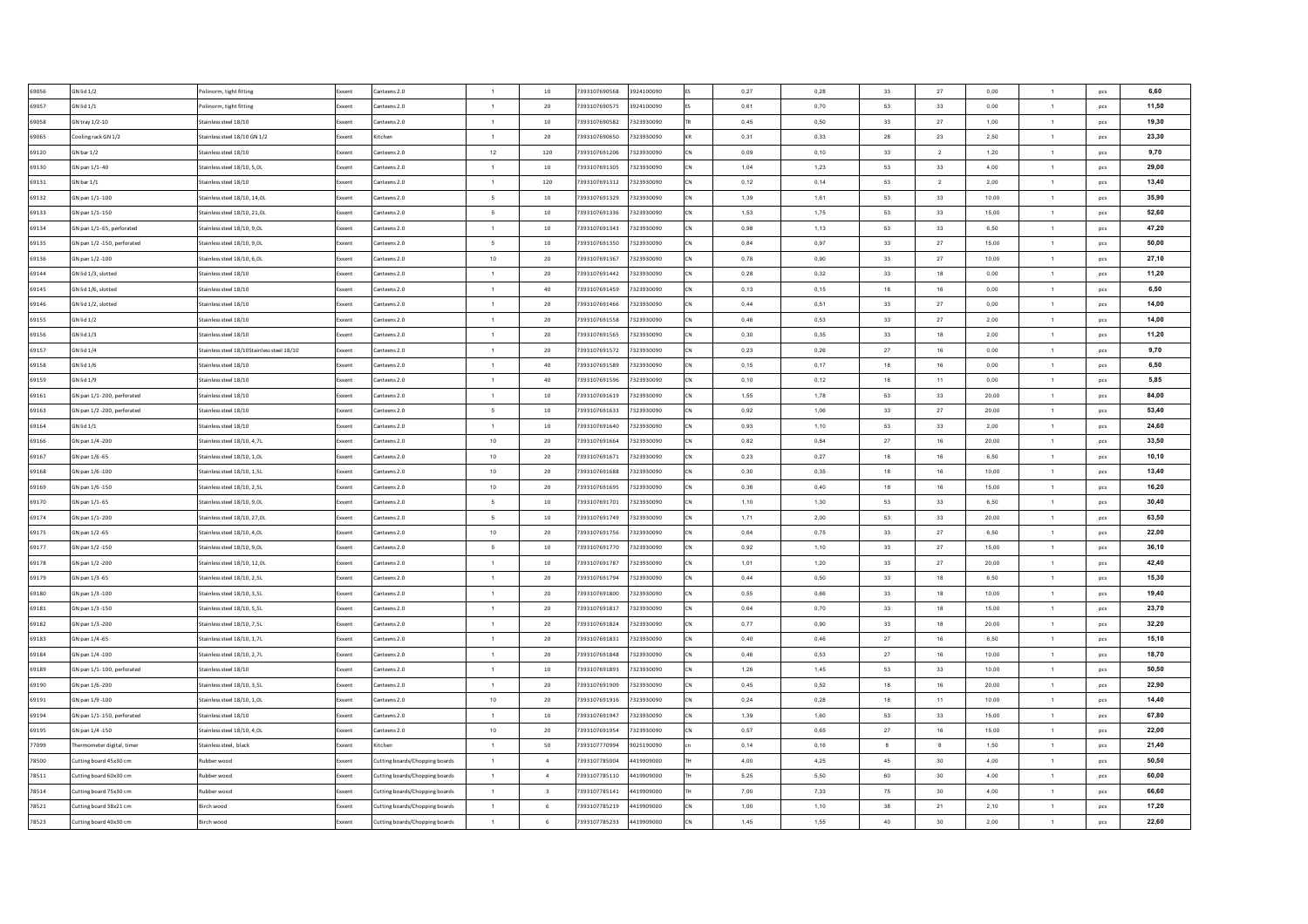| 69056 | GN lid 1/2                  | Polinorm, tight fitting                    | Exxent       | Canteens 2.0                   | $\overline{1}$  | 10                      | 7393107690568<br>3924100090 |           | 0,27 | 0,28 | 33     | 27             | 0,00      | $\mathbf{1}$   | pcs | 6,60  |
|-------|-----------------------------|--------------------------------------------|--------------|--------------------------------|-----------------|-------------------------|-----------------------------|-----------|------|------|--------|----------------|-----------|----------------|-----|-------|
| 69057 | GN lid 1/1                  | olinorm, tight fitting                     | ixxent       | Canteens 2.0                   | 1               | 20                      | 7393107690575<br>3924100090 |           | 0,61 | 0,70 | 53     | 33             | 0,00      | $\mathbf{1}$   | pcs | 11,50 |
| 69058 | GN tray 1/2-10              | Stainless steel 18/10                      | ixxent       | Canteens 2.0                   | $\overline{1}$  | $10\,$                  | 7393107690582<br>7323930090 |           | 0,45 | 0,50 | 33     | 27             | 1,00      | $\mathbf{1}$   | pcs | 19,30 |
| 69065 | Cooling rack GN 1/2         | Stainless steel 18/10 GN 1/2               | xxent        | Kitchen                        | $\overline{1}$  | 20                      | 7393107690650<br>7323930090 |           | 0,31 | 0,33 | 28     | 23             | 2,50      | $\mathbf{1}$   | pcs | 23,30 |
| 69120 | $SN$ bar $1/2$              | Stainless steel 18/10                      | ixxent       | Canteens 2.0                   | 12              | 120                     | 7393107691206<br>7323930090 |           | 0,09 | 0,10 | 33     | $\overline{2}$ | 1,20      | $\mathbf{1}$   | pcs | 9,70  |
| 69130 | GN pan 1/1-40               | Stainless steel 18/10, 5,0L                | ixxent       | anteens 2.0                    | $\overline{1}$  | 10                      | 7393107691305<br>7323930090 |           | 1,04 | 1,23 | 53     | $_{\rm 33}$    | 4,00      | $\mathbf{1}$   | pcs | 29,00 |
| 69131 | GN bar 1/1                  | Stainless steel 18/10                      | Exxent       | Canteens 2.0                   | $\overline{1}$  | 120                     | 7393107691312<br>7323930090 |           | 0,12 | 0,14 | 53     | $\overline{2}$ | 2,00      | $\mathbf{1}$   | pcs | 13,40 |
| 69132 | GN pan 1/1-100              | Stainless steel 18/10, 14.0L               | <b>xxent</b> | Canteens 2.0                   | $\sim$          | 10                      | 7393107691329<br>7323930090 |           | 1.39 | 1.61 | 53     | 33             | 10.00     | $\overline{1}$ | pcs | 35,90 |
| 69133 | GN pan 1/1-150              | Stainless steel 18/10, 21.0L               | Exxent       | Canteens 2.0                   | 5               | 10                      | 7393107691336<br>7323930090 |           | 1.53 | 1.75 | 53     | 33             | 15.00     | $\overline{1}$ | pcs | 52,60 |
| 69134 | SN pan 1/1-65, perforated   | Stainless steel 18/10, 9.0L                | ixxent       | Canteens 2.0                   | $\overline{1}$  | 10                      | 7393107691343<br>7323930090 | <b>CN</b> | 0.98 | 1,13 | 53     | 33             | 6.50      | $\overline{1}$ | pcs | 47,20 |
| 69135 | GN pan 1/2 -150, perforated | Stainless steel 18/10, 9,0L                | Exxent       | Canteens 2.0                   | 5               | 10                      | 7393107691350<br>7323930090 | <b>CN</b> | 0.84 | 0.97 | 33     | 27             | 15,00     | $\overline{1}$ | pcs | 50,00 |
| 69136 | SN pan 1/2 -100             | Stainless steel 18/10, 6.0L                | xxent        | Canteens 2.0                   | 10              | 20                      | 7393107691367<br>7323930090 |           | 0.78 | 0.90 | 33     | 27             | 10.00     | $\overline{1}$ | pcs | 27,10 |
| 69144 | SN lid 1/3, slotted         | Stainless steel 18/10                      | xxent        | Canteens 2.0                   | $\overline{1}$  | 20                      | 7323930090<br>7393107691442 |           | 0.28 | 0.32 | 33     | 18             | 0.00      | $\overline{1}$ | pcs | 11,20 |
| 69145 | SN lid 1/6, slotted         | Stainless steel 18/10                      | xxent        | anteens 2.0                    | $\overline{1}$  | 40                      | 7393107691459<br>7323930090 |           | 0,13 | 0,15 | 18     | 16             | 0,00      | $\overline{1}$ | pcs | 6,50  |
| 69146 | SN lid 1/2, slotted         | Stainless steel 18/10                      | xxent        | anteens 2.0                    | $\overline{1}$  | $20\,$                  | 7393107691466<br>7323930090 |           | 0,44 | 0,51 | 33     | 27             | 0,00      | $\mathbf{1}$   | pcs | 14,00 |
| 69155 | SN lid 1/2                  | Stainless steel 18/10                      | oxent        | inteens 2.0                    | $\mathbf{1}$    | $20\,$                  | 7393107691558<br>7323930090 |           | 0,46 | 0,53 | 33     | 27             | 2,00      | $\mathbf{1}$   | pcs | 14,00 |
| 69156 | SN lid 1/3                  | Stainless steel 18/10                      | xxent        | anteens 2.0                    | $\mathbf{1}$    | $20\,$                  | 7393107691565<br>7323930090 |           | 0,30 | 0,35 | 33     | 18             | 2,00      | $\mathbf{1}$   | pcs | 11,20 |
| 69157 | SN lid 1/4                  | Stainless steel 18/10Stainless steel 18/10 | ixxent       | anteens 2.0                    | $\mathbf{1}$    | 20                      | 7393107691572<br>7323930090 |           | 0,23 | 0,26 | 27     | 16             | $_{0,00}$ | $\mathbf{1}$   | pcs | 9,70  |
| 69158 | SN lid 1/6                  | Stainless steel 18/10                      | ixxent       | anteens 2.0                    | $\overline{1}$  | 40                      | 7393107691589<br>7323930090 |           | 0,15 | 0,17 | 18     | 16             | $_{0,00}$ | $\mathbf{1}$   | pcs | 6,50  |
| 69159 | SN lid 1/9                  | Stainless steel 18/10                      | xxent        | anteens 2.0                    | $\overline{1}$  | 40                      | 7393107691596<br>7323930090 |           | 0,10 | 0,12 | 18     | 11             | 0,00      | $\mathbf{1}$   | pcs | 5,85  |
| 69161 | GN pan 1/1-200, perforated  | Stainless steel 18/10                      | ixxent       | Canteens 2.0                   | $\overline{1}$  | $10$                    | 7393107691619<br>7323930090 |           | 1,55 | 1,78 | 53     | 33             | 20,00     | $\mathbf{1}$   | pcs | 84,00 |
| 69163 | SN pan 1/2 -200, perforated | Stainless steel 18/10                      | ixxent       | anteens 2.0                    | $5\overline{5}$ | $10\,$                  | 7393107691633<br>7323930090 |           | 0,92 | 1,06 | 33     | 27             | 20,00     | $\mathbf{1}$   | pcs | 53,40 |
| 69164 | GN lid 1/1                  | Stainless steel 18/10                      | Exxent       | Canteens 2.0                   | $\overline{1}$  | 10                      | 7323930090<br>7393107691640 | <b>CN</b> | 0.93 | 1,10 | 53     | 33             | 2.00      | 1              | pcs | 24,60 |
| 69166 | GN pan 1/4 -200             | Stainless steel 18/10, 4,7L                | Exxent       | Canteens 2.0                   | 10              | 20                      | 7393107691664<br>7323930090 |           | 0.82 | 0.84 | 27     | 16             | 20.00     | $\blacksquare$ | pcs | 33,50 |
| 69167 | GN pan 1/6 -65              | Stainless steel 18/10, 1.0L                | Exxent       | Canteens 2.0                   | $10\,$          | 20                      | 7393107691671<br>7323930090 | ΓN        | 0.23 | 0.27 | 18     | 16             | 6.50      | $\overline{1}$ | pcs | 10,10 |
| 69168 | GN pan 1/6 -100             | Stainless steel 18/10, 1.5L                | Exxent       | Canteens 2.0                   | 10              | 20                      | 7393107691688<br>7323930090 |           | 0.30 | 0.35 | 18     | 16             | 10.00     | $\overline{1}$ | pcs | 13.40 |
| 69169 | GN pan 1/6 -150             | Stainless steel 18/10, 2.5L                | Exxent       | Canteens 2.0                   | $10\,$          | 20                      | 7393107691695<br>7323930090 | <b>CN</b> | 0,36 | 0,40 | 18     | 16             | 15,00     | 1              | pcs | 16,20 |
| 69170 | GN pan 1/1-65               | Stainless steel 18/10, 9,0L                | Exxent       | Canteens 2.0                   | -5              | 10                      | 7393107691701<br>7323930090 |           | 1,10 | 1,30 | 53     | 33             | 6.50      | $\mathbf{1}$   | pcs | 30.40 |
| 69174 | GN pan 1/1-200              | Stainless steel 18/10, 27,0L               | Exxent       | Canteens 2.0                   | $5\overline{)}$ | 10                      | 7393107691749<br>7323930090 | <b>CN</b> | 1,71 | 2,00 | 53     | 33             | 20,00     | $\mathbf{1}$   | pcs | 63,50 |
| 69175 | GN pan 1/2 -65              | Stainless steel 18/10, 4,0L                | ixxent       | Canteens 2.0                   | 10              | 20                      | 7393107691756<br>7323930090 |           | 0,64 | 0,75 | 33     | 27             | 6,50      | $\mathbf{1}$   | pcs | 22,00 |
| 69177 | GN pan 1/2 -150             | Stainless steel 18/10, 9,0L                | ixxent       | Canteens 2.0                   | $5\overline{5}$ | 10                      | 7393107691770<br>7323930090 |           | 0,92 | 1,10 | 33     | 27             | 15,00     | $\mathbf{1}$   | pcs | 36,10 |
| 69178 | GN pan 1/2 -200             | Stainless steel 18/10, 12,0L               | Exxent       | Canteens 2.0                   | $\overline{1}$  | 10                      | 7393107691787<br>7323930090 |           | 1,01 | 1,20 | 33     | 27             | 20,00     | $\mathbf{1}$   | pcs | 42,40 |
| 69179 | GN pan 1/3 -65              | Stainless steel 18/10, 2,5L                | ixxent       | Canteens 2.0                   | $\overline{1}$  | 20                      | 7393107691794<br>7323930090 |           | 0,44 | 0,50 | 33     | 18             | 6,50      | $\mathbf{1}$   | pcs | 15,30 |
| 69180 | GN pan 1/3 -100             | Stainless steel 18/10, 3,5L                | Exxent       | Canteens 2.0                   | $\overline{1}$  | 20                      | 7393107691800<br>7323930090 |           | 0,55 | 0,66 | 33     | 18             | 10,00     | $\overline{1}$ | pcs | 19,40 |
| 69181 | GN pan 1/3 -150             | Stainless steel 18/10, 5,5L                | ixxent       | Canteens 2.0                   | 1               | 20                      | 7393107691817<br>7323930090 |           | 0,64 | 0,70 | 33     | 18             | 15,00     | $\mathbf{1}$   | pcs | 23,70 |
| 69182 | GN pan 1/3 -200             | Stainless steel 18/10, 7,5L                | Exxent       | Canteens 2.0                   | 1               | 20                      | 7393107691824<br>7323930090 | CN        | 0,77 | 0,90 | 33     | 18             | 20,00     | $\mathbf{1}$   | pcs | 32,20 |
| 69183 | GN pan 1/4 -65              | Stainless steel 18/10, 1,7L                | ixxent       | Canteens 2.0                   | $\overline{1}$  | 20                      | 7393107691831<br>7323930090 |           | 0.40 | 0,46 | 27     | 16             | 6,50      | $\mathbf{1}$   | pcs | 15,10 |
| 69184 | GN pan 1/4 -100             | Stainless steel 18/10, 2.7L                | Exxent       | Canteens 2.0                   | $\overline{1}$  | 20                      | 7393107691848<br>7323930090 | ΓN        | 0.46 | 0.53 | 27     | 16             | 10.00     | $\overline{1}$ | pcs | 18,70 |
| 69189 | SN pan 1/1-100, perforated  | Stainless steel 18/10                      | xxent        | anteens 2.0                    | $\overline{1}$  | 10                      | 7393107691893<br>7323930090 |           | 1,26 | 1,45 | 53     | 33             | 10.00     | $\overline{1}$ | pcs | 50,50 |
| 69190 | SN pan 1/6 -200             | Stainless steel 18/10, 3,5L                | xxent        | Canteens 2.0                   | $\overline{1}$  | 20                      | 7393107691909<br>7323930090 |           | 0,45 | 0,52 | 18     | 16             | 20.00     | $\overline{1}$ | pcs | 22.90 |
| 69191 | SN pan 1/9 -100             | Stainless steel 18/10, 1,0L                | Exxent       | anteens 2.0                    | 10              | 20                      | 7393107691916<br>7323930090 |           | 0,24 | 0,28 | 18     | 11             | 10,00     | $\overline{1}$ | pcs | 14,40 |
| 69194 | SN pan 1/1-150, perforated  | Stainless steel 18/10                      | ixxent       | anteens 2.0                    | $\overline{1}$  | 10                      | 7393107691947<br>7323930090 |           | 1,39 | 1,60 | 53     | 33             | 15,00     | $\overline{1}$ | pcs | 67,80 |
| 69195 | SN pan 1/4 -150             | Stainless steel 18/10, 4,0L                | xxent        | nteens 2.0                     | 10              | $20\,$                  | 7393107691954<br>7323930090 |           | 0,57 | 0,65 | $27\,$ | 16             | 15,00     | $\mathbf{1}$   | pcs | 22,00 |
| 77099 | nermometer digital, timer   | Stainless steel, black                     | ixxent       | <b>litchen</b>                 | $\overline{1}$  | 50                      | 7393107770994<br>9025190090 |           | 0,14 | 0,16 | 8      | 8              | 1,50      | $\mathbf{1}$   | pcs | 21,40 |
| 78500 | utting board 45x30 cm       | Rubber wood                                | xxent        | lutting boards/Chopping boards | $\overline{1}$  | $\overline{4}$          | 7393107785004<br>4419909000 |           | 4,00 | 4,25 | 45     | 30             | 4,00      | $\mathbf{1}$   | pcs | 50,50 |
| 78511 | utting board 60x30 cm       | Rubber wood                                | ixxent       | utting boards/Chopping boards  | $\overline{1}$  | $\overline{4}$          | 7393107785110<br>4419909000 |           | 5,25 | 5,50 | 60     | 30             | 4,00      | $\mathbf{1}$   | pcs | 60,00 |
| 78514 | utting board 75x30 cm       | Rubber wood                                | ixxent       | utting boards/Chopping boards  | $\overline{1}$  | $\overline{\mathbf{3}}$ | 7393107785141<br>4419909000 |           | 7,00 | 7,33 | 75     | 30             | 4,00      | $\mathbf{1}$   | pcs | 66,60 |
| 78521 | utting board 38x21 cm       | Birch wood                                 | ixxent       | Cutting boards/Chopping boards | $\overline{1}$  | 6                       | 7393107785219<br>4419909000 |           | 1,00 | 1,10 | 38     | 21             | 2,10      | $\mathbf{1}$   | pcs | 17,20 |
| 78523 | Cutting board 40x30 cm      | Birch wood                                 | Exxent       | Cutting boards/Chopping boards | $\overline{1}$  | $6\phantom{.0}$         | 7393107785233<br>4419909000 |           | 1,45 | 1,55 | 40     | 30             | 2,00      | $\mathbf{1}$   | pcs | 22,60 |
|       |                             |                                            |              |                                |                 |                         |                             |           |      |      |        |                |           |                |     |       |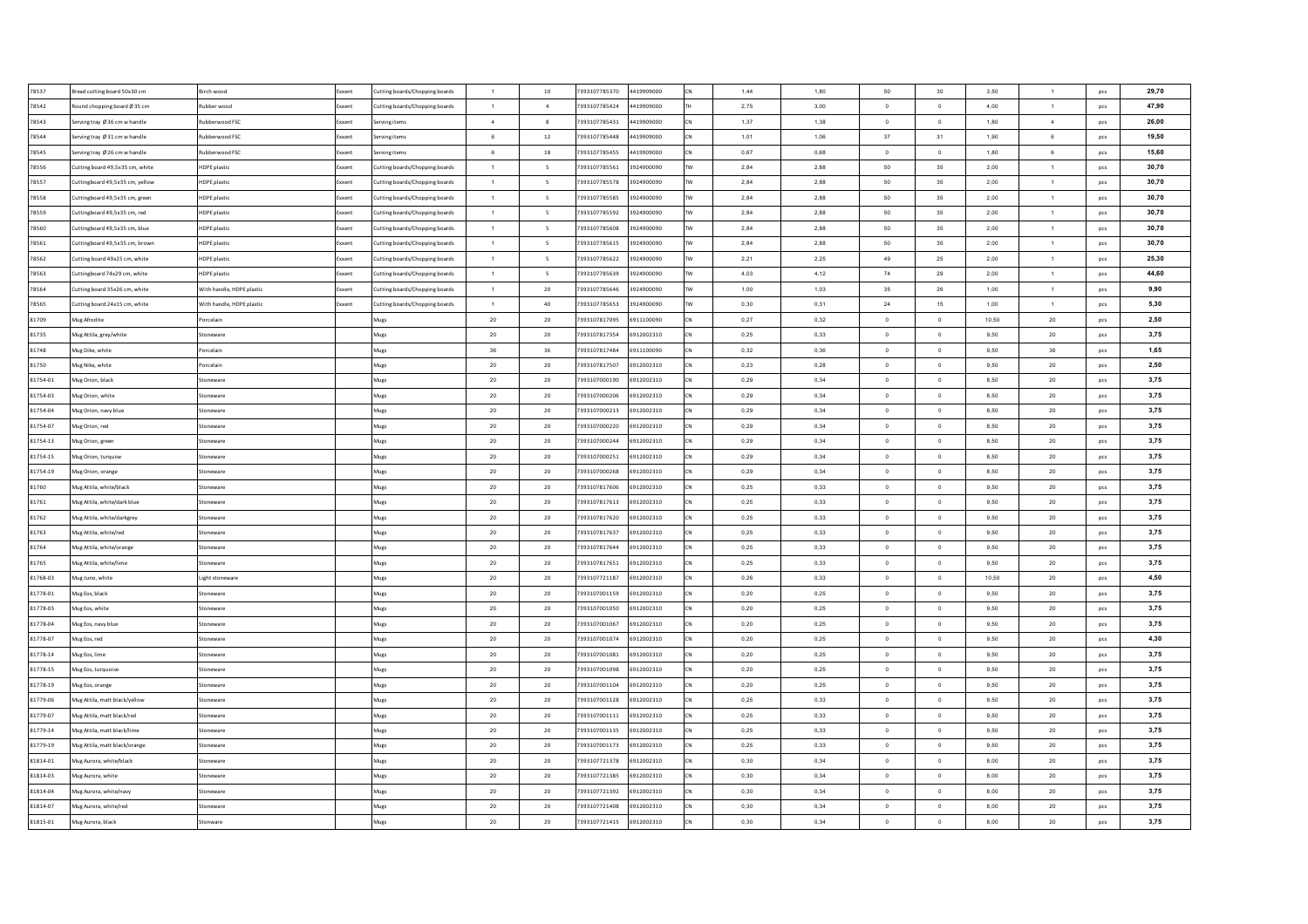| 78537    | Bread cutting board 50x30 cm    | Birch wood                | Exxent | Cutting boards/Chopping boards | $\overline{1}$  | 10                       | 7393107785370 | 4419909000 |           | 1,44 | 1,80 | 50             | 30             | 3.50  | $\overline{1}$ | pcs | 29,70 |
|----------|---------------------------------|---------------------------|--------|--------------------------------|-----------------|--------------------------|---------------|------------|-----------|------|------|----------------|----------------|-------|----------------|-----|-------|
| 78542    | Round chopping board Ø 35 cm    | Rubber wood               | xxent  | Cutting boards/Chopping boards | $\overline{1}$  | $\overline{4}$           | 7393107785424 | 4419909000 |           | 2,75 | 3,00 | $\overline{0}$ | $\overline{0}$ | 4,00  | $\overline{1}$ | pcs | 47,90 |
| 78543    | Serving tray Ø 36 cm w handle   | Rubberwood FSC            | ixxent | Serving items                  | $\sim$          | $\mathbf{8}$             | 7393107785431 | 4419909000 |           | 1,37 | 1,38 | $\Omega$       | $\mathbf 0$    | 1,80  | $\overline{4}$ | pcs | 26.00 |
| 78544    | Serving tray Ø 31 cm w handle   | Rubberwood FSC            | ixxent | Serving items                  | $6\overline{6}$ | 12                       | 7393107785448 | 4419909000 |           | 1,01 | 1,06 | 37             | 31             | 1,90  | $\,6\,$        | pcs | 19,50 |
| 78545    | Serving tray Ø 26 cm w handle   | Rubberwood FSC            | xxen   | Serving items                  | 6               | 18                       | 7393107785455 | 4419909000 |           | 0,67 | 0,68 | $\Omega$       | $\mathbf 0$    | 1,80  | 6              | pcs | 15,60 |
| 78556    | Cutting board 49,5x35 cm, white | HDPE plastic              | oxent  | Cutting boards/Chopping boards | $\mathbf{1}$    | $\overline{\phantom{a}}$ | 7393107785561 | 3924900090 |           | 2,84 | 2,88 | 50             | 35             | 2,00  | $\mathbf{1}$   | pcs | 30,70 |
| 78557    | Cuttingboard 49,5x35 cm, yellow | HDPE plastic              | xxent  | Cutting boards/Chopping boards | $\overline{1}$  | $\overline{\phantom{0}}$ | 7393107785578 | 3924900090 |           | 2,84 | 2,88 | 50             | 35             | 2,00  | $\mathbf{1}$   | pcs | 30,70 |
| 78558    | Cuttingboard 49,5x35 cm, green  | HDPE plastic              | xxent  | Cutting boards/Chopping boards | $\overline{1}$  | $\overline{\phantom{a}}$ | 7393107785585 | 3924900090 | <b>TV</b> | 2,84 | 2,88 | 50             | 35             | 2,00  | $\mathbf{1}$   | pcs | 30,70 |
| 78559    | Cuttingboard 49,5x35 cm, red    | HDPE plastic              | xxent  | Cutting boards/Chopping boards | $\overline{1}$  | $\overline{\phantom{0}}$ | 7393107785592 | 3924900090 |           | 2,84 | 2,88 | 50             | 35             | 2,00  | $\mathbf{1}$   | pcs | 30,70 |
| 78560    | Cuttingboard 49.5x35 cm. blue   | <b>HDPE</b> plastic       | xxent  | Cutting boards/Chopping boards | $\mathbf{1}$    | 5                        | 7393107785608 | 3924900090 |           | 2,84 | 2,88 | 50             | 35             | 2,00  | $\mathbf{1}$   | pcs | 30,70 |
| 78561    | Cuttingboard 49.5x35 cm. brown  | <b>HDPE</b> plastic       | Exxent | Cutting boards/Chopping boards | $\overline{1}$  | $\overline{5}$           | 7393107785615 | 3924900090 |           | 2.84 | 2.88 | 50             | 35             | 2,00  | $\overline{1}$ | pcs | 30,70 |
| 78562    | Cutting board 49x25 cm, white   | HDPE plastic              | xxent  | Cutting boards/Chopping boards | $\mathbf{1}$    | $\overline{5}$           | 7393107785622 | 3924900090 |           | 2,21 | 2.25 | 49             | 25             | 2,00  | $\mathbf{1}$   | pcs | 25,30 |
| 78563    | Cuttingboard 74x29 cm, white    | <b>HDPE</b> plastic       | xxent  | Cutting boards/Chopping boards | $\overline{1}$  | -5                       | 7393107785639 | 3924900090 |           | 4.03 | 4,12 | 74             | 29             | 2.00  | $\overline{1}$ | pcs | 44,60 |
| 78564    | Cutting board 35x26 cm, white   | With handle, HDPE plastic | xxent  | Cutting boards/Chopping boards | $\overline{1}$  | 20                       | 7393107785646 | 3924900090 |           | 1,00 | 1,03 | 35             | 26             | 1,00  | $\overline{1}$ | pcs | 9,90  |
| 78565    | Cutting board 24x15 cm, white   | With handle, HDPE plastic | xxent  | Cutting boards/Chopping boards | $\overline{1}$  | 40                       | 7393107785653 | 3924900090 |           | 0,30 | 0,31 | 24             | 15             | 1,00  | $\mathbf{1}$   | pcs | 5,30  |
| 81709    | Mug Afrodite                    | orcelain                  |        | Mugs                           | $20\degree$     | 20                       | 7393107817095 | 6911100090 |           | 0,27 | 0,32 | $\circ$        | $\mathbf 0$    | 10,50 | 20             | pcs | 2,50  |
| 81735    | Mug Attila, grey/white          | itoneware                 |        | Mugs                           | $20\degree$     | $20\,$                   | 7393107817354 | 6912002310 |           | 0,25 | 0,33 | $\,$ 0 $\,$    | $\,0\,$        | 9,50  | $20\degree$    | pcs | 3,75  |
| 81748    | Mug Dike, white                 | orcelain                  |        | Mugs                           | $36\,$          | 36                       | 7393107817484 | 6911100090 |           | 0,32 | 0,36 | $\,$ 0 $\,$    | $\,0\,$        | 9,50  | 36             | pcs | 1,65  |
| 81750    | Mug Nike, white                 | Porcelain                 |        | Mugs                           | $20\,$          | $20\,$                   | 7393107817507 | 6912002310 |           | 0,23 | 0,28 | $\,$ 0 $\,$    | $\,0\,$        | 9,50  | ${\bf 20}$     | pcs | 2,50  |
| 81754-01 | Mug Orion, black                | itoneware                 |        | Mugs                           | $20\,$          | 20                       | 7393107000190 | 6912002310 |           | 0,29 | 0,34 | $\circ$        | $\mathbf{0}$   | 8,50  | ${\bf 20}$     | pcs | 3,75  |
| 81754-03 | Mug Orion, white                | Stoneware                 |        | Mugs                           | $20\,$          | 20                       | 7393107000206 | 6912002310 |           | 0,29 | 0,34 | $\circ$        | $\,$ 0 $\,$    | 8,50  | $20\degree$    | pcs | 3,75  |
| 81754-04 | Mug Orion, navy blue            | Stoneware                 |        | Mugs                           | $20\,$          | 20                       | 7393107000213 | 6912002310 |           | 0,29 | 0,34 | $\circ$        | $\,$ 0         | 8,50  | $20\,$         | pcs | 3,75  |
| 81754-07 | Mug Orion, red                  | Stoneware                 |        | Mugs                           | $20\,$          | 20                       | 7393107000220 | 6912002310 |           | 0.29 | 0.34 | $\overline{0}$ | $\overline{0}$ | 8.50  | $20\,$         | pcs | 3,75  |
| 81754-13 | Mug Orion, green                | Stoneware                 |        | Mugs                           | $20\,$          | 20                       | 7393107000244 | 6912002310 |           | 0.29 | 0.34 | $\overline{0}$ | $\overline{0}$ | 8.50  | $20\degree$    | pcs | 3,75  |
| 81754-15 | Mug Orion, turquise             | Stoneware                 |        | Mugs                           | $20\degree$     | 20                       | 7393107000251 | 6912002310 |           | 0.29 | 0.34 | $\Omega$       | $\overline{0}$ | 8.50  | $20\degree$    | pcs | 3,75  |
| 81754-19 | Mug Orion, orange               | Stoneware                 |        | Mugs                           | 20              | 20                       | 7393107000268 | 6912002310 |           | 0.29 | 0.34 | $^{\circ}$     | $\circ$        | 8.50  | 20             | pcs | 3,75  |
| 81760    | Mug Attila, white/black         | Stoneware                 |        | Mugs                           | $20\,$          | 20                       | 7393107817606 | 6912002310 |           | 0,25 | 0,33 | $\overline{0}$ | $\overline{0}$ | 9,50  | $20\degree$    | pcs | 3,75  |
| 81761    | Mug Attila, white/dark blue     | Stoneware                 |        | Mugs                           | 20              | 20                       | 7393107817613 | 6912002310 |           | 0,25 | 0.33 | $\Omega$       | $\mathbf 0$    | 9.50  | 20             | pcs | 3,75  |
| 81762    | Mug Attila, white/darkgrey      | Stoneware                 |        | Mugs                           | $20\,$          | $20\,$                   | 7393107817620 | 6912002310 |           | 0,25 | 0,33 | $\mathbf{0}$   | $\,$ 0         | 9,50  | $20\,$         | pcs | 3,75  |
| 81763    | Mug Attila, white/red           | Stoneware                 |        | Mugs                           | $20\,$          | $20\,$                   | 7393107817637 | 6912002310 |           | 0,25 | 0,33 | $\circ$        | $\mathbf{0}$   | 9,50  | $20\degree$    | pcs | 3,75  |
| 81764    | Mug Attila, white/orange        | Stoneware                 |        | Mugs                           | $20\degree$     | 20                       | 7393107817644 | 6912002310 |           | 0,25 | 0,33 | $\circ$        | $\overline{0}$ | 9,50  | $20\degree$    | pcs | 3,75  |
| 81765    | Mug Attila, white/lime          | Stoneware                 |        | Mugs                           | $20\degree$     | $20\,$                   | 7393107817651 | 6912002310 |           | 0,25 | 0,33 | $\circ$        | $\circ$        | 9,50  | $20\degree$    | pcs | 3,75  |
| 81768-03 | Mug Juno, white                 | Light stoneware           |        | Mugs                           | $20\degree$     | 20                       | 7393107721187 | 6912002310 |           | 0,26 | 0,33 | $\overline{0}$ | $\,$ 0         | 10,50 | $20\degree$    | pcs | 4,50  |
| 81778-01 | Mug Eos, black                  | Stoneware                 |        | Mugs                           | $20\degree$     | 20                       | 7393107001159 | 6912002310 |           | 0,20 | 0,25 | $\overline{0}$ | $\,$ 0         | 9,50  | $20\degree$    | pcs | 3,75  |
| 81778-03 | Mug Eos, white                  | Stoneware                 |        | Mugs                           | $20\degree$     | 20                       | 7393107001050 | 6912002310 |           | 0,20 | 0,25 | $\overline{0}$ | $\overline{0}$ | 9,50  | $20\degree$    | pcs | 3,75  |
| 81778-04 | Mug Eos, navy blue              | Stoneware                 |        | Mugs                           | 20 <sub>2</sub> | 20                       | 7393107001067 | 6912002310 |           | 0,20 | 0,25 | $\overline{0}$ | $\overline{0}$ | 9,50  | 20             | pcs | 3,75  |
| 81778-07 | Mug Eos, red                    | Stoneware                 |        | Mugs                           | 20              | 20                       | 7393107001074 | 6912002310 |           | 0.20 | 0.25 | $\Omega$       | $\overline{0}$ | 9,50  | $20\degree$    | pcs | 4,30  |
| 81778-14 | Mug Eos, lime                   | Stoneware                 |        | Mugs                           | $20\degree$     | 20                       | 7393107001081 | 6912002310 |           | 0,20 | 0,25 | $\overline{0}$ | $\mathbf 0$    | 9,50  | $20\,$         | pcs | 3,75  |
| 81778-15 | Mug Eos, turquoise              | Stoneware                 |        | Mugs                           | $20\degree$     | 20                       | 7393107001098 | 6912002310 |           | 0,20 | 0,25 | $\overline{0}$ | $\,$ 0         | 9,50  | $20\,$         | pcs | 3,75  |
| 81778-19 | Mug Eos, orange                 | Stoneware                 |        | Mugs                           | $20\,$          | 20                       | 7393107001104 | 6912002310 |           | 0,20 | 0,25 | $\overline{0}$ | $\mathbf 0$    | 9,50  | $20\,$         | pcs | 3,75  |
| 81779-06 | Aug Attila, matt black/yellow   | toneware                  |        | Mugs                           | $20\degree$     | 20                       | 7393107001128 | 6912002310 |           | 0,25 | 0,33 | $\circ$        | $\mathbf 0$    | 9,50  | 20             | pcs | 3,75  |
| 81779-07 | Mug Attila, matt black/red      | itoneware                 |        | Mugs                           | $20\degree$     | $20\,$                   | 7393107001111 | 6912002310 |           | 0,25 | 0,33 | $\,$ 0 $\,$    | $\,0\,$        | 9,50  | $20\degree$    | pcs | 3,75  |
| 81779-14 | Mug Attila, matt black/lime     | toneware                  |        | Mugs                           | $20\,$          | 20                       | 7393107001135 | 6912002310 |           | 0,25 | 0,33 | $\mathbf 0$    | $\,0\,$        | 9,50  | $20\degree$    | pcs | 3,75  |
| 81779-19 | Mug Attila, matt black/orange   | Stoneware                 |        | Mugs                           | $20\degree$     | 20                       | 7393107001173 | 6912002310 |           | 0,25 | 0,33 | $\circ$        | $\,$ 0         | 9,50  | $20\degree$    | pcs | 3,75  |
| 81814-01 | Mug Aurora, white/black         | Stoneware                 |        | Mugs                           | $20\degree$     | 20                       | 7393107721378 | 6912002310 |           | 0,30 | 0,34 | $\overline{0}$ | $\mathbf 0$    | 8,00  | $20\degree$    | pcs | 3,75  |
| 81814-03 | Mug Aurora, white               | Stoneware                 |        | Mugs                           | 20 <sub>2</sub> | 20                       | 7393107721385 | 6912002310 |           | 0,30 | 0,34 | $\overline{0}$ | $\circ$        | 8,00  | 20             | pcs | 3,75  |
| 81814-04 | Mug Aurora, white/navy          | Stoneware                 |        | Mugs                           | 20 <sub>2</sub> | 20                       | 7393107721392 | 6912002310 |           | 0,30 | 0.34 | $^{\circ}$     | $\mathbf{0}$   | 8.00  | $20\degree$    | pcs | 3,75  |
| 81814-07 | Mug Aurora, white/red           | Stoneware                 |        | Mugs                           | 20 <sub>2</sub> | 20                       | 7393107721408 | 6912002310 |           | 0,30 | 0,34 | $\overline{0}$ | $\mathbf{0}$   | 8,00  | $20\degree$    | pcs | 3,75  |
| 81815-01 |                                 | Stonware                  |        |                                | 20 <sub>2</sub> | 20                       | 7393107721415 | 6912002310 |           | 0,30 | 0.34 | $\circ$        | $\mathbf{0}$   | 8.00  | 20             |     | 3,75  |
|          | Mug Aurora, black               |                           |        | Mugs                           |                 |                          |               |            |           |      |      |                |                |       |                | pcs |       |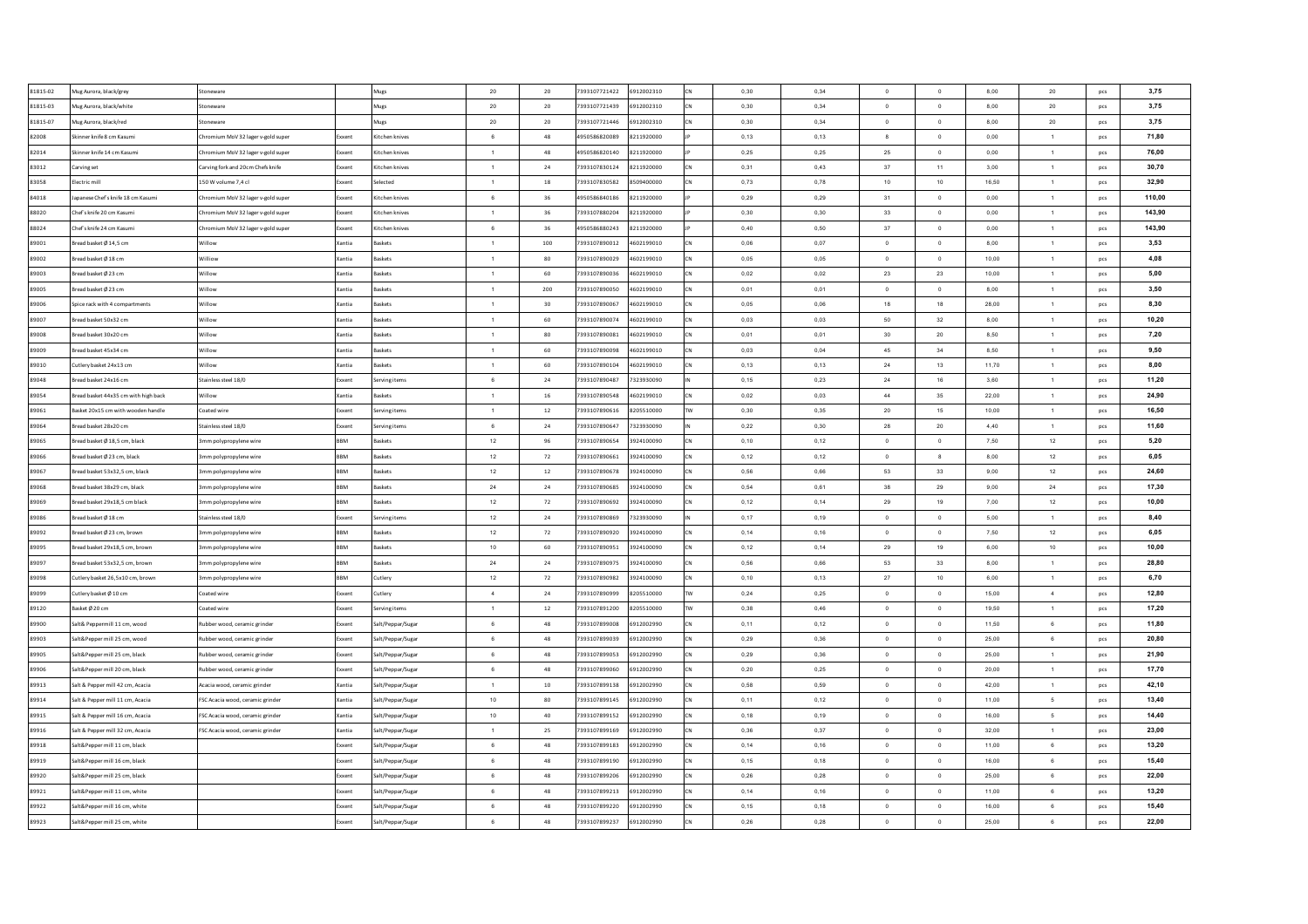| 81815-02 | Mug Aurora, black/grey               | Stonewan                           |                 | Mugs              | 20              | 20     | 7393107721422 | 6912002310 | CN         | 0,30 | 0,34 | $\Omega$         | $\overline{0}$ | 8,00  | 20             | pcs | 3,75   |
|----------|--------------------------------------|------------------------------------|-----------------|-------------------|-----------------|--------|---------------|------------|------------|------|------|------------------|----------------|-------|----------------|-----|--------|
| 81815-03 | Mug Aurora, black/white              | Stonewar                           |                 | Mugs              | $20\,$          | 20     | 7393107721439 | 6912002310 | <b>ICN</b> | 0,30 | 0,34 | $\overline{0}$   | $\circ$        | 8,00  | $20\degree$    | pcs | 3,75   |
| 81815-07 | Mug Aurora, black/red                | toneware                           |                 | Mugs              | $20\,$          | 20     | 7393107721446 | 6912002310 | <b>CN</b>  | 0,30 | 0,34 | $\overline{0}$   | $\mathbf 0$    | 8,00  | $20\degree$    | pcs | 3,75   |
| 82008    | Skinner knife 8 cm Kasum             | Chromium MoV 32 lager v-gold super | xxent           | Kitchen knives    | 6               | 48     | 4950586820089 | 8211920000 |            | 0,13 | 0,13 | $\boldsymbol{8}$ | $\,$ 0         | 0,00  | $\mathbf{1}$   | pcs | 71,80  |
| 82014    | Skinner knife 14 cm Kasumi           | Chromium MoV 32 lager v-gold super | xxent           | Kitchen knives    | $\overline{1}$  | 48     | 4950586820140 | 8211920000 |            | 0,25 | 0,25 | 25               | $\mathbf 0$    | 0,00  | $\mathbf{1}$   | pcs | 76,00  |
| 83012    | Carving set                          | Carving fork and 20cm Chefs knife  | xxent           | Kitchen knives    | $\overline{1}$  | 24     | 7393107830124 | 8211920000 | CN         | 0,31 | 0,43 | 37               | 11             | 3,00  | $\mathbf{1}$   | pcs | 30.70  |
| 83058    | Electric mill                        | 150 W volume 7,4 cl                | xxent           | Selected          | $\overline{1}$  | 18     | 7393107830582 | 8509400000 | <b>CN</b>  | 0,73 | 0,78 | 10               | 10             | 16,50 | $\mathbf{1}$   | pcs | 32,90  |
| 84018    | Japanese Chef's knife 18 cm Kasumi   | hromium MoV 32 lager v-gold super  | xxent           | Kitchen knives    | $6\overline{6}$ | 36     | 4950586840186 | 8211920000 |            | 0.29 | 0.29 | 31               | $\circ$        | 0.00  | $\mathbf{1}$   | pcs | 110,00 |
| 88020    | Chef's knife 20 cm Kasum             | Chromium MoV 32 lager v-gold super | xxent           | Kitchen knives    | $\overline{1}$  | 36     | 7393107880204 | 8211920000 |            | 0.30 | 0.30 | 33               | $\overline{0}$ | 0.00  | $\overline{1}$ | pcs | 143,90 |
| 88024    | Chef's knife 24 cm Kasum             | hromium MoV 32 lager v-gold super  | xxent           | Kitchen knives    | 6               | 36     | 4950586880243 | 8211920000 |            | 0,40 | 0,50 | 37               | $\circ$        | 0.00  | 1              | pcs | 143,90 |
| 89001    | Bread basket Ø 14.5 cm               | Willow                             | Xantia          | Raskets           | $\overline{1}$  | 100    | 7393107890012 | 4602199010 | lcN        | 0.06 | 0.07 | $\Omega$         | $\Omega$       | 8.00  | 1              | pcs | 3,53   |
| 89002    | Bread basket Ø 18 cm                 | Williow                            | Kantia          | laskets           | $\overline{1}$  | 80     | 7393107890029 | 4602199010 | CN         | 0.05 | 0.05 | $\Omega$         | $\overline{0}$ | 10.00 | $\overline{1}$ | pcs | 4,08   |
| 89003    | Bread basket Ø 23 cm                 | Willow                             | Kantia          | laskets           | $\overline{1}$  | 60     | 7393107890036 | 4602199010 | <b>CN</b>  | 0.02 | 0,02 | 23               | 23             | 10.00 | $\overline{1}$ | pcs | 5.00   |
| 89005    | Bread basket Ø 23 cm                 | Willow                             | (antia          | askets            | $\overline{1}$  | 200    | 7393107890050 | 4602199010 |            | 0,01 | 0,01 | $\overline{0}$   | $\,$ 0         | 8,00  | $\mathbf{1}$   | pcs | 3,50   |
| 89006    | Spice rack with 4 compartments       | Willow                             | lantia          | askets            | $\overline{1}$  | 30     | 7393107890067 | 4602199010 |            | 0,05 | 0,06 | 18               | 18             | 28,00 | $\mathbf{1}$   | pcs | 8,30   |
| 89007    | Bread basket 50x32 cm                | Villow                             | antia           | askets            | $\overline{1}$  | 60     | 7393107890074 | 4602199010 |            | 0,03 | 0,03 | 50               | 32             | 8,00  | $\mathbf{1}$   | pcs | 10,20  |
| 89008    | Bread basket 30x20 cm                | Willow                             | lantia          | askets            | $\overline{1}$  | 80     | 7393107890081 | 4602199010 |            | 0,01 | 0,01 | 30               | 20             | 8,50  | $\mathbf{1}$   | pcs | 7,20   |
| 89009    | Bread basket 45x34 cm                | Villow                             | Cantia          | askets            | $\overline{1}$  | 60     | 7393107890098 | 4602199010 |            | 0,03 | 0,04 | 45               | 34             | 8,50  | $\mathbf{1}$   | pcs | 9,50   |
| 89010    | Cutlery basket 24x13 cm              | Willow                             | lantia          | laskets           | $\overline{1}$  | 60     | 7393107890104 | 4602199010 |            | 0,13 | 0,13 | $\bf 24$         | 13             | 11,70 | $\mathbf{1}$   | pcs | 8,00   |
| 89048    | Bread basket 24x16 cm                | Stainless steel 18/0               | xxent           | erving items      | 6               | 24     | 7393107890487 | 7323930090 |            | 0,15 | 0,23 | 24               | 16             | 3,60  | $\mathbf{1}$   | pcs | 11,20  |
| 89054    | Bread basket 44x35 cm with high back | Willow                             | lantia          | Baskets           | $\overline{1}$  | $16\,$ | 7393107890548 | 4602199010 | CN         | 0,02 | 0,03 | 44               | 35             | 22,00 | $\mathbf{1}$   | pcs | 24,90  |
| 89061    | Basket 20x15 cm with wooden handle   | Coated wire                        | xxent           | erving items      | $\overline{1}$  | 12     | 7393107890616 | 8205510000 | <b>TW</b>  | 0,30 | 0,35 | 20               | 15             | 10,00 | 1              | pcs | 16,50  |
| 89064    | Bread basket 28x20 cm                | Stainless steel 18/0               | xxent           | Serving items     | 6               | 24     | 7393107890647 | 7323930090 |            | 0.22 | 0.30 | 28               | 20             | 4.40  | $\mathbf{1}$   | pcs | 11.60  |
| 89065    | Bread basket Ø 18.5 cm. black        | 3mm polypropylene wire             | <b>RRM</b>      | Raskets           | 12              | 96     | 7393107890654 | 3924100090 | lcN        | 0.10 | 0.12 | $\Omega$         | $\overline{0}$ | 7,50  | 12             | pcs | 5,20   |
| 89066    | Bread basket Ø 23 cm, black          | 3mm polypropylene wire             | <b>RRM</b>      | Baskets           | 12              | 72     | 7393107890661 | 3924100090 | <b>CN</b>  | 0,12 | 0,12 | $\overline{0}$   | 8              | 8,00  | 12             | pcs | 6,05   |
| 89067    | Bread basket 53x32,5 cm, black       | 3mm polypropylene wire             | <b>RRM</b>      | Raskets           | 12              | $12\,$ | 7393107890678 | 3924100090 | <b>CN</b>  | 0,56 | 0,66 | 53               | 33             | 9.00  | 12             | pcs | 24,60  |
| 89068    | Bread basket 38x29 cm, black         | Imm polypropylene wire             | BBM             | Baskets           | ${\bf 24}$      | 24     | 7393107890685 | 3924100090 | CN         | 0,54 | 0,61 | 38               | 29             | 9,00  | 24             | pcs | 17,30  |
| 89069    | Bread basket 29x18,5 cm black        | 3mm polypropylene wire             | RRM             | askets            | $12\,$          | 72     | 7393107890692 | 3924100090 | low        | 0,12 | 0,14 | 29               | 19             | 7.00  | 12             | pcs | 10,00  |
| 89086    | Bread basket Ø 18 cm                 | Stainless steel 18/0               | ixxent          | erving items      | 12              | 24     | 7393107890869 | 7323930090 |            | 0,17 | 0,19 | $\circ$          | $\mathbf 0$    | 5,00  | $\mathbf{1}$   | pcs | 8,40   |
| 89092    | Bread basket Ø 23 cm, brown          | 3mm polypropylene wire             | BBM             | laskets           | 12              | 72     | 7393107890920 | 3924100090 |            | 0,14 | 0,16 | $\overline{0}$   | $\overline{0}$ | 7,50  | 12             | pcs | 6,05   |
| 89095    | Bread basket 29x18,5 cm, brown       | 3mm polypropylene wire             | BBM             | laskets           | 10              | 60     | 7393107890951 | 3924100090 |            | 0,12 | 0,14 | 29               | 19             | 6,00  | 10             | pcs | 10,00  |
| 89097    | Bread basket 53x32,5 cm, brown       | 3mm polypropylene wire             | BBM             | Baskets           | $\bf 24$        | 24     | 7393107890975 | 3924100090 | CN         | 0,56 | 0,66 | 53               | 33             | 8,00  | $\mathbf{1}$   | pcs | 28,80  |
| 89098    | Cutlery basket 26,5x10 cm, brown     | 3mm polypropylene wire             | BBM             | Cutlery           | 12              | 72     | 7393107890982 | 3924100090 | CN         | 0,10 | 0,13 | 27               | 10             | 6,00  | $\mathbf{1}$   | pcs | 6,70   |
| 89099    | Cutlery basket Ø 10 cm               | Coated wire                        | Exxent          | Cutlerv           | $\sim$          | 24     | 7393107890999 | 8205510000 | <b>TW</b>  | 0,24 | 0,25 | $\overline{0}$   | $\overline{0}$ | 15,00 | $\overline{4}$ | pcs | 12,80  |
| 89120    | Basket Ø 20 cm                       | Coated wire                        | xxent           | Serving items     | 1               | 12     | 7393107891200 | 8205510000 | <b>TW</b>  | 0.38 | 0.46 | $\overline{0}$   | $\circ$        | 19.50 | $\mathbf{1}$   | pcs | 17,20  |
| 89900    | Salt& Peppermill 11 cm, wood         | Rubber wood, ceramic grinder       | Exxent          | Salt/Peppar/Sugar | 6               | 48     | 7393107899008 | 6912002990 | CN         | 0.11 | 0.12 | $\overline{0}$   | $\overline{0}$ | 11.50 | 6              | pcs | 11,80  |
| 89903    | Salt&Pepper mill 25 cm, wood         |                                    | xxent           |                   | 6               | 48     | 7393107899039 | 6912002990 | low        | 0,29 | 0,36 | $\overline{0}$   | $\circ$        | 25,00 | $\,6\,$        |     | 20.80  |
| 89905    |                                      | Rubber wood, ceramic grinder       |                 | Salt/Peppar/Sugar | 6               | 48     | 7393107899053 | 6912002990 | CN         |      | 0,36 | $\overline{0}$   | $\overline{0}$ | 25,00 | $\mathbf{1}$   | pcs | 21,90  |
| 89906    | Salt&Pepper mill 25 cm, black        | Rubber wood, ceramic grinder       | ixxent<br>xxent | Salt/Peppar/Sugar | 6 <sup>5</sup>  |        | 7393107899060 | 6912002990 |            | 0,29 |      | $\Omega$         | $\circ$        | 20,00 | $\mathbf{1}$   | pcs | 17,70  |
|          | Salt&Pepper mill 20 cm, black        | Rubber wood, ceramic grinder       |                 | Salt/Peppar/Sugar | $\overline{1}$  | 48     |               |            |            | 0,20 | 0,25 | $\overline{0}$   |                |       |                | pcs |        |
| 89913    | Salt & Pepper mill 42 cm, Acacia     | Acacia wood, ceramic grinder       | Cantia          | Salt/Peppar/Sugar |                 | 10     | 7393107899138 | 6912002990 |            | 0,58 | 0,59 | $\overline{0}$   | $\overline{0}$ | 42,00 | $\mathbf{1}$   | pcs | 42,10  |
| 89914    | Salt & Pepper mill 11 cm, Acacia     | FSC Acacia wood, ceramic grinder   | antia           | Salt/Peppar/Sugar | 10              | 80     | 7393107899145 | 6912002990 |            | 0,11 | 0,12 |                  | $\,$ 0         | 11,00 | 5              | pcs | 13,40  |
| 89915    | Salt & Pepper mill 16 cm, Acacia     | FSC Acacia wood, ceramic grinder   | Cantia          | Salt/Peppar/Sugar | 10              | 40     | 7393107899152 | 6912002990 |            | 0,18 | 0,19 | $\,$ 0           | $\,$ 0         | 16,00 | 5              | pcs | 14,40  |
| 89916    | Salt & Pepper mill 32 cm, Acacia     | FSC Acacia wood, ceramic grinder   | Cantia          | alt/Peppar/Sugar  |                 | 25     | 7393107899169 | 6912002990 |            | 0,36 | 0,37 | $\,$ 0           | $\mathbf 0$    | 32,00 | $\mathbf{1}$   | pcs | 23,00  |
| 89918    | Salt&Pepper mill 11 cm, black        |                                    | xxent           | Salt/Peppar/Sugar | 6               | 48     | 7393107899183 | 6912002990 |            | 0,14 | 0,16 | $\circ$          | $\circ$        | 11,00 | 6              | pcs | 13,20  |
| 89919    | Salt&Peoper mill 16 cm, black        |                                    | xxent           | Salt/Peppar/Sugar | 6               | 48     | 7393107899190 | 6912002990 |            | 0,15 | 0.18 | $\overline{0}$   | $\overline{0}$ | 16,00 | 6              | pcs | 15,40  |
| 89920    | Salt&Peoper mill 25 cm, black        |                                    | xxent           | Salt/Peppar/Sugar | 6               | 48     | 7393107899206 | 6912002990 |            | 0,26 | 0.28 | $\circ$          | $\circ$        | 25,00 | 6              | pcs | 22,00  |
| 89921    | Salt&Peoper mill 11 cm, white        |                                    | xxent           | Salt/Peppar/Sugar | 6               | 48     | 7393107899213 | 6912002990 |            | 0.14 | 0.16 | $\overline{0}$   | $\circ$        | 11.00 | 6              | pcs | 13,20  |
| 89922    | Salt&Peoper mill 16 cm, white        |                                    | xxent           | Salt/Peppar/Sugar | 6               | 48     | 7393107899220 | 6912002990 | CN         | 0,15 | 0.18 | $\circ$          | $\circ$        | 16.00 | 6              | pcs | 15,40  |
| 89923    | Salt&Pepper mill 25 cm, white        |                                    | xxent           | Salt/Peppar/Sugar | 6               | 48     | 7393107899237 | 6912002990 | CN         | 0.26 | 0.28 | $\overline{0}$   | $\circ$        | 25.00 | 6              | pcs | 22,00  |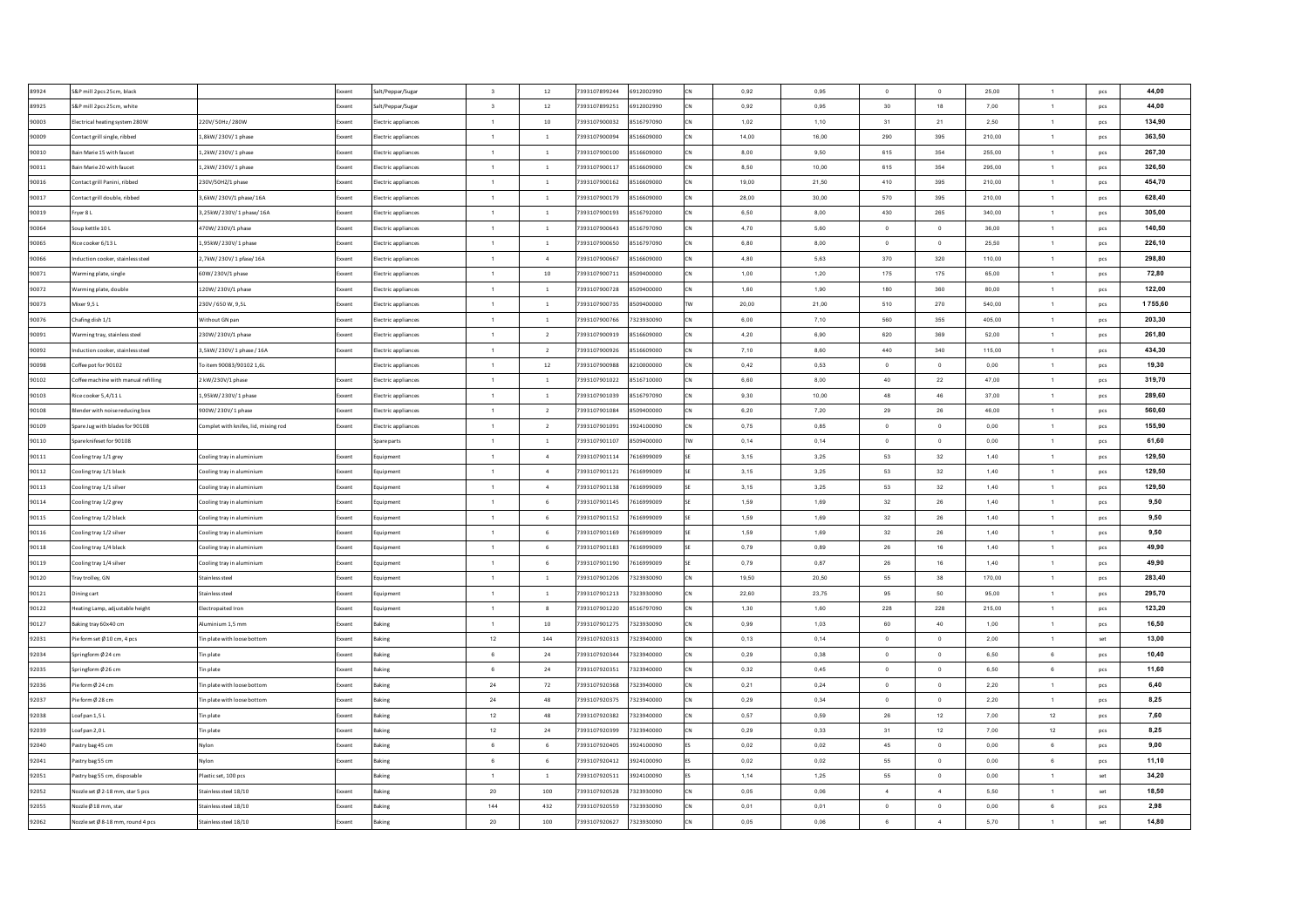| 89924 | S&P mill 2pcs 25cm, black           |                                      | Exxent        | Salt/Peppar/Sugar   | $\overline{\mathbf{3}}$ | 12              | 7393107899244                  | 6912002990               | 0,92         | 0,95         | $\Omega$         | $\overline{0}$ | 25,00        | $\mathbf{1}$   | pcs | 44,00        |
|-------|-------------------------------------|--------------------------------------|---------------|---------------------|-------------------------|-----------------|--------------------------------|--------------------------|--------------|--------------|------------------|----------------|--------------|----------------|-----|--------------|
| 89925 | S&P mill 2pcs 25cm, white           |                                      |               | Salt/Peppar/Sugar   | $\overline{\mathbf{3}}$ | $12\,$          | 7393107899251                  | 6912002990               | 0,92         | 0,95         | 30               | 18             | 7,00         | $\mathbf{1}$   | pcs | 44,00        |
| 90003 | lectrical heating system 280W       | 220V/50Hz/280W                       | Exxent        | lectric appliances  | $\overline{1}$          | $10$            | 7393107900032                  | 8516797090               | 1,02         | 1,10         | 31               | 21             | 2,50         | $\mathbf{1}$   | pcs | 134,90       |
| 90009 | Contact grill single, ribbed        | L,8kW/230V/1 phase                   | Exxen         | lectric appliances  | $\overline{1}$          | $\overline{1}$  | 7393107900094                  | 8516609000               | 14,00        | 16,00        | 290              | 395            | 210,00       | $\mathbf{1}$   | pcs | 363,50       |
| 90010 | ain Marie 15 with fauce             | 1,2kW/230V/1 phase                   | Exxent        | lectric appliances  | $\overline{1}$          | $\overline{1}$  | 7393107900100                  | 8516609000               | 8,00         | 9,50         | 615              | 354            | 255,00       | $\mathbf{1}$   | pcs | 267,30       |
| 90011 | ain Marie 20 with faucet            | 1,2kW/230V/1 phase                   | Exxent        | lectric appliances  | $\overline{1}$          | $\overline{1}$  | 7393107900117                  | 8516609000               | 8,50         | 10,00        | 615              | 354            | 295.00       | $\mathbf{1}$   | pcs | 326,50       |
| 90016 | Contact grill Panini, ribbed        | 230V/50HZ/1 phase                    | Exxent        | lectric appliances  | $\overline{1}$          | $\,$ $\,$       | 7393107900162                  | 8516609000               | 19,00        | 21,50        | 410              | 395            | 210,00       | $\mathbf{1}$   | pcs | 454,70       |
| 90017 | contact grill double, ribbed        | 3,6kW/230V/1 phase/16A               | Exxent        | lectric appliances  | $\overline{1}$          | $\overline{1}$  | 7393107900179                  | 8516609000               | 28.00        | 30.00        | 570              | 395            | 210.00       | $\overline{1}$ | pcs | 628,40       |
| 90019 | rver 8 L                            | 3,25kW/230V/1 phase/16A              | Exxent        | lectric appliances  | $\overline{1}$          | $\overline{1}$  | 7393107900193                  | 8516792000               | 6.50         | 8.00         | 430              | 265            | 340.00       | $\overline{1}$ | pcs | 305,00       |
| 90064 | oup kettle 10 L                     | 470W/230V/1 phase                    | Exxent        | lectric appliances  | $\overline{1}$          | $\overline{1}$  | 7393107900643                  | 8516797090               | 4,70         | 5,60         | $\overline{0}$   | $\overline{0}$ | 36.00        | $\overline{1}$ | pcs | 140,50       |
| 90065 | Rice cooker 6/13 L                  | 1.95kW/230V/1 phase                  | Exxent        | lectric appliances  | $\overline{1}$          | $\overline{1}$  | 7393107900650                  | 8516797090               | 6.80         | 8.00         | $\Omega$         | $\Omega$       | 25.50        | $\overline{1}$ | pcs | 226,10       |
| 90066 | nduction cooker, stainless stee     | 2,7kW/230V/1 pfase/16A               | Exxent        | lectric appliances  | $\overline{1}$          | $\mathbf{A}$    | 7393107900667                  | 8516609000               | 4.80         | 5.63         | 370              | 320            | 110,00       | $\overline{1}$ | pcs | 298,80       |
| 90071 | Varming plate, single               | 60W/230V/1 phase                     | Exxent        | lectric appliances  | $\overline{1}$          | 10              | 7393107900711                  | 8509400000               | 1.00         | 1,20         | 175              | 175            | 65.00        | $\overline{1}$ | pcs | 72,80        |
| 90072 | Varming plate, double               | 120W/230V/1 phase                    | Exxent        | lectric appliances  | $\overline{1}$          | $\overline{1}$  | 7393107900728                  | 8509400000               | 1,60         | 1,90         | 180              | 360            | 80,00        | $\mathbf{1}$   | pcs | 122,00       |
| 90073 | Mixer 9,5L                          | 230V/650W, 9,5L                      | xxent         | ectric appliances   | $\overline{1}$          | $\overline{1}$  | 7393107900735                  | 8509400000               | 20,00        | 21,00        | 510              | 270            | 540,00       | $\mathbf{1}$   | pcs | 1755,60      |
| 90076 | hafing dish 1/1                     | Vithout GN pan                       | xxent         | lectric appliances  | $\overline{1}$          | $1\,$           | 393107900766                   | 7323930090               | 6,00         | 7,10         | 560              | 355            | 405,00       | $\mathbf{1}$   | pcs | 203,30       |
| 90091 | Varming tray, stainless steel       | 230W/230V/1 phase                    | <b>Exxent</b> | lectric appliances  | $\overline{1}$          | <sup>2</sup>    | 393107900919                   | 8516609000               | 4,20         | 6,90         | 620              | 369            | 52,00        | $\mathbf{1}$   | pcs | 261,80       |
| 90092 | nduction cooker, stainless steel    | 3,5kW/230V/1 phase/16A               | xxent         | lectric appliances  | $\overline{1}$          | $\overline{2}$  | 393107900926                   | 8516609000               | 7,10         | 8,60         | 440              | 340            | 115,00       | 1              | pcs | 434,30       |
| 90098 | Coffee pot for 90102                | To item 90083/90102 1,6L             |               | lectric appliances  | $\overline{1}$          | $12\,$          | 7393107900988                  | 8210000000               | 0,42         | 0,53         | $\circ$          | $\,$ 0         | 0,00         | $\mathbf{1}$   | pcs | 19.30        |
| 90102 | offee machine with manual refilling | kW/230V/1 phase                      | ixxent        | lectric appliances  | $\overline{1}$          | $\overline{1}$  | 7393107901022                  | 8516710000               | 6,60         | 8,00         | 40               | 22             | 47,00        | $\mathbf{1}$   | pcs | 319,70       |
| 90103 | Rice cooker 5,4/11 L                | 1,95kW/230V/1 phase                  | ixxent        | lectric appliances  | $\overline{1}$          | $\overline{1}$  | 7393107901039                  | 8516797090               | 9,30         | 10,00        | 48               | 46             | 37,00        | $\mathbf{1}$   | pcs | 289,60       |
| 90108 | Slender with noise reducing box     | 900W/230V/1 phase                    | Exxent        | lectric appliances  | $\overline{1}$          | <sup>2</sup>    | 7393107901084                  | 8509400000               | 6,20         | 7,20         | 29               | 26             | 46,00        | $\mathbf{1}$   | pcs | 560,60       |
| 90109 | Spare Jug with blades for 90108     | Complet with knifes, lid, mixing rod | Exxent        | Electric appliances | $\overline{1}$          | $\overline{2}$  | 7393107901091                  | 3924100090               | 0,75         | 0.85         | $\Omega$         | $\overline{0}$ | 0.00         | $\overline{1}$ | pcs | 155,90       |
| 90110 | Spare knifeset for 90108            |                                      |               | pare parts          | $\overline{1}$          | $\overline{1}$  | 7393107901107                  | 8509400000               | 0.14         | 0.14         | $\Omega$         | $\overline{0}$ | 0.00         | $\overline{1}$ | pcs | 61,60        |
| 90111 | cooling tray 1/1 grey               | Cooling tray in aluminium            | Exxent        | Equipment           | $\overline{1}$          | $\overline{4}$  | 7393107901114                  | 7616999009               | 3,15         | 3,25         | 53               | 32             | 1,40         | 1              | pcs | 129,50       |
| 90112 | ooling tray 1/1 black               | Cooling tray in aluminium            | Exxent        | Equipment           | $\overline{1}$          | $\overline{4}$  | 7393107901121                  | 7616999009               | 3,15         | 3,25         | 53               | 32             | 1.40         | $\mathbf{1}$   | pcs | 129,50       |
| 90113 | ooling tray 1/1 silver              | Cooling tray in aluminium            | Exxent        | Equipment           | $\blacksquare$          | $\overline{4}$  | 7393107901138                  | 7616999009               | 3,15         | 3,25         | 53               | 32             | 1,40         | $\mathbf{1}$   | pcs | 129,50       |
| 90114 | ooling tray 1/2 grey                | Cooling tray in aluminium            | <b>Exxen</b>  | iquipment           | $\overline{1}$          | 6               | 7393107901145                  | 7616999009               | 1,59         | 1,69         | 32               | ${\bf 26}$     | 1,40         | $\mathbf{1}$   | pcs | 9,50         |
| 90115 | ooling tray 1/2 black               | Cooling tray in aluminium            | Exxen         | quipmen             | $\overline{1}$          | 6               | 7393107901152                  | 7616999009               | 1,59         | 1,69         | 32               | 26             | 1,40         | $\mathbf{1}$   | pcs | 9,50         |
| 90116 | ooling tray 1/2 silver              | Cooling tray in aluminium            | Exxent        | quipment            | $\overline{1}$          | 6               | 7393107901169                  | 7616999009               | 1,59         | 1,69         | 32               | 26             | 1,40         | $\mathbf{1}$   | pcs | 9,50         |
| 90118 | ooling tray 1/4 black               | Cooling tray in aluminium            | Exxent        | quipment            | $\mathbf{1}$            | $6\phantom{1}$  | 7393107901183                  | 7616999009               | 0,79         | 0,89         | ${\bf 26}$       | 16             | 1,40         | $\mathbf{1}$   | pcs | 49,90        |
| 90119 | cooling tray 1/4 silver             | Cooling tray in aluminium            | Exxent        | quipment            | $\overline{1}$          | 6               | 7393107901190                  | 7616999009               | 0,79         | 0,87         | ${\bf 26}$       | 16             | 1,40         | $\mathbf{1}$   | pcs | 49,90        |
| 90120 | ray trolley, GN                     | Stainless stee                       | Exxent        | quipment            | $\overline{1}$          | $\,$ $\,$       | 7393107901206                  | 7323930090               | 19,50        | 20,50        | 55               | 38             | 170,00       | $\mathbf{1}$   | pcs | 283,40       |
| 90121 | ining cart                          | Stainless steel                      | Exxent        | cauipment           | $\overline{1}$          | $\overline{1}$  | 7393107901213                  | 7323930090               | 22.60        | 23,75        | 95               | 50             | 95,00        | $\mathbf{1}$   | pcs | 295,70       |
| 90122 | leating Lamp, adjustable height     | Electropaited Iron                   | Exxent        | cauipment           | $\overline{1}$          | 8               | 7393107901220                  | 8516797090               | 1,30         | 1,60         | 228              | 228            | 215.00       | $\mathbf{1}$   | pcs | 123,20       |
| 90127 | Baking tray 60x40 cm                | Aluminium 1.5 mm                     | Exxent        | <b>Baking</b>       | $\overline{1}$          | 10              | 7393107901275                  | 7323930090               | 0.99         | 1.03         | 60               | 40             | 1.00         | $\overline{1}$ | pcs | 16,50        |
| 92031 | Pie form set Ø 10 cm, 4 pcs         | Tin plate with loose bottom          | xxent         | laking              | 12                      | 144             | 7393107920313                  | 7323940000               | 0,13         | 0,14         | $\overline{0}$   | $\,$ 0         | 2,00         | $\overline{1}$ | set | 13,00        |
| 92034 | pringform Ø 24 cm                   | Tin plate                            | ixxent        | aking               | 6                       | 24              | 7393107920344                  | 7323940000               | 0,29         | 0,38         | $\overline{0}$   | $\bf{0}$       | 6,50         | 6              | pcs | 10,40        |
| 92035 | ringform Ø 26 cm                    | lin plate                            | xxen:         |                     | $6 \overline{6}$        | ${\bf 24}$      | 7393107920351                  | 7323940000               | 0,32         | 0,45         | $\Omega$         | $\,$ 0         | 6,50         | 6              | pcs | 11,60        |
| 92036 | Pie form Ø 24 cm                    | Tin plate with loose bottom          | xxent         | aking               | 24                      | 72              | 7393107920368                  | 7323940000               | 0,21         | 0,24         | $\circ$          | $\bf{0}$       | 2,20         | $\mathbf{1}$   | pcs | 6,40         |
| 92037 | ie form Ø 28 cm                     | lin plate with loose bottom          |               |                     | $\bf 24$                | 48              | 7393107920375                  | 7323940000               | 0,29         | 0,34         | $\circ$          | $\,$ 0         | 2,20         | $\mathbf{1}$   |     | 8,25         |
|       |                                     |                                      |               |                     |                         |                 |                                |                          |              |              |                  |                |              |                | pcs |              |
| 92038 | oaf pan 1,5 L<br>oaf pan 2,0 L      | lin plate                            | xxent         | aking               | 12<br>12                | 48<br>$\bf{24}$ | 7393107920382<br>7393107920399 | 7323940000<br>7323940000 | 0,57<br>0,29 | 0,59<br>0,33 | ${\bf 26}$<br>31 | 12<br>12       | 7,00<br>7,00 | 12<br>12       | pcs | 7,60<br>8,25 |
| 92039 |                                     | 'in plate                            | xxent         | king                |                         |                 |                                |                          |              |              |                  |                |              |                | pcs |              |
| 92040 | astry bag 45 cm                     | Nylon                                | Exxent        | <b>Baking</b>       | 6                       | 6               | 7393107920405                  | 3924100090               | 0,02         | 0,02         | 45               | $\,$ 0         | 0,00         | 6              | pcs | 9,00         |
| 92041 | astry bag 55 cm                     | Nvlon                                | <b>Exxent</b> | <b>Jaking</b>       | 6                       | 6               | 7393107920412                  | 3924100090               | 0,02         | 0,02         | 55               | $\mathbf{0}$   | 0,00         | 6              | pcs | 11,10        |
| 92051 | astry bag 55 cm, disposable         | Plastic set. 100 pcs                 |               | <b>Jaking</b>       | $\overline{1}$          | $\overline{1}$  | 7393107920511                  | 3924100090               | 1,14         | 1,25         | 55               | $\overline{0}$ | 0,00         | $\mathbf{1}$   | set | 34,20        |
| 92052 | lozzle set Ø 2-18 mm, star 5 pcs    | Stainless steel 18/10                | Exxent        | Baking              | 20                      | 100             | 7393107920528                  | 7323930090               | 0,05         | 0.06         | $-4$             | $\sim$         | 5,50         | $\mathbf{1}$   | set | 18,50        |
| 92055 | lozzle Ø 18 mm, star                | Stainless steel 18/10                | Exxent        | Bakine              | 144                     | 432             | 7393107920559                  | 7323930090               | 0,01         | 0,01         | $\overline{0}$   | $\circ$        | 0,00         | 6              | pcs | 2,98         |
| 92062 | lozzle set Ø 8-18 mm, round 4 pcs   | Stainless steel 18/10                | Exxent        | Bakine              | 20                      | 100             | 7393107920627                  | 7323930090               | 0,05         | 0.06         | 6                | $\overline{4}$ | 5.70         | $\mathbf{1}$   | set | 14,80        |